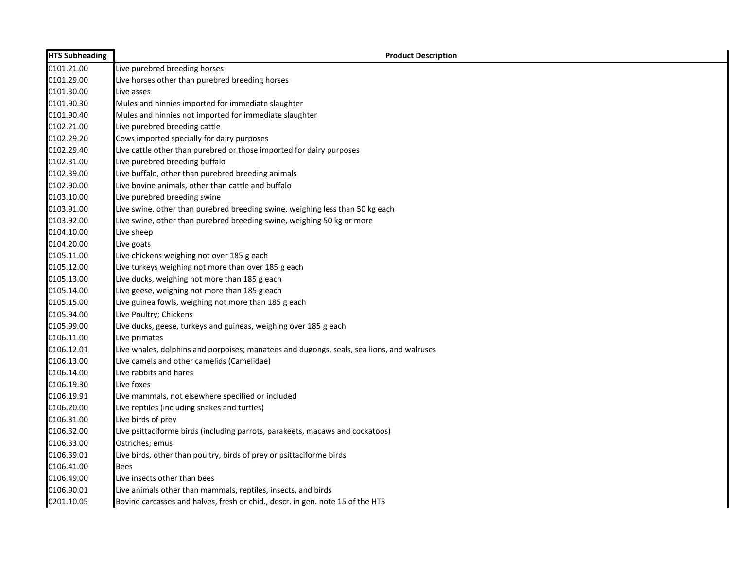| <b>HTS Subheading</b> | <b>Product Description</b>                                                                |
|-----------------------|-------------------------------------------------------------------------------------------|
| 0101.21.00            | Live purebred breeding horses                                                             |
| 0101.29.00            | Live horses other than purebred breeding horses                                           |
| 0101.30.00            | Live asses                                                                                |
| 0101.90.30            | Mules and hinnies imported for immediate slaughter                                        |
| 0101.90.40            | Mules and hinnies not imported for immediate slaughter                                    |
| 0102.21.00            | Live purebred breeding cattle                                                             |
| 0102.29.20            | Cows imported specially for dairy purposes                                                |
| 0102.29.40            | Live cattle other than purebred or those imported for dairy purposes                      |
| 0102.31.00            | Live purebred breeding buffalo                                                            |
| 0102.39.00            | Live buffalo, other than purebred breeding animals                                        |
| 0102.90.00            | Live bovine animals, other than cattle and buffalo                                        |
| 0103.10.00            | Live purebred breeding swine                                                              |
| 0103.91.00            | Live swine, other than purebred breeding swine, weighing less than 50 kg each             |
| 0103.92.00            | Live swine, other than purebred breeding swine, weighing 50 kg or more                    |
| 0104.10.00            | Live sheep                                                                                |
| 0104.20.00            | Live goats                                                                                |
| 0105.11.00            | Live chickens weighing not over 185 g each                                                |
| 0105.12.00            | Live turkeys weighing not more than over 185 g each                                       |
| 0105.13.00            | Live ducks, weighing not more than 185 g each                                             |
| 0105.14.00            | Live geese, weighing not more than 185 g each                                             |
| 0105.15.00            | Live guinea fowls, weighing not more than 185 g each                                      |
| 0105.94.00            | Live Poultry; Chickens                                                                    |
| 0105.99.00            | Live ducks, geese, turkeys and guineas, weighing over 185 g each                          |
| 0106.11.00            | Live primates                                                                             |
| 0106.12.01            | Live whales, dolphins and porpoises; manatees and dugongs, seals, sea lions, and walruses |
| 0106.13.00            | Live camels and other camelids (Camelidae)                                                |
| 0106.14.00            | Live rabbits and hares                                                                    |
| 0106.19.30            | Live foxes                                                                                |
| 0106.19.91            | Live mammals, not elsewhere specified or included                                         |
| 0106.20.00            | Live reptiles (including snakes and turtles)                                              |
| 0106.31.00            | Live birds of prey                                                                        |
| 0106.32.00            | Live psittaciforme birds (including parrots, parakeets, macaws and cockatoos)             |
| 0106.33.00            | Ostriches; emus                                                                           |
| 0106.39.01            | Live birds, other than poultry, birds of prey or psittaciforme birds                      |
| 0106.41.00            | <b>Bees</b>                                                                               |
| 0106.49.00            | Live insects other than bees                                                              |
| 0106.90.01            | Live animals other than mammals, reptiles, insects, and birds                             |
| 0201.10.05            | Bovine carcasses and halves, fresh or chid., descr. in gen. note 15 of the HTS            |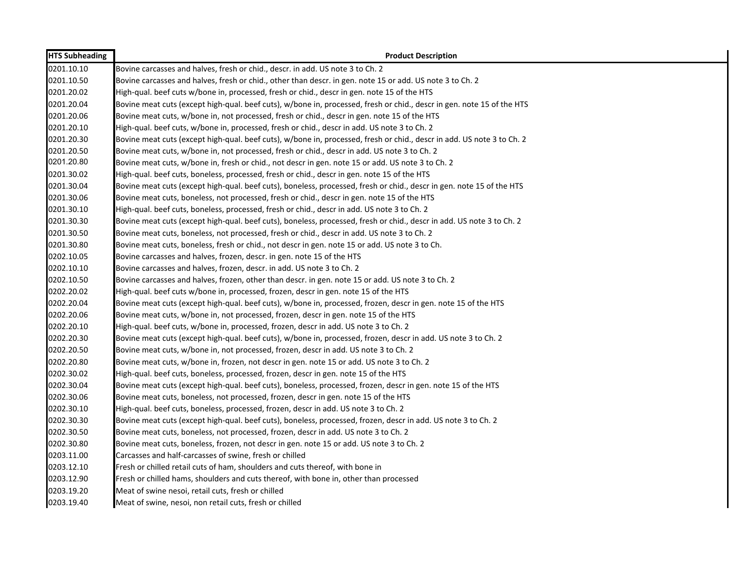| <b>HTS Subheading</b> | <b>Product Description</b>                                                                                             |
|-----------------------|------------------------------------------------------------------------------------------------------------------------|
| 0201.10.10            | Bovine carcasses and halves, fresh or chid., descr. in add. US note 3 to Ch. 2                                         |
| 0201.10.50            | Bovine carcasses and halves, fresh or chid., other than descr. in gen. note 15 or add. US note 3 to Ch. 2              |
| 0201.20.02            | High-qual. beef cuts w/bone in, processed, fresh or chid., descr in gen. note 15 of the HTS                            |
| 0201.20.04            | Bovine meat cuts (except high-qual. beef cuts), w/bone in, processed, fresh or chid., descr in gen. note 15 of the HTS |
| 0201.20.06            | Bovine meat cuts, w/bone in, not processed, fresh or chid., descr in gen. note 15 of the HTS                           |
| 0201.20.10            | High-qual. beef cuts, w/bone in, processed, fresh or chid., descr in add. US note 3 to Ch. 2                           |
| 0201.20.30            | Bovine meat cuts (except high-qual. beef cuts), w/bone in, processed, fresh or chid., descr in add. US note 3 to Ch. 2 |
| 0201.20.50            | Bovine meat cuts, w/bone in, not processed, fresh or chid., descr in add. US note 3 to Ch. 2                           |
| 0201.20.80            | Bovine meat cuts, w/bone in, fresh or chid., not descr in gen. note 15 or add. US note 3 to Ch. 2                      |
| 0201.30.02            | High-qual. beef cuts, boneless, processed, fresh or chid., descr in gen. note 15 of the HTS                            |
| 0201.30.04            | Bovine meat cuts (except high-qual. beef cuts), boneless, processed, fresh or chid., descr in gen. note 15 of the HTS  |
| 0201.30.06            | Bovine meat cuts, boneless, not processed, fresh or chid., descr in gen. note 15 of the HTS                            |
| 0201.30.10            | High-qual. beef cuts, boneless, processed, fresh or chid., descr in add. US note 3 to Ch. 2                            |
| 0201.30.30            | Bovine meat cuts (except high-qual. beef cuts), boneless, processed, fresh or chid., descr in add. US note 3 to Ch. 2  |
| 0201.30.50            | Bovine meat cuts, boneless, not processed, fresh or chid., descr in add. US note 3 to Ch. 2                            |
| 0201.30.80            | Bovine meat cuts, boneless, fresh or chid., not descr in gen. note 15 or add. US note 3 to Ch.                         |
| 0202.10.05            | Bovine carcasses and halves, frozen, descr. in gen. note 15 of the HTS                                                 |
| 0202.10.10            | Bovine carcasses and halves, frozen, descr. in add. US note 3 to Ch. 2                                                 |
| 0202.10.50            | Bovine carcasses and halves, frozen, other than descr. in gen. note 15 or add. US note 3 to Ch. 2                      |
| 0202.20.02            | High-qual. beef cuts w/bone in, processed, frozen, descr in gen. note 15 of the HTS                                    |
| 0202.20.04            | Bovine meat cuts (except high-qual. beef cuts), w/bone in, processed, frozen, descr in gen. note 15 of the HTS         |
| 0202.20.06            | Bovine meat cuts, w/bone in, not processed, frozen, descr in gen. note 15 of the HTS                                   |
| 0202.20.10            | High-qual. beef cuts, w/bone in, processed, frozen, descr in add. US note 3 to Ch. 2                                   |
| 0202.20.30            | Bovine meat cuts (except high-qual. beef cuts), w/bone in, processed, frozen, descr in add. US note 3 to Ch. 2         |
| 0202.20.50            | Bovine meat cuts, w/bone in, not processed, frozen, descr in add. US note 3 to Ch. 2                                   |
| 0202.20.80            | Bovine meat cuts, w/bone in, frozen, not descr in gen. note 15 or add. US note 3 to Ch. 2                              |
| 0202.30.02            | High-qual. beef cuts, boneless, processed, frozen, descr in gen. note 15 of the HTS                                    |
| 0202.30.04            | Bovine meat cuts (except high-qual. beef cuts), boneless, processed, frozen, descr in gen. note 15 of the HTS          |
| 0202.30.06            | Bovine meat cuts, boneless, not processed, frozen, descr in gen. note 15 of the HTS                                    |
| 0202.30.10            | High-qual. beef cuts, boneless, processed, frozen, descr in add. US note 3 to Ch. 2                                    |
| 0202.30.30            | Bovine meat cuts (except high-qual. beef cuts), boneless, processed, frozen, descr in add. US note 3 to Ch. 2          |
| 0202.30.50            | Bovine meat cuts, boneless, not processed, frozen, descr in add. US note 3 to Ch. 2                                    |
| 0202.30.80            | Bovine meat cuts, boneless, frozen, not descr in gen. note 15 or add. US note 3 to Ch. 2                               |
| 0203.11.00            | Carcasses and half-carcasses of swine, fresh or chilled                                                                |
| 0203.12.10            | Fresh or chilled retail cuts of ham, shoulders and cuts thereof, with bone in                                          |
| 0203.12.90            | Fresh or chilled hams, shoulders and cuts thereof, with bone in, other than processed                                  |
| 0203.19.20            | Meat of swine nesoi, retail cuts, fresh or chilled                                                                     |
| 0203.19.40            | Meat of swine, nesoi, non retail cuts, fresh or chilled                                                                |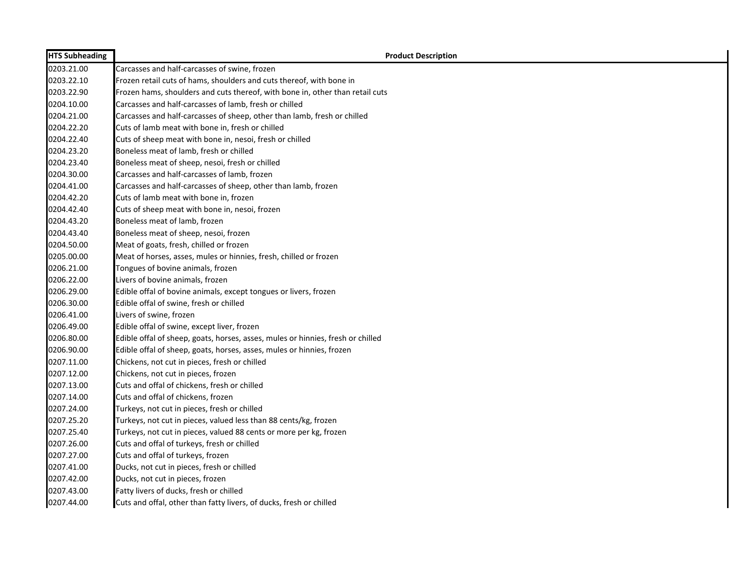| <b>HTS Subheading</b> | <b>Product Description</b>                                                      |
|-----------------------|---------------------------------------------------------------------------------|
| 0203.21.00            | Carcasses and half-carcasses of swine, frozen                                   |
| 0203.22.10            | Frozen retail cuts of hams, shoulders and cuts thereof, with bone in            |
| 0203.22.90            | Frozen hams, shoulders and cuts thereof, with bone in, other than retail cuts   |
| 0204.10.00            | Carcasses and half-carcasses of lamb, fresh or chilled                          |
| 0204.21.00            | Carcasses and half-carcasses of sheep, other than lamb, fresh or chilled        |
| 0204.22.20            | Cuts of lamb meat with bone in, fresh or chilled                                |
| 0204.22.40            | Cuts of sheep meat with bone in, nesoi, fresh or chilled                        |
| 0204.23.20            | Boneless meat of lamb, fresh or chilled                                         |
| 0204.23.40            | Boneless meat of sheep, nesoi, fresh or chilled                                 |
| 0204.30.00            | Carcasses and half-carcasses of lamb, frozen                                    |
| 0204.41.00            | Carcasses and half-carcasses of sheep, other than lamb, frozen                  |
| 0204.42.20            | Cuts of lamb meat with bone in, frozen                                          |
| 0204.42.40            | Cuts of sheep meat with bone in, nesoi, frozen                                  |
| 0204.43.20            | Boneless meat of lamb, frozen                                                   |
| 0204.43.40            | Boneless meat of sheep, nesoi, frozen                                           |
| 0204.50.00            | Meat of goats, fresh, chilled or frozen                                         |
| 0205.00.00            | Meat of horses, asses, mules or hinnies, fresh, chilled or frozen               |
| 0206.21.00            | Tongues of bovine animals, frozen                                               |
| 0206.22.00            | Livers of bovine animals, frozen                                                |
| 0206.29.00            | Edible offal of bovine animals, except tongues or livers, frozen                |
| 0206.30.00            | Edible offal of swine, fresh or chilled                                         |
| 0206.41.00            | Livers of swine, frozen                                                         |
| 0206.49.00            | Edible offal of swine, except liver, frozen                                     |
| 0206.80.00            | Edible offal of sheep, goats, horses, asses, mules or hinnies, fresh or chilled |
| 0206.90.00            | Edible offal of sheep, goats, horses, asses, mules or hinnies, frozen           |
| 0207.11.00            | Chickens, not cut in pieces, fresh or chilled                                   |
| 0207.12.00            | Chickens, not cut in pieces, frozen                                             |
| 0207.13.00            | Cuts and offal of chickens, fresh or chilled                                    |
| 0207.14.00            | Cuts and offal of chickens, frozen                                              |
| 0207.24.00            | Turkeys, not cut in pieces, fresh or chilled                                    |
| 0207.25.20            | Turkeys, not cut in pieces, valued less than 88 cents/kg, frozen                |
| 0207.25.40            | Turkeys, not cut in pieces, valued 88 cents or more per kg, frozen              |
| 0207.26.00            | Cuts and offal of turkeys, fresh or chilled                                     |
| 0207.27.00            | Cuts and offal of turkeys, frozen                                               |
| 0207.41.00            | Ducks, not cut in pieces, fresh or chilled                                      |
| 0207.42.00            | Ducks, not cut in pieces, frozen                                                |
| 0207.43.00            | Fatty livers of ducks, fresh or chilled                                         |
| 0207.44.00            | Cuts and offal, other than fatty livers, of ducks, fresh or chilled             |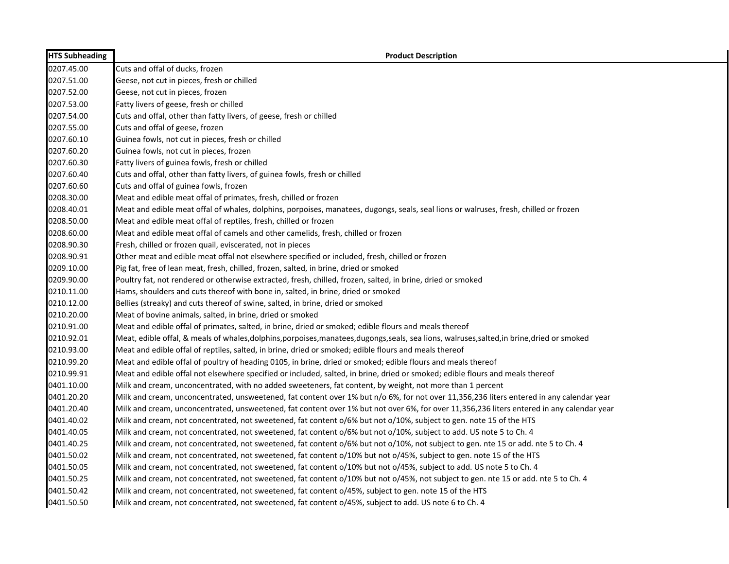| <b>HTS Subheading</b> | <b>Product Description</b>                                                                                                                |
|-----------------------|-------------------------------------------------------------------------------------------------------------------------------------------|
| 0207.45.00            | Cuts and offal of ducks, frozen                                                                                                           |
| 0207.51.00            | Geese, not cut in pieces, fresh or chilled                                                                                                |
| 0207.52.00            | Geese, not cut in pieces, frozen                                                                                                          |
| 0207.53.00            | Fatty livers of geese, fresh or chilled                                                                                                   |
| 0207.54.00            | Cuts and offal, other than fatty livers, of geese, fresh or chilled                                                                       |
| 0207.55.00            | Cuts and offal of geese, frozen                                                                                                           |
| 0207.60.10            | Guinea fowls, not cut in pieces, fresh or chilled                                                                                         |
| 0207.60.20            | Guinea fowls, not cut in pieces, frozen                                                                                                   |
| 0207.60.30            | Fatty livers of guinea fowls, fresh or chilled                                                                                            |
| 0207.60.40            | Cuts and offal, other than fatty livers, of guinea fowls, fresh or chilled                                                                |
| 0207.60.60            | Cuts and offal of guinea fowls, frozen                                                                                                    |
| 0208.30.00            | Meat and edible meat offal of primates, fresh, chilled or frozen                                                                          |
| 0208.40.01            | Meat and edible meat offal of whales, dolphins, porpoises, manatees, dugongs, seals, seal lions or walruses, fresh, chilled or frozen     |
| 0208.50.00            | Meat and edible meat offal of reptiles, fresh, chilled or frozen                                                                          |
| 0208.60.00            | Meat and edible meat offal of camels and other camelids, fresh, chilled or frozen                                                         |
| 0208.90.30            | Fresh, chilled or frozen quail, eviscerated, not in pieces                                                                                |
| 0208.90.91            | Other meat and edible meat offal not elsewhere specified or included, fresh, chilled or frozen                                            |
| 0209.10.00            | Pig fat, free of lean meat, fresh, chilled, frozen, salted, in brine, dried or smoked                                                     |
| 0209.90.00            | Poultry fat, not rendered or otherwise extracted, fresh, chilled, frozen, salted, in brine, dried or smoked                               |
| 0210.11.00            | Hams, shoulders and cuts thereof with bone in, salted, in brine, dried or smoked                                                          |
| 0210.12.00            | Bellies (streaky) and cuts thereof of swine, salted, in brine, dried or smoked                                                            |
| 0210.20.00            | Meat of bovine animals, salted, in brine, dried or smoked                                                                                 |
| 0210.91.00            | Meat and edible offal of primates, salted, in brine, dried or smoked; edible flours and meals thereof                                     |
| 0210.92.01            | Meat, edible offal, & meals of whales,dolphins,porpoises,manatees,dugongs,seals, sea lions, walruses,salted,in brine,dried or smoked      |
| 0210.93.00            | Meat and edible offal of reptiles, salted, in brine, dried or smoked; edible flours and meals thereof                                     |
| 0210.99.20            | Meat and edible offal of poultry of heading 0105, in brine, dried or smoked; edible flours and meals thereof                              |
| 0210.99.91            | Meat and edible offal not elsewhere specified or included, salted, in brine, dried or smoked; edible flours and meals thereof             |
| 0401.10.00            | Milk and cream, unconcentrated, with no added sweeteners, fat content, by weight, not more than 1 percent                                 |
| 0401.20.20            | Milk and cream, unconcentrated, unsweetened, fat content over 1% but n/o 6%, for not over 11,356,236 liters entered in any calendar year  |
| 0401.20.40            | Milk and cream, unconcentrated, unsweetened, fat content over 1% but not over 6%, for over 11,356,236 liters entered in any calendar year |
| 0401.40.02            | Milk and cream, not concentrated, not sweetened, fat content o/6% but not o/10%, subject to gen. note 15 of the HTS                       |
| 0401.40.05            | Milk and cream, not concentrated, not sweetened, fat content o/6% but not o/10%, subject to add. US note 5 to Ch. 4                       |
| 0401.40.25            | Milk and cream, not concentrated, not sweetened, fat content o/6% but not o/10%, not subject to gen. nte 15 or add. nte 5 to Ch. 4        |
| 0401.50.02            | Milk and cream, not concentrated, not sweetened, fat content o/10% but not o/45%, subject to gen. note 15 of the HTS                      |
| 0401.50.05            | Milk and cream, not concentrated, not sweetened, fat content o/10% but not o/45%, subject to add. US note 5 to Ch. 4                      |
| 0401.50.25            | Milk and cream, not concentrated, not sweetened, fat content o/10% but not o/45%, not subject to gen. nte 15 or add. nte 5 to Ch. 4       |
| 0401.50.42            | Milk and cream, not concentrated, not sweetened, fat content o/45%, subject to gen. note 15 of the HTS                                    |
| 0401.50.50            | Milk and cream, not concentrated, not sweetened, fat content o/45%, subject to add. US note 6 to Ch. 4                                    |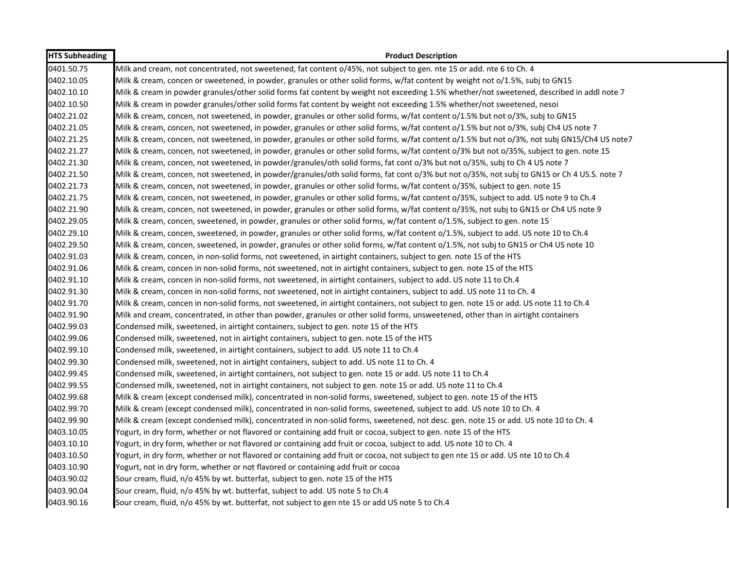| <b>HTS Subheading</b> | <b>Product Description</b>                                                                                                                   |
|-----------------------|----------------------------------------------------------------------------------------------------------------------------------------------|
| 0401.50.75            | Milk and cream, not concentrated, not sweetened, fat content o/45%, not subject to gen. nte 15 or add. nte 6 to Ch. 4                        |
| 0402.10.05            | Milk & cream, concen or sweetened, in powder, granules or other solid forms, w/fat content by weight not o/1.5%, subj to GN15                |
| 0402.10.10            | Milk & cream in powder granules/other solid forms fat content by weight not exceeding 1.5% whether/not sweetened, described in addl note 7   |
| 0402.10.50            | Milk & cream in powder granules/other solid forms fat content by weight not exceeding 1.5% whether/not sweetened, nesoi                      |
| 0402.21.02            | Milk & cream, concen, not sweetened, in powder, granules or other solid forms, w/fat content o/1.5% but not o/3%, subj to GN15               |
| 0402.21.05            | Milk & cream, concen, not sweetened, in powder, granules or other solid forms, w/fat content o/1.5% but not o/3%, subj Ch4 US note 7         |
| 0402.21.25            | Milk & cream, concen, not sweetened, in powder, granules or other solid forms, w/fat content o/1.5% but not o/3%, not subj GN15/Ch4 US note7 |
| 0402.21.27            | Milk & cream, concen, not sweetened, in powder, granules or other solid forms, w/fat content o/3% but not o/35%, subject to gen. note 15     |
| 0402.21.30            | Milk & cream, concen, not sweetened, in powder/granules/oth solid forms, fat cont o/3% but not o/35%, subj to Ch 4 US note 7                 |
| 0402.21.50            | Milk & cream, concen, not sweetened, in powder/granules/oth solid forms, fat cont o/3% but not o/35%, not subj to GN15 or Ch 4 US.S. note 7  |
| 0402.21.73            | Milk & cream, concen, not sweetened, in powder, granules or other solid forms, w/fat content o/35%, subject to gen. note 15                  |
| 0402.21.75            | Milk & cream, concen, not sweetened, in powder, granules or other solid forms, w/fat content o/35%, subject to add. US note 9 to Ch.4        |
| 0402.21.90            | Milk & cream, concen, not sweetened, in powder, granules or other solid forms, w/fat content o/35%, not subj to GN15 or Ch4 US note 9        |
| 0402.29.05            | Milk & cream, concen, sweetened, in powder, granules or other solid forms, w/fat content o/1.5%, subject to gen. note 15                     |
| 0402.29.10            | Milk & cream, concen, sweetened, in powder, granules or other solid forms, w/fat content o/1.5%, subject to add. US note 10 to Ch.4          |
| 0402.29.50            | Milk & cream, concen, sweetened, in powder, granules or other solid forms, w/fat content o/1.5%, not subj to GN15 or Ch4 US note 10          |
| 0402.91.03            | Milk & cream, concen, in non-solid forms, not sweetened, in airtight containers, subject to gen. note 15 of the HTS                          |
| 0402.91.06            | Milk & cream, concen in non-solid forms, not sweetened, not in airtight containers, subject to gen. note 15 of the HTS                       |
| 0402.91.10            | Milk & cream, concen in non-solid forms, not sweetened, in airtight containers, subject to add. US note 11 to Ch.4                           |
| 0402.91.30            | Milk & cream, concen in non-solid forms, not sweetened, not in airtight containers, subject to add. US note 11 to Ch. 4                      |
| 0402.91.70            | Milk & cream, concen in non-solid forms, not sweetened, in airtight containers, not subject to gen. note 15 or add. US note 11 to Ch.4       |
| 0402.91.90            | Milk and cream, concentrated, in other than powder, granules or other solid forms, unsweetened, other than in airtight containers            |
| 0402.99.03            | Condensed milk, sweetened, in airtight containers, subject to gen. note 15 of the HTS                                                        |
| 0402.99.06            | Condensed milk, sweetened, not in airtight containers, subject to gen. note 15 of the HTS                                                    |
| 0402.99.10            | Condensed milk, sweetened, in airtight containers, subject to add. US note 11 to Ch.4                                                        |
| 0402.99.30            | Condensed milk, sweetened, not in airtight containers, subject to add. US note 11 to Ch. 4                                                   |
| 0402.99.45            | Condensed milk, sweetened, in airtight containers, not subject to gen. note 15 or add. US note 11 to Ch.4                                    |
| 0402.99.55            | Condensed milk, sweetened, not in airtight containers, not subject to gen. note 15 or add. US note 11 to Ch.4                                |
| 0402.99.68            | Milk & cream (except condensed milk), concentrated in non-solid forms, sweetened, subject to gen. note 15 of the HTS                         |
| 0402.99.70            | Milk & cream (except condensed milk), concentrated in non-solid forms, sweetened, subject to add. US note 10 to Ch. 4                        |
| 0402.99.90            | Milk & cream (except condensed milk), concentrated in non-solid forms, sweetened, not desc. gen. note 15 or add. US note 10 to Ch. 4         |
| 0403.10.05            | Yogurt, in dry form, whether or not flavored or containing add fruit or cocoa, subject to gen. note 15 of the HTS                            |
| 0403.10.10            | Yogurt, in dry form, whether or not flavored or containing add fruit or cocoa, subject to add. US note 10 to Ch. 4                           |
| 0403.10.50            | Yogurt, in dry form, whether or not flavored or containing add fruit or cocoa, not subject to gen nte 15 or add. US nte 10 to Ch.4           |
| 0403.10.90            | Yogurt, not in dry form, whether or not flavored or containing add fruit or cocoa                                                            |
| 0403.90.02            | Sour cream, fluid, n/o 45% by wt. butterfat, subject to gen. note 15 of the HTS                                                              |
| 0403.90.04            | Sour cream, fluid, n/o 45% by wt. butterfat, subject to add. US note 5 to Ch.4                                                               |
| 0403.90.16            | Sour cream, fluid, n/o 45% by wt. butterfat, not subject to gen nte 15 or add US note 5 to Ch.4                                              |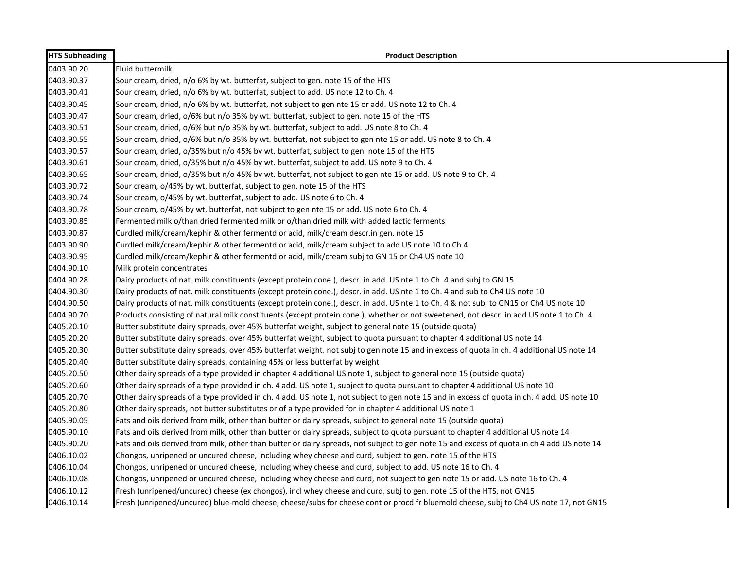| <b>HTS Subheading</b> | <b>Product Description</b>                                                                                                                 |
|-----------------------|--------------------------------------------------------------------------------------------------------------------------------------------|
| 0403.90.20            | <b>Fluid buttermilk</b>                                                                                                                    |
| 0403.90.37            | Sour cream, dried, n/o 6% by wt. butterfat, subject to gen. note 15 of the HTS                                                             |
| 0403.90.41            | Sour cream, dried, n/o 6% by wt. butterfat, subject to add. US note 12 to Ch. 4                                                            |
| 0403.90.45            | Sour cream, dried, n/o 6% by wt. butterfat, not subject to gen nte 15 or add. US note 12 to Ch. 4                                          |
| 0403.90.47            | Sour cream, dried, o/6% but n/o 35% by wt. butterfat, subject to gen. note 15 of the HTS                                                   |
| 0403.90.51            | Sour cream, dried, o/6% but n/o 35% by wt. butterfat, subject to add. US note 8 to Ch. 4                                                   |
| 0403.90.55            | Sour cream, dried, o/6% but n/o 35% by wt. butterfat, not subject to gen nte 15 or add. US note 8 to Ch. 4                                 |
| 0403.90.57            | Sour cream, dried, o/35% but n/o 45% by wt. butterfat, subject to gen. note 15 of the HTS                                                  |
| 0403.90.61            | Sour cream, dried, o/35% but n/o 45% by wt. butterfat, subject to add. US note 9 to Ch. 4                                                  |
| 0403.90.65            | Sour cream, dried, o/35% but n/o 45% by wt. butterfat, not subject to gen nte 15 or add. US note 9 to Ch. 4                                |
| 0403.90.72            | Sour cream, o/45% by wt. butterfat, subject to gen. note 15 of the HTS                                                                     |
| 0403.90.74            | Sour cream, o/45% by wt. butterfat, subject to add. US note 6 to Ch. 4                                                                     |
| 0403.90.78            | Sour cream, o/45% by wt. butterfat, not subject to gen nte 15 or add. US note 6 to Ch. 4                                                   |
| 0403.90.85            | Fermented milk o/than dried fermented milk or o/than dried milk with added lactic ferments                                                 |
| 0403.90.87            | Curdled milk/cream/kephir & other fermentd or acid, milk/cream descr.in gen. note 15                                                       |
| 0403.90.90            | Curdled milk/cream/kephir & other fermentd or acid, milk/cream subject to add US note 10 to Ch.4                                           |
| 0403.90.95            | Curdled milk/cream/kephir & other fermentd or acid, milk/cream subj to GN 15 or Ch4 US note 10                                             |
| 0404.90.10            | Milk protein concentrates                                                                                                                  |
| 0404.90.28            | Dairy products of nat. milk constituents (except protein cone.), descr. in add. US nte 1 to Ch. 4 and subj to GN 15                        |
| 0404.90.30            | Dairy products of nat. milk constituents (except protein cone.), descr. in add. US nte 1 to Ch. 4 and sub to Ch4 US note 10                |
| 0404.90.50            | Dairy products of nat. milk constituents (except protein cone.), descr. in add. US nte 1 to Ch. 4 & not subj to GN15 or Ch4 US note 10     |
| 0404.90.70            | Products consisting of natural milk constituents (except protein cone.), whether or not sweetened, not descr. in add US note 1 to Ch. 4    |
| 0405.20.10            | Butter substitute dairy spreads, over 45% butterfat weight, subject to general note 15 (outside quota)                                     |
| 0405.20.20            | Butter substitute dairy spreads, over 45% butterfat weight, subject to quota pursuant to chapter 4 additional US note 14                   |
| 0405.20.30            | Butter substitute dairy spreads, over 45% butterfat weight, not subj to gen note 15 and in excess of quota in ch. 4 additional US note 14  |
| 0405.20.40            | Butter substitute dairy spreads, containing 45% or less butterfat by weight                                                                |
| 0405.20.50            | Other dairy spreads of a type provided in chapter 4 additional US note 1, subject to general note 15 (outside quota)                       |
| 0405.20.60            | Other dairy spreads of a type provided in ch. 4 add. US note 1, subject to quota pursuant to chapter 4 additional US note 10               |
| 0405.20.70            | Other dairy spreads of a type provided in ch. 4 add. US note 1, not subject to gen note 15 and in excess of quota in ch. 4 add. US note 10 |
| 0405.20.80            | Other dairy spreads, not butter substitutes or of a type provided for in chapter 4 additional US note 1                                    |
| 0405.90.05            | Fats and oils derived from milk, other than butter or dairy spreads, subject to general note 15 (outside quota)                            |
| 0405.90.10            | Fats and oils derived from milk, other than butter or dairy spreads, subject to quota pursuant to chapter 4 additional US note 14          |
| 0405.90.20            | Fats and oils derived from milk, other than butter or dairy spreads, not subject to gen note 15 and excess of quota in ch 4 add US note 14 |
| 0406.10.02            | Chongos, unripened or uncured cheese, including whey cheese and curd, subject to gen. note 15 of the HTS                                   |
| 0406.10.04            | Chongos, unripened or uncured cheese, including whey cheese and curd, subject to add. US note 16 to Ch. 4                                  |
| 0406.10.08            | Chongos, unripened or uncured cheese, including whey cheese and curd, not subject to gen note 15 or add. US note 16 to Ch. 4               |
| 0406.10.12            | Fresh (unripened/uncured) cheese (ex chongos), incl whey cheese and curd, subj to gen. note 15 of the HTS, not GN15                        |
| 0406.10.14            | Fresh (unripened/uncured) blue-mold cheese, cheese/subs for cheese cont or procd fr bluemold cheese, subj to Ch4 US note 17, not GN15      |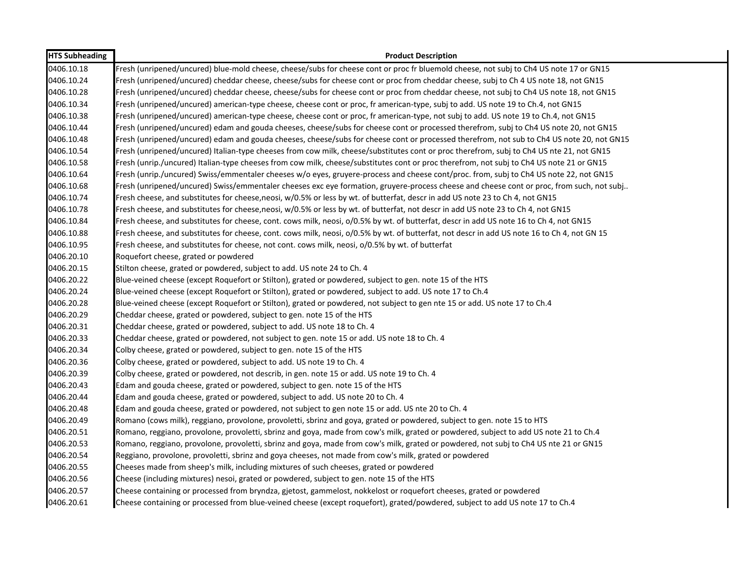| <b>HTS Subheading</b> | <b>Product Description</b>                                                                                                                   |
|-----------------------|----------------------------------------------------------------------------------------------------------------------------------------------|
| 0406.10.18            | Fresh (unripened/uncured) blue-mold cheese, cheese/subs for cheese cont or proc fr bluemold cheese, not subj to Ch4 US note 17 or GN15       |
| 0406.10.24            | Fresh (unripened/uncured) cheddar cheese, cheese/subs for cheese cont or proc from cheddar cheese, subj to Ch 4 US note 18, not GN15         |
| 0406.10.28            | Fresh (unripened/uncured) cheddar cheese, cheese/subs for cheese cont or proc from cheddar cheese, not subj to Ch4 US note 18, not GN15      |
| 0406.10.34            | Fresh (unripened/uncured) american-type cheese, cheese cont or proc, fr american-type, subj to add. US note 19 to Ch.4, not GN15             |
| 0406.10.38            | Fresh (unripened/uncured) american-type cheese, cheese cont or proc, fr american-type, not subj to add. US note 19 to Ch.4, not GN15         |
| 0406.10.44            | Fresh (unripened/uncured) edam and gouda cheeses, cheese/subs for cheese cont or processed therefrom, subj to Ch4 US note 20, not GN15       |
| 0406.10.48            | Fresh (unripened/uncured) edam and gouda cheeses, cheese/subs for cheese cont or processed therefrom, not sub to Ch4 US note 20, not GN15    |
| 0406.10.54            | Fresh (unripened/uncured) Italian-type cheeses from cow milk, cheese/substitutes cont or proc therefrom, subj to Ch4 US nte 21, not GN15     |
| 0406.10.58            | Fresh (unrip./uncured) Italian-type cheeses from cow milk, cheese/substitutes cont or proc therefrom, not subj to Ch4 US note 21 or GN15     |
| 0406.10.64            | Fresh (unrip./uncured) Swiss/emmentaler cheeses w/o eyes, gruyere-process and cheese cont/proc. from, subj to Ch4 US note 22, not GN15       |
| 0406.10.68            | Fresh (unripened/uncured) Swiss/emmentaler cheeses exc eye formation, gruyere-process cheese and cheese cont or proc, from such, not subj    |
| 0406.10.74            | Fresh cheese, and substitutes for cheese, neosi, w/0.5% or less by wt. of butterfat, descr in add US note 23 to Ch 4, not GN15               |
| 0406.10.78            | Fresh cheese, and substitutes for cheese, neosi, w/0.5% or less by wt. of butterfat, not descr in add US note 23 to Ch 4, not GN15           |
| 0406.10.84            | Fresh cheese, and substitutes for cheese, cont. cows milk, neosi, o/0.5% by wt. of butterfat, descr in add US note 16 to Ch 4, not GN15      |
| 0406.10.88            | Fresh cheese, and substitutes for cheese, cont. cows milk, neosi, o/0.5% by wt. of butterfat, not descr in add US note 16 to Ch 4, not GN 15 |
| 0406.10.95            | Fresh cheese, and substitutes for cheese, not cont. cows milk, neosi, o/0.5% by wt. of butterfat                                             |
| 0406.20.10            | Roquefort cheese, grated or powdered                                                                                                         |
| 0406.20.15            | Stilton cheese, grated or powdered, subject to add. US note 24 to Ch. 4                                                                      |
| 0406.20.22            | Blue-veined cheese (except Roquefort or Stilton), grated or powdered, subject to gen. note 15 of the HTS                                     |
| 0406.20.24            | Blue-veined cheese (except Roquefort or Stilton), grated or powdered, subject to add. US note 17 to Ch.4                                     |
| 0406.20.28            | Blue-veined cheese (except Roquefort or Stilton), grated or powdered, not subject to gen nte 15 or add. US note 17 to Ch.4                   |
| 0406.20.29            | Cheddar cheese, grated or powdered, subject to gen. note 15 of the HTS                                                                       |
| 0406.20.31            | Cheddar cheese, grated or powdered, subject to add. US note 18 to Ch. 4                                                                      |
| 0406.20.33            | Cheddar cheese, grated or powdered, not subject to gen. note 15 or add. US note 18 to Ch. 4                                                  |
| 0406.20.34            | Colby cheese, grated or powdered, subject to gen. note 15 of the HTS                                                                         |
| 0406.20.36            | Colby cheese, grated or powdered, subject to add. US note 19 to Ch. 4                                                                        |
| 0406.20.39            | Colby cheese, grated or powdered, not describ, in gen. note 15 or add. US note 19 to Ch. 4                                                   |
| 0406.20.43            | Edam and gouda cheese, grated or powdered, subject to gen. note 15 of the HTS                                                                |
| 0406.20.44            | Edam and gouda cheese, grated or powdered, subject to add. US note 20 to Ch. 4                                                               |
| 0406.20.48            | Edam and gouda cheese, grated or powdered, not subject to gen note 15 or add. US nte 20 to Ch. 4                                             |
| 0406.20.49            | Romano (cows milk), reggiano, provolone, provoletti, sbrinz and goya, grated or powdered, subject to gen. note 15 to HTS                     |
| 0406.20.51            | Romano, reggiano, provolone, provoletti, sbrinz and goya, made from cow's milk, grated or powdered, subject to add US note 21 to Ch.4        |
| 0406.20.53            | Romano, reggiano, provolone, provoletti, sbrinz and goya, made from cow's milk, grated or powdered, not subj to Ch4 US nte 21 or GN15        |
| 0406.20.54            | Reggiano, provolone, provoletti, sbrinz and goya cheeses, not made from cow's milk, grated or powdered                                       |
| 0406.20.55            | Cheeses made from sheep's milk, including mixtures of such cheeses, grated or powdered                                                       |
| 0406.20.56            | Cheese (including mixtures) nesoi, grated or powdered, subject to gen. note 15 of the HTS                                                    |
| 0406.20.57            | Cheese containing or processed from bryndza, gjetost, gammelost, nokkelost or roquefort cheeses, grated or powdered                          |
| 0406.20.61            | Cheese containing or processed from blue-veined cheese (except roquefort), grated/powdered, subject to add US note 17 to Ch.4                |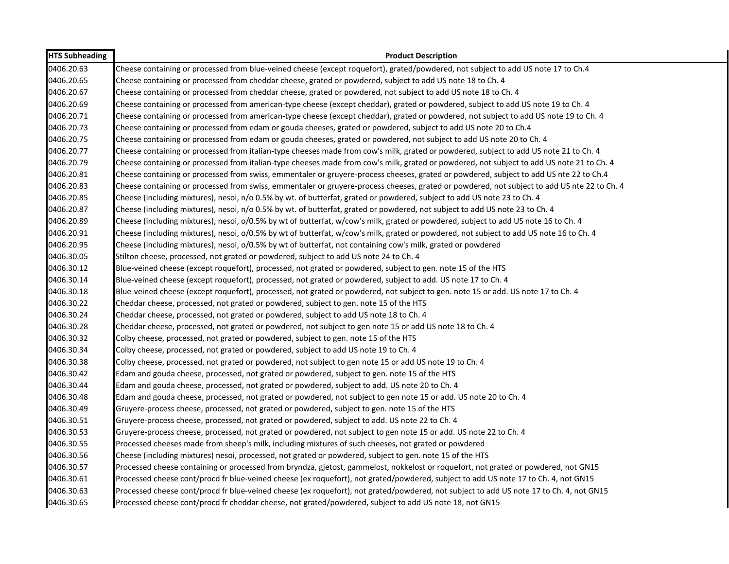| <b>HTS Subheading</b> | <b>Product Description</b>                                                                                                                  |
|-----------------------|---------------------------------------------------------------------------------------------------------------------------------------------|
| 0406.20.63            | Cheese containing or processed from blue-veined cheese (except roquefort), grated/powdered, not subject to add US note 17 to Ch.4           |
| 0406.20.65            | Cheese containing or processed from cheddar cheese, grated or powdered, subject to add US note 18 to Ch. 4                                  |
| 0406.20.67            | Cheese containing or processed from cheddar cheese, grated or powdered, not subject to add US note 18 to Ch. 4                              |
| 0406.20.69            | Cheese containing or processed from american-type cheese (except cheddar), grated or powdered, subject to add US note 19 to Ch. 4           |
| 0406.20.71            | Cheese containing or processed from american-type cheese (except cheddar), grated or powdered, not subject to add US note 19 to Ch. 4       |
| 0406.20.73            | Cheese containing or processed from edam or gouda cheeses, grated or powdered, subject to add US note 20 to Ch.4                            |
| 0406.20.75            | Cheese containing or processed from edam or gouda cheeses, grated or powdered, not subject to add US note 20 to Ch. 4                       |
| 0406.20.77            | Cheese containing or processed from italian-type cheeses made from cow's milk, grated or powdered, subject to add US note 21 to Ch. 4       |
| 0406.20.79            | Cheese containing or processed from italian-type cheeses made from cow's milk, grated or powdered, not subject to add US note 21 to Ch. 4   |
| 0406.20.81            | Cheese containing or processed from swiss, emmentaler or gruyere-process cheeses, grated or powdered, subject to add US nte 22 to Ch.4      |
| 0406.20.83            | Cheese containing or processed from swiss, emmentaler or gruyere-process cheeses, grated or powdered, not subject to add US nte 22 to Ch. 4 |
| 0406.20.85            | Cheese (including mixtures), nesoi, n/o 0.5% by wt. of butterfat, grated or powdered, subject to add US note 23 to Ch. 4                    |
| 0406.20.87            | Cheese (including mixtures), nesoi, n/o 0.5% by wt. of butterfat, grated or powdered, not subject to add US note 23 to Ch. 4                |
| 0406.20.89            | Cheese (including mixtures), nesoi, o/0.5% by wt of butterfat, w/cow's milk, grated or powdered, subject to add US note 16 to Ch. 4         |
| 0406.20.91            | Cheese (including mixtures), nesoi, o/0.5% by wt of butterfat, w/cow's milk, grated or powdered, not subject to add US note 16 to Ch. 4     |
| 0406.20.95            | Cheese (including mixtures), nesoi, o/0.5% by wt of butterfat, not containing cow's milk, grated or powdered                                |
| 0406.30.05            | Stilton cheese, processed, not grated or powdered, subject to add US note 24 to Ch. 4                                                       |
| 0406.30.12            | Blue-veined cheese (except roquefort), processed, not grated or powdered, subject to gen. note 15 of the HTS                                |
| 0406.30.14            | Blue-veined cheese (except roquefort), processed, not grated or powdered, subject to add. US note 17 to Ch. 4                               |
| 0406.30.18            | Blue-veined cheese (except roquefort), processed, not grated or powdered, not subject to gen. note 15 or add. US note 17 to Ch. 4           |
| 0406.30.22            | Cheddar cheese, processed, not grated or powdered, subject to gen. note 15 of the HTS                                                       |
| 0406.30.24            | Cheddar cheese, processed, not grated or powdered, subject to add US note 18 to Ch. 4                                                       |
| 0406.30.28            | Cheddar cheese, processed, not grated or powdered, not subject to gen note 15 or add US note 18 to Ch. 4                                    |
| 0406.30.32            | Colby cheese, processed, not grated or powdered, subject to gen. note 15 of the HTS                                                         |
| 0406.30.34            | Colby cheese, processed, not grated or powdered, subject to add US note 19 to Ch. 4                                                         |
| 0406.30.38            | Colby cheese, processed, not grated or powdered, not subject to gen note 15 or add US note 19 to Ch. 4                                      |
| 0406.30.42            | Edam and gouda cheese, processed, not grated or powdered, subject to gen. note 15 of the HTS                                                |
| 0406.30.44            | Edam and gouda cheese, processed, not grated or powdered, subject to add. US note 20 to Ch. 4                                               |
| 0406.30.48            | Edam and gouda cheese, processed, not grated or powdered, not subject to gen note 15 or add. US note 20 to Ch. 4                            |
| 0406.30.49            | Gruyere-process cheese, processed, not grated or powdered, subject to gen. note 15 of the HTS                                               |
| 0406.30.51            | Gruyere-process cheese, processed, not grated or powdered, subject to add. US note 22 to Ch. 4                                              |
| 0406.30.53            | Gruyere-process cheese, processed, not grated or powdered, not subject to gen note 15 or add. US note 22 to Ch. 4                           |
| 0406.30.55            | Processed cheeses made from sheep's milk, including mixtures of such cheeses, not grated or powdered                                        |
| 0406.30.56            | Cheese (including mixtures) nesoi, processed, not grated or powdered, subject to gen. note 15 of the HTS                                    |
| 0406.30.57            | Processed cheese containing or processed from bryndza, gjetost, gammelost, nokkelost or roquefort, not grated or powdered, not GN15         |
| 0406.30.61            | Processed cheese cont/procd fr blue-veined cheese (ex roquefort), not grated/powdered, subject to add US note 17 to Ch. 4, not GN15         |
| 0406.30.63            | Processed cheese cont/procd fr blue-veined cheese (ex roquefort), not grated/powdered, not subject to add US note 17 to Ch. 4, not GN15     |
| 0406.30.65            | Processed cheese cont/procd fr cheddar cheese, not grated/powdered, subject to add US note 18, not GN15                                     |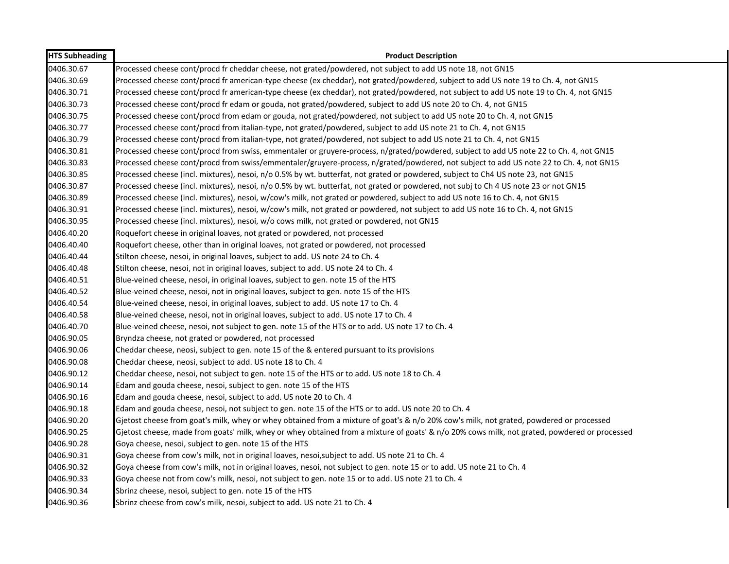| <b>HTS Subheading</b> | <b>Product Description</b>                                                                                                                   |
|-----------------------|----------------------------------------------------------------------------------------------------------------------------------------------|
| 0406.30.67            | Processed cheese cont/procd fr cheddar cheese, not grated/powdered, not subject to add US note 18, not GN15                                  |
| 0406.30.69            | Processed cheese cont/procd fr american-type cheese (ex cheddar), not grated/powdered, subject to add US note 19 to Ch. 4, not GN15          |
| 0406.30.71            | Processed cheese cont/procd fr american-type cheese (ex cheddar), not grated/powdered, not subject to add US note 19 to Ch. 4, not GN15      |
| 0406.30.73            | Processed cheese cont/procd fr edam or gouda, not grated/powdered, subject to add US note 20 to Ch. 4, not GN15                              |
| 0406.30.75            | Processed cheese cont/procd from edam or gouda, not grated/powdered, not subject to add US note 20 to Ch. 4, not GN15                        |
| 0406.30.77            | Processed cheese cont/procd from italian-type, not grated/powdered, subject to add US note 21 to Ch. 4, not GN15                             |
| 0406.30.79            | Processed cheese cont/procd from italian-type, not grated/powdered, not subject to add US note 21 to Ch. 4, not GN15                         |
| 0406.30.81            | Processed cheese cont/procd from swiss, emmentaler or gruyere-process, n/grated/powdered, subject to add US note 22 to Ch. 4, not GN15       |
| 0406.30.83            | Processed cheese cont/procd from swiss/emmentaler/gruyere-process, n/grated/powdered, not subject to add US note 22 to Ch. 4, not GN15       |
| 0406.30.85            | Processed cheese (incl. mixtures), nesoi, n/o 0.5% by wt. butterfat, not grated or powdered, subject to Ch4 US note 23, not GN15             |
| 0406.30.87            | Processed cheese (incl. mixtures), nesoi, n/o 0.5% by wt. butterfat, not grated or powdered, not subj to Ch 4 US note 23 or not GN15         |
| 0406.30.89            | Processed cheese (incl. mixtures), nesoi, w/cow's milk, not grated or powdered, subject to add US note 16 to Ch. 4, not GN15                 |
| 0406.30.91            | Processed cheese (incl. mixtures), nesoi, w/cow's milk, not grated or powdered, not subject to add US note 16 to Ch. 4, not GN15             |
| 0406.30.95            | Processed cheese (incl. mixtures), nesoi, w/o cows milk, not grated or powdered, not GN15                                                    |
| 0406.40.20            | Roquefort cheese in original loaves, not grated or powdered, not processed                                                                   |
| 0406.40.40            | Roquefort cheese, other than in original loaves, not grated or powdered, not processed                                                       |
| 0406.40.44            | Stilton cheese, nesoi, in original loaves, subject to add. US note 24 to Ch. 4                                                               |
| 0406.40.48            | Stilton cheese, nesoi, not in original loaves, subject to add. US note 24 to Ch. 4                                                           |
| 0406.40.51            | Blue-veined cheese, nesoi, in original loaves, subject to gen. note 15 of the HTS                                                            |
| 0406.40.52            | Blue-veined cheese, nesoi, not in original loaves, subject to gen. note 15 of the HTS                                                        |
| 0406.40.54            | Blue-veined cheese, nesoi, in original loaves, subject to add. US note 17 to Ch. 4                                                           |
| 0406.40.58            | Blue-veined cheese, nesoi, not in original loaves, subject to add. US note 17 to Ch. 4                                                       |
| 0406.40.70            | Blue-veined cheese, nesoi, not subject to gen. note 15 of the HTS or to add. US note 17 to Ch. 4                                             |
| 0406.90.05            | Bryndza cheese, not grated or powdered, not processed                                                                                        |
| 0406.90.06            | Cheddar cheese, neosi, subject to gen. note 15 of the & entered pursuant to its provisions                                                   |
| 0406.90.08            | Cheddar cheese, neosi, subject to add. US note 18 to Ch. 4                                                                                   |
| 0406.90.12            | Cheddar cheese, nesoi, not subject to gen. note 15 of the HTS or to add. US note 18 to Ch. 4                                                 |
| 0406.90.14            | Edam and gouda cheese, nesoi, subject to gen. note 15 of the HTS                                                                             |
| 0406.90.16            | Edam and gouda cheese, nesoi, subject to add. US note 20 to Ch. 4                                                                            |
| 0406.90.18            | Edam and gouda cheese, nesoi, not subject to gen. note 15 of the HTS or to add. US note 20 to Ch. 4                                          |
| 0406.90.20            | Gjetost cheese from goat's milk, whey or whey obtained from a mixture of goat's & n/o 20% cow's milk, not grated, powdered or processed      |
| 0406.90.25            | Gjetost cheese, made from goats' milk, whey or whey obtained from a mixture of goats' & n/o 20% cows milk, not grated, powdered or processed |
| 0406.90.28            | Goya cheese, nesoi, subject to gen. note 15 of the HTS                                                                                       |
| 0406.90.31            | Goya cheese from cow's milk, not in original loaves, nesoi, subject to add. US note 21 to Ch. 4                                              |
| 0406.90.32            | Goya cheese from cow's milk, not in original loaves, nesoi, not subject to gen. note 15 or to add. US note 21 to Ch. 4                       |
| 0406.90.33            | Goya cheese not from cow's milk, nesoi, not subject to gen. note 15 or to add. US note 21 to Ch. 4                                           |
| 0406.90.34            | Sbrinz cheese, nesoi, subject to gen. note 15 of the HTS                                                                                     |
| 0406.90.36            | Sbrinz cheese from cow's milk, nesoi, subject to add. US note 21 to Ch. 4                                                                    |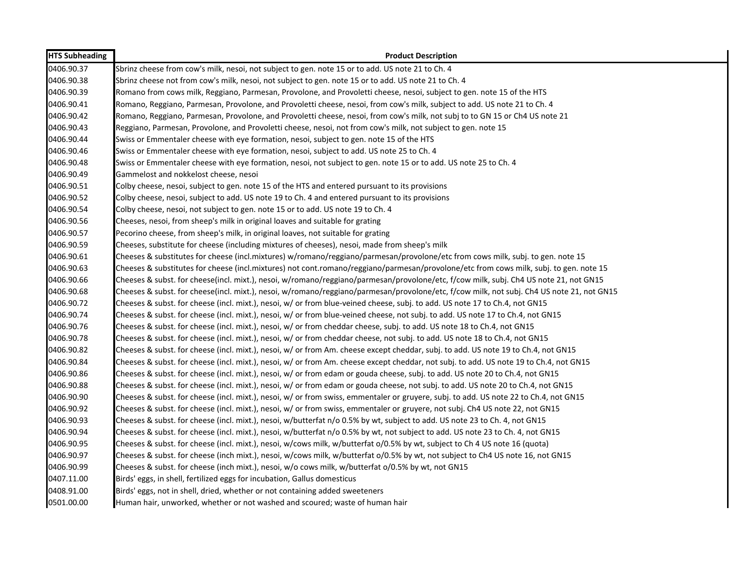| <b>HTS Subheading</b> | <b>Product Description</b>                                                                                                                |
|-----------------------|-------------------------------------------------------------------------------------------------------------------------------------------|
| 0406.90.37            | Sbrinz cheese from cow's milk, nesoi, not subject to gen. note 15 or to add. US note 21 to Ch. 4                                          |
| 0406.90.38            | Sbrinz cheese not from cow's milk, nesoi, not subject to gen. note 15 or to add. US note 21 to Ch. 4                                      |
| 0406.90.39            | Romano from cows milk, Reggiano, Parmesan, Provolone, and Provoletti cheese, nesoi, subject to gen. note 15 of the HTS                    |
| 0406.90.41            | Romano, Reggiano, Parmesan, Provolone, and Provoletti cheese, nesoi, from cow's milk, subject to add. US note 21 to Ch. 4                 |
| 0406.90.42            | Romano, Reggiano, Parmesan, Provolone, and Provoletti cheese, nesoi, from cow's milk, not subj to to GN 15 or Ch4 US note 21              |
| 0406.90.43            | Reggiano, Parmesan, Provolone, and Provoletti cheese, nesoi, not from cow's milk, not subject to gen. note 15                             |
| 0406.90.44            | Swiss or Emmentaler cheese with eye formation, nesoi, subject to gen. note 15 of the HTS                                                  |
| 0406.90.46            | Swiss or Emmentaler cheese with eye formation, nesoi, subject to add. US note 25 to Ch. 4                                                 |
| 0406.90.48            | Swiss or Emmentaler cheese with eye formation, nesoi, not subject to gen. note 15 or to add. US note 25 to Ch. 4                          |
| 0406.90.49            | Gammelost and nokkelost cheese, nesoi                                                                                                     |
| 0406.90.51            | Colby cheese, nesoi, subject to gen. note 15 of the HTS and entered pursuant to its provisions                                            |
| 0406.90.52            | Colby cheese, nesoi, subject to add. US note 19 to Ch. 4 and entered pursuant to its provisions                                           |
| 0406.90.54            | Colby cheese, nesoi, not subject to gen. note 15 or to add. US note 19 to Ch. 4                                                           |
| 0406.90.56            | Cheeses, nesoi, from sheep's milk in original loaves and suitable for grating                                                             |
| 0406.90.57            | Pecorino cheese, from sheep's milk, in original loaves, not suitable for grating                                                          |
| 0406.90.59            | Cheeses, substitute for cheese (including mixtures of cheeses), nesoi, made from sheep's milk                                             |
| 0406.90.61            | Cheeses & substitutes for cheese (incl.mixtures) w/romano/reggiano/parmesan/provolone/etc from cows milk, subj. to gen. note 15           |
| 0406.90.63            | Cheeses & substitutes for cheese (incl.mixtures) not cont.romano/reggiano/parmesan/provolone/etc from cows milk, subj. to gen. note 15    |
| 0406.90.66            | Cheeses & subst. for cheese(incl. mixt.), nesoi, w/romano/reggiano/parmesan/provolone/etc, f/cow milk, subj. Ch4 US note 21, not GN15     |
| 0406.90.68            | Cheeses & subst. for cheese(incl. mixt.), nesoi, w/romano/reggiano/parmesan/provolone/etc, f/cow milk, not subj. Ch4 US note 21, not GN15 |
| 0406.90.72            | Cheeses & subst. for cheese (incl. mixt.), nesoi, w/ or from blue-veined cheese, subj. to add. US note 17 to Ch.4, not GN15               |
| 0406.90.74            | Cheeses & subst. for cheese (incl. mixt.), nesoi, w/ or from blue-veined cheese, not subj. to add. US note 17 to Ch.4, not GN15           |
| 0406.90.76            | Cheeses & subst. for cheese (incl. mixt.), nesoi, w/ or from cheddar cheese, subj. to add. US note 18 to Ch.4, not GN15                   |
| 0406.90.78            | Cheeses & subst. for cheese (incl. mixt.), nesoi, w/ or from cheddar cheese, not subj. to add. US note 18 to Ch.4, not GN15               |
| 0406.90.82            | Cheeses & subst. for cheese (incl. mixt.), nesoi, w/ or from Am. cheese except cheddar, subj. to add. US note 19 to Ch.4, not GN15        |
| 0406.90.84            | Cheeses & subst. for cheese (incl. mixt.), nesoi, w/ or from Am. cheese except cheddar, not subj. to add. US note 19 to Ch.4, not GN15    |
| 0406.90.86            | Cheeses & subst. for cheese (incl. mixt.), nesoi, w/ or from edam or gouda cheese, subj. to add. US note 20 to Ch.4, not GN15             |
| 0406.90.88            | Cheeses & subst. for cheese (incl. mixt.), nesoi, w/ or from edam or gouda cheese, not subj. to add. US note 20 to Ch.4, not GN15         |
| 0406.90.90            | Cheeses & subst. for cheese (incl. mixt.), nesoi, w/ or from swiss, emmentaler or gruyere, subj. to add. US note 22 to Ch.4, not GN15     |
| 0406.90.92            | Cheeses & subst. for cheese (incl. mixt.), nesoi, w/ or from swiss, emmentaler or gruyere, not subj. Ch4 US note 22, not GN15             |
| 0406.90.93            | Cheeses & subst. for cheese (incl. mixt.), nesoi, w/butterfat n/o 0.5% by wt, subject to add. US note 23 to Ch. 4, not GN15               |
| 0406.90.94            | Cheeses & subst. for cheese (incl. mixt.), nesoi, w/butterfat n/o 0.5% by wt, not subject to add. US note 23 to Ch. 4, not GN15           |
| 0406.90.95            | Cheeses & subst. for cheese (incl. mixt.), nesoi, w/cows milk, w/butterfat o/0.5% by wt, subject to Ch 4 US note 16 (quota)               |
| 0406.90.97            | Cheeses & subst. for cheese (inch mixt.), nesoi, w/cows milk, w/butterfat o/0.5% by wt, not subject to Ch4 US note 16, not GN15           |
| 0406.90.99            | Cheeses & subst. for cheese (inch mixt.), nesoi, w/o cows milk, w/butterfat o/0.5% by wt, not GN15                                        |
| 0407.11.00            | Birds' eggs, in shell, fertilized eggs for incubation, Gallus domesticus                                                                  |
| 0408.91.00            | Birds' eggs, not in shell, dried, whether or not containing added sweeteners                                                              |
| 0501.00.00            | Human hair, unworked, whether or not washed and scoured; waste of human hair                                                              |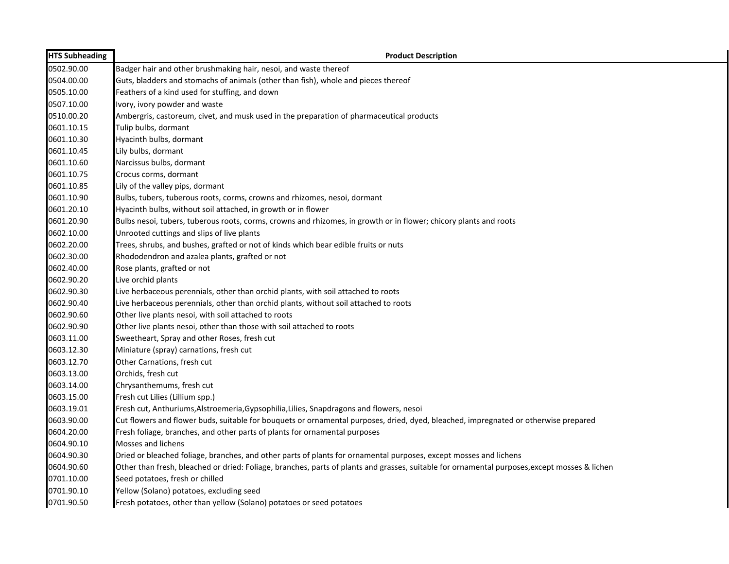| <b>HTS Subheading</b> | <b>Product Description</b>                                                                                                                    |
|-----------------------|-----------------------------------------------------------------------------------------------------------------------------------------------|
| 0502.90.00            | Badger hair and other brushmaking hair, nesoi, and waste thereof                                                                              |
| 0504.00.00            | Guts, bladders and stomachs of animals (other than fish), whole and pieces thereof                                                            |
| 0505.10.00            | Feathers of a kind used for stuffing, and down                                                                                                |
| 0507.10.00            | Ivory, ivory powder and waste                                                                                                                 |
| 0510.00.20            | Ambergris, castoreum, civet, and musk used in the preparation of pharmaceutical products                                                      |
| 0601.10.15            | Tulip bulbs, dormant                                                                                                                          |
| 0601.10.30            | Hyacinth bulbs, dormant                                                                                                                       |
| 0601.10.45            | Lily bulbs, dormant                                                                                                                           |
| 0601.10.60            | Narcissus bulbs, dormant                                                                                                                      |
| 0601.10.75            | Crocus corms, dormant                                                                                                                         |
| 0601.10.85            | Lily of the valley pips, dormant                                                                                                              |
| 0601.10.90            | Bulbs, tubers, tuberous roots, corms, crowns and rhizomes, nesoi, dormant                                                                     |
| 0601.20.10            | Hyacinth bulbs, without soil attached, in growth or in flower                                                                                 |
| 0601.20.90            | Bulbs nesoi, tubers, tuberous roots, corms, crowns and rhizomes, in growth or in flower; chicory plants and roots                             |
| 0602.10.00            | Unrooted cuttings and slips of live plants                                                                                                    |
| 0602.20.00            | Trees, shrubs, and bushes, grafted or not of kinds which bear edible fruits or nuts                                                           |
| 0602.30.00            | Rhododendron and azalea plants, grafted or not                                                                                                |
| 0602.40.00            | Rose plants, grafted or not                                                                                                                   |
| 0602.90.20            | Live orchid plants                                                                                                                            |
| 0602.90.30            | Live herbaceous perennials, other than orchid plants, with soil attached to roots                                                             |
| 0602.90.40            | Live herbaceous perennials, other than orchid plants, without soil attached to roots                                                          |
| 0602.90.60            | Other live plants nesoi, with soil attached to roots                                                                                          |
| 0602.90.90            | Other live plants nesoi, other than those with soil attached to roots                                                                         |
| 0603.11.00            | Sweetheart, Spray and other Roses, fresh cut                                                                                                  |
| 0603.12.30            | Miniature (spray) carnations, fresh cut                                                                                                       |
| 0603.12.70            | Other Carnations, fresh cut                                                                                                                   |
| 0603.13.00            | Orchids, fresh cut                                                                                                                            |
| 0603.14.00            | Chrysanthemums, fresh cut                                                                                                                     |
| 0603.15.00            | Fresh cut Lilies (Lillium spp.)                                                                                                               |
| 0603.19.01            | Fresh cut, Anthuriums, Alstroemeria, Gypsophilia, Lilies, Snapdragons and flowers, nesoi                                                      |
| 0603.90.00            | Cut flowers and flower buds, suitable for bouquets or ornamental purposes, dried, dyed, bleached, impregnated or otherwise prepared           |
| 0604.20.00            | Fresh foliage, branches, and other parts of plants for ornamental purposes                                                                    |
| 0604.90.10            | Mosses and lichens                                                                                                                            |
| 0604.90.30            | Dried or bleached foliage, branches, and other parts of plants for ornamental purposes, except mosses and lichens                             |
| 0604.90.60            | Other than fresh, bleached or dried: Foliage, branches, parts of plants and grasses, suitable for ornamental purposes, except mosses & lichen |
| 0701.10.00            | Seed potatoes, fresh or chilled                                                                                                               |
| 0701.90.10            | Yellow (Solano) potatoes, excluding seed                                                                                                      |
| 0701.90.50            | Fresh potatoes, other than yellow (Solano) potatoes or seed potatoes                                                                          |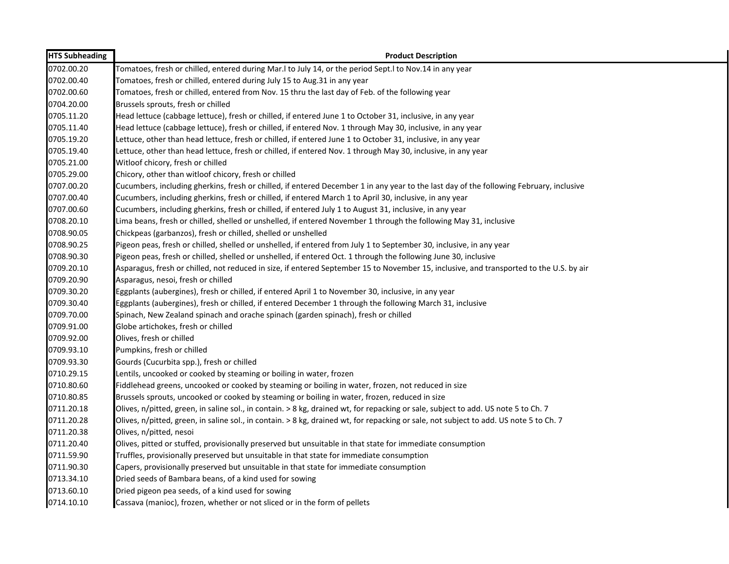| <b>HTS Subheading</b> | <b>Product Description</b>                                                                                                              |
|-----------------------|-----------------------------------------------------------------------------------------------------------------------------------------|
| 0702.00.20            | Tomatoes, fresh or chilled, entered during Mar. I to July 14, or the period Sept. I to Nov. 14 in any year                              |
| 0702.00.40            | Tomatoes, fresh or chilled, entered during July 15 to Aug.31 in any year                                                                |
| 0702.00.60            | Tomatoes, fresh or chilled, entered from Nov. 15 thru the last day of Feb. of the following year                                        |
| 0704.20.00            | Brussels sprouts, fresh or chilled                                                                                                      |
| 0705.11.20            | Head lettuce (cabbage lettuce), fresh or chilled, if entered June 1 to October 31, inclusive, in any year                               |
| 0705.11.40            | Head lettuce (cabbage lettuce), fresh or chilled, if entered Nov. 1 through May 30, inclusive, in any year                              |
| 0705.19.20            | Lettuce, other than head lettuce, fresh or chilled, if entered June 1 to October 31, inclusive, in any year                             |
| 0705.19.40            | Lettuce, other than head lettuce, fresh or chilled, if entered Nov. 1 through May 30, inclusive, in any year                            |
| 0705.21.00            | Witloof chicory, fresh or chilled                                                                                                       |
| 0705.29.00            | Chicory, other than witloof chicory, fresh or chilled                                                                                   |
| 0707.00.20            | Cucumbers, including gherkins, fresh or chilled, if entered December 1 in any year to the last day of the following February, inclusive |
| 0707.00.40            | Cucumbers, including gherkins, fresh or chilled, if entered March 1 to April 30, inclusive, in any year                                 |
| 0707.00.60            | Cucumbers, including gherkins, fresh or chilled, if entered July 1 to August 31, inclusive, in any year                                 |
| 0708.20.10            | Lima beans, fresh or chilled, shelled or unshelled, if entered November 1 through the following May 31, inclusive                       |
| 0708.90.05            | Chickpeas (garbanzos), fresh or chilled, shelled or unshelled                                                                           |
| 0708.90.25            | Pigeon peas, fresh or chilled, shelled or unshelled, if entered from July 1 to September 30, inclusive, in any year                     |
| 0708.90.30            | Pigeon peas, fresh or chilled, shelled or unshelled, if entered Oct. 1 through the following June 30, inclusive                         |
| 0709.20.10            | Asparagus, fresh or chilled, not reduced in size, if entered September 15 to November 15, inclusive, and transported to the U.S. by air |
| 0709.20.90            | Asparagus, nesoi, fresh or chilled                                                                                                      |
| 0709.30.20            | Eggplants (aubergines), fresh or chilled, if entered April 1 to November 30, inclusive, in any year                                     |
| 0709.30.40            | Eggplants (aubergines), fresh or chilled, if entered December 1 through the following March 31, inclusive                               |
| 0709.70.00            | Spinach, New Zealand spinach and orache spinach (garden spinach), fresh or chilled                                                      |
| 0709.91.00            | Globe artichokes, fresh or chilled                                                                                                      |
| 0709.92.00            | Olives, fresh or chilled                                                                                                                |
| 0709.93.10            | Pumpkins, fresh or chilled                                                                                                              |
| 0709.93.30            | Gourds (Cucurbita spp.), fresh or chilled                                                                                               |
| 0710.29.15            | Lentils, uncooked or cooked by steaming or boiling in water, frozen                                                                     |
| 0710.80.60            | Fiddlehead greens, uncooked or cooked by steaming or boiling in water, frozen, not reduced in size                                      |
| 0710.80.85            | Brussels sprouts, uncooked or cooked by steaming or boiling in water, frozen, reduced in size                                           |
| 0711.20.18            | Olives, n/pitted, green, in saline sol., in contain. > 8 kg, drained wt, for repacking or sale, subject to add. US note 5 to Ch. 7      |
| 0711.20.28            | Olives, n/pitted, green, in saline sol., in contain. > 8 kg, drained wt, for repacking or sale, not subject to add. US note 5 to Ch. 7  |
| 0711.20.38            | Olives, n/pitted, nesoi                                                                                                                 |
| 0711.20.40            | Olives, pitted or stuffed, provisionally preserved but unsuitable in that state for immediate consumption                               |
| 0711.59.90            | Truffles, provisionally preserved but unsuitable in that state for immediate consumption                                                |
| 0711.90.30            | Capers, provisionally preserved but unsuitable in that state for immediate consumption                                                  |
| 0713.34.10            | Dried seeds of Bambara beans, of a kind used for sowing                                                                                 |
| 0713.60.10            | Dried pigeon pea seeds, of a kind used for sowing                                                                                       |
| 0714.10.10            | Cassava (manioc), frozen, whether or not sliced or in the form of pellets                                                               |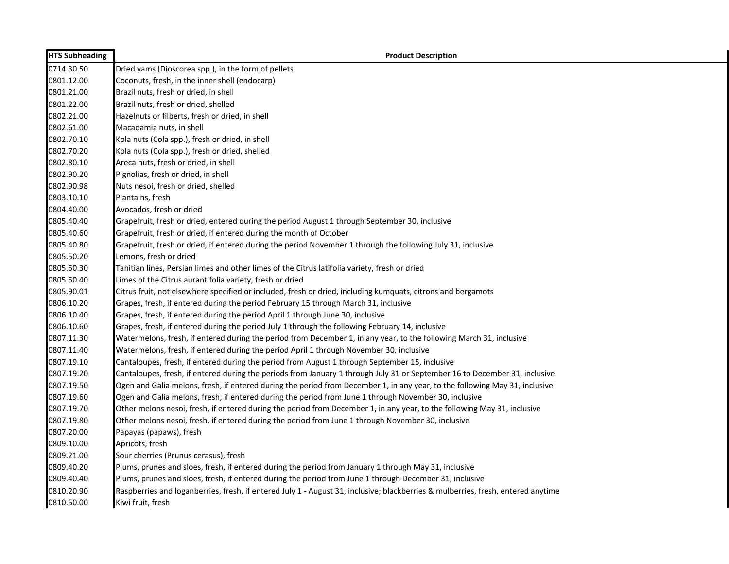| <b>HTS Subheading</b> | <b>Product Description</b>                                                                                                       |
|-----------------------|----------------------------------------------------------------------------------------------------------------------------------|
| 0714.30.50            | Dried yams (Dioscorea spp.), in the form of pellets                                                                              |
| 0801.12.00            | Coconuts, fresh, in the inner shell (endocarp)                                                                                   |
| 0801.21.00            | Brazil nuts, fresh or dried, in shell                                                                                            |
| 0801.22.00            | Brazil nuts, fresh or dried, shelled                                                                                             |
| 0802.21.00            | Hazelnuts or filberts, fresh or dried, in shell                                                                                  |
| 0802.61.00            | Macadamia nuts, in shell                                                                                                         |
| 0802.70.10            | Kola nuts (Cola spp.), fresh or dried, in shell                                                                                  |
| 0802.70.20            | Kola nuts (Cola spp.), fresh or dried, shelled                                                                                   |
| 0802.80.10            | Areca nuts, fresh or dried, in shell                                                                                             |
| 0802.90.20            | Pignolias, fresh or dried, in shell                                                                                              |
| 0802.90.98            | Nuts nesoi, fresh or dried, shelled                                                                                              |
| 0803.10.10            | Plantains, fresh                                                                                                                 |
| 0804.40.00            | Avocados, fresh or dried                                                                                                         |
| 0805.40.40            | Grapefruit, fresh or dried, entered during the period August 1 through September 30, inclusive                                   |
| 0805.40.60            | Grapefruit, fresh or dried, if entered during the month of October                                                               |
| 0805.40.80            | Grapefruit, fresh or dried, if entered during the period November 1 through the following July 31, inclusive                     |
| 0805.50.20            | Lemons, fresh or dried                                                                                                           |
| 0805.50.30            | Tahitian lines, Persian limes and other limes of the Citrus latifolia variety, fresh or dried                                    |
| 0805.50.40            | Limes of the Citrus aurantifolia variety, fresh or dried                                                                         |
| 0805.90.01            | Citrus fruit, not elsewhere specified or included, fresh or dried, including kumquats, citrons and bergamots                     |
| 0806.10.20            | Grapes, fresh, if entered during the period February 15 through March 31, inclusive                                              |
| 0806.10.40            | Grapes, fresh, if entered during the period April 1 through June 30, inclusive                                                   |
| 0806.10.60            | Grapes, fresh, if entered during the period July 1 through the following February 14, inclusive                                  |
| 0807.11.30            | Watermelons, fresh, if entered during the period from December 1, in any year, to the following March 31, inclusive              |
| 0807.11.40            | Watermelons, fresh, if entered during the period April 1 through November 30, inclusive                                          |
| 0807.19.10            | Cantaloupes, fresh, if entered during the period from August 1 through September 15, inclusive                                   |
| 0807.19.20            | Cantaloupes, fresh, if entered during the periods from January 1 through July 31 or September 16 to December 31, inclusive       |
| 0807.19.50            | Ogen and Galia melons, fresh, if entered during the period from December 1, in any year, to the following May 31, inclusive      |
| 0807.19.60            | Ogen and Galia melons, fresh, if entered during the period from June 1 through November 30, inclusive                            |
| 0807.19.70            | Other melons nesoi, fresh, if entered during the period from December 1, in any year, to the following May 31, inclusive         |
| 0807.19.80            | Other melons nesoi, fresh, if entered during the period from June 1 through November 30, inclusive                               |
| 0807.20.00            | Papayas (papaws), fresh                                                                                                          |
| 0809.10.00            | Apricots, fresh                                                                                                                  |
| 0809.21.00            | Sour cherries (Prunus cerasus), fresh                                                                                            |
| 0809.40.20            | Plums, prunes and sloes, fresh, if entered during the period from January 1 through May 31, inclusive                            |
| 0809.40.40            | Plums, prunes and sloes, fresh, if entered during the period from June 1 through December 31, inclusive                          |
| 0810.20.90            | Raspberries and loganberries, fresh, if entered July 1 - August 31, inclusive; blackberries & mulberries, fresh, entered anytime |
| 0810.50.00            | Kiwi fruit, fresh                                                                                                                |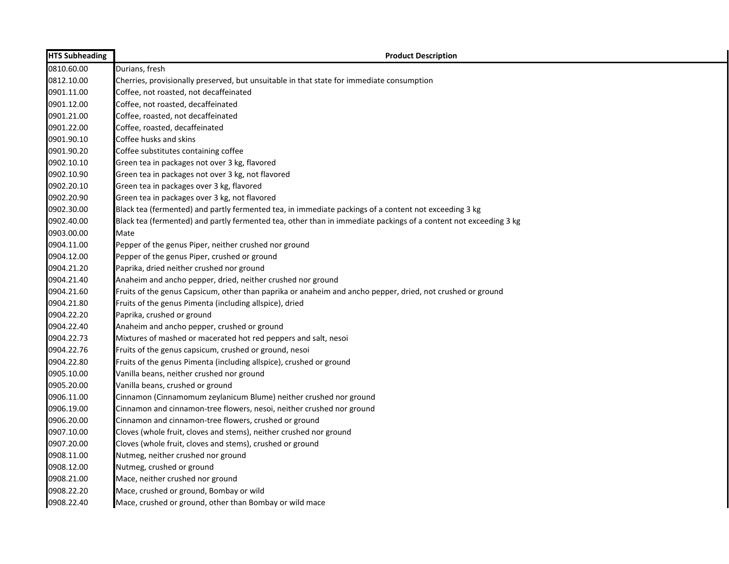| <b>HTS Subheading</b> | <b>Product Description</b>                                                                                       |
|-----------------------|------------------------------------------------------------------------------------------------------------------|
| 0810.60.00            | Durians, fresh                                                                                                   |
| 0812.10.00            | Cherries, provisionally preserved, but unsuitable in that state for immediate consumption                        |
| 0901.11.00            | Coffee, not roasted, not decaffeinated                                                                           |
| 0901.12.00            | Coffee, not roasted, decaffeinated                                                                               |
| 0901.21.00            | Coffee, roasted, not decaffeinated                                                                               |
| 0901.22.00            | Coffee, roasted, decaffeinated                                                                                   |
| 0901.90.10            | Coffee husks and skins                                                                                           |
| 0901.90.20            | Coffee substitutes containing coffee                                                                             |
| 0902.10.10            | Green tea in packages not over 3 kg, flavored                                                                    |
| 0902.10.90            | Green tea in packages not over 3 kg, not flavored                                                                |
| 0902.20.10            | Green tea in packages over 3 kg, flavored                                                                        |
| 0902.20.90            | Green tea in packages over 3 kg, not flavored                                                                    |
| 0902.30.00            | Black tea (fermented) and partly fermented tea, in immediate packings of a content not exceeding 3 kg            |
| 0902.40.00            | Black tea (fermented) and partly fermented tea, other than in immediate packings of a content not exceeding 3 kg |
| 0903.00.00            | Mate                                                                                                             |
| 0904.11.00            | Pepper of the genus Piper, neither crushed nor ground                                                            |
| 0904.12.00            | Pepper of the genus Piper, crushed or ground                                                                     |
| 0904.21.20            | Paprika, dried neither crushed nor ground                                                                        |
| 0904.21.40            | Anaheim and ancho pepper, dried, neither crushed nor ground                                                      |
| 0904.21.60            | Fruits of the genus Capsicum, other than paprika or anaheim and ancho pepper, dried, not crushed or ground       |
| 0904.21.80            | Fruits of the genus Pimenta (including allspice), dried                                                          |
| 0904.22.20            | Paprika, crushed or ground                                                                                       |
| 0904.22.40            | Anaheim and ancho pepper, crushed or ground                                                                      |
| 0904.22.73            | Mixtures of mashed or macerated hot red peppers and salt, nesoi                                                  |
| 0904.22.76            | Fruits of the genus capsicum, crushed or ground, nesoi                                                           |
| 0904.22.80            | Fruits of the genus Pimenta (including allspice), crushed or ground                                              |
| 0905.10.00            | Vanilla beans, neither crushed nor ground                                                                        |
| 0905.20.00            | Vanilla beans, crushed or ground                                                                                 |
| 0906.11.00            | Cinnamon (Cinnamomum zeylanicum Blume) neither crushed nor ground                                                |
| 0906.19.00            | Cinnamon and cinnamon-tree flowers, nesoi, neither crushed nor ground                                            |
| 0906.20.00            | Cinnamon and cinnamon-tree flowers, crushed or ground                                                            |
| 0907.10.00            | Cloves (whole fruit, cloves and stems), neither crushed nor ground                                               |
| 0907.20.00            | Cloves (whole fruit, cloves and stems), crushed or ground                                                        |
| 0908.11.00            | Nutmeg, neither crushed nor ground                                                                               |
| 0908.12.00            | Nutmeg, crushed or ground                                                                                        |
| 0908.21.00            | Mace, neither crushed nor ground                                                                                 |
| 0908.22.20            | Mace, crushed or ground, Bombay or wild                                                                          |
| 0908.22.40            | Mace, crushed or ground, other than Bombay or wild mace                                                          |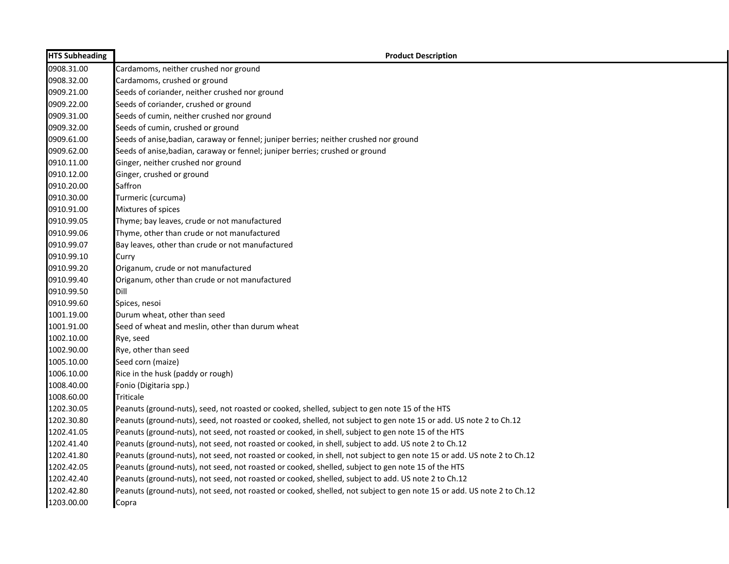| <b>HTS Subheading</b> | <b>Product Description</b>                                                                                              |
|-----------------------|-------------------------------------------------------------------------------------------------------------------------|
| 0908.31.00            | Cardamoms, neither crushed nor ground                                                                                   |
| 0908.32.00            | Cardamoms, crushed or ground                                                                                            |
| 0909.21.00            | Seeds of coriander, neither crushed nor ground                                                                          |
| 0909.22.00            | Seeds of coriander, crushed or ground                                                                                   |
| 0909.31.00            | Seeds of cumin, neither crushed nor ground                                                                              |
| 0909.32.00            | Seeds of cumin, crushed or ground                                                                                       |
| 0909.61.00            | Seeds of anise, badian, caraway or fennel; juniper berries; neither crushed nor ground                                  |
| 0909.62.00            | Seeds of anise, badian, caraway or fennel; juniper berries; crushed or ground                                           |
| 0910.11.00            | Ginger, neither crushed nor ground                                                                                      |
| 0910.12.00            | Ginger, crushed or ground                                                                                               |
| 0910.20.00            | Saffron                                                                                                                 |
| 0910.30.00            | Turmeric (curcuma)                                                                                                      |
| 0910.91.00            | Mixtures of spices                                                                                                      |
| 0910.99.05            | Thyme; bay leaves, crude or not manufactured                                                                            |
| 0910.99.06            | Thyme, other than crude or not manufactured                                                                             |
| 0910.99.07            | Bay leaves, other than crude or not manufactured                                                                        |
| 0910.99.10            | Curry                                                                                                                   |
| 0910.99.20            | Origanum, crude or not manufactured                                                                                     |
| 0910.99.40            | Origanum, other than crude or not manufactured                                                                          |
| 0910.99.50            | Dill                                                                                                                    |
| 0910.99.60            | Spices, nesoi                                                                                                           |
| 1001.19.00            | Durum wheat, other than seed                                                                                            |
| 1001.91.00            | Seed of wheat and meslin, other than durum wheat                                                                        |
| 1002.10.00            | Rye, seed                                                                                                               |
| 1002.90.00            | Rye, other than seed                                                                                                    |
| 1005.10.00            | Seed corn (maize)                                                                                                       |
| 1006.10.00            | Rice in the husk (paddy or rough)                                                                                       |
| 1008.40.00            | Fonio (Digitaria spp.)                                                                                                  |
| 1008.60.00            | Triticale                                                                                                               |
| 1202.30.05            | Peanuts (ground-nuts), seed, not roasted or cooked, shelled, subject to gen note 15 of the HTS                          |
| 1202.30.80            | Peanuts (ground-nuts), seed, not roasted or cooked, shelled, not subject to gen note 15 or add. US note 2 to Ch.12      |
| 1202.41.05            | Peanuts (ground-nuts), not seed, not roasted or cooked, in shell, subject to gen note 15 of the HTS                     |
| 1202.41.40            | Peanuts (ground-nuts), not seed, not roasted or cooked, in shell, subject to add. US note 2 to Ch.12                    |
| 1202.41.80            | Peanuts (ground-nuts), not seed, not roasted or cooked, in shell, not subject to gen note 15 or add. US note 2 to Ch.12 |
| 1202.42.05            | Peanuts (ground-nuts), not seed, not roasted or cooked, shelled, subject to gen note 15 of the HTS                      |
| 1202.42.40            | Peanuts (ground-nuts), not seed, not roasted or cooked, shelled, subject to add. US note 2 to Ch.12                     |
| 1202.42.80            | Peanuts (ground-nuts), not seed, not roasted or cooked, shelled, not subject to gen note 15 or add. US note 2 to Ch.12  |
| 1203.00.00            | Copra                                                                                                                   |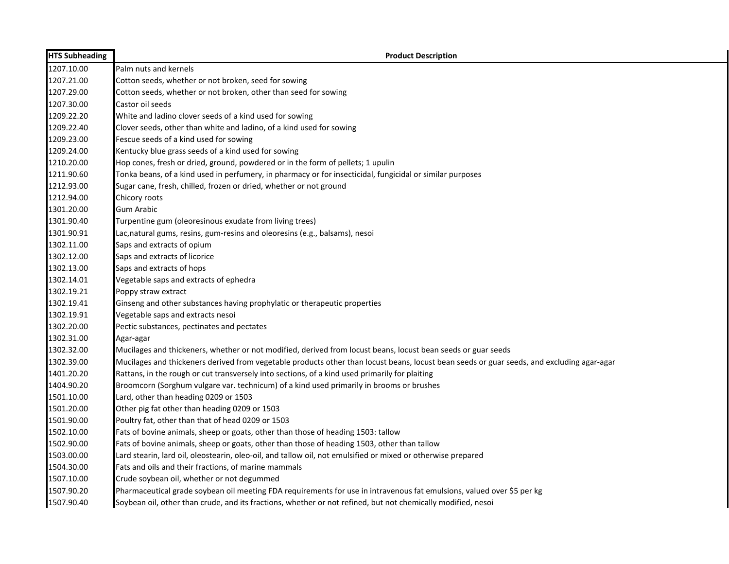| <b>HTS Subheading</b> | <b>Product Description</b>                                                                                                                 |
|-----------------------|--------------------------------------------------------------------------------------------------------------------------------------------|
| 1207.10.00            | Palm nuts and kernels                                                                                                                      |
| 1207.21.00            | Cotton seeds, whether or not broken, seed for sowing                                                                                       |
| 1207.29.00            | Cotton seeds, whether or not broken, other than seed for sowing                                                                            |
| 1207.30.00            | Castor oil seeds                                                                                                                           |
| 1209.22.20            | White and ladino clover seeds of a kind used for sowing                                                                                    |
| 1209.22.40            | Clover seeds, other than white and ladino, of a kind used for sowing                                                                       |
| 1209.23.00            | Fescue seeds of a kind used for sowing                                                                                                     |
| 1209.24.00            | Kentucky blue grass seeds of a kind used for sowing                                                                                        |
| 1210.20.00            | Hop cones, fresh or dried, ground, powdered or in the form of pellets; 1 upulin                                                            |
| 1211.90.60            | Tonka beans, of a kind used in perfumery, in pharmacy or for insecticidal, fungicidal or similar purposes                                  |
| 1212.93.00            | Sugar cane, fresh, chilled, frozen or dried, whether or not ground                                                                         |
| 1212.94.00            | Chicory roots                                                                                                                              |
| 1301.20.00            | Gum Arabic                                                                                                                                 |
| 1301.90.40            | Turpentine gum (oleoresinous exudate from living trees)                                                                                    |
| 1301.90.91            | Lac, natural gums, resins, gum-resins and oleoresins (e.g., balsams), nesoi                                                                |
| 1302.11.00            | Saps and extracts of opium                                                                                                                 |
| 1302.12.00            | Saps and extracts of licorice                                                                                                              |
| 1302.13.00            | Saps and extracts of hops                                                                                                                  |
| 1302.14.01            | Vegetable saps and extracts of ephedra                                                                                                     |
| 1302.19.21            | Poppy straw extract                                                                                                                        |
| 1302.19.41            | Ginseng and other substances having prophylatic or therapeutic properties                                                                  |
| 1302.19.91            | Vegetable saps and extracts nesoi                                                                                                          |
| 1302.20.00            | Pectic substances, pectinates and pectates                                                                                                 |
| 1302.31.00            | Agar-agar                                                                                                                                  |
| 1302.32.00            | Mucilages and thickeners, whether or not modified, derived from locust beans, locust bean seeds or guar seeds                              |
| 1302.39.00            | Mucilages and thickeners derived from vegetable products other than locust beans, locust bean seeds or guar seeds, and excluding agar-agar |
| 1401.20.20            | Rattans, in the rough or cut transversely into sections, of a kind used primarily for plaiting                                             |
| 1404.90.20            | Broomcorn (Sorghum vulgare var. technicum) of a kind used primarily in brooms or brushes                                                   |
| 1501.10.00            | Lard, other than heading 0209 or 1503                                                                                                      |
| 1501.20.00            | Other pig fat other than heading 0209 or 1503                                                                                              |
| 1501.90.00            | Poultry fat, other than that of head 0209 or 1503                                                                                          |
| 1502.10.00            | Fats of bovine animals, sheep or goats, other than those of heading 1503: tallow                                                           |
| 1502.90.00            | Fats of bovine animals, sheep or goats, other than those of heading 1503, other than tallow                                                |
| 1503.00.00            | Lard stearin, lard oil, oleostearin, oleo-oil, and tallow oil, not emulsified or mixed or otherwise prepared                               |
| 1504.30.00            | Fats and oils and their fractions, of marine mammals                                                                                       |
| 1507.10.00            | Crude soybean oil, whether or not degummed                                                                                                 |
| 1507.90.20            | Pharmaceutical grade soybean oil meeting FDA requirements for use in intravenous fat emulsions, valued over \$5 per kg                     |
| 1507.90.40            | Soybean oil, other than crude, and its fractions, whether or not refined, but not chemically modified, nesoi                               |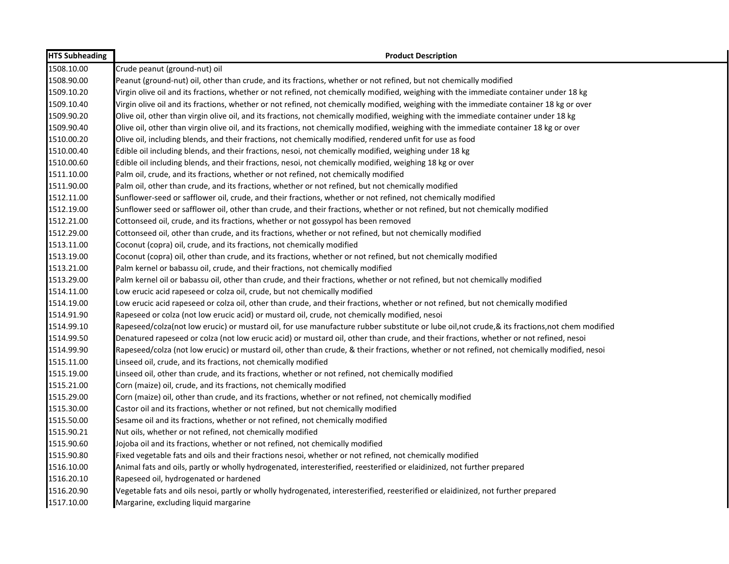| <b>HTS Subheading</b> | <b>Product Description</b>                                                                                                                    |
|-----------------------|-----------------------------------------------------------------------------------------------------------------------------------------------|
| 1508.10.00            | Crude peanut (ground-nut) oil                                                                                                                 |
| 1508.90.00            | Peanut (ground-nut) oil, other than crude, and its fractions, whether or not refined, but not chemically modified                             |
| 1509.10.20            | Virgin olive oil and its fractions, whether or not refined, not chemically modified, weighing with the immediate container under 18 kg        |
| 1509.10.40            | Virgin olive oil and its fractions, whether or not refined, not chemically modified, weighing with the immediate container 18 kg or over      |
| 1509.90.20            | Olive oil, other than virgin olive oil, and its fractions, not chemically modified, weighing with the immediate container under 18 kg         |
| 1509.90.40            | Olive oil, other than virgin olive oil, and its fractions, not chemically modified, weighing with the immediate container 18 kg or over       |
| 1510.00.20            | Olive oil, including blends, and their fractions, not chemically modified, rendered unfit for use as food                                     |
| 1510.00.40            | Edible oil including blends, and their fractions, nesoi, not chemically modified, weighing under 18 kg                                        |
| 1510.00.60            | Edible oil including blends, and their fractions, nesoi, not chemically modified, weighing 18 kg or over                                      |
| 1511.10.00            | Palm oil, crude, and its fractions, whether or not refined, not chemically modified                                                           |
| 1511.90.00            | Palm oil, other than crude, and its fractions, whether or not refined, but not chemically modified                                            |
| 1512.11.00            | Sunflower-seed or safflower oil, crude, and their fractions, whether or not refined, not chemically modified                                  |
| 1512.19.00            | Sunflower seed or safflower oil, other than crude, and their fractions, whether or not refined, but not chemically modified                   |
| 1512.21.00            | Cottonseed oil, crude, and its fractions, whether or not gossypol has been removed                                                            |
| 1512.29.00            | Cottonseed oil, other than crude, and its fractions, whether or not refined, but not chemically modified                                      |
| 1513.11.00            | Coconut (copra) oil, crude, and its fractions, not chemically modified                                                                        |
| 1513.19.00            | Coconut (copra) oil, other than crude, and its fractions, whether or not refined, but not chemically modified                                 |
| 1513.21.00            | Palm kernel or babassu oil, crude, and their fractions, not chemically modified                                                               |
| 1513.29.00            | Palm kernel oil or babassu oil, other than crude, and their fractions, whether or not refined, but not chemically modified                    |
| 1514.11.00            | Low erucic acid rapeseed or colza oil, crude, but not chemically modified                                                                     |
| 1514.19.00            | Low erucic acid rapeseed or colza oil, other than crude, and their fractions, whether or not refined, but not chemically modified             |
| 1514.91.90            | Rapeseed or colza (not low erucic acid) or mustard oil, crude, not chemically modified, nesoi                                                 |
| 1514.99.10            | Rapeseed/colza(not low erucic) or mustard oil, for use manufacture rubber substitute or lube oil,not crude, & its fractions,not chem modified |
| 1514.99.50            | Denatured rapeseed or colza (not low erucic acid) or mustard oil, other than crude, and their fractions, whether or not refined, nesoi        |
| 1514.99.90            | Rapeseed/colza (not low erucic) or mustard oil, other than crude, & their fractions, whether or not refined, not chemically modified, nesoi   |
| 1515.11.00            | Linseed oil, crude, and its fractions, not chemically modified                                                                                |
| 1515.19.00            | Linseed oil, other than crude, and its fractions, whether or not refined, not chemically modified                                             |
| 1515.21.00            | Corn (maize) oil, crude, and its fractions, not chemically modified                                                                           |
| 1515.29.00            | Corn (maize) oil, other than crude, and its fractions, whether or not refined, not chemically modified                                        |
| 1515.30.00            | Castor oil and its fractions, whether or not refined, but not chemically modified                                                             |
| 1515.50.00            | Sesame oil and its fractions, whether or not refined, not chemically modified                                                                 |
| 1515.90.21            | Nut oils, whether or not refined, not chemically modified                                                                                     |
| 1515.90.60            | Jojoba oil and its fractions, whether or not refined, not chemically modified                                                                 |
| 1515.90.80            | Fixed vegetable fats and oils and their fractions nesoi, whether or not refined, not chemically modified                                      |
| 1516.10.00            | Animal fats and oils, partly or wholly hydrogenated, interesterified, reesterified or elaidinized, not further prepared                       |
| 1516.20.10            | Rapeseed oil, hydrogenated or hardened                                                                                                        |
| 1516.20.90            | Vegetable fats and oils nesoi, partly or wholly hydrogenated, interesterified, reesterified or elaidinized, not further prepared              |
| 1517.10.00            | Margarine, excluding liquid margarine                                                                                                         |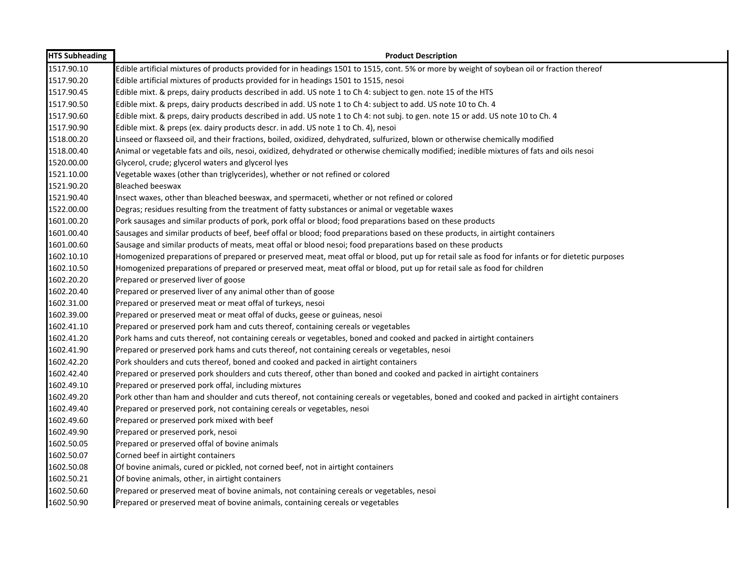| <b>HTS Subheading</b> | <b>Product Description</b>                                                                                                                       |
|-----------------------|--------------------------------------------------------------------------------------------------------------------------------------------------|
| 1517.90.10            | Edible artificial mixtures of products provided for in headings 1501 to 1515, cont. 5% or more by weight of soybean oil or fraction thereof      |
| 1517.90.20            | Edible artificial mixtures of products provided for in headings 1501 to 1515, nesoi                                                              |
| 1517.90.45            | Edible mixt. & preps, dairy products described in add. US note 1 to Ch 4: subject to gen. note 15 of the HTS                                     |
| 1517.90.50            | Edible mixt. & preps, dairy products described in add. US note 1 to Ch 4: subject to add. US note 10 to Ch. 4                                    |
| 1517.90.60            | Edible mixt. & preps, dairy products described in add. US note 1 to Ch 4: not subj. to gen. note 15 or add. US note 10 to Ch. 4                  |
| 1517.90.90            | Edible mixt. & preps (ex. dairy products descr. in add. US note 1 to Ch. 4), nesoi                                                               |
| 1518.00.20            | Linseed or flaxseed oil, and their fractions, boiled, oxidized, dehydrated, sulfurized, blown or otherwise chemically modified                   |
| 1518.00.40            | Animal or vegetable fats and oils, nesoi, oxidized, dehydrated or otherwise chemically modified; inedible mixtures of fats and oils nesoi        |
| 1520.00.00            | Glycerol, crude; glycerol waters and glycerol lyes                                                                                               |
| 1521.10.00            | Vegetable waxes (other than triglycerides), whether or not refined or colored                                                                    |
| 1521.90.20            | Bleached beeswax                                                                                                                                 |
| 1521.90.40            | Insect waxes, other than bleached beeswax, and spermaceti, whether or not refined or colored                                                     |
| 1522.00.00            | Degras; residues resulting from the treatment of fatty substances or animal or vegetable waxes                                                   |
| 1601.00.20            | Pork sausages and similar products of pork, pork offal or blood; food preparations based on these products                                       |
| 1601.00.40            | Sausages and similar products of beef, beef offal or blood; food preparations based on these products, in airtight containers                    |
| 1601.00.60            | Sausage and similar products of meats, meat offal or blood nesoi; food preparations based on these products                                      |
| 1602.10.10            | Homogenized preparations of prepared or preserved meat, meat offal or blood, put up for retail sale as food for infants or for dietetic purposes |
| 1602.10.50            | Homogenized preparations of prepared or preserved meat, meat offal or blood, put up for retail sale as food for children                         |
| 1602.20.20            | Prepared or preserved liver of goose                                                                                                             |
| 1602.20.40            | Prepared or preserved liver of any animal other than of goose                                                                                    |
| 1602.31.00            | Prepared or preserved meat or meat offal of turkeys, nesoi                                                                                       |
| 1602.39.00            | Prepared or preserved meat or meat offal of ducks, geese or guineas, nesoi                                                                       |
| 1602.41.10            | Prepared or preserved pork ham and cuts thereof, containing cereals or vegetables                                                                |
| 1602.41.20            | Pork hams and cuts thereof, not containing cereals or vegetables, boned and cooked and packed in airtight containers                             |
| 1602.41.90            | Prepared or preserved pork hams and cuts thereof, not containing cereals or vegetables, nesoi                                                    |
| 1602.42.20            | Pork shoulders and cuts thereof, boned and cooked and packed in airtight containers                                                              |
| 1602.42.40            | Prepared or preserved pork shoulders and cuts thereof, other than boned and cooked and packed in airtight containers                             |
| 1602.49.10            | Prepared or preserved pork offal, including mixtures                                                                                             |
| 1602.49.20            | Pork other than ham and shoulder and cuts thereof, not containing cereals or vegetables, boned and cooked and packed in airtight containers      |
| 1602.49.40            | Prepared or preserved pork, not containing cereals or vegetables, nesoi                                                                          |
| 1602.49.60            | Prepared or preserved pork mixed with beef                                                                                                       |
| 1602.49.90            | Prepared or preserved pork, nesoi                                                                                                                |
| 1602.50.05            | Prepared or preserved offal of bovine animals                                                                                                    |
| 1602.50.07            | Corned beef in airtight containers                                                                                                               |
| 1602.50.08            | Of bovine animals, cured or pickled, not corned beef, not in airtight containers                                                                 |
| 1602.50.21            | Of bovine animals, other, in airtight containers                                                                                                 |
| 1602.50.60            | Prepared or preserved meat of bovine animals, not containing cereals or vegetables, nesoi                                                        |
| 1602.50.90            | Prepared or preserved meat of bovine animals, containing cereals or vegetables                                                                   |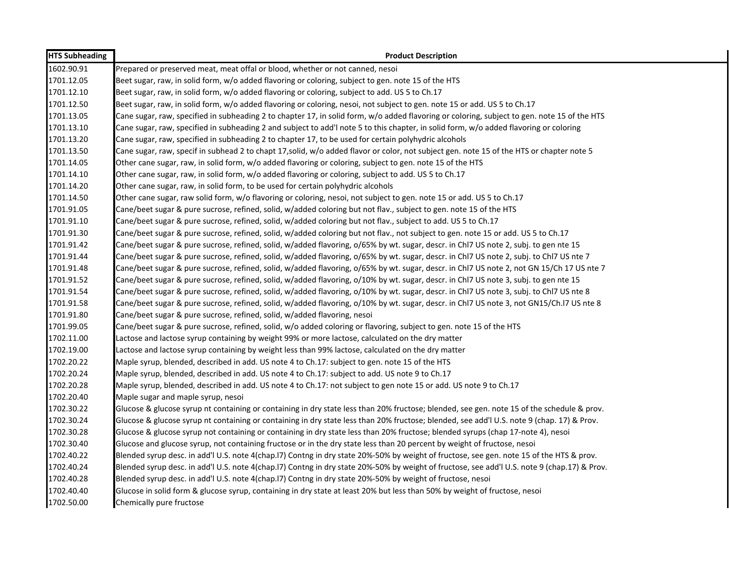| <b>HTS Subheading</b> | <b>Product Description</b>                                                                                                                     |
|-----------------------|------------------------------------------------------------------------------------------------------------------------------------------------|
| 1602.90.91            | Prepared or preserved meat, meat offal or blood, whether or not canned, nesoi                                                                  |
| 1701.12.05            | Beet sugar, raw, in solid form, w/o added flavoring or coloring, subject to gen. note 15 of the HTS                                            |
| 1701.12.10            | Beet sugar, raw, in solid form, w/o added flavoring or coloring, subject to add. US 5 to Ch.17                                                 |
| 1701.12.50            | Beet sugar, raw, in solid form, w/o added flavoring or coloring, nesoi, not subject to gen. note 15 or add. US 5 to Ch.17                      |
| 1701.13.05            | Cane sugar, raw, specified in subheading 2 to chapter 17, in solid form, w/o added flavoring or coloring, subject to gen. note 15 of the HTS   |
| 1701.13.10            | Cane sugar, raw, specified in subheading 2 and subject to add'l note 5 to this chapter, in solid form, w/o added flavoring or coloring         |
| 1701.13.20            | Cane sugar, raw, specified in subheading 2 to chapter 17, to be used for certain polyhydric alcohols                                           |
| 1701.13.50            | Cane sugar, raw, specif in subhead 2 to chapt 17,solid, w/o added flavor or color, not subject gen. note 15 of the HTS or chapter note 5       |
| 1701.14.05            | Other cane sugar, raw, in solid form, w/o added flavoring or coloring, subject to gen. note 15 of the HTS                                      |
| 1701.14.10            | Other cane sugar, raw, in solid form, w/o added flavoring or coloring, subject to add. US 5 to Ch.17                                           |
| 1701.14.20            | Other cane sugar, raw, in solid form, to be used for certain polyhydric alcohols                                                               |
| 1701.14.50            | Other cane sugar, raw solid form, w/o flavoring or coloring, nesoi, not subject to gen. note 15 or add. US 5 to Ch.17                          |
| 1701.91.05            | Cane/beet sugar & pure sucrose, refined, solid, w/added coloring but not flav., subject to gen. note 15 of the HTS                             |
| 1701.91.10            | Cane/beet sugar & pure sucrose, refined, solid, w/added coloring but not flav., subject to add. US 5 to Ch.17                                  |
| 1701.91.30            | Cane/beet sugar & pure sucrose, refined, solid, w/added coloring but not flav., not subject to gen. note 15 or add. US 5 to Ch.17              |
| 1701.91.42            | Cane/beet sugar & pure sucrose, refined, solid, w/added flavoring, o/65% by wt. sugar, descr. in Chl7 US note 2, subj. to gen nte 15           |
| 1701.91.44            | Cane/beet sugar & pure sucrose, refined, solid, w/added flavoring, o/65% by wt. sugar, descr. in Chl7 US note 2, subj. to Chl7 US nte 7        |
| 1701.91.48            | Cane/beet sugar & pure sucrose, refined, solid, w/added flavoring, o/65% by wt. sugar, descr. in Chl7 US note 2, not GN 15/Ch 17 US nte 7      |
| 1701.91.52            | Cane/beet sugar & pure sucrose, refined, solid, w/added flavoring, o/10% by wt. sugar, descr. in Chl7 US note 3, subj. to gen nte 15           |
| 1701.91.54            | Cane/beet sugar & pure sucrose, refined, solid, w/added flavoring, o/10% by wt. sugar, descr. in Chl7 US note 3, subj. to Chl7 US nte 8        |
| 1701.91.58            | Cane/beet sugar & pure sucrose, refined, solid, w/added flavoring, o/10% by wt. sugar, descr. in Chl7 US note 3, not GN15/Ch.l7 US nte 8       |
| 1701.91.80            | Cane/beet sugar & pure sucrose, refined, solid, w/added flavoring, nesoi                                                                       |
| 1701.99.05            | Cane/beet sugar & pure sucrose, refined, solid, w/o added coloring or flavoring, subject to gen. note 15 of the HTS                            |
| 1702.11.00            | Lactose and lactose syrup containing by weight 99% or more lactose, calculated on the dry matter                                               |
| 1702.19.00            | Lactose and lactose syrup containing by weight less than 99% lactose, calculated on the dry matter                                             |
| 1702.20.22            | Maple syrup, blended, described in add. US note 4 to Ch.17: subject to gen. note 15 of the HTS                                                 |
| 1702.20.24            | Maple syrup, blended, described in add. US note 4 to Ch.17: subject to add. US note 9 to Ch.17                                                 |
| 1702.20.28            | Maple syrup, blended, described in add. US note 4 to Ch.17: not subject to gen note 15 or add. US note 9 to Ch.17                              |
| 1702.20.40            | Maple sugar and maple syrup, nesoi                                                                                                             |
| 1702.30.22            | Glucose & glucose syrup nt containing or containing in dry state less than 20% fructose; blended, see gen. note 15 of the schedule & prov.     |
| 1702.30.24            | Glucose & glucose syrup nt containing or containing in dry state less than 20% fructose; blended, see add'l U.S. note 9 (chap. 17) & Prov.     |
| 1702.30.28            | Glucose & glucose syrup not containing or containing in dry state less than 20% fructose; blended syrups (chap 17-note 4), nesoi               |
| 1702.30.40            | Glucose and glucose syrup, not containing fructose or in the dry state less than 20 percent by weight of fructose, nesoi                       |
| 1702.40.22            | Blended syrup desc. in add'l U.S. note 4(chap. 17) Contng in dry state 20%-50% by weight of fructose, see gen. note 15 of the HTS & prov.      |
| 1702.40.24            | Blended syrup desc. in add'l U.S. note 4(chap. 17) Contng in dry state 20%-50% by weight of fructose, see add'l U.S. note 9 (chap. 17) & Prov. |
| 1702.40.28            | Blended syrup desc. in add'l U.S. note 4(chap. 17) Contng in dry state 20%-50% by weight of fructose, nesoi                                    |
| 1702.40.40            | Glucose in solid form & glucose syrup, containing in dry state at least 20% but less than 50% by weight of fructose, nesoi                     |
| 1702.50.00            | Chemically pure fructose                                                                                                                       |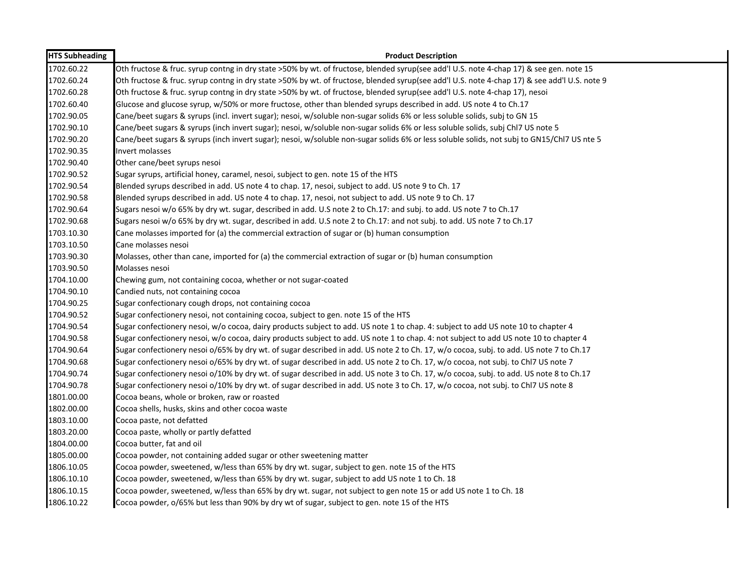| <b>HTS Subheading</b> | <b>Product Description</b>                                                                                                                   |
|-----------------------|----------------------------------------------------------------------------------------------------------------------------------------------|
| 1702.60.22            | Oth fructose & fruc. syrup contng in dry state >50% by wt. of fructose, blended syrup(see add'l U.S. note 4-chap 17) & see gen. note 15      |
| 1702.60.24            | Oth fructose & fruc. syrup contng in dry state >50% by wt. of fructose, blended syrup(see add'l U.S. note 4-chap 17) & see add'l U.S. note 9 |
| 1702.60.28            | Oth fructose & fruc. syrup contng in dry state >50% by wt. of fructose, blended syrup(see add'l U.S. note 4-chap 17), nesoi                  |
| 1702.60.40            | Glucose and glucose syrup, w/50% or more fructose, other than blended syrups described in add. US note 4 to Ch.17                            |
| 1702.90.05            | Cane/beet sugars & syrups (incl. invert sugar); nesoi, w/soluble non-sugar solids 6% or less soluble solids, subj to GN 15                   |
| 1702.90.10            | Cane/beet sugars & syrups (inch invert sugar); nesoi, w/soluble non-sugar solids 6% or less soluble solids, subj ChI7 US note 5              |
| 1702.90.20            | Cane/beet sugars & syrups (inch invert sugar); nesoi, w/soluble non-sugar solids 6% or less soluble solids, not subj to GN15/Chl7 US nte 5   |
| 1702.90.35            | Invert molasses                                                                                                                              |
| 1702.90.40            | Other cane/beet syrups nesoi                                                                                                                 |
| 1702.90.52            | Sugar syrups, artificial honey, caramel, nesoi, subject to gen. note 15 of the HTS                                                           |
| 1702.90.54            | Blended syrups described in add. US note 4 to chap. 17, nesoi, subject to add. US note 9 to Ch. 17                                           |
| 1702.90.58            | Blended syrups described in add. US note 4 to chap. 17, nesoi, not subject to add. US note 9 to Ch. 17                                       |
| 1702.90.64            | Sugars nesoi w/o 65% by dry wt. sugar, described in add. U.S note 2 to Ch.17: and subj. to add. US note 7 to Ch.17                           |
| 1702.90.68            | Sugars nesoi w/o 65% by dry wt. sugar, described in add. U.S note 2 to Ch.17: and not subj. to add. US note 7 to Ch.17                       |
| 1703.10.30            | Cane molasses imported for (a) the commercial extraction of sugar or (b) human consumption                                                   |
| 1703.10.50            | Cane molasses nesoi                                                                                                                          |
| 1703.90.30            | Molasses, other than cane, imported for (a) the commercial extraction of sugar or (b) human consumption                                      |
| 1703.90.50            | Molasses nesoi                                                                                                                               |
| 1704.10.00            | Chewing gum, not containing cocoa, whether or not sugar-coated                                                                               |
| 1704.90.10            | Candied nuts, not containing cocoa                                                                                                           |
| 1704.90.25            | Sugar confectionary cough drops, not containing cocoa                                                                                        |
| 1704.90.52            | Sugar confectionery nesoi, not containing cocoa, subject to gen. note 15 of the HTS                                                          |
| 1704.90.54            | Sugar confectionery nesoi, w/o cocoa, dairy products subject to add. US note 1 to chap. 4: subject to add US note 10 to chapter 4            |
| 1704.90.58            | Sugar confectionery nesoi, w/o cocoa, dairy products subject to add. US note 1 to chap. 4: not subject to add US note 10 to chapter 4        |
| 1704.90.64            | Sugar confectionery nesoi o/65% by dry wt. of sugar described in add. US note 2 to Ch. 17, w/o cocoa, subj. to add. US note 7 to Ch.17       |
| 1704.90.68            | Sugar confectionery nesoi o/65% by dry wt. of sugar described in add. US note 2 to Ch. 17, w/o cocoa, not subj. to Chl7 US note 7            |
| 1704.90.74            | Sugar confectionery nesoi o/10% by dry wt. of sugar described in add. US note 3 to Ch. 17, w/o cocoa, subj. to add. US note 8 to Ch.17       |
| 1704.90.78            | Sugar confectionery nesoi o/10% by dry wt. of sugar described in add. US note 3 to Ch. 17, w/o cocoa, not subj. to ChI7 US note 8            |
| 1801.00.00            | Cocoa beans, whole or broken, raw or roasted                                                                                                 |
| 1802.00.00            | Cocoa shells, husks, skins and other cocoa waste                                                                                             |
| 1803.10.00            | Cocoa paste, not defatted                                                                                                                    |
| 1803.20.00            | Cocoa paste, wholly or partly defatted                                                                                                       |
| 1804.00.00            | Cocoa butter, fat and oil                                                                                                                    |
| 1805.00.00            | Cocoa powder, not containing added sugar or other sweetening matter                                                                          |
| 1806.10.05            | Cocoa powder, sweetened, w/less than 65% by dry wt. sugar, subject to gen. note 15 of the HTS                                                |
| 1806.10.10            | Cocoa powder, sweetened, w/less than 65% by dry wt. sugar, subject to add US note 1 to Ch. 18                                                |
| 1806.10.15            | Cocoa powder, sweetened, w/less than 65% by dry wt. sugar, not subject to gen note 15 or add US note 1 to Ch. 18                             |
| 1806.10.22            | Cocoa powder, o/65% but less than 90% by dry wt of sugar, subject to gen. note 15 of the HTS                                                 |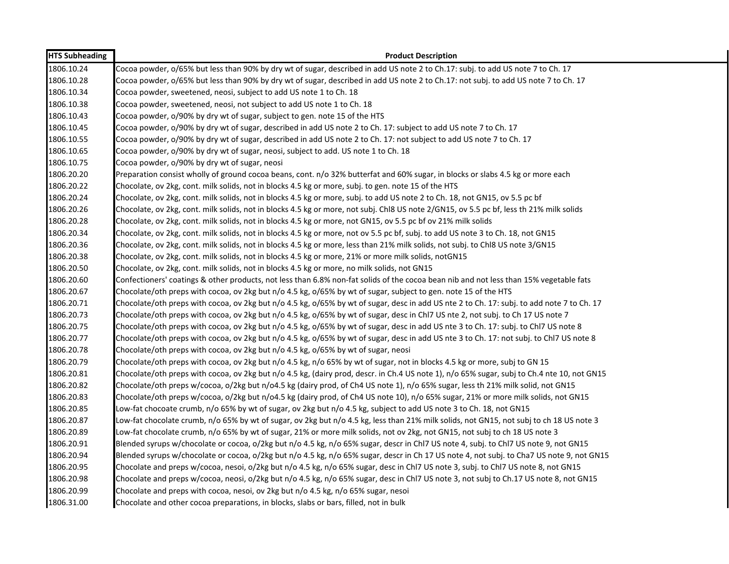| <b>HTS Subheading</b> | <b>Product Description</b>                                                                                                                  |
|-----------------------|---------------------------------------------------------------------------------------------------------------------------------------------|
| 1806.10.24            | Cocoa powder, o/65% but less than 90% by dry wt of sugar, described in add US note 2 to Ch.17: subj. to add US note 7 to Ch. 17             |
| 1806.10.28            | Cocoa powder, o/65% but less than 90% by dry wt of sugar, described in add US note 2 to Ch.17: not subj. to add US note 7 to Ch.17          |
| 1806.10.34            | Cocoa powder, sweetened, neosi, subject to add US note 1 to Ch. 18                                                                          |
| 1806.10.38            | Cocoa powder, sweetened, neosi, not subject to add US note 1 to Ch. 18                                                                      |
| 1806.10.43            | Cocoa powder, o/90% by dry wt of sugar, subject to gen. note 15 of the HTS                                                                  |
| 1806.10.45            | Cocoa powder, o/90% by dry wt of sugar, described in add US note 2 to Ch. 17: subject to add US note 7 to Ch. 17                            |
| 1806.10.55            | Cocoa powder, o/90% by dry wt of sugar, described in add US note 2 to Ch. 17: not subject to add US note 7 to Ch. 17                        |
| 1806.10.65            | Cocoa powder, o/90% by dry wt of sugar, neosi, subject to add. US note 1 to Ch. 18                                                          |
| 1806.10.75            | Cocoa powder, o/90% by dry wt of sugar, neosi                                                                                               |
| 1806.20.20            | Preparation consist wholly of ground cocoa beans, cont. n/o 32% butterfat and 60% sugar, in blocks or slabs 4.5 kg or more each             |
| 1806.20.22            | Chocolate, ov 2kg, cont. milk solids, not in blocks 4.5 kg or more, subj. to gen. note 15 of the HTS                                        |
| 1806.20.24            | Chocolate, ov 2kg, cont. milk solids, not in blocks 4.5 kg or more, subj. to add US note 2 to Ch. 18, not GN15, ov 5.5 pc bf                |
| 1806.20.26            | Chocolate, ov 2kg, cont. milk solids, not in blocks 4.5 kg or more, not subj. Chl8 US note 2/GN15, ov 5.5 pc bf, less th 21% milk solids    |
| 1806.20.28            | Chocolate, ov 2kg, cont. milk solids, not in blocks 4.5 kg or more, not GN15, ov 5.5 pc bf ov 21% milk solids                               |
| 1806.20.34            | Chocolate, ov 2kg, cont. milk solids, not in blocks 4.5 kg or more, not ov 5.5 pc bf, subj. to add US note 3 to Ch. 18, not GN15            |
| 1806.20.36            | Chocolate, ov 2kg, cont. milk solids, not in blocks 4.5 kg or more, less than 21% milk solids, not subj. to ChI8 US note 3/GN15             |
| 1806.20.38            | Chocolate, ov 2kg, cont. milk solids, not in blocks 4.5 kg or more, 21% or more milk solids, notGN15                                        |
| 1806.20.50            | Chocolate, ov 2kg, cont. milk solids, not in blocks 4.5 kg or more, no milk solids, not GN15                                                |
| 1806.20.60            | Confectioners' coatings & other products, not less than 6.8% non-fat solids of the cocoa bean nib and not less than 15% vegetable fats      |
| 1806.20.67            | Chocolate/oth preps with cocoa, ov 2kg but n/o 4.5 kg, o/65% by wt of sugar, subject to gen. note 15 of the HTS                             |
| 1806.20.71            | Chocolate/oth preps with cocoa, ov 2kg but n/o 4.5 kg, o/65% by wt of sugar, desc in add US nte 2 to Ch. 17: subj. to add note 7 to Ch. 17  |
| 1806.20.73            | Chocolate/oth preps with cocoa, ov 2kg but n/o 4.5 kg, o/65% by wt of sugar, desc in Chl7 US nte 2, not subj. to Ch 17 US note 7            |
| 1806.20.75            | Chocolate/oth preps with cocoa, ov 2kg but n/o 4.5 kg, o/65% by wt of sugar, desc in add US nte 3 to Ch. 17: subj. to Chl7 US note 8        |
| 1806.20.77            | Chocolate/oth preps with cocoa, ov 2kg but n/o 4.5 kg, o/65% by wt of sugar, desc in add US nte 3 to Ch. 17: not subj. to Chl7 US note 8    |
| 1806.20.78            | Chocolate/oth preps with cocoa, ov 2kg but n/o 4.5 kg, o/65% by wt of sugar, neosi                                                          |
| 1806.20.79            | Chocolate/oth preps with cocoa, ov 2kg but n/o 4.5 kg, n/o 65% by wt of sugar, not in blocks 4.5 kg or more, subj to GN 15                  |
| 1806.20.81            | Chocolate/oth preps with cocoa, ov 2kg but n/o 4.5 kg, (dairy prod, descr. in Ch.4 US note 1), n/o 65% sugar, subj to Ch.4 nte 10, not GN15 |
| 1806.20.82            | Chocolate/oth preps w/cocoa, o/2kg but n/o4.5 kg (dairy prod, of Ch4 US note 1), n/o 65% sugar, less th 21% milk solid, not GN15            |
| 1806.20.83            | Chocolate/oth preps w/cocoa, o/2kg but n/o4.5 kg (dairy prod, of Ch4 US note 10), n/o 65% sugar, 21% or more milk solids, not GN15          |
| 1806.20.85            | Low-fat chocoate crumb, n/o 65% by wt of sugar, ov 2kg but n/o 4.5 kg, subject to add US note 3 to Ch. 18, not GN15                         |
| 1806.20.87            | Low-fat chocolate crumb, n/o 65% by wt of sugar, ov 2kg but n/o 4.5 kg, less than 21% milk solids, not GN15, not subj to ch 18 US note 3    |
| 1806.20.89            | Low-fat chocolate crumb, n/o 65% by wt of sugar, 21% or more milk solids, not ov 2kg, not GN15, not subj to ch 18 US note 3                 |
| 1806.20.91            | Blended syrups w/chocolate or cocoa, o/2kg but n/o 4.5 kg, n/o 65% sugar, descr in Chl7 US note 4, subj. to Chl7 US note 9, not GN15        |
| 1806.20.94            | Blended syrups w/chocolate or cocoa, o/2kg but n/o 4.5 kg, n/o 65% sugar, descr in Ch 17 US note 4, not subj. to Cha7 US note 9, not GN15   |
| 1806.20.95            | Chocolate and preps w/cocoa, nesoi, o/2kg but n/o 4.5 kg, n/o 65% sugar, desc in Chl7 US note 3, subj. to Chl7 US note 8, not GN15          |
| 1806.20.98            | Chocolate and preps w/cocoa, neosi, o/2kg but n/o 4.5 kg, n/o 65% sugar, desc in Chl7 US note 3, not subj to Ch.17 US note 8, not GN15      |
| 1806.20.99            | Chocolate and preps with cocoa, nesoi, ov 2kg but n/o 4.5 kg, n/o 65% sugar, nesoi                                                          |
| 1806.31.00            | Chocolate and other cocoa preparations, in blocks, slabs or bars, filled, not in bulk                                                       |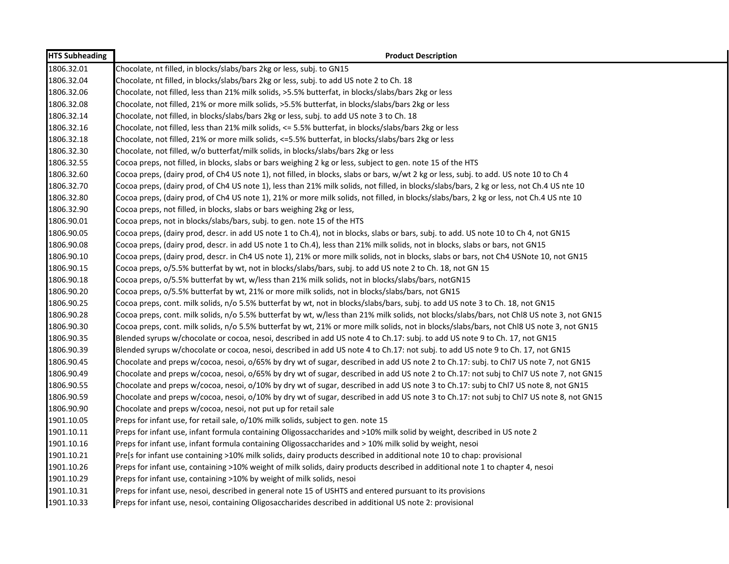| <b>HTS Subheading</b> | <b>Product Description</b>                                                                                                                 |
|-----------------------|--------------------------------------------------------------------------------------------------------------------------------------------|
| 1806.32.01            | Chocolate, nt filled, in blocks/slabs/bars 2kg or less, subj. to GN15                                                                      |
| 1806.32.04            | Chocolate, nt filled, in blocks/slabs/bars 2kg or less, subj. to add US note 2 to Ch. 18                                                   |
| 1806.32.06            | Chocolate, not filled, less than 21% milk solids, >5.5% butterfat, in blocks/slabs/bars 2kg or less                                        |
| 1806.32.08            | Chocolate, not filled, 21% or more milk solids, >5.5% butterfat, in blocks/slabs/bars 2kg or less                                          |
| 1806.32.14            | Chocolate, not filled, in blocks/slabs/bars 2kg or less, subj. to add US note 3 to Ch. 18                                                  |
| 1806.32.16            | Chocolate, not filled, less than 21% milk solids, <= 5.5% butterfat, in blocks/slabs/bars 2kg or less                                      |
| 1806.32.18            | Chocolate, not filled, 21% or more milk solids, <=5.5% butterfat, in blocks/slabs/bars 2kg or less                                         |
| 1806.32.30            | Chocolate, not filled, w/o butterfat/milk solids, in blocks/slabs/bars 2kg or less                                                         |
| 1806.32.55            | Cocoa preps, not filled, in blocks, slabs or bars weighing 2 kg or less, subject to gen. note 15 of the HTS                                |
| 1806.32.60            | Cocoa preps, (dairy prod, of Ch4 US note 1), not filled, in blocks, slabs or bars, w/wt 2 kg or less, subj. to add. US note 10 to Ch 4     |
| 1806.32.70            | Cocoa preps, (dairy prod, of Ch4 US note 1), less than 21% milk solids, not filled, in blocks/slabs/bars, 2 kg or less, not Ch.4 US nte 10 |
| 1806.32.80            | Cocoa preps, (dairy prod, of Ch4 US note 1), 21% or more milk solids, not filled, in blocks/slabs/bars, 2 kg or less, not Ch.4 US nte 10   |
| 1806.32.90            | Cocoa preps, not filled, in blocks, slabs or bars weighing 2kg or less,                                                                    |
| 1806.90.01            | Cocoa preps, not in blocks/slabs/bars, subj. to gen. note 15 of the HTS                                                                    |
| 1806.90.05            | Cocoa preps, (dairy prod, descr. in add US note 1 to Ch.4), not in blocks, slabs or bars, subj. to add. US note 10 to Ch 4, not GN15       |
| 1806.90.08            | Cocoa preps, (dairy prod, descr. in add US note 1 to Ch.4), less than 21% milk solids, not in blocks, slabs or bars, not GN15              |
| 1806.90.10            | Cocoa preps, (dairy prod, descr. in Ch4 US note 1), 21% or more milk solids, not in blocks, slabs or bars, not Ch4 USNote 10, not GN15     |
| 1806.90.15            | Cocoa preps, o/5.5% butterfat by wt, not in blocks/slabs/bars, subj. to add US note 2 to Ch. 18, not GN 15                                 |
| 1806.90.18            | Cocoa preps, o/5.5% butterfat by wt, w/less than 21% milk solids, not in blocks/slabs/bars, notGN15                                        |
| 1806.90.20            | Cocoa preps, o/5.5% butterfat by wt, 21% or more milk solids, not in blocks/slabs/bars, not GN15                                           |
| 1806.90.25            | Cocoa preps, cont. milk solids, n/o 5.5% butterfat by wt, not in blocks/slabs/bars, subj. to add US note 3 to Ch. 18, not GN15             |
| 1806.90.28            | Cocoa preps, cont. milk solids, n/o 5.5% butterfat by wt, w/less than 21% milk solids, not blocks/slabs/bars, not Chl8 US note 3, not GN15 |
| 1806.90.30            | Cocoa preps, cont. milk solids, n/o 5.5% butterfat by wt, 21% or more milk solids, not in blocks/slabs/bars, not Chl8 US note 3, not GN15  |
| 1806.90.35            | Blended syrups w/chocolate or cocoa, nesoi, described in add US note 4 to Ch.17: subj. to add US note 9 to Ch. 17, not GN15                |
| 1806.90.39            | Blended syrups w/chocolate or cocoa, nesoi, described in add US note 4 to Ch.17: not subj. to add US note 9 to Ch. 17, not GN15            |
| 1806.90.45            | Chocolate and preps w/cocoa, nesoi, o/65% by dry wt of sugar, described in add US note 2 to Ch.17: subj. to Chl7 US note 7, not GN15       |
| 1806.90.49            | Chocolate and preps w/cocoa, nesoi, o/65% by dry wt of sugar, described in add US note 2 to Ch.17: not subj to Chl7 US note 7, not GN15    |
| 1806.90.55            | Chocolate and preps w/cocoa, nesoi, o/10% by dry wt of sugar, described in add US note 3 to Ch.17: subj to Chl7 US note 8, not GN15        |
| 1806.90.59            | Chocolate and preps w/cocoa, nesoi, o/10% by dry wt of sugar, described in add US note 3 to Ch.17: not subj to Chl7 US note 8, not GN15    |
| 1806.90.90            | Chocolate and preps w/cocoa, nesoi, not put up for retail sale                                                                             |
| 1901.10.05            | Preps for infant use, for retail sale, o/10% milk solids, subject to gen. note 15                                                          |
| 1901.10.11            | Preps for infant use, infant formula containing Oligossaccharides and >10% milk solid by weight, described in US note 2                    |
| 1901.10.16            | Preps for infant use, infant formula containing Oligossaccharides and > 10% milk solid by weight, nesoi                                    |
| 1901.10.21            | Pre[s for infant use containing >10% milk solids, dairy products described in additional note 10 to chap: provisional                      |
| 1901.10.26            | Preps for infant use, containing >10% weight of milk solids, dairy products described in additional note 1 to chapter 4, nesoi             |
| 1901.10.29            | Preps for infant use, containing >10% by weight of milk solids, nesoi                                                                      |
| 1901.10.31            | Preps for infant use, nesoi, described in general note 15 of USHTS and entered pursuant to its provisions                                  |
| 1901.10.33            | Preps for infant use, nesoi, containing Oligosaccharides described in additional US note 2: provisional                                    |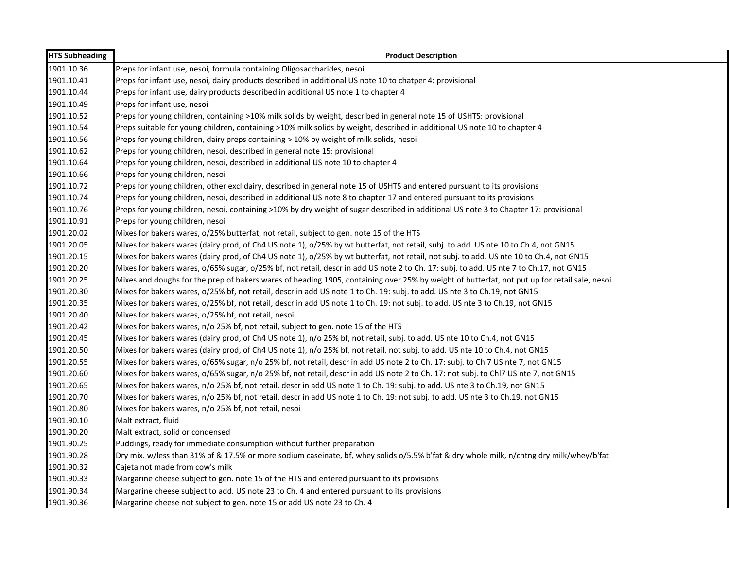| <b>HTS Subheading</b> | <b>Product Description</b>                                                                                                                   |
|-----------------------|----------------------------------------------------------------------------------------------------------------------------------------------|
| 1901.10.36            | Preps for infant use, nesoi, formula containing Oligosaccharides, nesoi                                                                      |
| 1901.10.41            | Preps for infant use, nesoi, dairy products described in additional US note 10 to chatper 4: provisional                                     |
| 1901.10.44            | Preps for infant use, dairy products described in additional US note 1 to chapter 4                                                          |
| 1901.10.49            | Preps for infant use, nesoi                                                                                                                  |
| 1901.10.52            | Preps for young children, containing >10% milk solids by weight, described in general note 15 of USHTS: provisional                          |
| 1901.10.54            | Preps suitable for young children, containing >10% milk solids by weight, described in additional US note 10 to chapter 4                    |
| 1901.10.56            | Preps for young children, dairy preps containing > 10% by weight of milk solids, nesoi                                                       |
| 1901.10.62            | Preps for young children, nesoi, described in general note 15: provisional                                                                   |
| 1901.10.64            | Preps for young children, nesoi, described in additional US note 10 to chapter 4                                                             |
| 1901.10.66            | Preps for young children, nesoi                                                                                                              |
| 1901.10.72            | Preps for young children, other excl dairy, described in general note 15 of USHTS and entered pursuant to its provisions                     |
| 1901.10.74            | Preps for young children, nesoi, described in additional US note 8 to chapter 17 and entered pursuant to its provisions                      |
| 1901.10.76            | Preps for young children, nesoi, containing >10% by dry weight of sugar described in additional US note 3 to Chapter 17: provisional         |
| 1901.10.91            | Preps for young children, nesoi                                                                                                              |
| 1901.20.02            | Mixes for bakers wares, o/25% butterfat, not retail, subject to gen. note 15 of the HTS                                                      |
| 1901.20.05            | Mixes for bakers wares (dairy prod, of Ch4 US note 1), o/25% by wt butterfat, not retail, subj. to add. US nte 10 to Ch.4, not GN15          |
| 1901.20.15            | Mixes for bakers wares (dairy prod, of Ch4 US note 1), o/25% by wt butterfat, not retail, not subj. to add. US nte 10 to Ch.4, not GN15      |
| 1901.20.20            | Mixes for bakers wares, o/65% sugar, o/25% bf, not retail, descr in add US note 2 to Ch. 17: subj. to add. US nte 7 to Ch.17, not GN15       |
| 1901.20.25            | Mixes and doughs for the prep of bakers wares of heading 1905, containing over 25% by weight of butterfat, not put up for retail sale, nesoi |
| 1901.20.30            | Mixes for bakers wares, o/25% bf, not retail, descr in add US note 1 to Ch. 19: subj. to add. US nte 3 to Ch.19, not GN15                    |
| 1901.20.35            | Mixes for bakers wares, o/25% bf, not retail, descr in add US note 1 to Ch. 19: not subj. to add. US nte 3 to Ch.19, not GN15                |
| 1901.20.40            | Mixes for bakers wares, o/25% bf, not retail, nesoi                                                                                          |
| 1901.20.42            | Mixes for bakers wares, n/o 25% bf, not retail, subject to gen. note 15 of the HTS                                                           |
| 1901.20.45            | Mixes for bakers wares (dairy prod, of Ch4 US note 1), n/o 25% bf, not retail, subj. to add. US nte 10 to Ch.4, not GN15                     |
| 1901.20.50            | Mixes for bakers wares (dairy prod, of Ch4 US note 1), n/o 25% bf, not retail, not subj. to add. US nte 10 to Ch.4, not GN15                 |
| 1901.20.55            | Mixes for bakers wares, o/65% sugar, n/o 25% bf, not retail, descr in add US note 2 to Ch. 17: subj. to Chl7 US nte 7, not GN15              |
| 1901.20.60            | Mixes for bakers wares, o/65% sugar, n/o 25% bf, not retail, descr in add US note 2 to Ch. 17: not subj. to Chl7 US nte 7, not GN15          |
| 1901.20.65            | Mixes for bakers wares, n/o 25% bf, not retail, descr in add US note 1 to Ch. 19: subj. to add. US nte 3 to Ch.19, not GN15                  |
| 1901.20.70            | Mixes for bakers wares, n/o 25% bf, not retail, descr in add US note 1 to Ch. 19: not subj. to add. US nte 3 to Ch.19, not GN15              |
| 1901.20.80            | Mixes for bakers wares, n/o 25% bf, not retail, nesoi                                                                                        |
| 1901.90.10            | Malt extract, fluid                                                                                                                          |
| 1901.90.20            | Malt extract, solid or condensed                                                                                                             |
| 1901.90.25            | Puddings, ready for immediate consumption without further preparation                                                                        |
| 1901.90.28            | Dry mix. w/less than 31% bf & 17.5% or more sodium caseinate, bf, whey solids o/5.5% b'fat & dry whole milk, n/cntng dry milk/whey/b'fat     |
| 1901.90.32            | Cajeta not made from cow's milk                                                                                                              |
| 1901.90.33            | Margarine cheese subject to gen. note 15 of the HTS and entered pursuant to its provisions                                                   |
| 1901.90.34            | Margarine cheese subject to add. US note 23 to Ch. 4 and entered pursuant to its provisions                                                  |
| 1901.90.36            | Margarine cheese not subject to gen. note 15 or add US note 23 to Ch. 4                                                                      |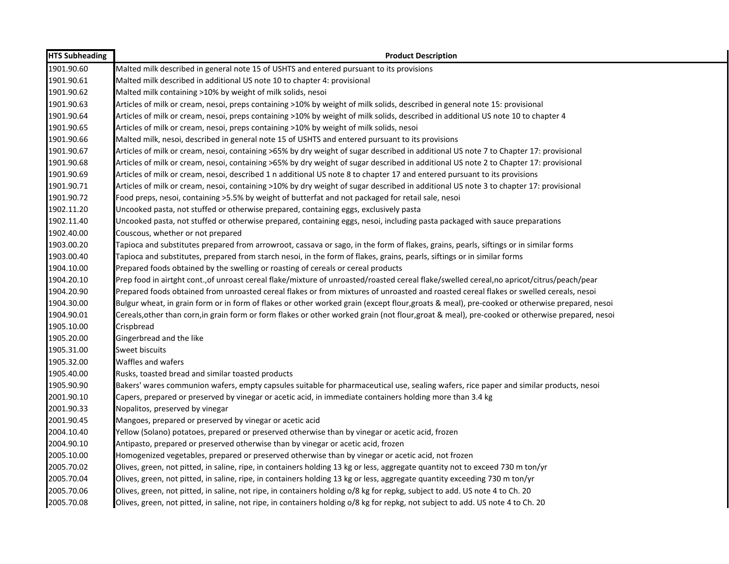| <b>HTS Subheading</b> | <b>Product Description</b>                                                                                                                      |
|-----------------------|-------------------------------------------------------------------------------------------------------------------------------------------------|
| 1901.90.60            | Malted milk described in general note 15 of USHTS and entered pursuant to its provisions                                                        |
| 1901.90.61            | Malted milk described in additional US note 10 to chapter 4: provisional                                                                        |
| 1901.90.62            | Malted milk containing >10% by weight of milk solids, nesoi                                                                                     |
| 1901.90.63            | Articles of milk or cream, nesoi, preps containing >10% by weight of milk solids, described in general note 15: provisional                     |
| 1901.90.64            | Articles of milk or cream, nesoi, preps containing >10% by weight of milk solids, described in additional US note 10 to chapter 4               |
| 1901.90.65            | Articles of milk or cream, nesoi, preps containing >10% by weight of milk solids, nesoi                                                         |
| 1901.90.66            | Malted milk, nesoi, described in general note 15 of USHTS and entered pursuant to its provisions                                                |
| 1901.90.67            | Articles of milk or cream, nesoi, containing >65% by dry weight of sugar described in additional US note 7 to Chapter 17: provisional           |
| 1901.90.68            | Articles of milk or cream, nesoi, containing >65% by dry weight of sugar described in additional US note 2 to Chapter 17: provisional           |
| 1901.90.69            | Articles of milk or cream, nesoi, described 1 n additional US note 8 to chapter 17 and entered pursuant to its provisions                       |
| 1901.90.71            | Articles of milk or cream, nesoi, containing >10% by dry weight of sugar described in additional US note 3 to chapter 17: provisional           |
| 1901.90.72            | Food preps, nesoi, containing >5.5% by weight of butterfat and not packaged for retail sale, nesoi                                              |
| 1902.11.20            | Uncooked pasta, not stuffed or otherwise prepared, containing eggs, exclusively pasta                                                           |
| 1902.11.40            | Uncooked pasta, not stuffed or otherwise prepared, containing eggs, nesoi, including pasta packaged with sauce preparations                     |
| 1902.40.00            | Couscous, whether or not prepared                                                                                                               |
| 1903.00.20            | Tapioca and substitutes prepared from arrowroot, cassava or sago, in the form of flakes, grains, pearls, siftings or in similar forms           |
| 1903.00.40            | Tapioca and substitutes, prepared from starch nesoi, in the form of flakes, grains, pearls, siftings or in similar forms                        |
| 1904.10.00            | Prepared foods obtained by the swelling or roasting of cereals or cereal products                                                               |
| 1904.20.10            | Prep food in airtght cont., of unroast cereal flake/mixture of unroasted/roasted cereal flake/swelled cereal, no apricot/citrus/peach/pear      |
| 1904.20.90            | Prepared foods obtained from unroasted cereal flakes or from mixtures of unroasted and roasted cereal flakes or swelled cereals, nesoi          |
| 1904.30.00            | Bulgur wheat, in grain form or in form of flakes or other worked grain (except flour, groats & meal), pre-cooked or otherwise prepared, nesoi   |
| 1904.90.01            | Cereals, other than corn, in grain form or form flakes or other worked grain (not flour, groat & meal), pre-cooked or otherwise prepared, nesoi |
| 1905.10.00            | Crispbread                                                                                                                                      |
| 1905.20.00            | Gingerbread and the like                                                                                                                        |
| 1905.31.00            | Sweet biscuits                                                                                                                                  |
| 1905.32.00            | Waffles and wafers                                                                                                                              |
| 1905.40.00            | Rusks, toasted bread and similar toasted products                                                                                               |
| 1905.90.90            | Bakers' wares communion wafers, empty capsules suitable for pharmaceutical use, sealing wafers, rice paper and similar products, nesoi          |
| 2001.90.10            | Capers, prepared or preserved by vinegar or acetic acid, in immediate containers holding more than 3.4 kg                                       |
| 2001.90.33            | Nopalitos, preserved by vinegar                                                                                                                 |
| 2001.90.45            | Mangoes, prepared or preserved by vinegar or acetic acid                                                                                        |
| 2004.10.40            | Yellow (Solano) potatoes, prepared or preserved otherwise than by vinegar or acetic acid, frozen                                                |
| 2004.90.10            | Antipasto, prepared or preserved otherwise than by vinegar or acetic acid, frozen                                                               |
| 2005.10.00            | Homogenized vegetables, prepared or preserved otherwise than by vinegar or acetic acid, not frozen                                              |
| 2005.70.02            | Olives, green, not pitted, in saline, ripe, in containers holding 13 kg or less, aggregate quantity not to exceed 730 m ton/yr                  |
| 2005.70.04            | Olives, green, not pitted, in saline, ripe, in containers holding 13 kg or less, aggregate quantity exceeding 730 m ton/yr                      |
| 2005.70.06            | Olives, green, not pitted, in saline, not ripe, in containers holding o/8 kg for repkg, subject to add. US note 4 to Ch. 20                     |
| 2005.70.08            | Olives, green, not pitted, in saline, not ripe, in containers holding o/8 kg for repkg, not subject to add. US note 4 to Ch. 20                 |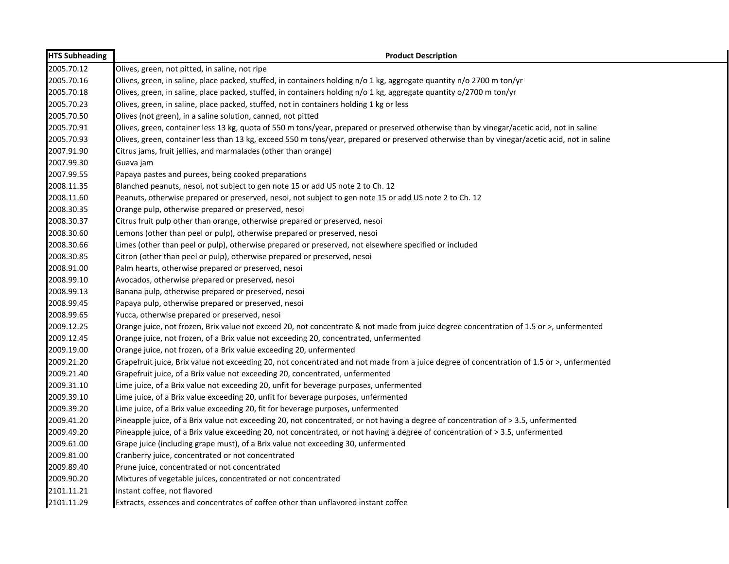| <b>HTS Subheading</b> | <b>Product Description</b>                                                                                                                   |
|-----------------------|----------------------------------------------------------------------------------------------------------------------------------------------|
| 2005.70.12            | Olives, green, not pitted, in saline, not ripe                                                                                               |
| 2005.70.16            | Olives, green, in saline, place packed, stuffed, in containers holding n/o 1 kg, aggregate quantity n/o 2700 m ton/yr                        |
| 2005.70.18            | Olives, green, in saline, place packed, stuffed, in containers holding n/o 1 kg, aggregate quantity o/2700 m ton/yr                          |
| 2005.70.23            | Olives, green, in saline, place packed, stuffed, not in containers holding 1 kg or less                                                      |
| 2005.70.50            | Olives (not green), in a saline solution, canned, not pitted                                                                                 |
| 2005.70.91            | Olives, green, container less 13 kg, quota of 550 m tons/year, prepared or preserved otherwise than by vinegar/acetic acid, not in saline    |
| 2005.70.93            | Olives, green, container less than 13 kg, exceed 550 m tons/year, prepared or preserved otherwise than by vinegar/acetic acid, not in saline |
| 2007.91.90            | Citrus jams, fruit jellies, and marmalades (other than orange)                                                                               |
| 2007.99.30            | Guava jam                                                                                                                                    |
| 2007.99.55            | Papaya pastes and purees, being cooked preparations                                                                                          |
| 2008.11.35            | Blanched peanuts, nesoi, not subject to gen note 15 or add US note 2 to Ch. 12                                                               |
| 2008.11.60            | Peanuts, otherwise prepared or preserved, nesoi, not subject to gen note 15 or add US note 2 to Ch. 12                                       |
| 2008.30.35            | Orange pulp, otherwise prepared or preserved, nesoi                                                                                          |
| 2008.30.37            | Citrus fruit pulp other than orange, otherwise prepared or preserved, nesoi                                                                  |
| 2008.30.60            | Lemons (other than peel or pulp), otherwise prepared or preserved, nesoi                                                                     |
| 2008.30.66            | Limes (other than peel or pulp), otherwise prepared or preserved, not elsewhere specified or included                                        |
| 2008.30.85            | Citron (other than peel or pulp), otherwise prepared or preserved, nesoi                                                                     |
| 2008.91.00            | Palm hearts, otherwise prepared or preserved, nesoi                                                                                          |
| 2008.99.10            | Avocados, otherwise prepared or preserved, nesoi                                                                                             |
| 2008.99.13            | Banana pulp, otherwise prepared or preserved, nesoi                                                                                          |
| 2008.99.45            | Papaya pulp, otherwise prepared or preserved, nesoi                                                                                          |
| 2008.99.65            | Yucca, otherwise prepared or preserved, nesoi                                                                                                |
| 2009.12.25            | Orange juice, not frozen, Brix value not exceed 20, not concentrate & not made from juice degree concentration of 1.5 or >, unfermented      |
| 2009.12.45            | Orange juice, not frozen, of a Brix value not exceeding 20, concentrated, unfermented                                                        |
| 2009.19.00            | Orange juice, not frozen, of a Brix value exceeding 20, unfermented                                                                          |
| 2009.21.20            | Grapefruit juice, Brix value not exceeding 20, not concentrated and not made from a juice degree of concentration of 1.5 or >, unfermented   |
| 2009.21.40            | Grapefruit juice, of a Brix value not exceeding 20, concentrated, unfermented                                                                |
| 2009.31.10            | Lime juice, of a Brix value not exceeding 20, unfit for beverage purposes, unfermented                                                       |
| 2009.39.10            | Lime juice, of a Brix value exceeding 20, unfit for beverage purposes, unfermented                                                           |
| 2009.39.20            | Lime juice, of a Brix value exceeding 20, fit for beverage purposes, unfermented                                                             |
| 2009.41.20            | Pineapple juice, of a Brix value not exceeding 20, not concentrated, or not having a degree of concentration of > 3.5, unfermented           |
| 2009.49.20            | Pineapple juice, of a Brix value exceeding 20, not concentrated, or not having a degree of concentration of > 3.5, unfermented               |
| 2009.61.00            | Grape juice (including grape must), of a Brix value not exceeding 30, unfermented                                                            |
| 2009.81.00            | Cranberry juice, concentrated or not concentrated                                                                                            |
| 2009.89.40            | Prune juice, concentrated or not concentrated                                                                                                |
| 2009.90.20            | Mixtures of vegetable juices, concentrated or not concentrated                                                                               |
| 2101.11.21            | Instant coffee, not flavored                                                                                                                 |
| 2101.11.29            | Extracts, essences and concentrates of coffee other than unflavored instant coffee                                                           |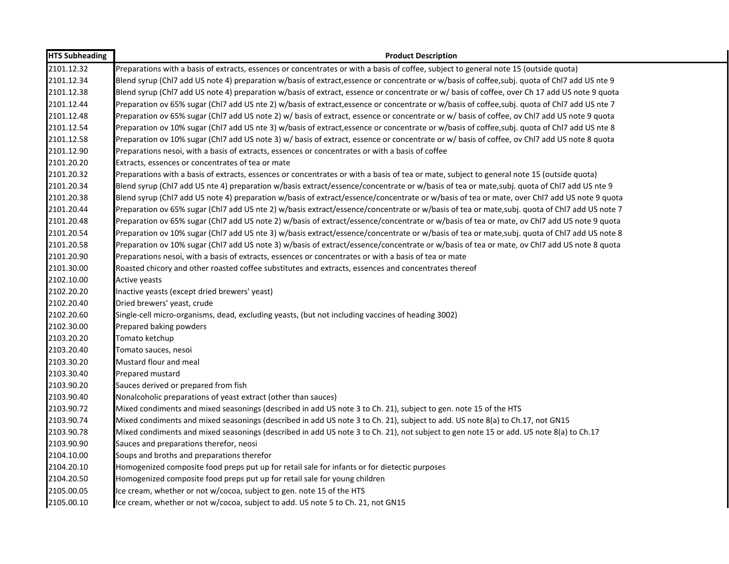| <b>HTS Subheading</b> | <b>Product Description</b>                                                                                                                     |
|-----------------------|------------------------------------------------------------------------------------------------------------------------------------------------|
| 2101.12.32            | Preparations with a basis of extracts, essences or concentrates or with a basis of coffee, subject to general note 15 (outside quota)          |
| 2101.12.34            | Blend syrup (ChI7 add US note 4) preparation w/basis of extract, essence or concentrate or w/basis of coffee, subj. quota of ChI7 add US nte 9 |
| 2101.12.38            | Blend syrup (ChI7 add US note 4) preparation w/basis of extract, essence or concentrate or w/ basis of coffee, over Ch 17 add US note 9 quota  |
| 2101.12.44            | Preparation ov 65% sugar (Chl7 add US nte 2) w/basis of extract, essence or concentrate or w/basis of coffee, subj. quota of Chl7 add US nte 7 |
| 2101.12.48            | Preparation ov 65% sugar (ChI7 add US note 2) w/ basis of extract, essence or concentrate or w/ basis of coffee, ov ChI7 add US note 9 quota   |
| 2101.12.54            | Preparation ov 10% sugar (Chl7 add US nte 3) w/basis of extract, essence or concentrate or w/basis of coffee, subj. quota of Chl7 add US nte 8 |
| 2101.12.58            | Preparation ov 10% sugar (ChI7 add US note 3) w/ basis of extract, essence or concentrate or w/ basis of coffee, ov ChI7 add US note 8 quota   |
| 2101.12.90            | Preparations nesoi, with a basis of extracts, essences or concentrates or with a basis of coffee                                               |
| 2101.20.20            | Extracts, essences or concentrates of tea or mate                                                                                              |
| 2101.20.32            | Preparations with a basis of extracts, essences or concentrates or with a basis of tea or mate, subject to general note 15 (outside quota)     |
| 2101.20.34            | Blend syrup (Chl7 add US nte 4) preparation w/basis extract/essence/concentrate or w/basis of tea or mate,subj. quota of Chl7 add US nte 9     |
| 2101.20.38            | Blend syrup (Chl7 add US note 4) preparation w/basis of extract/essence/concentrate or w/basis of tea or mate, over Chl7 add US note 9 quota   |
| 2101.20.44            | Preparation ov 65% sugar (Chl7 add US nte 2) w/basis extract/essence/concentrate or w/basis of tea or mate, subj. quota of Chl7 add US note 7  |
| 2101.20.48            | Preparation ov 65% sugar (ChI7 add US note 2) w/basis of extract/essence/concentrate or w/basis of tea or mate, ov ChI7 add US note 9 quota    |
| 2101.20.54            | Preparation ov 10% sugar (Chl7 add US nte 3) w/basis extract/essence/concentrate or w/basis of tea or mate,subj. quota of Chl7 add US note 8   |
| 2101.20.58            | Preparation ov 10% sugar (ChI7 add US note 3) w/basis of extract/essence/concentrate or w/basis of tea or mate, ov ChI7 add US note 8 quota    |
| 2101.20.90            | Preparations nesoi, with a basis of extracts, essences or concentrates or with a basis of tea or mate                                          |
| 2101.30.00            | Roasted chicory and other roasted coffee substitutes and extracts, essences and concentrates thereof                                           |
| 2102.10.00            | Active yeasts                                                                                                                                  |
| 2102.20.20            | Inactive yeasts (except dried brewers' yeast)                                                                                                  |
| 2102.20.40            | Dried brewers' yeast, crude                                                                                                                    |
| 2102.20.60            | Single-cell micro-organisms, dead, excluding yeasts, (but not including vaccines of heading 3002)                                              |
| 2102.30.00            | Prepared baking powders                                                                                                                        |
| 2103.20.20            | Tomato ketchup                                                                                                                                 |
| 2103.20.40            | Tomato sauces, nesoi                                                                                                                           |
| 2103.30.20            | Mustard flour and meal                                                                                                                         |
| 2103.30.40            | Prepared mustard                                                                                                                               |
| 2103.90.20            | Sauces derived or prepared from fish                                                                                                           |
| 2103.90.40            | Nonalcoholic preparations of yeast extract (other than sauces)                                                                                 |
| 2103.90.72            | Mixed condiments and mixed seasonings (described in add US note 3 to Ch. 21), subject to gen. note 15 of the HTS                               |
| 2103.90.74            | Mixed condiments and mixed seasonings (described in add US note 3 to Ch. 21), subject to add. US note 8(a) to Ch.17, not GN15                  |
| 2103.90.78            | Mixed condiments and mixed seasonings (described in add US note 3 to Ch. 21), not subject to gen note 15 or add. US note 8(a) to Ch.17         |
| 2103.90.90            | Sauces and preparations therefor, neosi                                                                                                        |
| 2104.10.00            | Soups and broths and preparations therefor                                                                                                     |
| 2104.20.10            | Homogenized composite food preps put up for retail sale for infants or for dietectic purposes                                                  |
| 2104.20.50            | Homogenized composite food preps put up for retail sale for young children                                                                     |
| 2105.00.05            | Ice cream, whether or not w/cocoa, subject to gen. note 15 of the HTS                                                                          |
| 2105.00.10            | Ice cream, whether or not w/cocoa, subject to add. US note 5 to Ch. 21, not GN15                                                               |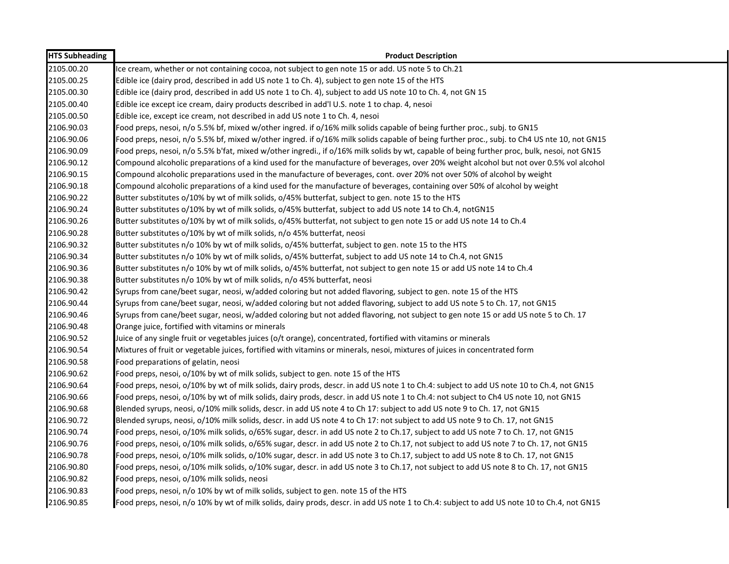| <b>HTS Subheading</b> | <b>Product Description</b>                                                                                                                  |
|-----------------------|---------------------------------------------------------------------------------------------------------------------------------------------|
| 2105.00.20            | Ice cream, whether or not containing cocoa, not subject to gen note 15 or add. US note 5 to Ch.21                                           |
| 2105.00.25            | Edible ice (dairy prod, described in add US note 1 to Ch. 4), subject to gen note 15 of the HTS                                             |
| 2105.00.30            | Edible ice (dairy prod, described in add US note 1 to Ch. 4), subject to add US note 10 to Ch. 4, not GN 15                                 |
| 2105.00.40            | Edible ice except ice cream, dairy products described in add'l U.S. note 1 to chap. 4, nesoi                                                |
| 2105.00.50            | Edible ice, except ice cream, not described in add US note 1 to Ch. 4, nesoi                                                                |
| 2106.90.03            | Food preps, nesoi, n/o 5.5% bf, mixed w/other ingred. if o/16% milk solids capable of being further proc., subj. to GN15                    |
| 2106.90.06            | Food preps, nesoi, n/o 5.5% bf, mixed w/other ingred. if o/16% milk solids capable of being further proc., subj. to Ch4 US nte 10, not GN15 |
| 2106.90.09            | Food preps, nesoi, n/o 5.5% b'fat, mixed w/other ingredi., if o/16% milk solids by wt, capable of being further proc, bulk, nesoi, not GN15 |
| 2106.90.12            | Compound alcoholic preparations of a kind used for the manufacture of beverages, over 20% weight alcohol but not over 0.5% vol alcohol      |
| 2106.90.15            | Compound alcoholic preparations used in the manufacture of beverages, cont. over 20% not over 50% of alcohol by weight                      |
| 2106.90.18            | Compound alcoholic preparations of a kind used for the manufacture of beverages, containing over 50% of alcohol by weight                   |
| 2106.90.22            | Butter substitutes o/10% by wt of milk solids, o/45% butterfat, subject to gen. note 15 to the HTS                                          |
| 2106.90.24            | Butter substitutes o/10% by wt of milk solids, o/45% butterfat, subject to add US note 14 to Ch.4, notGN15                                  |
| 2106.90.26            | Butter substitutes o/10% by wt of milk solids, o/45% butterfat, not subject to gen note 15 or add US note 14 to Ch.4                        |
| 2106.90.28            | Butter substitutes o/10% by wt of milk solids, n/o 45% butterfat, neosi                                                                     |
| 2106.90.32            | Butter substitutes n/o 10% by wt of milk solids, o/45% butterfat, subject to gen. note 15 to the HTS                                        |
| 2106.90.34            | Butter substitutes n/o 10% by wt of milk solids, o/45% butterfat, subject to add US note 14 to Ch.4, not GN15                               |
| 2106.90.36            | Butter substitutes n/o 10% by wt of milk solids, o/45% butterfat, not subject to gen note 15 or add US note 14 to Ch.4                      |
| 2106.90.38            | Butter substitutes n/o 10% by wt of milk solids, n/o 45% butterfat, neosi                                                                   |
| 2106.90.42            | Syrups from cane/beet sugar, neosi, w/added coloring but not added flavoring, subject to gen. note 15 of the HTS                            |
| 2106.90.44            | Syrups from cane/beet sugar, neosi, w/added coloring but not added flavoring, subject to add US note 5 to Ch. 17, not GN15                  |
| 2106.90.46            | Syrups from cane/beet sugar, neosi, w/added coloring but not added flavoring, not subject to gen note 15 or add US note 5 to Ch. 17         |
| 2106.90.48            | Orange juice, fortified with vitamins or minerals                                                                                           |
| 2106.90.52            | Juice of any single fruit or vegetables juices (o/t orange), concentrated, fortified with vitamins or minerals                              |
| 2106.90.54            | Mixtures of fruit or vegetable juices, fortified with vitamins or minerals, nesoi, mixtures of juices in concentrated form                  |
| 2106.90.58            | Food preparations of gelatin, neosi                                                                                                         |
| 2106.90.62            | Food preps, nesoi, o/10% by wt of milk solids, subject to gen. note 15 of the HTS                                                           |
| 2106.90.64            | Food preps, nesoi, o/10% by wt of milk solids, dairy prods, descr. in add US note 1 to Ch.4: subject to add US note 10 to Ch.4, not GN15    |
| 2106.90.66            | Food preps, nesoi, o/10% by wt of milk solids, dairy prods, descr. in add US note 1 to Ch.4: not subject to Ch4 US note 10, not GN15        |
| 2106.90.68            | Blended syrups, neosi, o/10% milk solids, descr. in add US note 4 to Ch 17: subject to add US note 9 to Ch. 17, not GN15                    |
| 2106.90.72            | Blended syrups, neosi, o/10% milk solids, descr. in add US note 4 to Ch 17: not subject to add US note 9 to Ch. 17, not GN15                |
| 2106.90.74            | Food preps, nesoi, o/10% milk solids, o/65% sugar, descr. in add US note 2 to Ch.17, subject to add US note 7 to Ch. 17, not GN15           |
| 2106.90.76            | Food preps, nesoi, o/10% milk solids, o/65% sugar, descr. in add US note 2 to Ch.17, not subject to add US note 7 to Ch. 17, not GN15       |
| 2106.90.78            | Food preps, nesoi, o/10% milk solids, o/10% sugar, descr. in add US note 3 to Ch.17, subject to add US note 8 to Ch. 17, not GN15           |
| 2106.90.80            | Food preps, nesoi, o/10% milk solids, o/10% sugar, descr. in add US note 3 to Ch.17, not subject to add US note 8 to Ch. 17, not GN15       |
| 2106.90.82            | Food preps, nesoi, o/10% milk solids, neosi                                                                                                 |
| 2106.90.83            | Food preps, nesoi, n/o 10% by wt of milk solids, subject to gen. note 15 of the HTS                                                         |
| 2106.90.85            | Food preps, nesoi, n/o 10% by wt of milk solids, dairy prods, descr. in add US note 1 to Ch.4: subject to add US note 10 to Ch.4, not GN15  |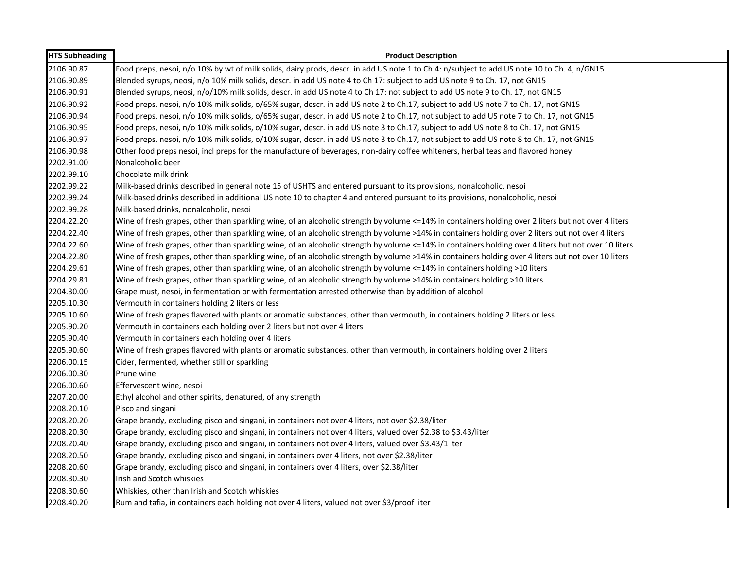| <b>HTS Subheading</b> | <b>Product Description</b>                                                                                                                           |
|-----------------------|------------------------------------------------------------------------------------------------------------------------------------------------------|
| 2106.90.87            | Food preps, nesoi, n/o 10% by wt of milk solids, dairy prods, descr. in add US note 1 to Ch.4: n/subject to add US note 10 to Ch. 4, n/GN15          |
| 2106.90.89            | Blended syrups, neosi, n/o 10% milk solids, descr. in add US note 4 to Ch 17: subject to add US note 9 to Ch. 17, not GN15                           |
| 2106.90.91            | Blended syrups, neosi, n/o/10% milk solids, descr. in add US note 4 to Ch 17: not subject to add US note 9 to Ch. 17, not GN15                       |
| 2106.90.92            | Food preps, nesoi, n/o 10% milk solids, o/65% sugar, descr. in add US note 2 to Ch.17, subject to add US note 7 to Ch. 17, not GN15                  |
| 2106.90.94            | Food preps, nesoi, n/o 10% milk solids, o/65% sugar, descr. in add US note 2 to Ch.17, not subject to add US note 7 to Ch. 17, not GN15              |
| 2106.90.95            | Food preps, nesoi, n/o 10% milk solids, o/10% sugar, descr. in add US note 3 to Ch.17, subject to add US note 8 to Ch. 17, not GN15                  |
| 2106.90.97            | Food preps, nesoi, n/o 10% milk solids, o/10% sugar, descr. in add US note 3 to Ch.17, not subject to add US note 8 to Ch. 17, not GN15              |
| 2106.90.98            | Other food preps nesoi, incl preps for the manufacture of beverages, non-dairy coffee whiteners, herbal teas and flavored honey                      |
| 2202.91.00            | Nonalcoholic beer                                                                                                                                    |
| 2202.99.10            | Chocolate milk drink                                                                                                                                 |
| 2202.99.22            | Milk-based drinks described in general note 15 of USHTS and entered pursuant to its provisions, nonalcoholic, nesoi                                  |
| 2202.99.24            | Milk-based drinks described in additional US note 10 to chapter 4 and entered pursuant to its provisions, nonalcoholic, nesoi                        |
| 2202.99.28            | Milk-based drinks, nonalcoholic, nesoi                                                                                                               |
| 2204.22.20            | Wine of fresh grapes, other than sparkling wine, of an alcoholic strength by volume <=14% in containers holding over 2 liters but not over 4 liters  |
| 2204.22.40            | Wine of fresh grapes, other than sparkling wine, of an alcoholic strength by volume >14% in containers holding over 2 liters but not over 4 liters   |
| 2204.22.60            | Wine of fresh grapes, other than sparkling wine, of an alcoholic strength by volume <=14% in containers holding over 4 liters but not over 10 liters |
| 2204.22.80            | Wine of fresh grapes, other than sparkling wine, of an alcoholic strength by volume >14% in containers holding over 4 liters but not over 10 liters  |
| 2204.29.61            | Wine of fresh grapes, other than sparkling wine, of an alcoholic strength by volume <=14% in containers holding >10 liters                           |
| 2204.29.81            | Wine of fresh grapes, other than sparkling wine, of an alcoholic strength by volume >14% in containers holding >10 liters                            |
| 2204.30.00            | Grape must, nesoi, in fermentation or with fermentation arrested otherwise than by addition of alcohol                                               |
| 2205.10.30            | Vermouth in containers holding 2 liters or less                                                                                                      |
| 2205.10.60            | Wine of fresh grapes flavored with plants or aromatic substances, other than vermouth, in containers holding 2 liters or less                        |
| 2205.90.20            | Vermouth in containers each holding over 2 liters but not over 4 liters                                                                              |
| 2205.90.40            | Vermouth in containers each holding over 4 liters                                                                                                    |
| 2205.90.60            | Wine of fresh grapes flavored with plants or aromatic substances, other than vermouth, in containers holding over 2 liters                           |
| 2206.00.15            | Cider, fermented, whether still or sparkling                                                                                                         |
| 2206.00.30            | Prune wine                                                                                                                                           |
| 2206.00.60            | Effervescent wine, nesoi                                                                                                                             |
| 2207.20.00            | Ethyl alcohol and other spirits, denatured, of any strength                                                                                          |
| 2208.20.10            | Pisco and singani                                                                                                                                    |
| 2208.20.20            | Grape brandy, excluding pisco and singani, in containers not over 4 liters, not over \$2.38/liter                                                    |
| 2208.20.30            | Grape brandy, excluding pisco and singani, in containers not over 4 liters, valued over \$2.38 to \$3.43/liter                                       |
| 2208.20.40            | Grape brandy, excluding pisco and singani, in containers not over 4 liters, valued over \$3.43/1 iter                                                |
| 2208.20.50            | Grape brandy, excluding pisco and singani, in containers over 4 liters, not over \$2.38/liter                                                        |
| 2208.20.60            | Grape brandy, excluding pisco and singani, in containers over 4 liters, over \$2.38/liter                                                            |
| 2208.30.30            | Irish and Scotch whiskies                                                                                                                            |
| 2208.30.60            | Whiskies, other than Irish and Scotch whiskies                                                                                                       |
| 2208.40.20            | Rum and tafia, in containers each holding not over 4 liters, valued not over \$3/proof liter                                                         |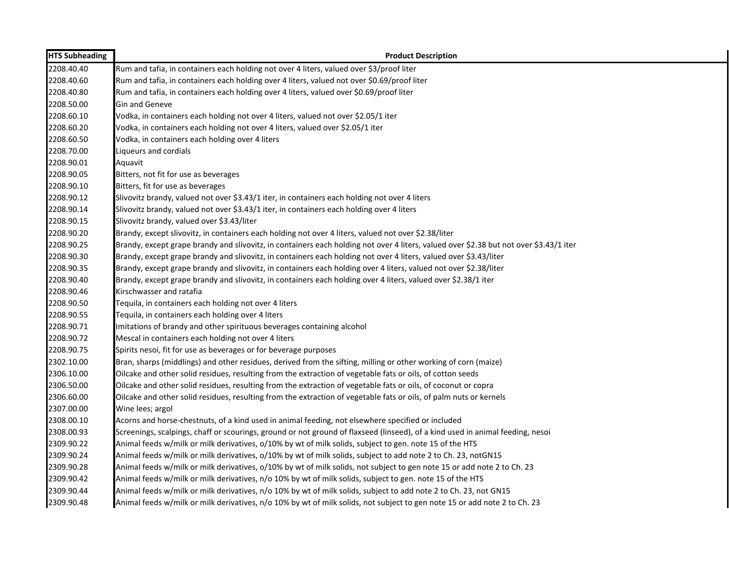| <b>HTS Subheading</b> | <b>Product Description</b>                                                                                                             |
|-----------------------|----------------------------------------------------------------------------------------------------------------------------------------|
| 2208.40.40            | Rum and tafia, in containers each holding not over 4 liters, valued over \$3/proof liter                                               |
| 2208.40.60            | Rum and tafia, in containers each holding over 4 liters, valued not over \$0.69/proof liter                                            |
| 2208.40.80            | Rum and tafia, in containers each holding over 4 liters, valued over \$0.69/proof liter                                                |
| 2208.50.00            | Gin and Geneve                                                                                                                         |
| 2208.60.10            | Vodka, in containers each holding not over 4 liters, valued not over \$2.05/1 iter                                                     |
| 2208.60.20            | Vodka, in containers each holding not over 4 liters, valued over \$2.05/1 iter                                                         |
| 2208.60.50            | Vodka, in containers each holding over 4 liters                                                                                        |
| 2208.70.00            | Liqueurs and cordials                                                                                                                  |
| 2208.90.01            | Aquavit                                                                                                                                |
| 2208.90.05            | Bitters, not fit for use as beverages                                                                                                  |
| 2208.90.10            | Bitters, fit for use as beverages                                                                                                      |
| 2208.90.12            | Slivovitz brandy, valued not over \$3.43/1 iter, in containers each holding not over 4 liters                                          |
| 2208.90.14            | Slivovitz brandy, valued not over \$3.43/1 iter, in containers each holding over 4 liters                                              |
| 2208.90.15            | Slivovitz brandy, valued over \$3.43/liter                                                                                             |
| 2208.90.20            | Brandy, except slivovitz, in containers each holding not over 4 liters, valued not over \$2.38/liter                                   |
| 2208.90.25            | Brandy, except grape brandy and slivovitz, in containers each holding not over 4 liters, valued over \$2.38 but not over \$3.43/1 iter |
| 2208.90.30            | Brandy, except grape brandy and slivovitz, in containers each holding not over 4 liters, valued over \$3.43/liter                      |
| 2208.90.35            | Brandy, except grape brandy and slivovitz, in containers each holding over 4 liters, valued not over \$2.38/liter                      |
| 2208.90.40            | Brandy, except grape brandy and slivovitz, in containers each holding over 4 liters, valued over \$2.38/1 iter                         |
| 2208.90.46            | Kirschwasser and ratafia                                                                                                               |
| 2208.90.50            | Tequila, in containers each holding not over 4 liters                                                                                  |
| 2208.90.55            | Tequila, in containers each holding over 4 liters                                                                                      |
| 2208.90.71            | Imitations of brandy and other spirituous beverages containing alcohol                                                                 |
| 2208.90.72            | Mescal in containers each holding not over 4 liters                                                                                    |
| 2208.90.75            | Spirits nesoi, fit for use as beverages or for beverage purposes                                                                       |
| 2302.10.00            | Bran, sharps (middlings) and other residues, derived from the sifting, milling or other working of corn (maize)                        |
| 2306.10.00            | Oilcake and other solid residues, resulting from the extraction of vegetable fats or oils, of cotton seeds                             |
| 2306.50.00            | Oilcake and other solid residues, resulting from the extraction of vegetable fats or oils, of coconut or copra                         |
| 2306.60.00            | Oilcake and other solid residues, resulting from the extraction of vegetable fats or oils, of palm nuts or kernels                     |
| 2307.00.00            | Wine lees; argol                                                                                                                       |
| 2308.00.10            | Acorns and horse-chestnuts, of a kind used in animal feeding, not elsewhere specified or included                                      |
| 2308.00.93            | Screenings, scalpings, chaff or scourings, ground or not ground of flaxseed (linseed), of a kind used in animal feeding, nesoi         |
| 2309.90.22            | Animal feeds w/milk or milk derivatives, o/10% by wt of milk solids, subject to gen. note 15 of the HTS                                |
| 2309.90.24            | Animal feeds w/milk or milk derivatives, o/10% by wt of milk solids, subject to add note 2 to Ch. 23, notGN15                          |
| 2309.90.28            | Animal feeds w/milk or milk derivatives, o/10% by wt of milk solids, not subject to gen note 15 or add note 2 to Ch. 23                |
| 2309.90.42            | Animal feeds w/milk or milk derivatives, n/o 10% by wt of milk solids, subject to gen. note 15 of the HTS                              |
| 2309.90.44            | Animal feeds w/milk or milk derivatives, n/o 10% by wt of milk solids, subject to add note 2 to Ch. 23, not GN15                       |
| 2309.90.48            | Animal feeds w/milk or milk derivatives, n/o 10% by wt of milk solids, not subject to gen note 15 or add note 2 to Ch. 23              |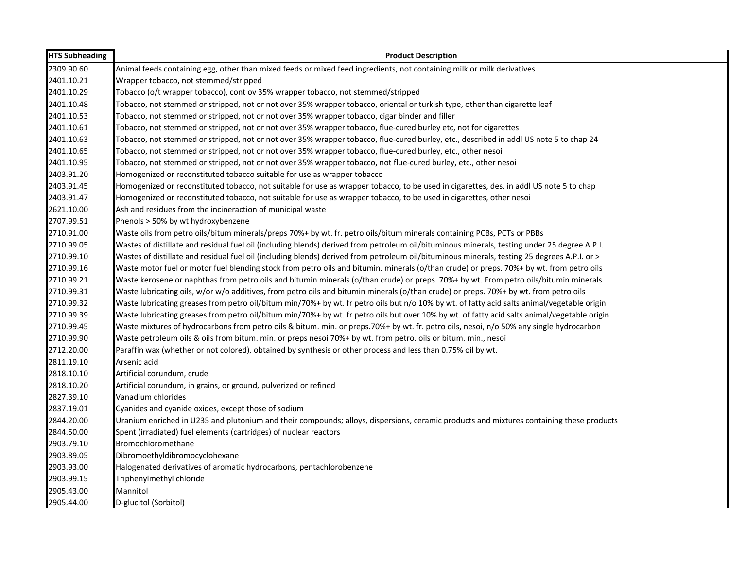| <b>HTS Subheading</b> | <b>Product Description</b>                                                                                                                   |
|-----------------------|----------------------------------------------------------------------------------------------------------------------------------------------|
| 2309.90.60            | Animal feeds containing egg, other than mixed feeds or mixed feed ingredients, not containing milk or milk derivatives                       |
| 2401.10.21            | Wrapper tobacco, not stemmed/stripped                                                                                                        |
| 2401.10.29            | Tobacco (o/t wrapper tobacco), cont ov 35% wrapper tobacco, not stemmed/stripped                                                             |
| 2401.10.48            | Tobacco, not stemmed or stripped, not or not over 35% wrapper tobacco, oriental or turkish type, other than cigarette leaf                   |
| 2401.10.53            | Tobacco, not stemmed or stripped, not or not over 35% wrapper tobacco, cigar binder and filler                                               |
| 2401.10.61            | Tobacco, not stemmed or stripped, not or not over 35% wrapper tobacco, flue-cured burley etc, not for cigarettes                             |
| 2401.10.63            | Tobacco, not stemmed or stripped, not or not over 35% wrapper tobacco, flue-cured burley, etc., described in addl US note 5 to chap 24       |
| 2401.10.65            | Tobacco, not stemmed or stripped, not or not over 35% wrapper tobacco, flue-cured burley, etc., other nesoi                                  |
| 2401.10.95            | Tobacco, not stemmed or stripped, not or not over 35% wrapper tobacco, not flue-cured burley, etc., other nesoi                              |
| 2403.91.20            | Homogenized or reconstituted tobacco suitable for use as wrapper tobacco                                                                     |
| 2403.91.45            | Homogenized or reconstituted tobacco, not suitable for use as wrapper tobacco, to be used in cigarettes, des. in addl US note 5 to chap      |
| 2403.91.47            | Homogenized or reconstituted tobacco, not suitable for use as wrapper tobacco, to be used in cigarettes, other nesoi                         |
| 2621.10.00            | Ash and residues from the incineraction of municipal waste                                                                                   |
| 2707.99.51            | Phenols > 50% by wt hydroxybenzene                                                                                                           |
| 2710.91.00            | Waste oils from petro oils/bitum minerals/preps 70%+ by wt. fr. petro oils/bitum minerals containing PCBs, PCTs or PBBs                      |
| 2710.99.05            | Wastes of distillate and residual fuel oil (including blends) derived from petroleum oil/bituminous minerals, testing under 25 degree A.P.I. |
| 2710.99.10            | Wastes of distillate and residual fuel oil (including blends) derived from petroleum oil/bituminous minerals, testing 25 degrees A.P.I. or > |
| 2710.99.16            | Waste motor fuel or motor fuel blending stock from petro oils and bitumin. minerals (o/than crude) or preps. 70%+ by wt. from petro oils     |
| 2710.99.21            | Waste kerosene or naphthas from petro oils and bitumin minerals (o/than crude) or preps. 70%+ by wt. From petro oils/bitumin minerals        |
| 2710.99.31            | Waste lubricating oils, w/or w/o additives, from petro oils and bitumin minerals (o/than crude) or preps. 70%+ by wt. from petro oils        |
| 2710.99.32            | Waste lubricating greases from petro oil/bitum min/70%+ by wt. fr petro oils but n/o 10% by wt. of fatty acid salts animal/vegetable origin  |
| 2710.99.39            | Waste lubricating greases from petro oil/bitum min/70%+ by wt. fr petro oils but over 10% by wt. of fatty acid salts animal/vegetable origin |
| 2710.99.45            | Waste mixtures of hydrocarbons from petro oils & bitum. min. or preps.70%+ by wt. fr. petro oils, nesoi, n/o 50% any single hydrocarbon      |
| 2710.99.90            | Waste petroleum oils & oils from bitum. min. or preps nesoi 70%+ by wt. from petro. oils or bitum. min., nesoi                               |
| 2712.20.00            | Paraffin wax (whether or not colored), obtained by synthesis or other process and less than 0.75% oil by wt.                                 |
| 2811.19.10            | Arsenic acid                                                                                                                                 |
| 2818.10.10            | Artificial corundum, crude                                                                                                                   |
| 2818.10.20            | Artificial corundum, in grains, or ground, pulverized or refined                                                                             |
| 2827.39.10            | Vanadium chlorides                                                                                                                           |
| 2837.19.01            | Cyanides and cyanide oxides, except those of sodium                                                                                          |
| 2844.20.00            | Uranium enriched in U235 and plutonium and their compounds; alloys, dispersions, ceramic products and mixtures containing these products     |
| 2844.50.00            | Spent (irradiated) fuel elements (cartridges) of nuclear reactors                                                                            |
| 2903.79.10            | Bromochloromethane                                                                                                                           |
| 2903.89.05            | Dibromoethyldibromocyclohexane                                                                                                               |
| 2903.93.00            | Halogenated derivatives of aromatic hydrocarbons, pentachlorobenzene                                                                         |
| 2903.99.15            | Triphenylmethyl chloride                                                                                                                     |
| 2905.43.00            | Mannitol                                                                                                                                     |
| 2905.44.00            | D-glucitol (Sorbitol)                                                                                                                        |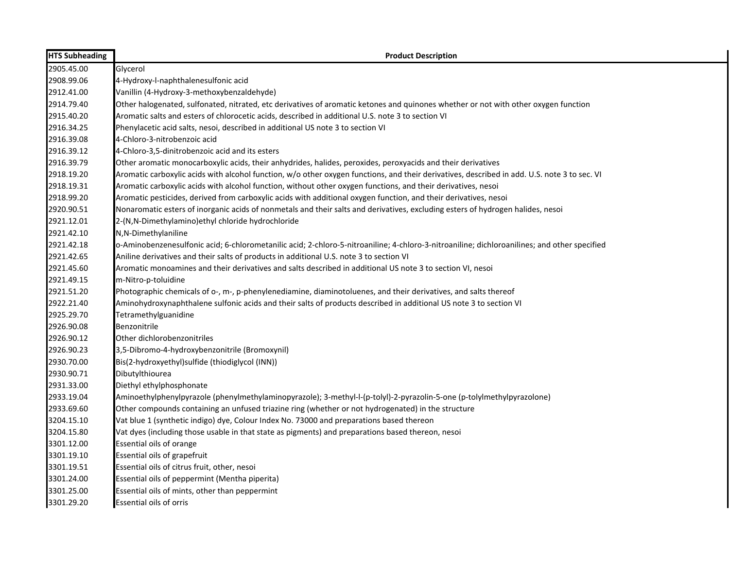| <b>HTS Subheading</b> | <b>Product Description</b>                                                                                                                   |
|-----------------------|----------------------------------------------------------------------------------------------------------------------------------------------|
| 2905.45.00            | Glycerol                                                                                                                                     |
| 2908.99.06            | 4-Hydroxy-l-naphthalenesulfonic acid                                                                                                         |
| 2912.41.00            | Vanillin (4-Hydroxy-3-methoxybenzaldehyde)                                                                                                   |
| 2914.79.40            | Other halogenated, sulfonated, nitrated, etc derivatives of aromatic ketones and quinones whether or not with other oxygen function          |
| 2915.40.20            | Aromatic salts and esters of chlorocetic acids, described in additional U.S. note 3 to section VI                                            |
| 2916.34.25            | Phenylacetic acid salts, nesoi, described in additional US note 3 to section VI                                                              |
| 2916.39.08            | 4-Chloro-3-nitrobenzoic acid                                                                                                                 |
| 2916.39.12            | 4-Chloro-3,5-dinitrobenzoic acid and its esters                                                                                              |
| 2916.39.79            | Other aromatic monocarboxylic acids, their anhydrides, halides, peroxides, peroxyacids and their derivatives                                 |
| 2918.19.20            | Aromatic carboxylic acids with alcohol function, w/o other oxygen functions, and their derivatives, described in add. U.S. note 3 to sec. VI |
| 2918.19.31            | Aromatic carboxylic acids with alcohol function, without other oxygen functions, and their derivatives, nesoi                                |
| 2918.99.20            | Aromatic pesticides, derived from carboxylic acids with additional oxygen function, and their derivatives, nesoi                             |
| 2920.90.51            | Nonaromatic esters of inorganic acids of nonmetals and their salts and derivatives, excluding esters of hydrogen halides, nesoi              |
| 2921.12.01            | 2-(N,N-Dimethylamino)ethyl chloride hydrochloride                                                                                            |
| 2921.42.10            | N,N-Dimethylaniline                                                                                                                          |
| 2921.42.18            | o-Aminobenzenesulfonic acid; 6-chlorometanilic acid; 2-chloro-5-nitroaniline; 4-chloro-3-nitroaniline; dichloroanilines; and other specified |
| 2921.42.65            | Aniline derivatives and their salts of products in additional U.S. note 3 to section VI                                                      |
| 2921.45.60            | Aromatic monoamines and their derivatives and salts described in additional US note 3 to section VI, nesoi                                   |
| 2921.49.15            | m-Nitro-p-toluidine                                                                                                                          |
| 2921.51.20            | Photographic chemicals of o-, m-, p-phenylenediamine, diaminotoluenes, and their derivatives, and salts thereof                              |
| 2922.21.40            | Aminohydroxynaphthalene sulfonic acids and their salts of products described in additional US note 3 to section VI                           |
| 2925.29.70            | Tetramethylguanidine                                                                                                                         |
| 2926.90.08            | Benzonitrile                                                                                                                                 |
| 2926.90.12            | Other dichlorobenzonitriles                                                                                                                  |
| 2926.90.23            | 3,5-Dibromo-4-hydroxybenzonitrile (Bromoxynil)                                                                                               |
| 2930.70.00            | Bis(2-hydroxyethyl)sulfide (thiodiglycol (INN))                                                                                              |
| 2930.90.71            | Dibutylthiourea                                                                                                                              |
| 2931.33.00            | Diethyl ethylphosphonate                                                                                                                     |
| 2933.19.04            | Aminoethylphenylpyrazole (phenylmethylaminopyrazole); 3-methyl-l-(p-tolyl)-2-pyrazolin-5-one (p-tolylmethylpyrazolone)                       |
| 2933.69.60            | Other compounds containing an unfused triazine ring (whether or not hydrogenated) in the structure                                           |
| 3204.15.10            | Vat blue 1 (synthetic indigo) dye, Colour Index No. 73000 and preparations based thereon                                                     |
| 3204.15.80            | Vat dyes (including those usable in that state as pigments) and preparations based thereon, nesoi                                            |
| 3301.12.00            | Essential oils of orange                                                                                                                     |
| 3301.19.10            | Essential oils of grapefruit                                                                                                                 |
| 3301.19.51            | Essential oils of citrus fruit, other, nesoi                                                                                                 |
| 3301.24.00            | Essential oils of peppermint (Mentha piperita)                                                                                               |
| 3301.25.00            | Essential oils of mints, other than peppermint                                                                                               |
| 3301.29.20            | <b>Essential oils of orris</b>                                                                                                               |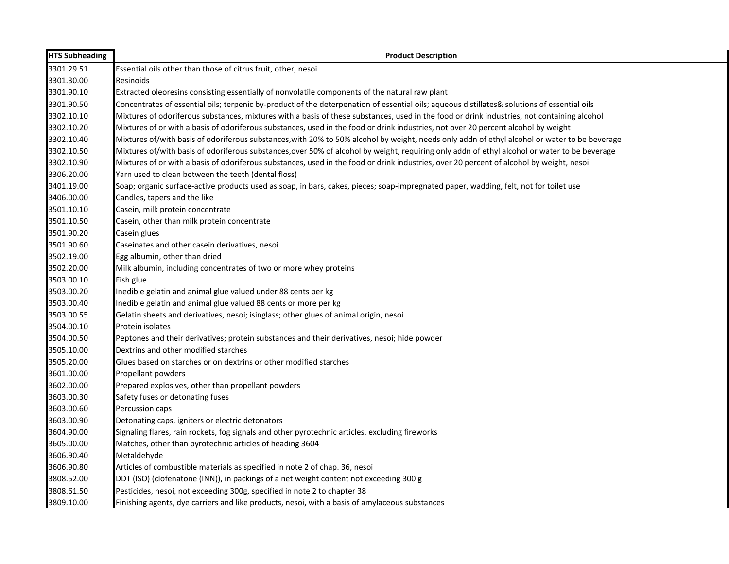| <b>HTS Subheading</b> | <b>Product Description</b>                                                                                                                    |
|-----------------------|-----------------------------------------------------------------------------------------------------------------------------------------------|
| 3301.29.51            | Essential oils other than those of citrus fruit, other, nesoi                                                                                 |
| 3301.30.00            | Resinoids                                                                                                                                     |
| 3301.90.10            | Extracted oleoresins consisting essentially of nonvolatile components of the natural raw plant                                                |
| 3301.90.50            | Concentrates of essential oils; terpenic by-product of the deterpenation of essential oils; aqueous distillates& solutions of essential oils  |
| 3302.10.10            | Mixtures of odoriferous substances, mixtures with a basis of these substances, used in the food or drink industries, not containing alcohol   |
| 3302.10.20            | Mixtures of or with a basis of odoriferous substances, used in the food or drink industries, not over 20 percent alcohol by weight            |
| 3302.10.40            | Mixtures of/with basis of odoriferous substances, with 20% to 50% alcohol by weight, needs only addn of ethyl alcohol or water to be beverage |
| 3302.10.50            | Mixtures of/with basis of odoriferous substances,over 50% of alcohol by weight, requiring only addn of ethyl alcohol or water to be beverage  |
| 3302.10.90            | Mixtures of or with a basis of odoriferous substances, used in the food or drink industries, over 20 percent of alcohol by weight, nesoi      |
| 3306.20.00            | Yarn used to clean between the teeth (dental floss)                                                                                           |
| 3401.19.00            | Soap; organic surface-active products used as soap, in bars, cakes, pieces; soap-impregnated paper, wadding, felt, not for toilet use         |
| 3406.00.00            | Candles, tapers and the like                                                                                                                  |
| 3501.10.10            | Casein, milk protein concentrate                                                                                                              |
| 3501.10.50            | Casein, other than milk protein concentrate                                                                                                   |
| 3501.90.20            | Casein glues                                                                                                                                  |
| 3501.90.60            | Caseinates and other casein derivatives, nesoi                                                                                                |
| 3502.19.00            | Egg albumin, other than dried                                                                                                                 |
| 3502.20.00            | Milk albumin, including concentrates of two or more whey proteins                                                                             |
| 3503.00.10            | Fish glue                                                                                                                                     |
| 3503.00.20            | Inedible gelatin and animal glue valued under 88 cents per kg                                                                                 |
| 3503.00.40            | Inedible gelatin and animal glue valued 88 cents or more per kg                                                                               |
| 3503.00.55            | Gelatin sheets and derivatives, nesoi; isinglass; other glues of animal origin, nesoi                                                         |
| 3504.00.10            | Protein isolates                                                                                                                              |
| 3504.00.50            | Peptones and their derivatives; protein substances and their derivatives, nesoi; hide powder                                                  |
| 3505.10.00            | Dextrins and other modified starches                                                                                                          |
| 3505.20.00            | Glues based on starches or on dextrins or other modified starches                                                                             |
| 3601.00.00            | Propellant powders                                                                                                                            |
| 3602.00.00            | Prepared explosives, other than propellant powders                                                                                            |
| 3603.00.30            | Safety fuses or detonating fuses                                                                                                              |
| 3603.00.60            | Percussion caps                                                                                                                               |
| 3603.00.90            | Detonating caps, igniters or electric detonators                                                                                              |
| 3604.90.00            | Signaling flares, rain rockets, fog signals and other pyrotechnic articles, excluding fireworks                                               |
| 3605.00.00            | Matches, other than pyrotechnic articles of heading 3604                                                                                      |
| 3606.90.40            | Metaldehyde                                                                                                                                   |
| 3606.90.80            | Articles of combustible materials as specified in note 2 of chap. 36, nesoi                                                                   |
| 3808.52.00            | DDT (ISO) (clofenatone (INN)), in packings of a net weight content not exceeding 300 g                                                        |
| 3808.61.50            | Pesticides, nesoi, not exceeding 300g, specified in note 2 to chapter 38                                                                      |
| 3809.10.00            | Finishing agents, dye carriers and like products, nesoi, with a basis of amylaceous substances                                                |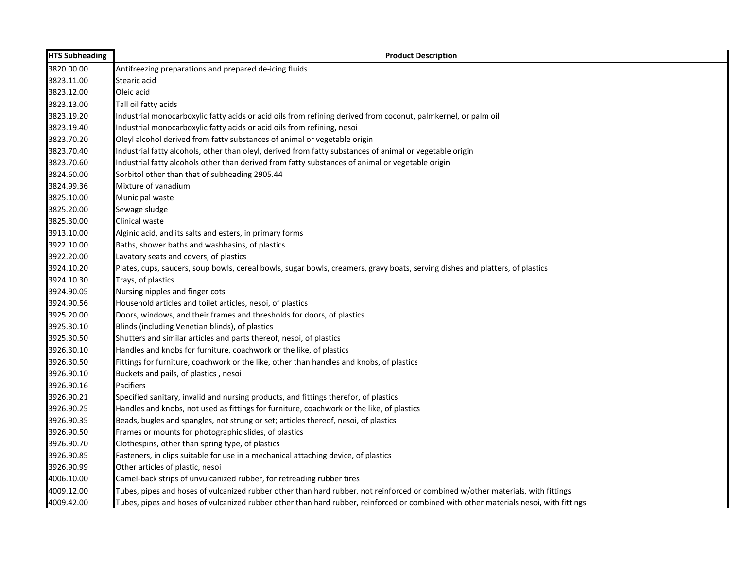| <b>HTS Subheading</b> | <b>Product Description</b>                                                                                                           |
|-----------------------|--------------------------------------------------------------------------------------------------------------------------------------|
| 3820.00.00            | Antifreezing preparations and prepared de-icing fluids                                                                               |
| 3823.11.00            | Stearic acid                                                                                                                         |
| 3823.12.00            | Oleic acid                                                                                                                           |
| 3823.13.00            | Tall oil fatty acids                                                                                                                 |
| 3823.19.20            | Industrial monocarboxylic fatty acids or acid oils from refining derived from coconut, palmkernel, or palm oil                       |
| 3823.19.40            | Industrial monocarboxylic fatty acids or acid oils from refining, nesoi                                                              |
| 3823.70.20            | Oleyl alcohol derived from fatty substances of animal or vegetable origin                                                            |
| 3823.70.40            | Industrial fatty alcohols, other than oleyl, derived from fatty substances of animal or vegetable origin                             |
| 3823.70.60            | Industrial fatty alcohols other than derived from fatty substances of animal or vegetable origin                                     |
| 3824.60.00            | Sorbitol other than that of subheading 2905.44                                                                                       |
| 3824.99.36            | Mixture of vanadium                                                                                                                  |
| 3825.10.00            | Municipal waste                                                                                                                      |
| 3825.20.00            | Sewage sludge                                                                                                                        |
| 3825.30.00            | Clinical waste                                                                                                                       |
| 3913.10.00            | Alginic acid, and its salts and esters, in primary forms                                                                             |
| 3922.10.00            | Baths, shower baths and washbasins, of plastics                                                                                      |
| 3922.20.00            | Lavatory seats and covers, of plastics                                                                                               |
| 3924.10.20            | Plates, cups, saucers, soup bowls, cereal bowls, sugar bowls, creamers, gravy boats, serving dishes and platters, of plastics        |
| 3924.10.30            | Trays, of plastics                                                                                                                   |
| 3924.90.05            | Nursing nipples and finger cots                                                                                                      |
| 3924.90.56            | Household articles and toilet articles, nesoi, of plastics                                                                           |
| 3925.20.00            | Doors, windows, and their frames and thresholds for doors, of plastics                                                               |
| 3925.30.10            | Blinds (including Venetian blinds), of plastics                                                                                      |
| 3925.30.50            | Shutters and similar articles and parts thereof, nesoi, of plastics                                                                  |
| 3926.30.10            | Handles and knobs for furniture, coachwork or the like, of plastics                                                                  |
| 3926.30.50            | Fittings for furniture, coachwork or the like, other than handles and knobs, of plastics                                             |
| 3926.90.10            | Buckets and pails, of plastics, nesoi                                                                                                |
| 3926.90.16            | <b>Pacifiers</b>                                                                                                                     |
| 3926.90.21            | Specified sanitary, invalid and nursing products, and fittings therefor, of plastics                                                 |
| 3926.90.25            | Handles and knobs, not used as fittings for furniture, coachwork or the like, of plastics                                            |
| 3926.90.35            | Beads, bugles and spangles, not strung or set; articles thereof, nesoi, of plastics                                                  |
| 3926.90.50            | Frames or mounts for photographic slides, of plastics                                                                                |
| 3926.90.70            | Clothespins, other than spring type, of plastics                                                                                     |
| 3926.90.85            | Fasteners, in clips suitable for use in a mechanical attaching device, of plastics                                                   |
| 3926.90.99            | Other articles of plastic, nesoi                                                                                                     |
| 4006.10.00            | Camel-back strips of unvulcanized rubber, for retreading rubber tires                                                                |
| 4009.12.00            | Tubes, pipes and hoses of vulcanized rubber other than hard rubber, not reinforced or combined w/other materials, with fittings      |
| 4009.42.00            | Tubes, pipes and hoses of vulcanized rubber other than hard rubber, reinforced or combined with other materials nesoi, with fittings |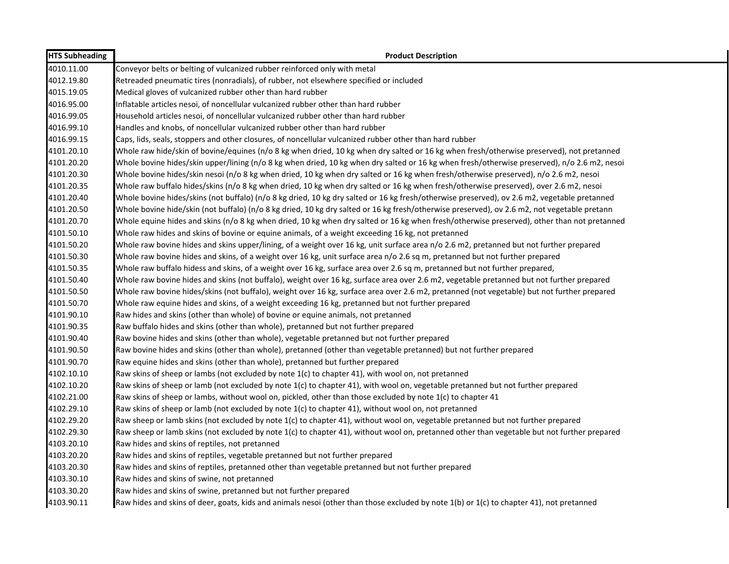| <b>HTS Subheading</b> | <b>Product Description</b>                                                                                                                   |
|-----------------------|----------------------------------------------------------------------------------------------------------------------------------------------|
| 4010.11.00            | Conveyor belts or belting of vulcanized rubber reinforced only with metal                                                                    |
| 4012.19.80            | Retreaded pneumatic tires (nonradials), of rubber, not elsewhere specified or included                                                       |
| 4015.19.05            | Medical gloves of vulcanized rubber other than hard rubber                                                                                   |
| 4016.95.00            | Inflatable articles nesoi, of noncellular vulcanized rubber other than hard rubber                                                           |
| 4016.99.05            | Household articles nesoi, of noncellular vulcanized rubber other than hard rubber                                                            |
| 4016.99.10            | Handles and knobs, of noncellular vulcanized rubber other than hard rubber                                                                   |
| 4016.99.15            | Caps, lids, seals, stoppers and other closures, of noncellular vulcanized rubber other than hard rubber                                      |
| 4101.20.10            | Whole raw hide/skin of bovine/equines (n/o 8 kg when dried, 10 kg when dry salted or 16 kg when fresh/otherwise preserved), not pretanned    |
| 4101.20.20            | Whole bovine hides/skin upper/lining (n/o 8 kg when dried, 10 kg when dry salted or 16 kg when fresh/otherwise preserved), n/o 2.6 m2, nesoi |
| 4101.20.30            | Whole bovine hides/skin nesoi (n/o 8 kg when dried, 10 kg when dry salted or 16 kg when fresh/otherwise preserved), n/o 2.6 m2, nesoi        |
| 4101.20.35            | Whole raw buffalo hides/skins (n/o 8 kg when dried, 10 kg when dry salted or 16 kg when fresh/otherwise preserved), over 2.6 m2, nesoi       |
| 4101.20.40            | Whole bovine hides/skins (not buffalo) (n/o 8 kg dried, 10 kg dry salted or 16 kg fresh/otherwise preserved), ov 2.6 m2, vegetable pretanned |
| 4101.20.50            | Whole bovine hide/skin (not buffalo) (n/o 8 kg dried, 10 kg dry salted or 16 kg fresh/otherwise preserved), ov 2.6 m2, not vegetable pretann |
| 4101.20.70            | Whole equine hides and skins (n/o 8 kg when dried, 10 kg when dry salted or 16 kg when fresh/otherwise preserved), other than not pretanned  |
| 4101.50.10            | Whole raw hides and skins of bovine or equine animals, of a weight exceeding 16 kg, not pretanned                                            |
| 4101.50.20            | Whole raw bovine hides and skins upper/lining, of a weight over 16 kg, unit surface area n/o 2.6 m2, pretanned but not further prepared      |
| 4101.50.30            | Whole raw bovine hides and skins, of a weight over 16 kg, unit surface area n/o 2.6 sq m, pretanned but not further prepared                 |
| 4101.50.35            | Whole raw buffalo hidess and skins, of a weight over 16 kg, surface area over 2.6 sq m, pretanned but not further prepared,                  |
| 4101.50.40            | Whole raw bovine hides and skins (not buffalo), weight over 16 kg, surface area over 2.6 m2, vegetable pretanned but not further prepared    |
| 4101.50.50            | Whole raw bovine hides/skins (not buffalo), weight over 16 kg, surface area over 2.6 m2, pretanned (not vegetable) but not further prepared  |
| 4101.50.70            | Whole raw equine hides and skins, of a weight exceeding 16 kg, pretanned but not further prepared                                            |
| 4101.90.10            | Raw hides and skins (other than whole) of bovine or equine animals, not pretanned                                                            |
| 4101.90.35            | Raw buffalo hides and skins (other than whole), pretanned but not further prepared                                                           |
| 4101.90.40            | Raw bovine hides and skins (other than whole), vegetable pretanned but not further prepared                                                  |
| 4101.90.50            | Raw bovine hides and skins (other than whole), pretanned (other than vegetable pretanned) but not further prepared                           |
| 4101.90.70            | Raw equine hides and skins (other than whole), pretanned but further prepared                                                                |
| 4102.10.10            | Raw skins of sheep or lambs (not excluded by note 1(c) to chapter 41), with wool on, not pretanned                                           |
| 4102.10.20            | Raw skins of sheep or lamb (not excluded by note 1(c) to chapter 41), with wool on, vegetable pretanned but not further prepared             |
| 4102.21.00            | Raw skins of sheep or lambs, without wool on, pickled, other than those excluded by note 1(c) to chapter 41                                  |
| 4102.29.10            | Raw skins of sheep or lamb (not excluded by note 1(c) to chapter 41), without wool on, not pretanned                                         |
| 4102.29.20            | Raw sheep or lamb skins (not excluded by note 1(c) to chapter 41), without wool on, vegetable pretanned but not further prepared             |
| 4102.29.30            | Raw sheep or lamb skins (not excluded by note 1(c) to chapter 41), without wool on, pretanned other than vegetable but not further prepared  |
| 4103.20.10            | Raw hides and skins of reptiles, not pretanned                                                                                               |
| 4103.20.20            | Raw hides and skins of reptiles, vegetable pretanned but not further prepared                                                                |
| 4103.20.30            | Raw hides and skins of reptiles, pretanned other than vegetable pretanned but not further prepared                                           |
| 4103.30.10            | Raw hides and skins of swine, not pretanned                                                                                                  |
| 4103.30.20            | Raw hides and skins of swine, pretanned but not further prepared                                                                             |
| 4103.90.11            | Raw hides and skins of deer, goats, kids and animals nesoi (other than those excluded by note 1(b) or 1(c) to chapter 41), not pretanned     |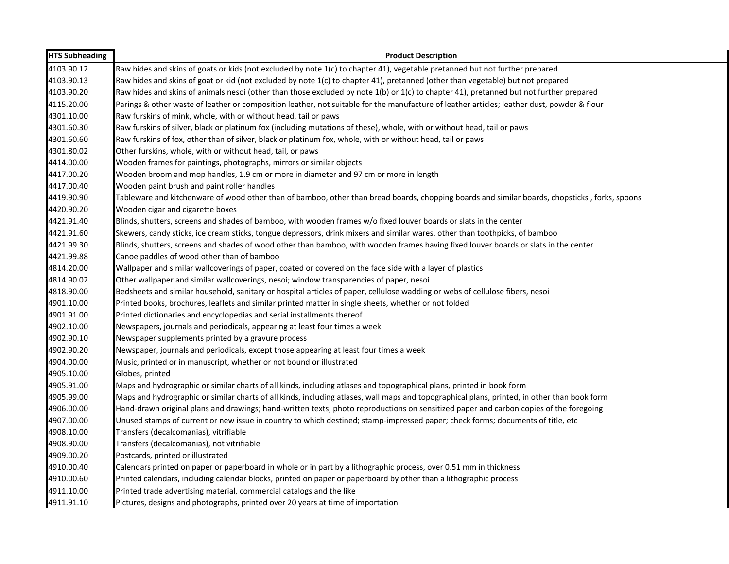| <b>HTS Subheading</b> | <b>Product Description</b>                                                                                                                     |
|-----------------------|------------------------------------------------------------------------------------------------------------------------------------------------|
| 4103.90.12            | Raw hides and skins of goats or kids (not excluded by note 1(c) to chapter 41), vegetable pretanned but not further prepared                   |
| 4103.90.13            | Raw hides and skins of goat or kid (not excluded by note 1(c) to chapter 41), pretanned (other than vegetable) but not prepared                |
| 4103.90.20            | Raw hides and skins of animals nesoi (other than those excluded by note 1(b) or 1(c) to chapter 41), pretanned but not further prepared        |
| 4115.20.00            | Parings & other waste of leather or composition leather, not suitable for the manufacture of leather articles; leather dust, powder & flour    |
| 4301.10.00            | Raw furskins of mink, whole, with or without head, tail or paws                                                                                |
| 4301.60.30            | Raw furskins of silver, black or platinum fox (including mutations of these), whole, with or without head, tail or paws                        |
| 4301.60.60            | Raw furskins of fox, other than of silver, black or platinum fox, whole, with or without head, tail or paws                                    |
| 4301.80.02            | Other furskins, whole, with or without head, tail, or paws                                                                                     |
| 4414.00.00            | Wooden frames for paintings, photographs, mirrors or similar objects                                                                           |
| 4417.00.20            | Wooden broom and mop handles, 1.9 cm or more in diameter and 97 cm or more in length                                                           |
| 4417.00.40            | Wooden paint brush and paint roller handles                                                                                                    |
| 4419.90.90            | Tableware and kitchenware of wood other than of bamboo, other than bread boards, chopping boards and similar boards, chopsticks, forks, spoons |
| 4420.90.20            | Wooden cigar and cigarette boxes                                                                                                               |
| 4421.91.40            | Blinds, shutters, screens and shades of bamboo, with wooden frames w/o fixed louver boards or slats in the center                              |
| 4421.91.60            | Skewers, candy sticks, ice cream sticks, tongue depressors, drink mixers and similar wares, other than toothpicks, of bamboo                   |
| 4421.99.30            | Blinds, shutters, screens and shades of wood other than bamboo, with wooden frames having fixed louver boards or slats in the center           |
| 4421.99.88            | Canoe paddles of wood other than of bamboo                                                                                                     |
| 4814.20.00            | Wallpaper and similar wallcoverings of paper, coated or covered on the face side with a layer of plastics                                      |
| 4814.90.02            | Other wallpaper and similar wallcoverings, nesoi; window transparencies of paper, nesoi                                                        |
| 4818.90.00            | Bedsheets and similar household, sanitary or hospital articles of paper, cellulose wadding or webs of cellulose fibers, nesoi                  |
| 4901.10.00            | Printed books, brochures, leaflets and similar printed matter in single sheets, whether or not folded                                          |
| 4901.91.00            | Printed dictionaries and encyclopedias and serial installments thereof                                                                         |
| 4902.10.00            | Newspapers, journals and periodicals, appearing at least four times a week                                                                     |
| 4902.90.10            | Newspaper supplements printed by a gravure process                                                                                             |
| 4902.90.20            | Newspaper, journals and periodicals, except those appearing at least four times a week                                                         |
| 4904.00.00            | Music, printed or in manuscript, whether or not bound or illustrated                                                                           |
| 4905.10.00            | Globes, printed                                                                                                                                |
| 4905.91.00            | Maps and hydrographic or similar charts of all kinds, including atlases and topographical plans, printed in book form                          |
| 4905.99.00            | Maps and hydrographic or similar charts of all kinds, including atlases, wall maps and topographical plans, printed, in other than book form   |
| 4906.00.00            | Hand-drawn original plans and drawings; hand-written texts; photo reproductions on sensitized paper and carbon copies of the foregoing         |
| 4907.00.00            | Unused stamps of current or new issue in country to which destined; stamp-impressed paper; check forms; documents of title, etc                |
| 4908.10.00            | Transfers (decalcomanias), vitrifiable                                                                                                         |
| 4908.90.00            | Transfers (decalcomanias), not vitrifiable                                                                                                     |
| 4909.00.20            | Postcards, printed or illustrated                                                                                                              |
| 4910.00.40            | Calendars printed on paper or paperboard in whole or in part by a lithographic process, over 0.51 mm in thickness                              |
| 4910.00.60            | Printed calendars, including calendar blocks, printed on paper or paperboard by other than a lithographic process                              |
| 4911.10.00            | Printed trade advertising material, commercial catalogs and the like                                                                           |
| 4911.91.10            | Pictures, designs and photographs, printed over 20 years at time of importation                                                                |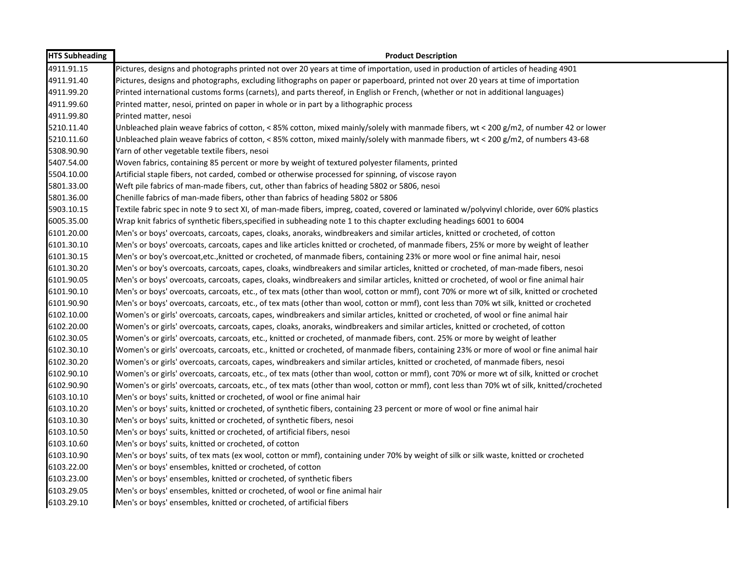| <b>HTS Subheading</b> | <b>Product Description</b>                                                                                                                  |
|-----------------------|---------------------------------------------------------------------------------------------------------------------------------------------|
| 4911.91.15            | Pictures, designs and photographs printed not over 20 years at time of importation, used in production of articles of heading 4901          |
| 4911.91.40            | Pictures, designs and photographs, excluding lithographs on paper or paperboard, printed not over 20 years at time of importation           |
| 4911.99.20            | Printed international customs forms (carnets), and parts thereof, in English or French, (whether or not in additional languages)            |
| 4911.99.60            | Printed matter, nesoi, printed on paper in whole or in part by a lithographic process                                                       |
| 4911.99.80            | Printed matter, nesoi                                                                                                                       |
| 5210.11.40            | Unbleached plain weave fabrics of cotton, < 85% cotton, mixed mainly/solely with manmade fibers, wt < 200 g/m2, of number 42 or lower       |
| 5210.11.60            | Unbleached plain weave fabrics of cotton, < 85% cotton, mixed mainly/solely with manmade fibers, wt < 200 g/m2, of numbers 43-68            |
| 5308.90.90            | Yarn of other vegetable textile fibers, nesoi                                                                                               |
| 5407.54.00            | Woven fabrics, containing 85 percent or more by weight of textured polyester filaments, printed                                             |
| 5504.10.00            | Artificial staple fibers, not carded, combed or otherwise processed for spinning, of viscose rayon                                          |
| 5801.33.00            | Weft pile fabrics of man-made fibers, cut, other than fabrics of heading 5802 or 5806, nesoi                                                |
| 5801.36.00            | Chenille fabrics of man-made fibers, other than fabrics of heading 5802 or 5806                                                             |
| 5903.10.15            | Textile fabric spec in note 9 to sect XI, of man-made fibers, impreg, coated, covered or laminated w/polyvinyl chloride, over 60% plastics  |
| 6005.35.00            | Wrap knit fabrics of synthetic fibers, specified in subheading note 1 to this chapter excluding headings 6001 to 6004                       |
| 6101.20.00            | Men's or boys' overcoats, carcoats, capes, cloaks, anoraks, windbreakers and similar articles, knitted or crocheted, of cotton              |
| 6101.30.10            | Men's or boys' overcoats, carcoats, capes and like articles knitted or crocheted, of manmade fibers, 25% or more by weight of leather       |
| 6101.30.15            | Men's or boy's overcoat, etc., knitted or crocheted, of manmade fibers, containing 23% or more wool or fine animal hair, nesoi              |
| 6101.30.20            | Men's or boy's overcoats, carcoats, capes, cloaks, windbreakers and similar articles, knitted or crocheted, of man-made fibers, nesoi       |
| 6101.90.05            | Men's or boys' overcoats, carcoats, capes, cloaks, windbreakers and similar articles, knitted or crocheted, of wool or fine animal hair     |
| 6101.90.10            | Men's or boys' overcoats, carcoats, etc., of tex mats (other than wool, cotton or mmf), cont 70% or more wt of silk, knitted or crocheted   |
| 6101.90.90            | Men's or boys' overcoats, carcoats, etc., of tex mats (other than wool, cotton or mmf), cont less than 70% wt silk, knitted or crocheted    |
| 6102.10.00            | Women's or girls' overcoats, carcoats, capes, windbreakers and similar articles, knitted or crocheted, of wool or fine animal hair          |
| 6102.20.00            | Women's or girls' overcoats, carcoats, capes, cloaks, anoraks, windbreakers and similar articles, knitted or crocheted, of cotton           |
| 6102.30.05            | Women's or girls' overcoats, carcoats, etc., knitted or crocheted, of manmade fibers, cont. 25% or more by weight of leather                |
| 6102.30.10            | Women's or girls' overcoats, carcoats, etc., knitted or crocheted, of manmade fibers, containing 23% or more of wool or fine animal hair    |
| 6102.30.20            | Women's or girls' overcoats, carcoats, capes, windbreakers and similar articles, knitted or crocheted, of manmade fibers, nesoi             |
| 6102.90.10            | Women's or girls' overcoats, carcoats, etc., of tex mats (other than wool, cotton or mmf), cont 70% or more wt of silk, knitted or crochet  |
| 6102.90.90            | Women's or girls' overcoats, carcoats, etc., of tex mats (other than wool, cotton or mmf), cont less than 70% wt of silk, knitted/crocheted |
| 6103.10.10            | Men's or boys' suits, knitted or crocheted, of wool or fine animal hair                                                                     |
| 6103.10.20            | Men's or boys' suits, knitted or crocheted, of synthetic fibers, containing 23 percent or more of wool or fine animal hair                  |
| 6103.10.30            | Men's or boys' suits, knitted or crocheted, of synthetic fibers, nesoi                                                                      |
| 6103.10.50            | Men's or boys' suits, knitted or crocheted, of artificial fibers, nesoi                                                                     |
| 6103.10.60            | Men's or boys' suits, knitted or crocheted, of cotton                                                                                       |
| 6103.10.90            | Men's or boys' suits, of tex mats (ex wool, cotton or mmf), containing under 70% by weight of silk or silk waste, knitted or crocheted      |
| 6103.22.00            | Men's or boys' ensembles, knitted or crocheted, of cotton                                                                                   |
| 6103.23.00            | Men's or boys' ensembles, knitted or crocheted, of synthetic fibers                                                                         |
| 6103.29.05            | Men's or boys' ensembles, knitted or crocheted, of wool or fine animal hair                                                                 |
| 6103.29.10            | Men's or boys' ensembles, knitted or crocheted, of artificial fibers                                                                        |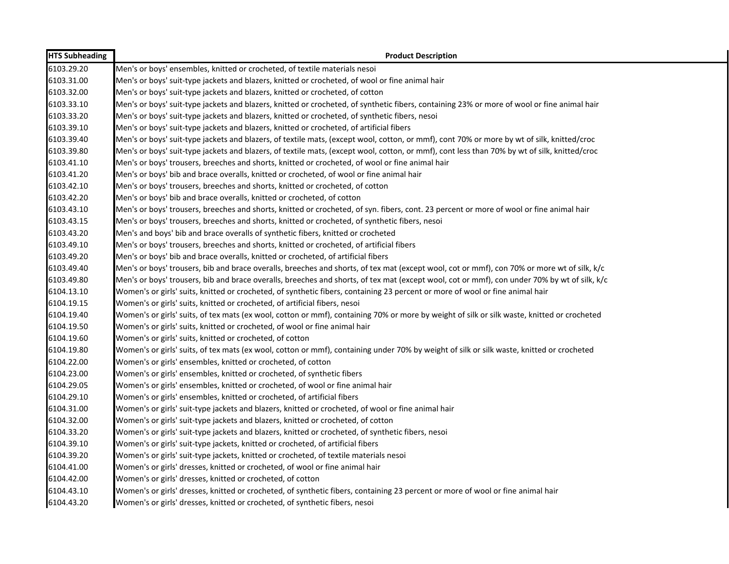| <b>HTS Subheading</b> | <b>Product Description</b>                                                                                                                   |
|-----------------------|----------------------------------------------------------------------------------------------------------------------------------------------|
| 6103.29.20            | Men's or boys' ensembles, knitted or crocheted, of textile materials nesoi                                                                   |
| 6103.31.00            | Men's or boys' suit-type jackets and blazers, knitted or crocheted, of wool or fine animal hair                                              |
| 6103.32.00            | Men's or boys' suit-type jackets and blazers, knitted or crocheted, of cotton                                                                |
| 6103.33.10            | Men's or boys' suit-type jackets and blazers, knitted or crocheted, of synthetic fibers, containing 23% or more of wool or fine animal hair  |
| 6103.33.20            | Men's or boys' suit-type jackets and blazers, knitted or crocheted, of synthetic fibers, nesoi                                               |
| 6103.39.10            | Men's or boys' suit-type jackets and blazers, knitted or crocheted, of artificial fibers                                                     |
| 6103.39.40            | Men's or boys' suit-type jackets and blazers, of textile mats, (except wool, cotton, or mmf), cont 70% or more by wt of silk, knitted/croc   |
| 6103.39.80            | Men's or boys' suit-type jackets and blazers, of textile mats, (except wool, cotton, or mmf), cont less than 70% by wt of silk, knitted/croc |
| 6103.41.10            | Men's or boys' trousers, breeches and shorts, knitted or crocheted, of wool or fine animal hair                                              |
| 6103.41.20            | Men's or boys' bib and brace overalls, knitted or crocheted, of wool or fine animal hair                                                     |
| 6103.42.10            | Men's or boys' trousers, breeches and shorts, knitted or crocheted, of cotton                                                                |
| 6103.42.20            | Men's or boys' bib and brace overalls, knitted or crocheted, of cotton                                                                       |
| 6103.43.10            | Men's or boys' trousers, breeches and shorts, knitted or crocheted, of syn. fibers, cont. 23 percent or more of wool or fine animal hair     |
| 6103.43.15            | Men's or boys' trousers, breeches and shorts, knitted or crocheted, of synthetic fibers, nesoi                                               |
| 6103.43.20            | Men's and boys' bib and brace overalls of synthetic fibers, knitted or crocheted                                                             |
| 6103.49.10            | Men's or boys' trousers, breeches and shorts, knitted or crocheted, of artificial fibers                                                     |
| 6103.49.20            | Men's or boys' bib and brace overalls, knitted or crocheted, of artificial fibers                                                            |
| 6103.49.40            | Men's or boys' trousers, bib and brace overalls, breeches and shorts, of tex mat (except wool, cot or mmf), con 70% or more wt of silk, k/c  |
| 6103.49.80            | Men's or boys' trousers, bib and brace overalls, breeches and shorts, of tex mat (except wool, cot or mmf), con under 70% by wt of silk, k/c |
| 6104.13.10            | Women's or girls' suits, knitted or crocheted, of synthetic fibers, containing 23 percent or more of wool or fine animal hair                |
| 6104.19.15            | Women's or girls' suits, knitted or crocheted, of artificial fibers, nesoi                                                                   |
| 6104.19.40            | Women's or girls' suits, of tex mats (ex wool, cotton or mmf), containing 70% or more by weight of silk or silk waste, knitted or crocheted  |
| 6104.19.50            | Women's or girls' suits, knitted or crocheted, of wool or fine animal hair                                                                   |
| 6104.19.60            | Women's or girls' suits, knitted or crocheted, of cotton                                                                                     |
| 6104.19.80            | Women's or girls' suits, of tex mats (ex wool, cotton or mmf), containing under 70% by weight of silk or silk waste, knitted or crocheted    |
| 6104.22.00            | Women's or girls' ensembles, knitted or crocheted, of cotton                                                                                 |
| 6104.23.00            | Women's or girls' ensembles, knitted or crocheted, of synthetic fibers                                                                       |
| 6104.29.05            | Women's or girls' ensembles, knitted or crocheted, of wool or fine animal hair                                                               |
| 6104.29.10            | Women's or girls' ensembles, knitted or crocheted, of artificial fibers                                                                      |
| 6104.31.00            | Women's or girls' suit-type jackets and blazers, knitted or crocheted, of wool or fine animal hair                                           |
| 6104.32.00            | Women's or girls' suit-type jackets and blazers, knitted or crocheted, of cotton                                                             |
| 6104.33.20            | Women's or girls' suit-type jackets and blazers, knitted or crocheted, of synthetic fibers, nesoi                                            |
| 6104.39.10            | Women's or girls' suit-type jackets, knitted or crocheted, of artificial fibers                                                              |
| 6104.39.20            | Women's or girls' suit-type jackets, knitted or crocheted, of textile materials nesoi                                                        |
| 6104.41.00            | Women's or girls' dresses, knitted or crocheted, of wool or fine animal hair                                                                 |
| 6104.42.00            | Women's or girls' dresses, knitted or crocheted, of cotton                                                                                   |
| 6104.43.10            | Women's or girls' dresses, knitted or crocheted, of synthetic fibers, containing 23 percent or more of wool or fine animal hair              |
| 6104.43.20            | Women's or girls' dresses, knitted or crocheted, of synthetic fibers, nesoi                                                                  |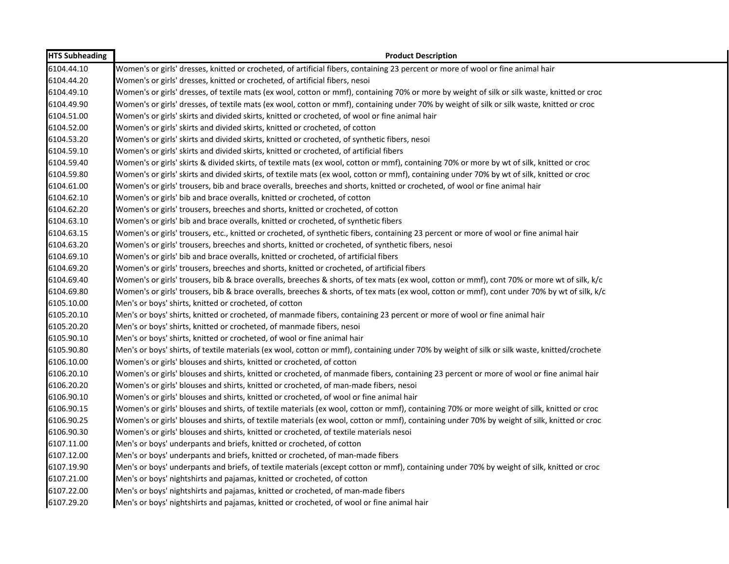| <b>HTS Subheading</b> | <b>Product Description</b>                                                                                                                   |
|-----------------------|----------------------------------------------------------------------------------------------------------------------------------------------|
| 6104.44.10            | Women's or girls' dresses, knitted or crocheted, of artificial fibers, containing 23 percent or more of wool or fine animal hair             |
| 6104.44.20            | Women's or girls' dresses, knitted or crocheted, of artificial fibers, nesoi                                                                 |
| 6104.49.10            | Women's or girls' dresses, of textile mats (ex wool, cotton or mmf), containing 70% or more by weight of silk or silk waste, knitted or croc |
| 6104.49.90            | Women's or girls' dresses, of textile mats (ex wool, cotton or mmf), containing under 70% by weight of silk or silk waste, knitted or croc   |
| 6104.51.00            | Women's or girls' skirts and divided skirts, knitted or crocheted, of wool or fine animal hair                                               |
| 6104.52.00            | Women's or girls' skirts and divided skirts, knitted or crocheted, of cotton                                                                 |
| 6104.53.20            | Women's or girls' skirts and divided skirts, knitted or crocheted, of synthetic fibers, nesoi                                                |
| 6104.59.10            | Women's or girls' skirts and divided skirts, knitted or crocheted, of artificial fibers                                                      |
| 6104.59.40            | Women's or girls' skirts & divided skirts, of textile mats (ex wool, cotton or mmf), containing 70% or more by wt of silk, knitted or croc   |
| 6104.59.80            | Women's or girls' skirts and divided skirts, of textile mats (ex wool, cotton or mmf), containing under 70% by wt of silk, knitted or croc   |
| 6104.61.00            | Women's or girls' trousers, bib and brace overalls, breeches and shorts, knitted or crocheted, of wool or fine animal hair                   |
| 6104.62.10            | Women's or girls' bib and brace overalls, knitted or crocheted, of cotton                                                                    |
| 6104.62.20            | Women's or girls' trousers, breeches and shorts, knitted or crocheted, of cotton                                                             |
| 6104.63.10            | Women's or girls' bib and brace overalls, knitted or crocheted, of synthetic fibers                                                          |
| 6104.63.15            | Women's or girls' trousers, etc., knitted or crocheted, of synthetic fibers, containing 23 percent or more of wool or fine animal hair       |
| 6104.63.20            | Women's or girls' trousers, breeches and shorts, knitted or crocheted, of synthetic fibers, nesoi                                            |
| 6104.69.10            | Women's or girls' bib and brace overalls, knitted or crocheted, of artificial fibers                                                         |
| 6104.69.20            | Women's or girls' trousers, breeches and shorts, knitted or crocheted, of artificial fibers                                                  |
| 6104.69.40            | Women's or girls' trousers, bib & brace overalls, breeches & shorts, of tex mats (ex wool, cotton or mmf), cont 70% or more wt of silk, k/c  |
| 6104.69.80            | Women's or girls' trousers, bib & brace overalls, breeches & shorts, of tex mats (ex wool, cotton or mmf), cont under 70% by wt of silk, k/c |
| 6105.10.00            | Men's or boys' shirts, knitted or crocheted, of cotton                                                                                       |
| 6105.20.10            | Men's or boys' shirts, knitted or crocheted, of manmade fibers, containing 23 percent or more of wool or fine animal hair                    |
| 6105.20.20            | Men's or boys' shirts, knitted or crocheted, of manmade fibers, nesoi                                                                        |
| 6105.90.10            | Men's or boys' shirts, knitted or crocheted, of wool or fine animal hair                                                                     |
| 6105.90.80            | Men's or boys' shirts, of textile materials (ex wool, cotton or mmf), containing under 70% by weight of silk or silk waste, knitted/crochete |
| 6106.10.00            | Women's or girls' blouses and shirts, knitted or crocheted, of cotton                                                                        |
| 6106.20.10            | Women's or girls' blouses and shirts, knitted or crocheted, of manmade fibers, containing 23 percent or more of wool or fine animal hair     |
| 6106.20.20            | Women's or girls' blouses and shirts, knitted or crocheted, of man-made fibers, nesoi                                                        |
| 6106.90.10            | Women's or girls' blouses and shirts, knitted or crocheted, of wool or fine animal hair                                                      |
| 6106.90.15            | Women's or girls' blouses and shirts, of textile materials (ex wool, cotton or mmf), containing 70% or more weight of silk, knitted or croc  |
| 6106.90.25            | Women's or girls' blouses and shirts, of textile materials (ex wool, cotton or mmf), containing under 70% by weight of silk, knitted or croc |
| 6106.90.30            | Women's or girls' blouses and shirts, knitted or crocheted, of textile materials nesoi                                                       |
| 6107.11.00            | Men's or boys' underpants and briefs, knitted or crocheted, of cotton                                                                        |
| 6107.12.00            | Men's or boys' underpants and briefs, knitted or crocheted, of man-made fibers                                                               |
| 6107.19.90            | Men's or boys' underpants and briefs, of textile materials (except cotton or mmf), containing under 70% by weight of silk, knitted or croc   |
| 6107.21.00            | Men's or boys' nightshirts and pajamas, knitted or crocheted, of cotton                                                                      |
| 6107.22.00            | Men's or boys' nightshirts and pajamas, knitted or crocheted, of man-made fibers                                                             |
| 6107.29.20            | Men's or boys' nightshirts and pajamas, knitted or crocheted, of wool or fine animal hair                                                    |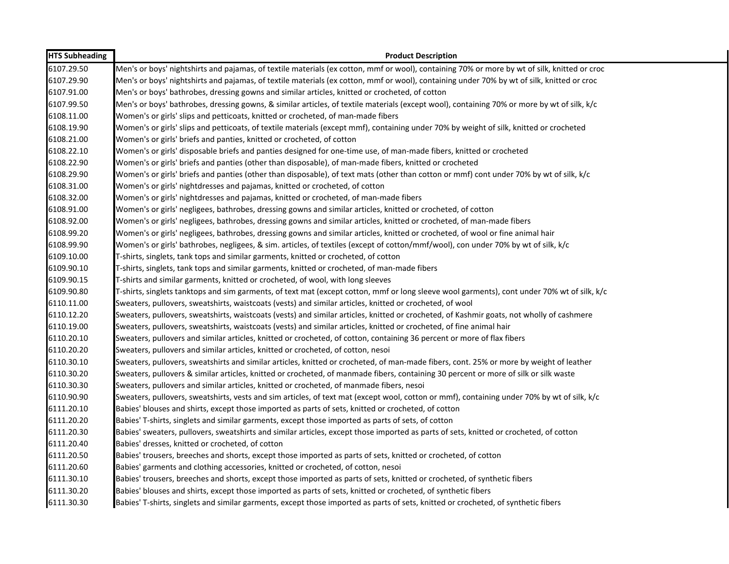| <b>HTS Subheading</b> | <b>Product Description</b>                                                                                                                   |
|-----------------------|----------------------------------------------------------------------------------------------------------------------------------------------|
| 6107.29.50            | Men's or boys' nightshirts and pajamas, of textile materials (ex cotton, mmf or wool), containing 70% or more by wt of silk, knitted or croc |
| 6107.29.90            | Men's or boys' nightshirts and pajamas, of textile materials (ex cotton, mmf or wool), containing under 70% by wt of silk, knitted or croc   |
| 6107.91.00            | Men's or boys' bathrobes, dressing gowns and similar articles, knitted or crocheted, of cotton                                               |
| 6107.99.50            | Men's or boys' bathrobes, dressing gowns, & similar articles, of textile materials (except wool), containing 70% or more by wt of silk, k/c  |
| 6108.11.00            | Women's or girls' slips and petticoats, knitted or crocheted, of man-made fibers                                                             |
| 6108.19.90            | Women's or girls' slips and petticoats, of textile materials (except mmf), containing under 70% by weight of silk, knitted or crocheted      |
| 6108.21.00            | Women's or girls' briefs and panties, knitted or crocheted, of cotton                                                                        |
| 6108.22.10            | Women's or girls' disposable briefs and panties designed for one-time use, of man-made fibers, knitted or crocheted                          |
| 6108.22.90            | Women's or girls' briefs and panties (other than disposable), of man-made fibers, knitted or crocheted                                       |
| 6108.29.90            | Women's or girls' briefs and panties (other than disposable), of text mats (other than cotton or mmf) cont under 70% by wt of silk, k/c      |
| 6108.31.00            | Women's or girls' nightdresses and pajamas, knitted or crocheted, of cotton                                                                  |
| 6108.32.00            | Women's or girls' nightdresses and pajamas, knitted or crocheted, of man-made fibers                                                         |
| 6108.91.00            | Women's or girls' negligees, bathrobes, dressing gowns and similar articles, knitted or crocheted, of cotton                                 |
| 6108.92.00            | Women's or girls' negligees, bathrobes, dressing gowns and similar articles, knitted or crocheted, of man-made fibers                        |
| 6108.99.20            | Women's or girls' negligees, bathrobes, dressing gowns and similar articles, knitted or crocheted, of wool or fine animal hair               |
| 6108.99.90            | Women's or girls' bathrobes, negligees, & sim. articles, of textiles (except of cotton/mmf/wool), con under 70% by wt of silk, k/c           |
| 6109.10.00            | T-shirts, singlets, tank tops and similar garments, knitted or crocheted, of cotton                                                          |
| 6109.90.10            | T-shirts, singlets, tank tops and similar garments, knitted or crocheted, of man-made fibers                                                 |
| 6109.90.15            | T-shirts and similar garments, knitted or crocheted, of wool, with long sleeves                                                              |
| 6109.90.80            | T-shirts, singlets tanktops and sim garments, of text mat (except cotton, mmf or long sleeve wool garments), cont under 70% wt of silk, k/c  |
| 6110.11.00            | Sweaters, pullovers, sweatshirts, waistcoats (vests) and similar articles, knitted or crocheted, of wool                                     |
| 6110.12.20            | Sweaters, pullovers, sweatshirts, waistcoats (vests) and similar articles, knitted or crocheted, of Kashmir goats, not wholly of cashmere    |
| 6110.19.00            | Sweaters, pullovers, sweatshirts, waistcoats (vests) and similar articles, knitted or crocheted, of fine animal hair                         |
| 6110.20.10            | Sweaters, pullovers and similar articles, knitted or crocheted, of cotton, containing 36 percent or more of flax fibers                      |
| 6110.20.20            | Sweaters, pullovers and similar articles, knitted or crocheted, of cotton, nesoi                                                             |
| 6110.30.10            | Sweaters, pullovers, sweatshirts and similar articles, knitted or crocheted, of man-made fibers, cont. 25% or more by weight of leather      |
| 6110.30.20            | Sweaters, pullovers & similar articles, knitted or crocheted, of manmade fibers, containing 30 percent or more of silk or silk waste         |
| 6110.30.30            | Sweaters, pullovers and similar articles, knitted or crocheted, of manmade fibers, nesoi                                                     |
| 6110.90.90            | Sweaters, pullovers, sweatshirts, vests and sim articles, of text mat (except wool, cotton or mmf), containing under 70% by wt of silk, k/c  |
| 6111.20.10            | Babies' blouses and shirts, except those imported as parts of sets, knitted or crocheted, of cotton                                          |
| 6111.20.20            | Babies' T-shirts, singlets and similar garments, except those imported as parts of sets, of cotton                                           |
| 6111.20.30            | Babies' sweaters, pullovers, sweatshirts and similar articles, except those imported as parts of sets, knitted or crocheted, of cotton       |
| 6111.20.40            | Babies' dresses, knitted or crocheted, of cotton                                                                                             |
| 6111.20.50            | Babies' trousers, breeches and shorts, except those imported as parts of sets, knitted or crocheted, of cotton                               |
| 6111.20.60            | Babies' garments and clothing accessories, knitted or crocheted, of cotton, nesoi                                                            |
| 6111.30.10            | Babies' trousers, breeches and shorts, except those imported as parts of sets, knitted or crocheted, of synthetic fibers                     |
| 6111.30.20            | Babies' blouses and shirts, except those imported as parts of sets, knitted or crocheted, of synthetic fibers                                |
| 6111.30.30            | Babies' T-shirts, singlets and similar garments, except those imported as parts of sets, knitted or crocheted, of synthetic fibers           |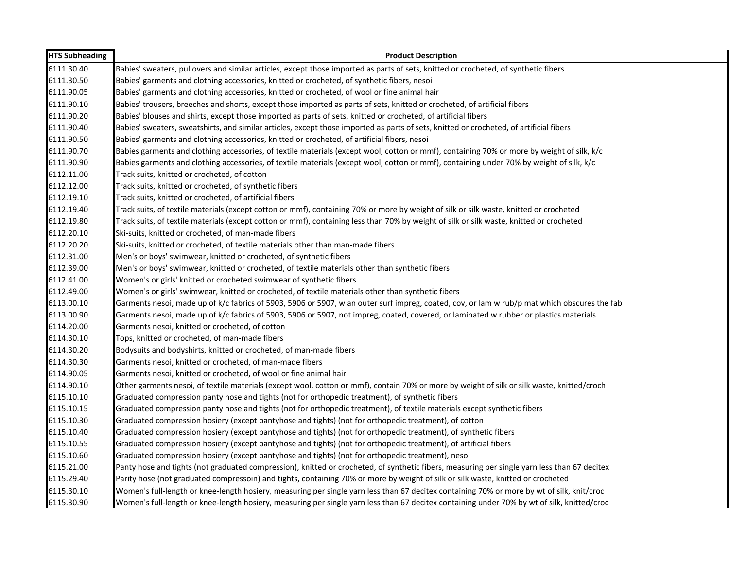| <b>HTS Subheading</b> | <b>Product Description</b>                                                                                                                   |
|-----------------------|----------------------------------------------------------------------------------------------------------------------------------------------|
| 6111.30.40            | Babies' sweaters, pullovers and similar articles, except those imported as parts of sets, knitted or crocheted, of synthetic fibers          |
| 6111.30.50            | Babies' garments and clothing accessories, knitted or crocheted, of synthetic fibers, nesoi                                                  |
| 6111.90.05            | Babies' garments and clothing accessories, knitted or crocheted, of wool or fine animal hair                                                 |
| 6111.90.10            | Babies' trousers, breeches and shorts, except those imported as parts of sets, knitted or crocheted, of artificial fibers                    |
| 6111.90.20            | Babies' blouses and shirts, except those imported as parts of sets, knitted or crocheted, of artificial fibers                               |
| 6111.90.40            | Babies' sweaters, sweatshirts, and similar articles, except those imported as parts of sets, knitted or crocheted, of artificial fibers      |
| 6111.90.50            | Babies' garments and clothing accessories, knitted or crocheted, of artificial fibers, nesoi                                                 |
| 6111.90.70            | Babies garments and clothing accessories, of textile materials (except wool, cotton or mmf), containing 70% or more by weight of silk, k/c   |
| 6111.90.90            | Babies garments and clothing accessories, of textile materials (except wool, cotton or mmf), containing under 70% by weight of silk, k/c     |
| 6112.11.00            | Track suits, knitted or crocheted, of cotton                                                                                                 |
| 6112.12.00            | Track suits, knitted or crocheted, of synthetic fibers                                                                                       |
| 6112.19.10            | Track suits, knitted or crocheted, of artificial fibers                                                                                      |
| 6112.19.40            | Track suits, of textile materials (except cotton or mmf), containing 70% or more by weight of silk or silk waste, knitted or crocheted       |
| 6112.19.80            | Track suits, of textile materials (except cotton or mmf), containing less than 70% by weight of silk or silk waste, knitted or crocheted     |
| 6112.20.10            | Ski-suits, knitted or crocheted, of man-made fibers                                                                                          |
| 6112.20.20            | Ski-suits, knitted or crocheted, of textile materials other than man-made fibers                                                             |
| 6112.31.00            | Men's or boys' swimwear, knitted or crocheted, of synthetic fibers                                                                           |
| 6112.39.00            | Men's or boys' swimwear, knitted or crocheted, of textile materials other than synthetic fibers                                              |
| 6112.41.00            | Women's or girls' knitted or crocheted swimwear of synthetic fibers                                                                          |
| 6112.49.00            | Women's or girls' swimwear, knitted or crocheted, of textile materials other than synthetic fibers                                           |
| 6113.00.10            | Garments nesoi, made up of k/c fabrics of 5903, 5906 or 5907, w an outer surf impreg, coated, cov, or lam w rub/p mat which obscures the fab |
| 6113.00.90            | Garments nesoi, made up of k/c fabrics of 5903, 5906 or 5907, not impreg, coated, covered, or laminated w rubber or plastics materials       |
| 6114.20.00            | Garments nesoi, knitted or crocheted, of cotton                                                                                              |
| 6114.30.10            | Tops, knitted or crocheted, of man-made fibers                                                                                               |
| 6114.30.20            | Bodysuits and bodyshirts, knitted or crocheted, of man-made fibers                                                                           |
| 6114.30.30            | Garments nesoi, knitted or crocheted, of man-made fibers                                                                                     |
| 6114.90.05            | Garments nesoi, knitted or crocheted, of wool or fine animal hair                                                                            |
| 6114.90.10            | Other garments nesoi, of textile materials (except wool, cotton or mmf), contain 70% or more by weight of silk or silk waste, knitted/croch  |
| 6115.10.10            | Graduated compression panty hose and tights (not for orthopedic treatment), of synthetic fibers                                              |
| 6115.10.15            | Graduated compression panty hose and tights (not for orthopedic treatment), of textile materials except synthetic fibers                     |
| 6115.10.30            | Graduated compression hosiery (except pantyhose and tights) (not for orthopedic treatment), of cotton                                        |
| 6115.10.40            | Graduated compression hosiery (except pantyhose and tights) (not for orthopedic treatment), of synthetic fibers                              |
| 6115.10.55            | Graduated compression hosiery (except pantyhose and tights) (not for orthopedic treatment), of artificial fibers                             |
| 6115.10.60            | Graduated compression hosiery (except pantyhose and tights) (not for orthopedic treatment), nesoi                                            |
| 6115.21.00            | Panty hose and tights (not graduated compression), knitted or crocheted, of synthetic fibers, measuring per single yarn less than 67 decitex |
| 6115.29.40            | Parity hose (not graduated compressoin) and tights, containing 70% or more by weight of silk or silk waste, knitted or crocheted             |
| 6115.30.10            | Women's full-length or knee-length hosiery, measuring per single yarn less than 67 decitex containing 70% or more by wt of silk, knit/croc   |
| 6115.30.90            | Women's full-length or knee-length hosiery, measuring per single yarn less than 67 decitex containing under 70% by wt of silk, knitted/croc  |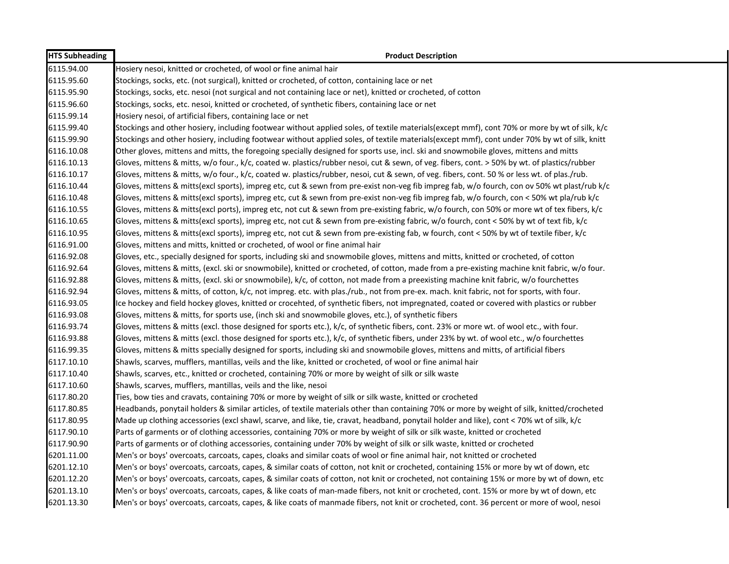| <b>HTS Subheading</b> | <b>Product Description</b>                                                                                                                   |
|-----------------------|----------------------------------------------------------------------------------------------------------------------------------------------|
| 6115.94.00            | Hosiery nesoi, knitted or crocheted, of wool or fine animal hair                                                                             |
| 6115.95.60            | Stockings, socks, etc. (not surgical), knitted or crocheted, of cotton, containing lace or net                                               |
| 6115.95.90            | Stockings, socks, etc. nesoi (not surgical and not containing lace or net), knitted or crocheted, of cotton                                  |
| 6115.96.60            | Stockings, socks, etc. nesoi, knitted or crocheted, of synthetic fibers, containing lace or net                                              |
| 6115.99.14            | Hosiery nesoi, of artificial fibers, containing lace or net                                                                                  |
| 6115.99.40            | Stockings and other hosiery, including footwear without applied soles, of textile materials(except mmf), cont 70% or more by wt of silk, k/c |
| 6115.99.90            | Stockings and other hosiery, including footwear without applied soles, of textile materials(except mmf), cont under 70% by wt of silk, knitt |
| 6116.10.08            | Other gloves, mittens and mitts, the foregoing specially designed for sports use, incl. ski and snowmobile gloves, mittens and mitts         |
| 6116.10.13            | Gloves, mittens & mitts, w/o four., k/c, coated w. plastics/rubber nesoi, cut & sewn, of veg. fibers, cont. > 50% by wt. of plastics/rubber  |
| 6116.10.17            | Gloves, mittens & mitts, w/o four., k/c, coated w. plastics/rubber, nesoi, cut & sewn, of veg. fibers, cont. 50% or less wt. of plas./rub.   |
| 6116.10.44            | Gloves, mittens & mitts(excl sports), impreg etc, cut & sewn from pre-exist non-veg fib impreg fab, w/o fourch, con ov 50% wt plast/rub k/c  |
| 6116.10.48            | Gloves, mittens & mitts(excl sports), impreg etc, cut & sewn from pre-exist non-veg fib impreg fab, w/o fourch, con < 50% wt pla/rub k/c     |
| 6116.10.55            | Gloves, mittens & mitts(excl ports), impreg etc, not cut & sewn from pre-existing fabric, w/o fourch, con 50% or more wt of tex fibers, k/c  |
| 6116.10.65            | Gloves, mittens & mitts(excl sports), impreg etc, not cut & sewn from pre-existing fabric, w/o fourch, cont < 50% by wt of text fib, k/c     |
| 6116.10.95            | Gloves, mittens & mitts(excl sports), impreg etc, not cut & sewn from pre-existing fab, w fourch, cont < 50% by wt of textile fiber, k/c     |
| 6116.91.00            | Gloves, mittens and mitts, knitted or crocheted, of wool or fine animal hair                                                                 |
| 6116.92.08            | Gloves, etc., specially designed for sports, including ski and snowmobile gloves, mittens and mitts, knitted or crocheted, of cotton         |
| 6116.92.64            | Gloves, mittens & mitts, (excl. ski or snowmobile), knitted or crocheted, of cotton, made from a pre-existing machine knit fabric, w/o four. |
| 6116.92.88            | Gloves, mittens & mitts, (excl. ski or snowmobile), k/c, of cotton, not made from a preexisting machine knit fabric, w/o fourchettes         |
| 6116.92.94            | Gloves, mittens & mitts, of cotton, k/c, not impreg. etc. with plas./rub., not from pre-ex. mach. knit fabric, not for sports, with four.    |
| 6116.93.05            | Ice hockey and field hockey gloves, knitted or crocehted, of synthetic fibers, not impregnated, coated or covered with plastics or rubber    |
| 6116.93.08            | Gloves, mittens & mitts, for sports use, (inch ski and snowmobile gloves, etc.), of synthetic fibers                                         |
| 6116.93.74            | Gloves, mittens & mitts (excl. those designed for sports etc.), k/c, of synthetic fibers, cont. 23% or more wt. of wool etc., with four.     |
| 6116.93.88            | Gloves, mittens & mitts (excl. those designed for sports etc.), k/c, of synthetic fibers, under 23% by wt. of wool etc., w/o fourchettes     |
| 6116.99.35            | Gloves, mittens & mitts specially designed for sports, including ski and snowmobile gloves, mittens and mitts, of artificial fibers          |
| 6117.10.10            | Shawls, scarves, mufflers, mantillas, veils and the like, knitted or crocheted, of wool or fine animal hair                                  |
| 6117.10.40            | Shawls, scarves, etc., knitted or crocheted, containing 70% or more by weight of silk or silk waste                                          |
| 6117.10.60            | Shawls, scarves, mufflers, mantillas, veils and the like, nesoi                                                                              |
| 6117.80.20            | Ties, bow ties and cravats, containing 70% or more by weight of silk or silk waste, knitted or crocheted                                     |
| 6117.80.85            | Headbands, ponytail holders & similar articles, of textile materials other than containing 70% or more by weight of silk, knitted/crocheted  |
| 6117.80.95            | Made up clothing accessories (excl shawl, scarve, and like, tie, cravat, headband, ponytail holder and like), cont < 70% wt of silk, k/c     |
| 6117.90.10            | Parts of garments or of clothing accessories, containing 70% or more by weight of silk or silk waste, knitted or crocheted                   |
| 6117.90.90            | Parts of garments or of clothing accessories, containing under 70% by weight of silk or silk waste, knitted or crocheted                     |
| 6201.11.00            | Men's or boys' overcoats, carcoats, capes, cloaks and similar coats of wool or fine animal hair, not knitted or crocheted                    |
| 6201.12.10            | Men's or boys' overcoats, carcoats, capes, & similar coats of cotton, not knit or crocheted, containing 15% or more by wt of down, etc       |
| 6201.12.20            | Men's or boys' overcoats, carcoats, capes, & similar coats of cotton, not knit or crocheted, not containing 15% or more by wt of down, etc   |
| 6201.13.10            | Men's or boys' overcoats, carcoats, capes, & like coats of man-made fibers, not knit or crocheted, cont. 15% or more by wt of down, etc      |
| 6201.13.30            | Men's or boys' overcoats, carcoats, capes, & like coats of manmade fibers, not knit or crocheted, cont. 36 percent or more of wool, nesoi    |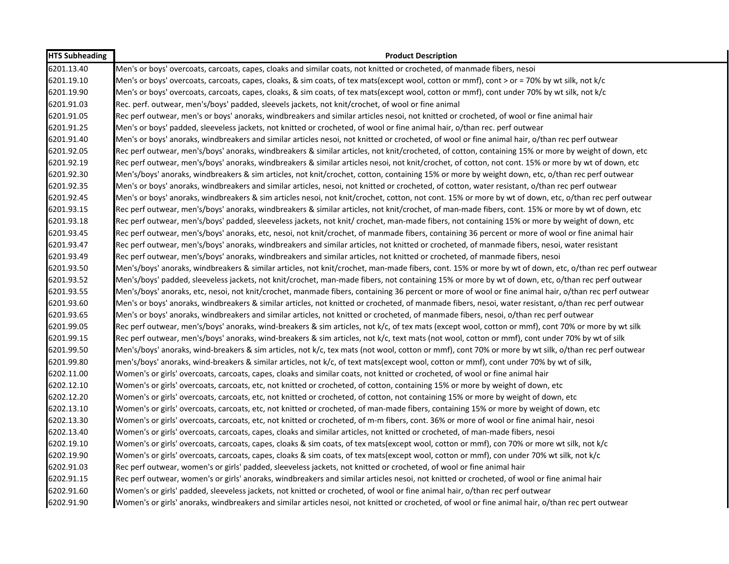| <b>HTS Subheading</b> | <b>Product Description</b>                                                                                                                             |
|-----------------------|--------------------------------------------------------------------------------------------------------------------------------------------------------|
| 6201.13.40            | Men's or boys' overcoats, carcoats, capes, cloaks and similar coats, not knitted or crocheted, of manmade fibers, nesoi                                |
| 6201.19.10            | Men's or boys' overcoats, carcoats, capes, cloaks, & sim coats, of tex mats(except wool, cotton or mmf), cont > or = 70% by wt silk, not k/c           |
| 6201.19.90            | Men's or boys' overcoats, carcoats, capes, cloaks, & sim coats, of tex mats(except wool, cotton or mmf), cont under 70% by wt silk, not k/c            |
| 6201.91.03            | Rec. perf. outwear, men's/boys' padded, sleevels jackets, not knit/crochet, of wool or fine animal                                                     |
| 6201.91.05            | Rec perf outwear, men's or boys' anoraks, windbreakers and similar articles nesoi, not knitted or crocheted, of wool or fine animal hair               |
| 6201.91.25            | Men's or boys' padded, sleeveless jackets, not knitted or crocheted, of wool or fine animal hair, o/than rec. perf outwear                             |
| 6201.91.40            | Men's or boys' anoraks, windbreakers and similar articles nesoi, not knitted or crocheted, of wool or fine animal hair, o/than rec perf outwear        |
| 6201.92.05            | Rec perf outwear, men's/boys' anoraks, windbreakers & similar articles, not knit/crocheted, of cotton, containing 15% or more by weight of down, etc   |
| 6201.92.19            | Rec perf outwear, men's/boys' anoraks, windbreakers & similar articles nesoi, not knit/crochet, of cotton, not cont. 15% or more by wt of down, etc    |
| 6201.92.30            | Men's/boys' anoraks, windbreakers & sim articles, not knit/crochet, cotton, containing 15% or more by weight down, etc, o/than rec perf outwear        |
| 6201.92.35            | Men's or boys' anoraks, windbreakers and similar articles, nesoi, not knitted or crocheted, of cotton, water resistant, o/than rec perf outwear        |
| 6201.92.45            | Men's or boys' anoraks, windbreakers & sim articles nesoi, not knit/crochet, cotton, not cont. 15% or more by wt of down, etc, o/than rec perf outwear |
| 6201.93.15            | Rec perf outwear, men's/boys' anoraks, windbreakers & similar articles, not knit/crochet, of man-made fibers, cont. 15% or more by wt of down, etc     |
| 6201.93.18            | Rec perf outwear, men's/boys' padded, sleeveless jackets, not knit/ crochet, man-made fibers, not containing 15% or more by weight of down, etc        |
| 6201.93.45            | Rec perf outwear, men's/boys' anoraks, etc, nesoi, not knit/crochet, of manmade fibers, containing 36 percent or more of wool or fine animal hair      |
| 6201.93.47            | Rec perf outwear, men's/boys' anoraks, windbreakers and similar articles, not knitted or crocheted, of manmade fibers, nesoi, water resistant          |
| 6201.93.49            | Rec perf outwear, men's/boys' anoraks, windbreakers and similar articles, not knitted or crocheted, of manmade fibers, nesoi                           |
| 6201.93.50            | Men's/boys' anoraks, windbreakers & similar articles, not knit/crochet, man-made fibers, cont. 15% or more by wt of down, etc, o/than rec perf outwear |
| 6201.93.52            | Men's/boys' padded, sleeveless jackets, not knit/crochet, man-made fibers, not containing 15% or more by wt of down, etc, o/than rec perf outwear      |
| 6201.93.55            | Men's/boys' anoraks, etc, nesoi, not knit/crochet, manmade fibers, containing 36 percent or more of wool or fine animal hair, o/than rec perf outwear  |
| 6201.93.60            | Men's or boys' anoraks, windbreakers & similar articles, not knitted or crocheted, of manmade fibers, nesoi, water resistant, o/than rec perf outwear  |
| 6201.93.65            | Men's or boys' anoraks, windbreakers and similar articles, not knitted or crocheted, of manmade fibers, nesoi, o/than rec perf outwear                 |
| 6201.99.05            | Rec perf outwear, men's/boys' anoraks, wind-breakers & sim articles, not k/c, of tex mats (except wool, cotton or mmf), cont 70% or more by wt silk    |
| 6201.99.15            | Rec perf outwear, men's/boys' anoraks, wind-breakers & sim articles, not k/c, text mats (not wool, cotton or mmf), cont under 70% by wt of silk        |
| 6201.99.50            | Men's/boys' anoraks, wind-breakers & sim articles, not k/c, tex mats (not wool, cotton or mmf), cont 70% or more by wt silk, o/than rec perf outwear   |
| 6201.99.80            | men's/boys' anoraks, wind-breakers & similar articles, not k/c, of text mats(except wool, cotton or mmf), cont under 70% by wt of silk,                |
| 6202.11.00            | Women's or girls' overcoats, carcoats, capes, cloaks and similar coats, not knitted or crocheted, of wool or fine animal hair                          |
| 6202.12.10            | Women's or girls' overcoats, carcoats, etc, not knitted or crocheted, of cotton, containing 15% or more by weight of down, etc                         |
| 6202.12.20            | Women's or girls' overcoats, carcoats, etc, not knitted or crocheted, of cotton, not containing 15% or more by weight of down, etc                     |
| 6202.13.10            | Women's or girls' overcoats, carcoats, etc, not knitted or crocheted, of man-made fibers, containing 15% or more by weight of down, etc                |
| 6202.13.30            | Women's or girls' overcoats, carcoats, etc, not knitted or crocheted, of m-m fibers, cont. 36% or more of wool or fine animal hair, nesoi              |
| 6202.13.40            | Women's or girls' overcoats, carcoats, capes, cloaks and similar articles, not knitted or crocheted, of man-made fibers, nesoi                         |
| 6202.19.10            | Women's or girls' overcoats, carcoats, capes, cloaks & sim coats, of tex mats(except wool, cotton or mmf), con 70% or more wt silk, not k/c            |
| 6202.19.90            | Women's or girls' overcoats, carcoats, capes, cloaks & sim coats, of tex mats(except wool, cotton or mmf), con under 70% wt silk, not k/c              |
| 6202.91.03            | Rec perf outwear, women's or girls' padded, sleeveless jackets, not knitted or crocheted, of wool or fine animal hair                                  |
| 6202.91.15            | Rec perf outwear, women's or girls' anoraks, windbreakers and similar articles nesoi, not knitted or crocheted, of wool or fine animal hair            |
| 6202.91.60            | Women's or girls' padded, sleeveless jackets, not knitted or crocheted, of wool or fine animal hair, o/than rec perf outwear                           |
| 6202.91.90            | Women's or girls' anoraks, windbreakers and similar articles nesoi, not knitted or crocheted, of wool or fine animal hair, o/than rec pert outwear     |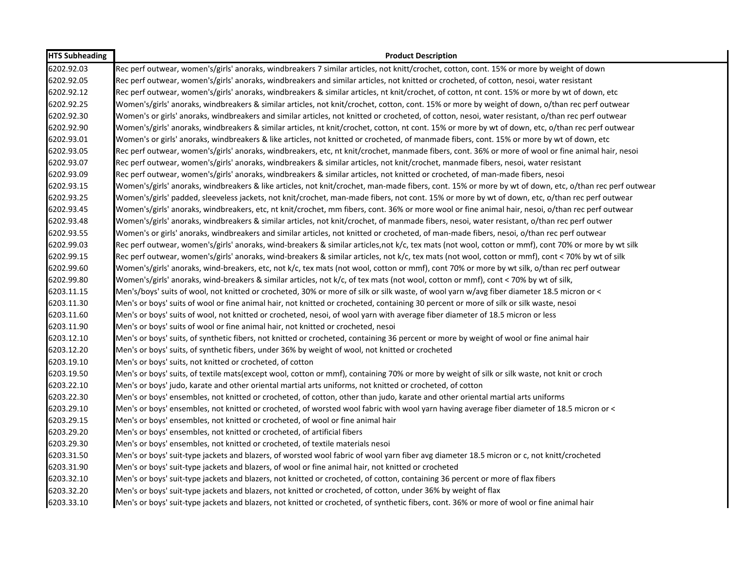| <b>HTS Subheading</b> | <b>Product Description</b>                                                                                                                             |
|-----------------------|--------------------------------------------------------------------------------------------------------------------------------------------------------|
| 6202.92.03            | Rec perf outwear, women's/girls' anoraks, windbreakers 7 similar articles, not knitt/crochet, cotton, cont. 15% or more by weight of down              |
| 6202.92.05            | Rec perf outwear, women's/girls' anoraks, windbreakers and similar articles, not knitted or crocheted, of cotton, nesoi, water resistant               |
| 6202.92.12            | Rec perf outwear, women's/girls' anoraks, windbreakers & similar articles, nt knit/crochet, of cotton, nt cont. 15% or more by wt of down, etc         |
| 6202.92.25            | Women's/girls' anoraks, windbreakers & similar articles, not knit/crochet, cotton, cont. 15% or more by weight of down, o/than rec perf outwear        |
| 6202.92.30            | Women's or girls' anoraks, windbreakers and similar articles, not knitted or crocheted, of cotton, nesoi, water resistant, o/than rec perf outwear     |
| 6202.92.90            | Women's/girls' anoraks, windbreakers & similar articles, nt knit/crochet, cotton, nt cont. 15% or more by wt of down, etc, o/than rec perf outwear     |
| 6202.93.01            | Women's or girls' anoraks, windbreakers & like articles, not knitted or crocheted, of manmade fibers, cont. 15% or more by wt of down, etc             |
| 6202.93.05            | Rec perf outwear, women's/girls' anoraks, windbreakers, etc, nt knit/crochet, manmade fibers, cont. 36% or more of wool or fine animal hair, nesoi     |
| 6202.93.07            | Rec perf outwear, women's/girls' anoraks, windbreakers & similar articles, not knit/crochet, manmade fibers, nesoi, water resistant                    |
| 6202.93.09            | Rec perf outwear, women's/girls' anoraks, windbreakers & similar articles, not knitted or crocheted, of man-made fibers, nesoi                         |
| 6202.93.15            | Women's/girls' anoraks, windbreakers & like articles, not knit/crochet, man-made fibers, cont. 15% or more by wt of down, etc, o/than rec perf outwear |
| 6202.93.25            | Women's/girls' padded, sleeveless jackets, not knit/crochet, man-made fibers, not cont. 15% or more by wt of down, etc, o/than rec perf outwear        |
| 6202.93.45            | Women's/girls' anoraks, windbreakers, etc, nt knit/crochet, mm fibers, cont. 36% or more wool or fine animal hair, nesoi, o/than rec perf outwear      |
| 6202.93.48            | Women's/girls' anoraks, windbreakers & similar articles, not knit/crochet, of manmade fibers, nesoi, water resistant, o/than rec perf outwer           |
| 6202.93.55            | Women's or girls' anoraks, windbreakers and similar articles, not knitted or crocheted, of man-made fibers, nesoi, o/than rec perf outwear             |
| 6202.99.03            | Rec perf outwear, women's/girls' anoraks, wind-breakers & similar articles,not k/c, tex mats (not wool, cotton or mmf), cont 70% or more by wt silk    |
| 6202.99.15            | Rec perf outwear, women's/girls' anoraks, wind-breakers & similar articles, not k/c, tex mats (not wool, cotton or mmf), cont < 70% by wt of silk      |
| 6202.99.60            | Women's/girls' anoraks, wind-breakers, etc, not k/c, tex mats (not wool, cotton or mmf), cont 70% or more by wt silk, o/than rec perf outwear          |
| 6202.99.80            | Women's/girls' anoraks, wind-breakers & similar articles, not k/c, of tex mats (not wool, cotton or mmf), cont < 70% by wt of silk,                    |
| 6203.11.15            | Men's/boys' suits of wool, not knitted or crocheted, 30% or more of silk or silk waste, of wool yarn w/avg fiber diameter 18.5 micron or <             |
| 6203.11.30            | Men's or boys' suits of wool or fine animal hair, not knitted or crocheted, containing 30 percent or more of silk or silk waste, nesoi                 |
| 6203.11.60            | Men's or boys' suits of wool, not knitted or crocheted, nesoi, of wool yarn with average fiber diameter of 18.5 micron or less                         |
| 6203.11.90            | Men's or boys' suits of wool or fine animal hair, not knitted or crocheted, nesoi                                                                      |
| 6203.12.10            | Men's or boys' suits, of synthetic fibers, not knitted or crocheted, containing 36 percent or more by weight of wool or fine animal hair               |
| 6203.12.20            | Men's or boys' suits, of synthetic fibers, under 36% by weight of wool, not knitted or crocheted                                                       |
| 6203.19.10            | Men's or boys' suits, not knitted or crocheted, of cotton                                                                                              |
| 6203.19.50            | Men's or boys' suits, of textile mats(except wool, cotton or mmf), containing 70% or more by weight of silk or silk waste, not knit or croch           |
| 6203.22.10            | Men's or boys' judo, karate and other oriental martial arts uniforms, not knitted or crocheted, of cotton                                              |
| 6203.22.30            | Men's or boys' ensembles, not knitted or crocheted, of cotton, other than judo, karate and other oriental martial arts uniforms                        |
| 6203.29.10            | Men's or boys' ensembles, not knitted or crocheted, of worsted wool fabric with wool yarn having average fiber diameter of 18.5 micron or <            |
| 6203.29.15            | Men's or boys' ensembles, not knitted or crocheted, of wool or fine animal hair                                                                        |
| 6203.29.20            | Men's or boys' ensembles, not knitted or crocheted, of artificial fibers                                                                               |
| 6203.29.30            | Men's or boys' ensembles, not knitted or crocheted, of textile materials nesoi                                                                         |
| 6203.31.50            | Men's or boys' suit-type jackets and blazers, of worsted wool fabric of wool yarn fiber avg diameter 18.5 micron or c, not knitt/crocheted             |
| 6203.31.90            | Men's or boys' suit-type jackets and blazers, of wool or fine animal hair, not knitted or crocheted                                                    |
| 6203.32.10            | Men's or boys' suit-type jackets and blazers, not knitted or crocheted, of cotton, containing 36 percent or more of flax fibers                        |
| 6203.32.20            | Men's or boys' suit-type jackets and blazers, not knitted or crocheted, of cotton, under 36% by weight of flax                                         |
| 6203.33.10            | Men's or boys' suit-type jackets and blazers, not knitted or crocheted, of synthetic fibers, cont. 36% or more of wool or fine animal hair             |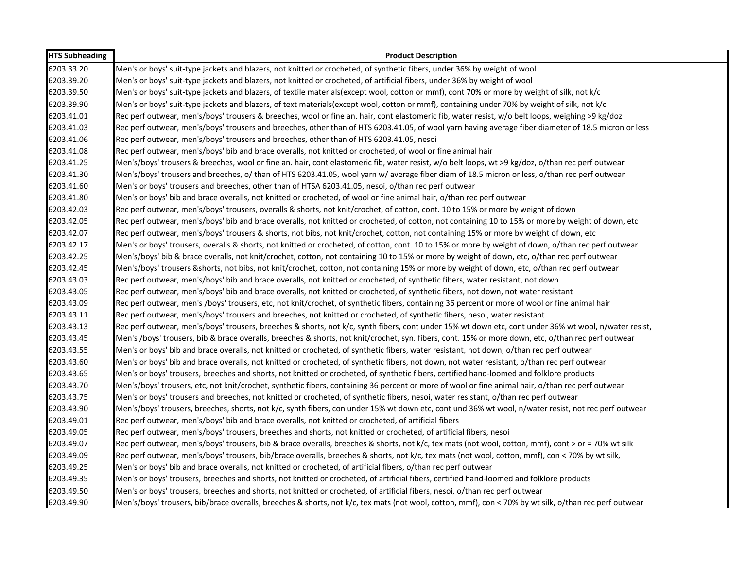| <b>HTS Subheading</b> | <b>Product Description</b>                                                                                                                            |
|-----------------------|-------------------------------------------------------------------------------------------------------------------------------------------------------|
| 6203.33.20            | Men's or boys' suit-type jackets and blazers, not knitted or crocheted, of synthetic fibers, under 36% by weight of wool                              |
| 6203.39.20            | Men's or boys' suit-type jackets and blazers, not knitted or crocheted, of artificial fibers, under 36% by weight of wool                             |
| 6203.39.50            | Men's or boys' suit-type jackets and blazers, of textile materials(except wool, cotton or mmf), cont 70% or more by weight of silk, not k/c           |
| 6203.39.90            | Men's or boys' suit-type jackets and blazers, of text materials(except wool, cotton or mmf), containing under 70% by weight of silk, not k/c          |
| 6203.41.01            | Rec perf outwear, men's/boys' trousers & breeches, wool or fine an. hair, cont elastomeric fib, water resist, w/o belt loops, weighing >9 kg/doz      |
| 6203.41.03            | Rec perf outwear, men's/boys' trousers and breeches, other than of HTS 6203.41.05, of wool yarn having average fiber diameter of 18.5 micron or less  |
| 6203.41.06            | Rec perf outwear, men's/boys' trousers and breeches, other than of HTS 6203.41.05, nesoi                                                              |
| 6203.41.08            | Rec perf outwear, men's/boys' bib and brace overalls, not knitted or crocheted, of wool or fine animal hair                                           |
| 6203.41.25            | Men's/boys' trousers & breeches, wool or fine an. hair, cont elastomeric fib, water resist, w/o belt loops, wt >9 kg/doz, o/than rec perf outwear     |
| 6203.41.30            | Men's/boys' trousers and breeches, o/ than of HTS 6203.41.05, wool yarn w/ average fiber diam of 18.5 micron or less, o/than rec perf outwear         |
| 6203.41.60            | Men's or boys' trousers and breeches, other than of HTSA 6203.41.05, nesoi, o/than rec perf outwear                                                   |
| 6203.41.80            | Men's or boys' bib and brace overalls, not knitted or crocheted, of wool or fine animal hair, o/than rec perf outwear                                 |
| 6203.42.03            | Rec perf outwear, men's/boys' trousers, overalls & shorts, not knit/crochet, of cotton, cont. 10 to 15% or more by weight of down                     |
| 6203.42.05            | Rec perf outwear, men's/boys' bib and brace overalls, not knitted or crocheted, of cotton, not containing 10 to 15% or more by weight of down, etc    |
| 6203.42.07            | Rec perf outwear, men's/boys' trousers & shorts, not bibs, not knit/crochet, cotton, not containing 15% or more by weight of down, etc                |
| 6203.42.17            | Men's or boys' trousers, overalls & shorts, not knitted or crocheted, of cotton, cont. 10 to 15% or more by weight of down, o/than rec perf outwear   |
| 6203.42.25            | Men's/boys' bib & brace overalls, not knit/crochet, cotton, not containing 10 to 15% or more by weight of down, etc, o/than rec perf outwear          |
| 6203.42.45            | Men's/boys' trousers &shorts, not bibs, not knit/crochet, cotton, not containing 15% or more by weight of down, etc, o/than rec perf outwear          |
| 6203.43.03            | Rec perf outwear, men's/boys' bib and brace overalls, not knitted or crocheted, of synthetic fibers, water resistant, not down                        |
| 6203.43.05            | Rec perf outwear, men's/boys' bib and brace overalls, not knitted or crocheted, of synthetic fibers, not down, not water resistant                    |
| 6203.43.09            | Rec perf outwear, men's /boys' trousers, etc, not knit/crochet, of synthetic fibers, containing 36 percent or more of wool or fine animal hair        |
| 6203.43.11            | Rec perf outwear, men's/boys' trousers and breeches, not knitted or crocheted, of synthetic fibers, nesoi, water resistant                            |
| 6203.43.13            | Rec perf outwear, men's/boys' trousers, breeches & shorts, not k/c, synth fibers, cont under 15% wt down etc, cont under 36% wt wool, n/water resist, |
| 6203.43.45            | Men's /boys' trousers, bib & brace overalls, breeches & shorts, not knit/crochet, syn. fibers, cont. 15% or more down, etc, o/than rec perf outwear   |
| 6203.43.55            | Men's or boys' bib and brace overalls, not knitted or crocheted, of synthetic fibers, water resistant, not down, o/than rec perf outwear              |
| 6203.43.60            | Men's or boys' bib and brace overalls, not knitted or crocheted, of synthetic fibers, not down, not water resistant, o/than rec perf outwear          |
| 6203.43.65            | Men's or boys' trousers, breeches and shorts, not knitted or crocheted, of synthetic fibers, certified hand-loomed and folklore products              |
| 6203.43.70            | Men's/boys' trousers, etc, not knit/crochet, synthetic fibers, containing 36 percent or more of wool or fine animal hair, o/than rec perf outwear     |
| 6203.43.75            | Men's or boys' trousers and breeches, not knitted or crocheted, of synthetic fibers, nesoi, water resistant, o/than rec perf outwear                  |
| 6203.43.90            | Men's/boys' trousers, breeches, shorts, not k/c, synth fibers, con under 15% wt down etc, cont und 36% wt wool, n/water resist, not rec perf outwear  |
| 6203.49.01            | Rec perf outwear, men's/boys' bib and brace overalls, not knitted or crocheted, of artificial fibers                                                  |
| 6203.49.05            | Rec perf outwear, men's/boys' trousers, breeches and shorts, not knitted or crocheted, of artificial fibers, nesoi                                    |
| 6203.49.07            | Rec perf outwear, men's/boys' trousers, bib & brace overalls, breeches & shorts, not k/c, tex mats (not wool, cotton, mmf), cont > or = 70% wt silk   |
| 6203.49.09            | Rec perf outwear, men's/boys' trousers, bib/brace overalls, breeches & shorts, not k/c, tex mats (not wool, cotton, mmf), con < 70% by wt silk,       |
| 6203.49.25            | Men's or boys' bib and brace overalls, not knitted or crocheted, of artificial fibers, o/than rec perf outwear                                        |
| 6203.49.35            | Men's or boys' trousers, breeches and shorts, not knitted or crocheted, of artificial fibers, certified hand-loomed and folklore products             |
| 6203.49.50            | Men's or boys' trousers, breeches and shorts, not knitted or crocheted, of artificial fibers, nesoi, o/than rec perf outwear                          |
| 6203.49.90            | Men's/boys' trousers, bib/brace overalls, breeches & shorts, not k/c, tex mats (not wool, cotton, mmf), con < 70% by wt silk, o/than rec perf outwear |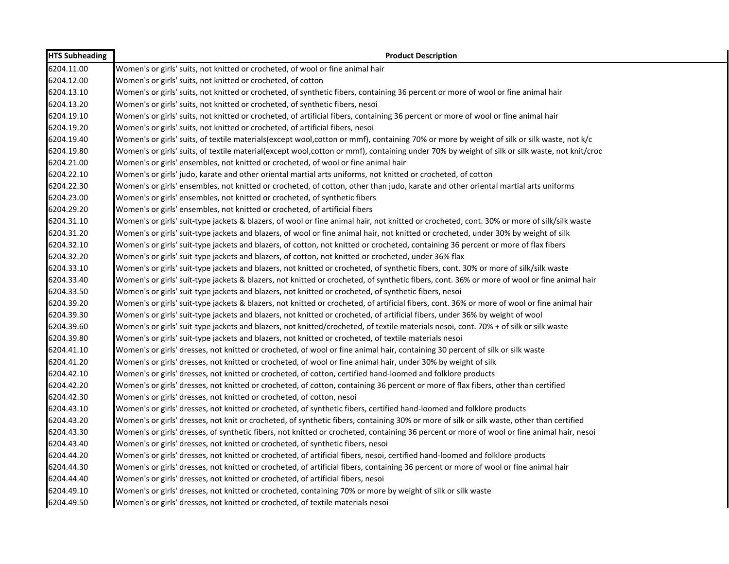| <b>HTS Subheading</b> | <b>Product Description</b>                                                                                                                   |
|-----------------------|----------------------------------------------------------------------------------------------------------------------------------------------|
| 6204.11.00            | Women's or girls' suits, not knitted or crocheted, of wool or fine animal hair                                                               |
| 6204.12.00            | Women's or girls' suits, not knitted or crocheted, of cotton                                                                                 |
| 6204.13.10            | Women's or girls' suits, not knitted or crocheted, of synthetic fibers, containing 36 percent or more of wool or fine animal hair            |
| 6204.13.20            | Women's or girls' suits, not knitted or crocheted, of synthetic fibers, nesoi                                                                |
| 6204.19.10            | Women's or girls' suits, not knitted or crocheted, of artificial fibers, containing 36 percent or more of wool or fine animal hair           |
| 6204.19.20            | Women's or girls' suits, not knitted or crocheted, of artificial fibers, nesoi                                                               |
| 6204.19.40            | Women's or girls' suits, of textile materials(except wool,cotton or mmf), containing 70% or more by weight of silk or silk waste, not k/c    |
| 6204.19.80            | Women's or girls' suits, of textile material(except wool,cotton or mmf), containing under 70% by weight of silk or silk waste, not knit/croc |
| 6204.21.00            | Women's or girls' ensembles, not knitted or crocheted, of wool or fine animal hair                                                           |
| 6204.22.10            | Women's or girls' judo, karate and other oriental martial arts uniforms, not knitted or crocheted, of cotton                                 |
| 6204.22.30            | Women's or girls' ensembles, not knitted or crocheted, of cotton, other than judo, karate and other oriental martial arts uniforms           |
| 6204.23.00            | Women's or girls' ensembles, not knitted or crocheted, of synthetic fibers                                                                   |
| 6204.29.20            | Women's or girls' ensembles, not knitted or crocheted, of artificial fibers                                                                  |
| 6204.31.10            | Women's or girls' suit-type jackets & blazers, of wool or fine animal hair, not knitted or crocheted, cont. 30% or more of silk/silk waste   |
| 6204.31.20            | Women's or girls' suit-type jackets and blazers, of wool or fine animal hair, not knitted or crocheted, under 30% by weight of silk          |
| 6204.32.10            | Women's or girls' suit-type jackets and blazers, of cotton, not knitted or crocheted, containing 36 percent or more of flax fibers           |
| 6204.32.20            | Women's or girls' suit-type jackets and blazers, of cotton, not knitted or crocheted, under 36% flax                                         |
| 6204.33.10            | Women's or girls' suit-type jackets and blazers, not knitted or crocheted, of synthetic fibers, cont. 30% or more of silk/silk waste         |
| 6204.33.40            | Women's or girls' suit-type jackets & blazers, not knitted or crocheted, of synthetic fibers, cont. 36% or more of wool or fine animal hair  |
| 6204.33.50            | Women's or girls' suit-type jackets and blazers, not knitted or crocheted, of synthetic fibers, nesoi                                        |
| 6204.39.20            | Women's or girls' suit-type jackets & blazers, not knitted or crocheted, of artificial fibers, cont. 36% or more of wool or fine animal hair |
| 6204.39.30            | Women's or girls' suit-type jackets and blazers, not knitted or crocheted, of artificial fibers, under 36% by weight of wool                 |
| 6204.39.60            | Women's or girls' suit-type jackets and blazers, not knitted/crocheted, of textile materials nesoi, cont. 70% + of silk or silk waste        |
| 6204.39.80            | Women's or girls' suit-type jackets and blazers, not knitted or crocheted, of textile materials nesoi                                        |
| 6204.41.10            | Women's or girls' dresses, not knitted or crocheted, of wool or fine animal hair, containing 30 percent of silk or silk waste                |
| 6204.41.20            | Women's or girls' dresses, not knitted or crocheted, of wool or fine animal hair, under 30% by weight of silk                                |
| 6204.42.10            | Women's or girls' dresses, not knitted or crocheted, of cotton, certified hand-loomed and folklore products                                  |
| 6204.42.20            | Women's or girls' dresses, not knitted or crocheted, of cotton, containing 36 percent or more of flax fibers, other than certified           |
| 6204.42.30            | Women's or girls' dresses, not knitted or crocheted, of cotton, nesoi                                                                        |
| 6204.43.10            | Women's or girls' dresses, not knitted or crocheted, of synthetic fibers, certified hand-loomed and folklore products                        |
| 6204.43.20            | Women's or girls' dresses, not knit or crocheted, of synthetic fibers, containing 30% or more of silk or silk waste, other than certified    |
| 6204.43.30            | Women's or girls' dresses, of synthetic fibers, not knitted or crocheted, containing 36 percent or more of wool or fine animal hair, nesoi   |
| 6204.43.40            | Women's or girls' dresses, not knitted or crocheted, of synthetic fibers, nesoi                                                              |
| 6204.44.20            | Women's or girls' dresses, not knitted or crocheted, of artificial fibers, nesoi, certified hand-loomed and folklore products                |
| 6204.44.30            | Women's or girls' dresses, not knitted or crocheted, of artificial fibers, containing 36 percent or more of wool or fine animal hair         |
| 6204.44.40            | Women's or girls' dresses, not knitted or crocheted, of artificial fibers, nesoi                                                             |
| 6204.49.10            | Women's or girls' dresses, not knitted or crocheted, containing 70% or more by weight of silk or silk waste                                  |
| 6204.49.50            | Women's or girls' dresses, not knitted or crocheted, of textile materials nesoi                                                              |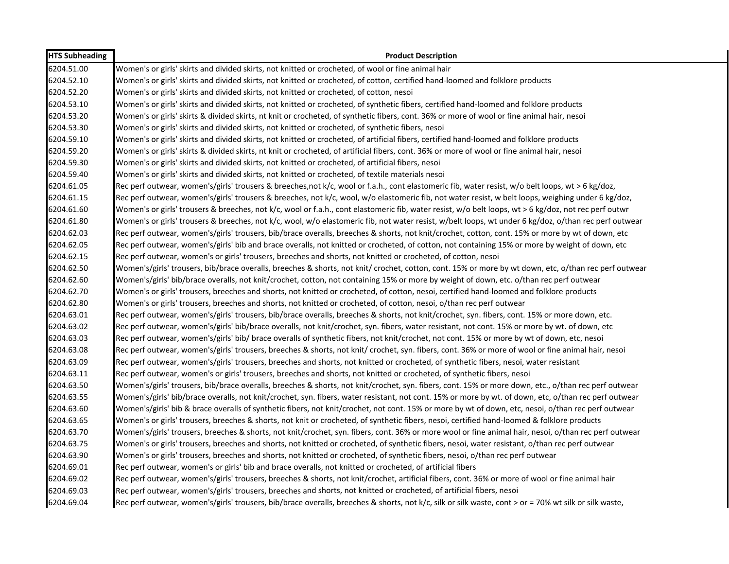| <b>HTS Subheading</b> | <b>Product Description</b>                                                                                                                            |
|-----------------------|-------------------------------------------------------------------------------------------------------------------------------------------------------|
| 6204.51.00            | Women's or girls' skirts and divided skirts, not knitted or crocheted, of wool or fine animal hair                                                    |
| 6204.52.10            | Women's or girls' skirts and divided skirts, not knitted or crocheted, of cotton, certified hand-loomed and folklore products                         |
| 6204.52.20            | Women's or girls' skirts and divided skirts, not knitted or crocheted, of cotton, nesoi                                                               |
| 6204.53.10            | Women's or girls' skirts and divided skirts, not knitted or crocheted, of synthetic fibers, certified hand-loomed and folklore products               |
| 6204.53.20            | Women's or girls' skirts & divided skirts, nt knit or crocheted, of synthetic fibers, cont. 36% or more of wool or fine animal hair, nesoi            |
| 6204.53.30            | Women's or girls' skirts and divided skirts, not knitted or crocheted, of synthetic fibers, nesoi                                                     |
| 6204.59.10            | Women's or girls' skirts and divided skirts, not knitted or crocheted, of artificial fibers, certified hand-loomed and folklore products              |
| 6204.59.20            | Women's or girls' skirts & divided skirts, nt knit or crocheted, of artificial fibers, cont. 36% or more of wool or fine animal hair, nesoi           |
| 6204.59.30            | Women's or girls' skirts and divided skirts, not knitted or crocheted, of artificial fibers, nesoi                                                    |
| 6204.59.40            | Women's or girls' skirts and divided skirts, not knitted or crocheted, of textile materials nesoi                                                     |
| 6204.61.05            | Rec perf outwear, women's/girls' trousers & breeches,not k/c, wool or f.a.h., cont elastomeric fib, water resist, w/o belt loops, wt > 6 kg/doz,      |
| 6204.61.15            | Rec perf outwear, women's/girls' trousers & breeches, not k/c, wool, w/o elastomeric fib, not water resist, w belt loops, weighing under 6 kg/doz,    |
| 6204.61.60            | Women's or girls' trousers & breeches, not k/c, wool or f.a.h., cont elastomeric fib, water resist, w/o belt loops, wt > 6 kg/doz, not rec perf outwr |
| 6204.61.80            | Women's or girls' trousers & breeches, not k/c, wool, w/o elastomeric fib, not water resist, w/belt loops, wt under 6 kg/doz, o/than rec perf outwear |
| 6204.62.03            | Rec perf outwear, women's/girls' trousers, bib/brace overalls, breeches & shorts, not knit/crochet, cotton, cont. 15% or more by wt of down, etc      |
| 6204.62.05            | Rec perf outwear, women's/girls' bib and brace overalls, not knitted or crocheted, of cotton, not containing 15% or more by weight of down, etc       |
| 6204.62.15            | Rec perf outwear, women's or girls' trousers, breeches and shorts, not knitted or crocheted, of cotton, nesoi                                         |
| 6204.62.50            | Women's/girls' trousers, bib/brace overalls, breeches & shorts, not knit/ crochet, cotton, cont. 15% or more by wt down, etc, o/than rec perf outwear |
| 6204.62.60            | Women's/girls' bib/brace overalls, not knit/crochet, cotton, not containing 15% or more by weight of down, etc. o/than rec perf outwear               |
| 6204.62.70            | Women's or girls' trousers, breeches and shorts, not knitted or crocheted, of cotton, nesoi, certified hand-loomed and folklore products              |
| 6204.62.80            | Women's or girls' trousers, breeches and shorts, not knitted or crocheted, of cotton, nesoi, o/than rec perf outwear                                  |
| 6204.63.01            | Rec perf outwear, women's/girls' trousers, bib/brace overalls, breeches & shorts, not knit/crochet, syn. fibers, cont. 15% or more down, etc.         |
| 6204.63.02            | Rec perf outwear, women's/girls' bib/brace overalls, not knit/crochet, syn. fibers, water resistant, not cont. 15% or more by wt. of down, etc        |
| 6204.63.03            | Rec perf outwear, women's/girls' bib/ brace overalls of synthetic fibers, not knit/crochet, not cont. 15% or more by wt of down, etc, nesoi           |
| 6204.63.08            | Rec perf outwear, women's/girls' trousers, breeches & shorts, not knit/ crochet, syn. fibers, cont. 36% or more of wool or fine animal hair, nesoi    |
| 6204.63.09            | Rec perf outwear, women's/girls' trousers, breeches and shorts, not knitted or crocheted, of synthetic fibers, nesoi, water resistant                 |
| 6204.63.11            | Rec perf outwear, women's or girls' trousers, breeches and shorts, not knitted or crocheted, of synthetic fibers, nesoi                               |
| 6204.63.50            | Women's/girls' trousers, bib/brace overalls, breeches & shorts, not knit/crochet, syn. fibers, cont. 15% or more down, etc., o/than rec perf outwear  |
| 6204.63.55            | Women's/girls' bib/brace overalls, not knit/crochet, syn. fibers, water resistant, not cont. 15% or more by wt. of down, etc, o/than rec perf outwear |
| 6204.63.60            | Women's/girls' bib & brace overalls of synthetic fibers, not knit/crochet, not cont. 15% or more by wt of down, etc, nesoi, o/than rec perf outwear   |
| 6204.63.65            | Women's or girls' trousers, breeches & shorts, not knit or crocheted, of synthetic fibers, nesoi, certified hand-loomed & folklore products           |
| 6204.63.70            | Women's/girls' trousers, breeches & shorts, not knit/crochet, syn. fibers, cont. 36% or more wool or fine animal hair, nesoi, o/than rec perf outwear |
| 6204.63.75            | Women's or girls' trousers, breeches and shorts, not knitted or crocheted, of synthetic fibers, nesoi, water resistant, o/than rec perf outwear       |
| 6204.63.90            | Women's or girls' trousers, breeches and shorts, not knitted or crocheted, of synthetic fibers, nesoi, o/than rec perf outwear                        |
| 6204.69.01            | Rec perf outwear, women's or girls' bib and brace overalls, not knitted or crocheted, of artificial fibers                                            |
| 6204.69.02            | Rec perf outwear, women's/girls' trousers, breeches & shorts, not knit/crochet, artificial fibers, cont. 36% or more of wool or fine animal hair      |
| 6204.69.03            | Rec perf outwear, women's/girls' trousers, breeches and shorts, not knitted or crocheted, of artificial fibers, nesoi                                 |
| 6204.69.04            | Rec perf outwear, women's/girls' trousers, bib/brace overalls, breeches & shorts, not k/c, silk or silk waste, cont > or = 70% wt silk or silk waste, |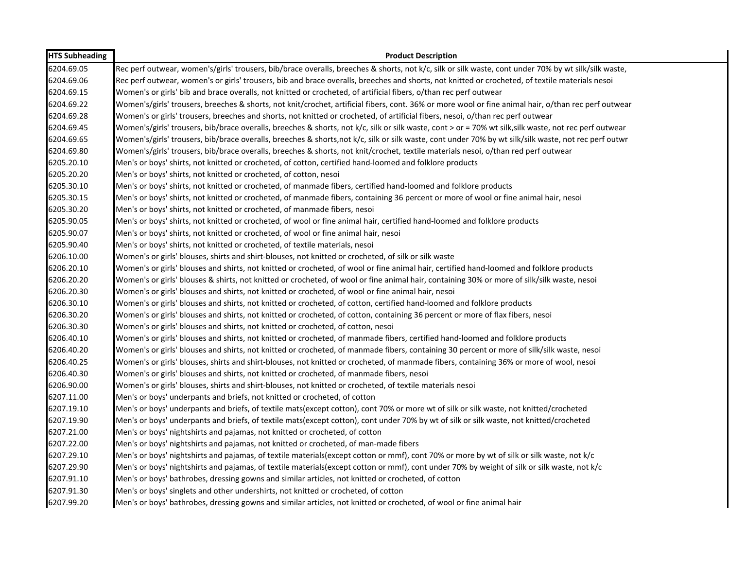| <b>HTS Subheading</b> | <b>Product Description</b>                                                                                                                             |
|-----------------------|--------------------------------------------------------------------------------------------------------------------------------------------------------|
| 6204.69.05            | Rec perf outwear, women's/girls' trousers, bib/brace overalls, breeches & shorts, not k/c, silk or silk waste, cont under 70% by wt silk/silk waste,   |
| 6204.69.06            | Rec perf outwear, women's or girls' trousers, bib and brace overalls, breeches and shorts, not knitted or crocheted, of textile materials nesoi        |
| 6204.69.15            | Women's or girls' bib and brace overalls, not knitted or crocheted, of artificial fibers, o/than rec perf outwear                                      |
| 6204.69.22            | Women's/girls' trousers, breeches & shorts, not knit/crochet, artificial fibers, cont. 36% or more wool or fine animal hair, o/than rec perf outwear   |
| 6204.69.28            | Women's or girls' trousers, breeches and shorts, not knitted or crocheted, of artificial fibers, nesoi, o/than rec perf outwear                        |
| 6204.69.45            | Women's/girls' trousers, bib/brace overalls, breeches & shorts, not k/c, silk or silk waste, cont > or = 70% wt silk, silk waste, not rec perf outwear |
| 6204.69.65            | Women's/girls' trousers, bib/brace overalls, breeches & shorts,not k/c, silk or silk waste, cont under 70% by wt silk/silk waste, not rec perf outwr   |
| 6204.69.80            | Women's/girls' trousers, bib/brace overalls, breeches & shorts, not knit/crochet, textile materials nesoi, o/than red perf outwear                     |
| 6205.20.10            | Men's or boys' shirts, not knitted or crocheted, of cotton, certified hand-loomed and folklore products                                                |
| 6205.20.20            | Men's or boys' shirts, not knitted or crocheted, of cotton, nesoi                                                                                      |
| 6205.30.10            | Men's or boys' shirts, not knitted or crocheted, of manmade fibers, certified hand-loomed and folklore products                                        |
| 6205.30.15            | Men's or boys' shirts, not knitted or crocheted, of manmade fibers, containing 36 percent or more of wool or fine animal hair, nesoi                   |
| 6205.30.20            | Men's or boys' shirts, not knitted or crocheted, of manmade fibers, nesoi                                                                              |
| 6205.90.05            | Men's or boys' shirts, not knitted or crocheted, of wool or fine animal hair, certified hand-loomed and folklore products                              |
| 6205.90.07            | Men's or boys' shirts, not knitted or crocheted, of wool or fine animal hair, nesoi                                                                    |
| 6205.90.40            | Men's or boys' shirts, not knitted or crocheted, of textile materials, nesoi                                                                           |
| 6206.10.00            | Women's or girls' blouses, shirts and shirt-blouses, not knitted or crocheted, of silk or silk waste                                                   |
| 6206.20.10            | Women's or girls' blouses and shirts, not knitted or crocheted, of wool or fine animal hair, certified hand-loomed and folklore products               |
| 6206.20.20            | Women's or girls' blouses & shirts, not knitted or crocheted, of wool or fine animal hair, containing 30% or more of silk/silk waste, nesoi            |
| 6206.20.30            | Women's or girls' blouses and shirts, not knitted or crocheted, of wool or fine animal hair, nesoi                                                     |
| 6206.30.10            | Women's or girls' blouses and shirts, not knitted or crocheted, of cotton, certified hand-loomed and folklore products                                 |
| 6206.30.20            | Women's or girls' blouses and shirts, not knitted or crocheted, of cotton, containing 36 percent or more of flax fibers, nesoi                         |
| 6206.30.30            | Women's or girls' blouses and shirts, not knitted or crocheted, of cotton, nesoi                                                                       |
| 6206.40.10            | Women's or girls' blouses and shirts, not knitted or crocheted, of manmade fibers, certified hand-loomed and folklore products                         |
| 6206.40.20            | Women's or girls' blouses and shirts, not knitted or crocheted, of manmade fibers, containing 30 percent or more of silk/silk waste, nesoi             |
| 6206.40.25            | Women's or girls' blouses, shirts and shirt-blouses, not knitted or crocheted, of manmade fibers, containing 36% or more of wool, nesoi                |
| 6206.40.30            | Women's or girls' blouses and shirts, not knitted or crocheted, of manmade fibers, nesoi                                                               |
| 6206.90.00            | Women's or girls' blouses, shirts and shirt-blouses, not knitted or crocheted, of textile materials nesoi                                              |
| 6207.11.00            | Men's or boys' underpants and briefs, not knitted or crocheted, of cotton                                                                              |
| 6207.19.10            | Men's or boys' underpants and briefs, of textile mats(except cotton), cont 70% or more wt of silk or silk waste, not knitted/crocheted                 |
| 6207.19.90            | Men's or boys' underpants and briefs, of textile mats(except cotton), cont under 70% by wt of silk or silk waste, not knitted/crocheted                |
| 6207.21.00            | Men's or boys' nightshirts and pajamas, not knitted or crocheted, of cotton                                                                            |
| 6207.22.00            | Men's or boys' nightshirts and pajamas, not knitted or crocheted, of man-made fibers                                                                   |
| 6207.29.10            | Men's or boys' nightshirts and pajamas, of textile materials(except cotton or mmf), cont 70% or more by wt of silk or silk waste, not k/c              |
| 6207.29.90            | Men's or boys' nightshirts and pajamas, of textile materials(except cotton or mmf), cont under 70% by weight of silk or silk waste, not k/c            |
| 6207.91.10            | Men's or boys' bathrobes, dressing gowns and similar articles, not knitted or crocheted, of cotton                                                     |
| 6207.91.30            | Men's or boys' singlets and other undershirts, not knitted or crocheted, of cotton                                                                     |
| 6207.99.20            | Men's or boys' bathrobes, dressing gowns and similar articles, not knitted or crocheted, of wool or fine animal hair                                   |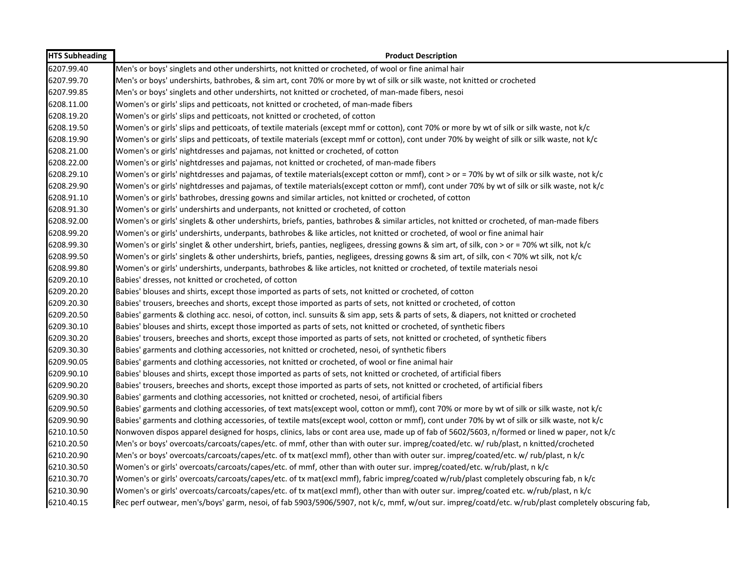| <b>HTS Subheading</b> | <b>Product Description</b>                                                                                                                         |
|-----------------------|----------------------------------------------------------------------------------------------------------------------------------------------------|
| 6207.99.40            | Men's or boys' singlets and other undershirts, not knitted or crocheted, of wool or fine animal hair                                               |
| 6207.99.70            | Men's or boys' undershirts, bathrobes, & sim art, cont 70% or more by wt of silk or silk waste, not knitted or crocheted                           |
| 6207.99.85            | Men's or boys' singlets and other undershirts, not knitted or crocheted, of man-made fibers, nesoi                                                 |
| 6208.11.00            | Women's or girls' slips and petticoats, not knitted or crocheted, of man-made fibers                                                               |
| 6208.19.20            | Women's or girls' slips and petticoats, not knitted or crocheted, of cotton                                                                        |
| 6208.19.50            | Women's or girls' slips and petticoats, of textile materials (except mmf or cotton), cont 70% or more by wt of silk or silk waste, not k/c         |
| 6208.19.90            | Women's or girls' slips and petticoats, of textile materials (except mmf or cotton), cont under 70% by weight of silk or silk waste, not k/c       |
| 6208.21.00            | Women's or girls' nightdresses and pajamas, not knitted or crocheted, of cotton                                                                    |
| 6208.22.00            | Women's or girls' nightdresses and pajamas, not knitted or crocheted, of man-made fibers                                                           |
| 6208.29.10            | Women's or girls' nightdresses and pajamas, of textile materials(except cotton or mmf), cont > or = 70% by wt of silk or silk waste, not k/c       |
| 6208.29.90            | Women's or girls' nightdresses and pajamas, of textile materials(except cotton or mmf), cont under 70% by wt of silk or silk waste, not k/c        |
| 6208.91.10            | Women's or girls' bathrobes, dressing gowns and similar articles, not knitted or crocheted, of cotton                                              |
| 6208.91.30            | Women's or girls' undershirts and underpants, not knitted or crocheted, of cotton                                                                  |
| 6208.92.00            | Women's or girls' singlets & other undershirts, briefs, panties, bathrobes & similar articles, not knitted or crocheted, of man-made fibers        |
| 6208.99.20            | Women's or girls' undershirts, underpants, bathrobes & like articles, not knitted or crocheted, of wool or fine animal hair                        |
| 6208.99.30            | Women's or girls' singlet & other undershirt, briefs, panties, negligees, dressing gowns & sim art, of silk, con > or = 70% wt silk, not k/c       |
| 6208.99.50            | Women's or girls' singlets & other undershirts, briefs, panties, negligees, dressing gowns & sim art, of silk, con < 70% wt silk, not k/c          |
| 6208.99.80            | Women's or girls' undershirts, underpants, bathrobes & like articles, not knitted or crocheted, of textile materials nesoi                         |
| 6209.20.10            | Babies' dresses, not knitted or crocheted, of cotton                                                                                               |
| 6209.20.20            | Babies' blouses and shirts, except those imported as parts of sets, not knitted or crocheted, of cotton                                            |
| 6209.20.30            | Babies' trousers, breeches and shorts, except those imported as parts of sets, not knitted or crocheted, of cotton                                 |
| 6209.20.50            | Babies' garments & clothing acc. nesoi, of cotton, incl. sunsuits & sim app, sets & parts of sets, & diapers, not knitted or crocheted             |
| 6209.30.10            | Babies' blouses and shirts, except those imported as parts of sets, not knitted or crocheted, of synthetic fibers                                  |
| 6209.30.20            | Babies' trousers, breeches and shorts, except those imported as parts of sets, not knitted or crocheted, of synthetic fibers                       |
| 6209.30.30            | Babies' garments and clothing accessories, not knitted or crocheted, nesoi, of synthetic fibers                                                    |
| 6209.90.05            | Babies' garments and clothing accessories, not knitted or crocheted, of wool or fine animal hair                                                   |
| 6209.90.10            | Babies' blouses and shirts, except those imported as parts of sets, not knitted or crocheted, of artificial fibers                                 |
| 6209.90.20            | Babies' trousers, breeches and shorts, except those imported as parts of sets, not knitted or crocheted, of artificial fibers                      |
| 6209.90.30            | Babies' garments and clothing accessories, not knitted or crocheted, nesoi, of artificial fibers                                                   |
| 6209.90.50            | Babies' garments and clothing accessories, of text mats(except wool, cotton or mmf), cont 70% or more by wt of silk or silk waste, not k/c         |
| 6209.90.90            | Babies' garments and clothing accessories, of textile mats(except wool, cotton or mmf), cont under 70% by wt of silk or silk waste, not k/c        |
| 6210.10.50            | Nonwoven dispos apparel designed for hosps, clinics, labs or cont area use, made up of fab of 5602/5603, n/formed or lined w paper, not k/c        |
| 6210.20.50            | Men's or boys' overcoats/carcoats/capes/etc. of mmf, other than with outer sur. impreg/coated/etc. w/ rub/plast, n knitted/crocheted               |
| 6210.20.90            | Men's or boys' overcoats/carcoats/capes/etc. of tx mat(excl mmf), other than with outer sur. impreg/coated/etc. w/ rub/plast, n k/c                |
| 6210.30.50            | Women's or girls' overcoats/carcoats/capes/etc. of mmf, other than with outer sur. impreg/coated/etc. w/rub/plast, n k/c                           |
| 6210.30.70            | Women's or girls' overcoats/carcoats/capes/etc. of tx mat(excl mmf), fabric impreg/coated w/rub/plast completely obscuring fab, n k/c              |
| 6210.30.90            | Women's or girls' overcoats/carcoats/capes/etc. of tx mat(excl mmf), other than with outer sur. impreg/coated etc. w/rub/plast, n k/c              |
| 6210.40.15            | Rec perf outwear, men's/boys' garm, nesoi, of fab 5903/5906/5907, not k/c, mmf, w/out sur. impreg/coatd/etc. w/rub/plast completely obscuring fab, |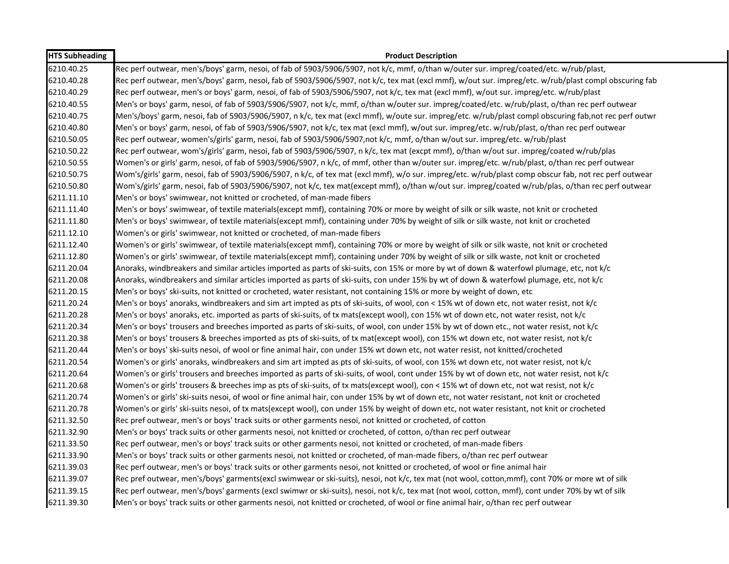| <b>HTS Subheading</b> | <b>Product Description</b>                                                                                                                            |
|-----------------------|-------------------------------------------------------------------------------------------------------------------------------------------------------|
| 6210.40.25            | Rec perf outwear, men's/boys' garm, nesoi, of fab of 5903/5906/5907, not k/c, mmf, o/than w/outer sur. impreg/coated/etc. w/rub/plast,                |
| 6210.40.28            | Rec perf outwear, men's/boys' garm, nesoi, fab of 5903/5906/5907, not k/c, tex mat (excl mmf), w/out sur. impreg/etc. w/rub/plast compl obscuring fab |
| 6210.40.29            | Rec perf outwear, men's or boys' garm, nesoi, of fab of 5903/5906/5907, not k/c, tex mat (excl mmf), w/out sur. impreg/etc. w/rub/plast               |
| 6210.40.55            | Men's or boys' garm, nesoi, of fab of 5903/5906/5907, not k/c, mmf, o/than w/outer sur. impreg/coated/etc. w/rub/plast, o/than rec perf outwear       |
| 6210.40.75            | Men's/boys' garm, nesoi, fab of 5903/5906/5907, n k/c, tex mat (excl mmf), w/oute sur. impreg/etc. w/rub/plast compl obscuring fab,not rec perf outwr |
| 6210.40.80            | Men's or boys' garm, nesoi, of fab of 5903/5906/5907, not k/c, tex mat (excl mmf), w/out sur. impreg/etc. w/rub/plast, o/than rec perf outwear        |
| 6210.50.05            | Rec perf outwear, women's/girls' garm, nesoi, fab of 5903/5906/5907,not k/c, mmf, o/than w/out sur. impreg/etc. w/rub/plast                           |
| 6210.50.22            | Rec perf outwear, wom's/girls' garm, nesoi, fab of 5903/5906/5907, n k/c, tex mat (excpt mmf), o/than w/out sur. impreg/coated w/rub/plas             |
| 6210.50.55            | Women's or girls' garm, nesoi, of fab of 5903/5906/5907, n k/c, of mmf, other than w/outer sur. impreg/etc. w/rub/plast, o/than rec perf outwear      |
| 6210.50.75            | Wom's/girls' garm, nesoi, fab of 5903/5906/5907, n k/c, of tex mat (excl mmf), w/o sur. impreg/etc. w/rub/plast comp obscur fab, not rec perf outwear |
| 6210.50.80            | Wom's/girls' garm, nesoi, fab of 5903/5906/5907, not k/c, tex mat(except mmf), o/than w/out sur. impreg/coated w/rub/plas, o/than rec perf outwear    |
| 6211.11.10            | Men's or boys' swimwear, not knitted or crocheted, of man-made fibers                                                                                 |
| 6211.11.40            | Men's or boys' swimwear, of textile materials(except mmf), containing 70% or more by weight of silk or silk waste, not knit or crocheted              |
| 6211.11.80            | Men's or boys' swimwear, of textile materials(except mmf), containing under 70% by weight of silk or silk waste, not knit or crocheted                |
| 6211.12.10            | Women's or girls' swimwear, not knitted or crocheted, of man-made fibers                                                                              |
| 6211.12.40            | Women's or girls' swimwear, of textile materials(except mmf), containing 70% or more by weight of silk or silk waste, not knit or crocheted           |
| 6211.12.80            | Women's or girls' swimwear, of textile materials(except mmf), containing under 70% by weight of silk or silk waste, not knit or crocheted             |
| 6211.20.04            | Anoraks, windbreakers and similar articles imported as parts of ski-suits, con 15% or more by wt of down & waterfowl plumage, etc, not k/c            |
| 6211.20.08            | Anoraks, windbreakers and similar articles imported as parts of ski-suits, con under 15% by wt of down & waterfowl plumage, etc, not k/c              |
| 6211.20.15            | Men's or boys' ski-suits, not knitted or crocheted, water resistant, not containing 15% or more by weight of down, etc                                |
| 6211.20.24            | Men's or boys' anoraks, windbreakers and sim art impted as pts of ski-suits, of wool, con < 15% wt of down etc, not water resist, not k/c             |
| 6211.20.28            | Men's or boys' anoraks, etc. imported as parts of ski-suits, of tx mats(except wool), con 15% wt of down etc, not water resist, not k/c               |
| 6211.20.34            | Men's or boys' trousers and breeches imported as parts of ski-suits, of wool, con under 15% by wt of down etc., not water resist, not k/c             |
| 6211.20.38            | Men's or boys' trousers & breeches imported as pts of ski-suits, of tx mat(except wool), con 15% wt down etc, not water resist, not k/c               |
| 6211.20.44            | Men's or boys' ski-suits nesoi, of wool or fine animal hair, con under 15% wt down etc, not water resist, not knitted/crocheted                       |
| 6211.20.54            | Women's or girls' anoraks, windbreakers and sim art impted as pts of ski-suits, of wool, con 15% wt down etc, not water resist, not k/c               |
| 6211.20.64            | Women's or girls' trousers and breeches imported as parts of ski-suits, of wool, cont under 15% by wt of down etc, not water resist, not k/c          |
| 6211.20.68            | Women's or girls' trousers & breeches imp as pts of ski-suits, of tx mats(except wool), con < 15% wt of down etc, not wat resist, not k/c             |
| 6211.20.74            | Women's or girls' ski-suits nesoi, of wool or fine animal hair, con under 15% by wt of down etc, not water resistant, not knit or crocheted           |
| 6211.20.78            | Women's or girls' ski-suits nesoi, of tx mats(except wool), con under 15% by weight of down etc, not water resistant, not knit or crocheted           |
| 6211.32.50            | Rec pref outwear, men's or boys' track suits or other garments nesoi, not knitted or crocheted, of cotton                                             |
| 6211.32.90            | Men's or boys' track suits or other garments nesoi, not knitted or crocheted, of cotton, o/than rec perf outwear                                      |
| 6211.33.50            | Rec perf outwear, men's or boys' track suits or other garments nesoi, not knitted or crocheted, of man-made fibers                                    |
| 6211.33.90            | Men's or boys' track suits or other garments nesoi, not knitted or crocheted, of man-made fibers, o/than rec perf outwear                             |
| 6211.39.03            | Rec perf outwear, men's or boys' track suits or other garments nesoi, not knitted or crocheted, of wool or fine animal hair                           |
| 6211.39.07            | Rec pref outwear, men's/boys' garments(excl swimwear or ski-suits), nesoi, not k/c, tex mat (not wool, cotton,mmf), cont 70% or more wt of silk       |
| 6211.39.15            | Rec perf outwear, men's/boys' garments (excl swimwr or ski-suits), nesoi, not k/c, tex mat (not wool, cotton, mmf), cont under 70% by wt of silk      |
| 6211.39.30            | Men's or boys' track suits or other garments nesoi, not knitted or crocheted, of wool or fine animal hair, o/than rec perf outwear                    |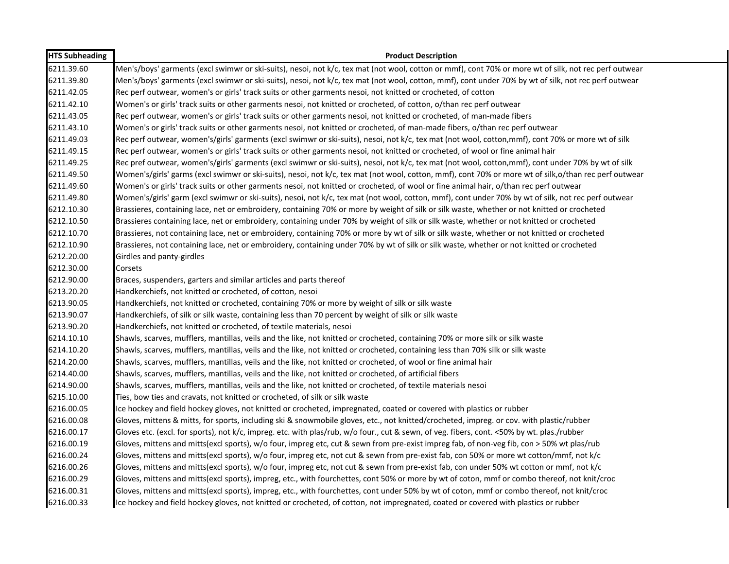| <b>HTS Subheading</b> | <b>Product Description</b>                                                                                                                            |
|-----------------------|-------------------------------------------------------------------------------------------------------------------------------------------------------|
| 6211.39.60            | Men's/boys' garments (excl swimwr or ski-suits), nesoi, not k/c, tex mat (not wool, cotton or mmf), cont 70% or more wt of silk, not rec perf outwear |
| 6211.39.80            | Men's/boys' garments (excl swimwr or ski-suits), nesoi, not k/c, tex mat (not wool, cotton, mmf), cont under 70% by wt of silk, not rec perf outwear  |
| 6211.42.05            | Rec perf outwear, women's or girls' track suits or other garments nesoi, not knitted or crocheted, of cotton                                          |
| 6211.42.10            | Women's or girls' track suits or other garments nesoi, not knitted or crocheted, of cotton, o/than rec perf outwear                                   |
| 6211.43.05            | Rec perf outwear, women's or girls' track suits or other garments nesoi, not knitted or crocheted, of man-made fibers                                 |
| 6211.43.10            | Women's or girls' track suits or other garments nesoi, not knitted or crocheted, of man-made fibers, o/than rec perf outwear                          |
| 6211.49.03            | Rec perf outwear, women's/girls' garments (excl swimwr or ski-suits), nesoi, not k/c, tex mat (not wool, cotton,mmf), cont 70% or more wt of silk     |
| 6211.49.15            | Rec perf outwear, women's or girls' track suits or other garments nesoi, not knitted or crocheted, of wool or fine animal hair                        |
| 6211.49.25            | Rec pref outwear, women's/girls' garments (excl swimwr or ski-suits), nesoi, not k/c, tex mat (not wool, cotton,mmf), cont under 70% by wt of silk    |
| 6211.49.50            | Women's/girls' garms (excl swimwr or ski-suits), nesoi, not k/c, tex mat (not wool, cotton, mmf), cont 70% or more wt of silk,o/than rec perf outwear |
| 6211.49.60            | Women's or girls' track suits or other garments nesoi, not knitted or crocheted, of wool or fine animal hair, o/than rec perf outwear                 |
| 6211.49.80            | Women's/girls' garm (excl swimwr or ski-suits), nesoi, not k/c, tex mat (not wool, cotton, mmf), cont under 70% by wt of silk, not rec perf outwear   |
| 6212.10.30            | Brassieres, containing lace, net or embroidery, containing 70% or more by weight of silk or silk waste, whether or not knitted or crocheted           |
| 6212.10.50            | Brassieres containing lace, net or embroidery, containing under 70% by weight of silk or silk waste, whether or not knitted or crocheted              |
| 6212.10.70            | Brassieres, not containing lace, net or embroidery, containing 70% or more by wt of silk or silk waste, whether or not knitted or crocheted           |
| 6212.10.90            | Brassieres, not containing lace, net or embroidery, containing under 70% by wt of silk or silk waste, whether or not knitted or crocheted             |
| 6212.20.00            | Girdles and panty-girdles                                                                                                                             |
| 6212.30.00            | Corsets                                                                                                                                               |
| 6212.90.00            | Braces, suspenders, garters and similar articles and parts thereof                                                                                    |
| 6213.20.20            | Handkerchiefs, not knitted or crocheted, of cotton, nesoi                                                                                             |
| 6213.90.05            | Handkerchiefs, not knitted or crocheted, containing 70% or more by weight of silk or silk waste                                                       |
| 6213.90.07            | Handkerchiefs, of silk or silk waste, containing less than 70 percent by weight of silk or silk waste                                                 |
| 6213.90.20            | Handkerchiefs, not knitted or crocheted, of textile materials, nesoi                                                                                  |
| 6214.10.10            | Shawls, scarves, mufflers, mantillas, veils and the like, not knitted or crocheted, containing 70% or more silk or silk waste                         |
| 6214.10.20            | Shawls, scarves, mufflers, mantillas, veils and the like, not knitted or crocheted, containing less than 70% silk or silk waste                       |
| 6214.20.00            | Shawls, scarves, mufflers, mantillas, veils and the like, not knitted or crocheted, of wool or fine animal hair                                       |
| 6214.40.00            | Shawls, scarves, mufflers, mantillas, veils and the like, not knitted or crocheted, of artificial fibers                                              |
| 6214.90.00            | Shawls, scarves, mufflers, mantillas, veils and the like, not knitted or crocheted, of textile materials nesoi                                        |
| 6215.10.00            | Ties, bow ties and cravats, not knitted or crocheted, of silk or silk waste                                                                           |
| 6216.00.05            | Ice hockey and field hockey gloves, not knitted or crocheted, impregnated, coated or covered with plastics or rubber                                  |
| 6216.00.08            | Gloves, mittens & mitts, for sports, including ski & snowmobile gloves, etc., not knitted/crocheted, impreg. or cov. with plastic/rubber              |
| 6216.00.17            | Gloves etc. (excl. for sports), not k/c, impreg. etc. with plas/rub, w/o four., cut & sewn, of veg. fibers, cont. <50% by wt. plas./rubber            |
| 6216.00.19            | Gloves, mittens and mitts(excl sports), w/o four, impreg etc, cut & sewn from pre-exist impreg fab, of non-veg fib, con > 50% wt plas/rub             |
| 6216.00.24            | Gloves, mittens and mitts(excl sports), w/o four, impreg etc, not cut & sewn from pre-exist fab, con 50% or more wt cotton/mmf, not k/c               |
| 6216.00.26            | Gloves, mittens and mitts(excl sports), w/o four, impreg etc, not cut & sewn from pre-exist fab, con under 50% wt cotton or mmf, not k/c              |
| 6216.00.29            | Gloves, mittens and mitts(excl sports), impreg, etc., with fourchettes, cont 50% or more by wt of coton, mmf or combo thereof, not knit/croc          |
| 6216.00.31            | Gloves, mittens and mitts(excl sports), impreg, etc., with fourchettes, cont under 50% by wt of coton, mmf or combo thereof, not knit/croc            |
| 6216.00.33            | Ice hockey and field hockey gloves, not knitted or crocheted, of cotton, not impregnated, coated or covered with plastics or rubber                   |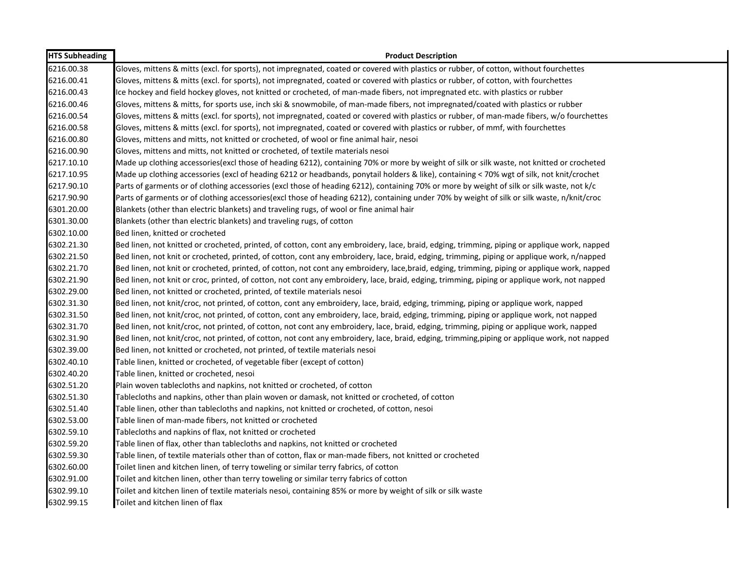| <b>HTS Subheading</b> | <b>Product Description</b>                                                                                                                    |
|-----------------------|-----------------------------------------------------------------------------------------------------------------------------------------------|
| 6216.00.38            | Gloves, mittens & mitts (excl. for sports), not impregnated, coated or covered with plastics or rubber, of cotton, without fourchettes        |
| 6216.00.41            | Gloves, mittens & mitts (excl. for sports), not impregnated, coated or covered with plastics or rubber, of cotton, with fourchettes           |
| 6216.00.43            | Ice hockey and field hockey gloves, not knitted or crocheted, of man-made fibers, not impregnated etc. with plastics or rubber                |
| 6216.00.46            | Gloves, mittens & mitts, for sports use, inch ski & snowmobile, of man-made fibers, not impregnated/coated with plastics or rubber            |
| 6216.00.54            | Gloves, mittens & mitts (excl. for sports), not impregnated, coated or covered with plastics or rubber, of man-made fibers, w/o fourchettes   |
| 6216.00.58            | Gloves, mittens & mitts (excl. for sports), not impregnated, coated or covered with plastics or rubber, of mmf, with fourchettes              |
| 6216.00.80            | Gloves, mittens and mitts, not knitted or crocheted, of wool or fine animal hair, nesoi                                                       |
| 6216.00.90            | Gloves, mittens and mitts, not knitted or crocheted, of textile materials nesoi                                                               |
| 6217.10.10            | Made up clothing accessories (excl those of heading 6212), containing 70% or more by weight of silk or silk waste, not knitted or crocheted   |
| 6217.10.95            | Made up clothing accessories (excl of heading 6212 or headbands, ponytail holders & like), containing < 70% wgt of silk, not knit/crochet     |
| 6217.90.10            | Parts of garments or of clothing accessories (excl those of heading 6212), containing 70% or more by weight of silk or silk waste, not k/c    |
| 6217.90.90            | Parts of garments or of clothing accessories(excl those of heading 6212), containing under 70% by weight of silk or silk waste, n/knit/croc   |
| 6301.20.00            | Blankets (other than electric blankets) and traveling rugs, of wool or fine animal hair                                                       |
| 6301.30.00            | Blankets (other than electric blankets) and traveling rugs, of cotton                                                                         |
| 6302.10.00            | Bed linen, knitted or crocheted                                                                                                               |
| 6302.21.30            | Bed linen, not knitted or crocheted, printed, of cotton, cont any embroidery, lace, braid, edging, trimming, piping or applique work, napped  |
| 6302.21.50            | Bed linen, not knit or crocheted, printed, of cotton, cont any embroidery, lace, braid, edging, trimming, piping or applique work, n/napped   |
| 6302.21.70            | Bed linen, not knit or crocheted, printed, of cotton, not cont any embroidery, lace,braid, edging, trimming, piping or applique work, napped  |
| 6302.21.90            | Bed linen, not knit or croc, printed, of cotton, not cont any embroidery, lace, braid, edging, trimming, piping or applique work, not napped  |
| 6302.29.00            | Bed linen, not knitted or crocheted, printed, of textile materials nesoi                                                                      |
| 6302.31.30            | Bed linen, not knit/croc, not printed, of cotton, cont any embroidery, lace, braid, edging, trimming, piping or applique work, napped         |
| 6302.31.50            | Bed linen, not knit/croc, not printed, of cotton, cont any embroidery, lace, braid, edging, trimming, piping or applique work, not napped     |
| 6302.31.70            | Bed linen, not knit/croc, not printed, of cotton, not cont any embroidery, lace, braid, edging, trimming, piping or applique work, napped     |
| 6302.31.90            | Bed linen, not knit/croc, not printed, of cotton, not cont any embroidery, lace, braid, edging, trimming, piping or applique work, not napped |
| 6302.39.00            | Bed linen, not knitted or crocheted, not printed, of textile materials nesoi                                                                  |
| 6302.40.10            | Table linen, knitted or crocheted, of vegetable fiber (except of cotton)                                                                      |
| 6302.40.20            | Table linen, knitted or crocheted, nesoi                                                                                                      |
| 6302.51.20            | Plain woven tablecloths and napkins, not knitted or crocheted, of cotton                                                                      |
| 6302.51.30            | Tablecloths and napkins, other than plain woven or damask, not knitted or crocheted, of cotton                                                |
| 6302.51.40            | Table linen, other than tablecloths and napkins, not knitted or crocheted, of cotton, nesoi                                                   |
| 6302.53.00            | Table linen of man-made fibers, not knitted or crocheted                                                                                      |
| 6302.59.10            | Tablecloths and napkins of flax, not knitted or crocheted                                                                                     |
| 6302.59.20            | Table linen of flax, other than tablecloths and napkins, not knitted or crocheted                                                             |
| 6302.59.30            | Table linen, of textile materials other than of cotton, flax or man-made fibers, not knitted or crocheted                                     |
| 6302.60.00            | Toilet linen and kitchen linen, of terry toweling or similar terry fabrics, of cotton                                                         |
| 6302.91.00            | Toilet and kitchen linen, other than terry toweling or similar terry fabrics of cotton                                                        |
| 6302.99.10            | Toilet and kitchen linen of textile materials nesoi, containing 85% or more by weight of silk or silk waste                                   |
| 6302.99.15            | Toilet and kitchen linen of flax                                                                                                              |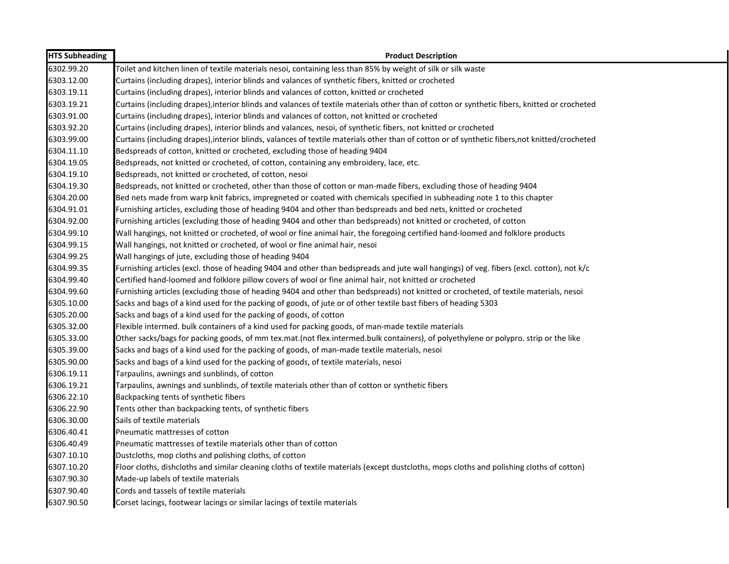| <b>HTS Subheading</b> | <b>Product Description</b>                                                                                                                     |
|-----------------------|------------------------------------------------------------------------------------------------------------------------------------------------|
| 6302.99.20            | Toilet and kitchen linen of textile materials nesoi, containing less than 85% by weight of silk or silk waste                                  |
| 6303.12.00            | Curtains (including drapes), interior blinds and valances of synthetic fibers, knitted or crocheted                                            |
| 6303.19.11            | Curtains (including drapes), interior blinds and valances of cotton, knitted or crocheted                                                      |
| 6303.19.21            | Curtains (including drapes), interior blinds and valances of textile materials other than of cotton or synthetic fibers, knitted or crocheted  |
| 6303.91.00            | Curtains (including drapes), interior blinds and valances of cotton, not knitted or crocheted                                                  |
| 6303.92.20            | Curtains (including drapes), interior blinds and valances, nesoi, of synthetic fibers, not knitted or crocheted                                |
| 6303.99.00            | Curtains (including drapes), interior blinds, valances of textile materials other than of cotton or of synthetic fibers, not knitted/crocheted |
| 6304.11.10            | Bedspreads of cotton, knitted or crocheted, excluding those of heading 9404                                                                    |
| 6304.19.05            | Bedspreads, not knitted or crocheted, of cotton, containing any embroidery, lace, etc.                                                         |
| 6304.19.10            | Bedspreads, not knitted or crocheted, of cotton, nesoi                                                                                         |
| 6304.19.30            | Bedspreads, not knitted or crocheted, other than those of cotton or man-made fibers, excluding those of heading 9404                           |
| 6304.20.00            | Bed nets made from warp knit fabrics, impregneted or coated with chemicals specified in subheading note 1 to this chapter                      |
| 6304.91.01            | Furnishing articles, excluding those of heading 9404 and other than bedspreads and bed nets, knitted or crocheted                              |
| 6304.92.00            | Furnishing articles (excluding those of heading 9404 and other than bedspreads) not knitted or crocheted, of cotton                            |
| 6304.99.10            | Wall hangings, not knitted or crocheted, of wool or fine animal hair, the foregoing certified hand-loomed and folklore products                |
| 6304.99.15            | Wall hangings, not knitted or crocheted, of wool or fine animal hair, nesoi                                                                    |
| 6304.99.25            | Wall hangings of jute, excluding those of heading 9404                                                                                         |
| 6304.99.35            | Furnishing articles (excl. those of heading 9404 and other than bedspreads and jute wall hangings) of veg. fibers (excl. cotton), not k/c      |
| 6304.99.40            | Certified hand-loomed and folklore pillow covers of wool or fine animal hair, not knitted or crocheted                                         |
| 6304.99.60            | Furnishing articles (excluding those of heading 9404 and other than bedspreads) not knitted or crocheted, of textile materials, nesoi          |
| 6305.10.00            | Sacks and bags of a kind used for the packing of goods, of jute or of other textile bast fibers of heading 5303                                |
| 6305.20.00            | Sacks and bags of a kind used for the packing of goods, of cotton                                                                              |
| 6305.32.00            | Flexible intermed. bulk containers of a kind used for packing goods, of man-made textile materials                                             |
| 6305.33.00            | Other sacks/bags for packing goods, of mm tex.mat.(not flex.intermed.bulk containers), of polyethylene or polypro. strip or the like           |
| 6305.39.00            | Sacks and bags of a kind used for the packing of goods, of man-made textile materials, nesoi                                                   |
| 6305.90.00            | Sacks and bags of a kind used for the packing of goods, of textile materials, nesoi                                                            |
| 6306.19.11            | Tarpaulins, awnings and sunblinds, of cotton                                                                                                   |
| 6306.19.21            | Tarpaulins, awnings and sunblinds, of textile materials other than of cotton or synthetic fibers                                               |
| 6306.22.10            | Backpacking tents of synthetic fibers                                                                                                          |
| 6306.22.90            | Tents other than backpacking tents, of synthetic fibers                                                                                        |
| 6306.30.00            | Sails of textile materials                                                                                                                     |
| 6306.40.41            | Pneumatic mattresses of cotton                                                                                                                 |
| 6306.40.49            | Pneumatic mattresses of textile materials other than of cotton                                                                                 |
| 6307.10.10            | Dustcloths, mop cloths and polishing cloths, of cotton                                                                                         |
| 6307.10.20            | Floor cloths, dishcloths and similar cleaning cloths of textile materials (except dustcloths, mops cloths and polishing cloths of cotton)      |
| 6307.90.30            | Made-up labels of textile materials                                                                                                            |
| 6307.90.40            | Cords and tassels of textile materials                                                                                                         |
| 6307.90.50            | Corset lacings, footwear lacings or similar lacings of textile materials                                                                       |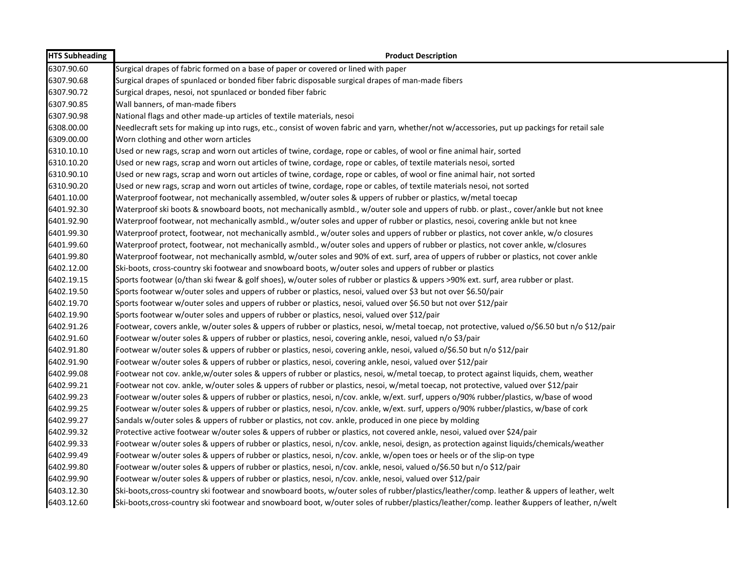| <b>HTS Subheading</b> | <b>Product Description</b>                                                                                                                     |
|-----------------------|------------------------------------------------------------------------------------------------------------------------------------------------|
| 6307.90.60            | Surgical drapes of fabric formed on a base of paper or covered or lined with paper                                                             |
| 6307.90.68            | Surgical drapes of spunlaced or bonded fiber fabric disposable surgical drapes of man-made fibers                                              |
| 6307.90.72            | Surgical drapes, nesoi, not spunlaced or bonded fiber fabric                                                                                   |
| 6307.90.85            | Wall banners, of man-made fibers                                                                                                               |
| 6307.90.98            | National flags and other made-up articles of textile materials, nesoi                                                                          |
| 6308.00.00            | Needlecraft sets for making up into rugs, etc., consist of woven fabric and yarn, whether/not w/accessories, put up packings for retail sale   |
| 6309.00.00            | Worn clothing and other worn articles                                                                                                          |
| 6310.10.10            | Used or new rags, scrap and worn out articles of twine, cordage, rope or cables, of wool or fine animal hair, sorted                           |
| 6310.10.20            | Used or new rags, scrap and worn out articles of twine, cordage, rope or cables, of textile materials nesoi, sorted                            |
| 6310.90.10            | Used or new rags, scrap and worn out articles of twine, cordage, rope or cables, of wool or fine animal hair, not sorted                       |
| 6310.90.20            | Used or new rags, scrap and worn out articles of twine, cordage, rope or cables, of textile materials nesoi, not sorted                        |
| 6401.10.00            | Waterproof footwear, not mechanically assembled, w/outer soles & uppers of rubber or plastics, w/metal toecap                                  |
| 6401.92.30            | Waterproof ski boots & snowboard boots, not mechanically asmbld., w/outer sole and uppers of rubb. or plast., cover/ankle but not knee         |
| 6401.92.90            | Waterproof footwear, not mechanically asmbld., w/outer soles and upper of rubber or plastics, nesoi, covering ankle but not knee               |
| 6401.99.30            | Waterproof protect, footwear, not mechanically asmbld., w/outer soles and uppers of rubber or plastics, not cover ankle, w/o closures          |
| 6401.99.60            | Waterproof protect, footwear, not mechanically asmbld., w/outer soles and uppers of rubber or plastics, not cover ankle, w/closures            |
| 6401.99.80            | Waterproof footwear, not mechanically asmbld, w/outer soles and 90% of ext. surf, area of uppers of rubber or plastics, not cover ankle        |
| 6402.12.00            | Ski-boots, cross-country ski footwear and snowboard boots, w/outer soles and uppers of rubber or plastics                                      |
| 6402.19.15            | Sports footwear (o/than ski fwear & golf shoes), w/outer soles of rubber or plastics & uppers >90% ext. surf, area rubber or plast.            |
| 6402.19.50            | Sports footwear w/outer soles and uppers of rubber or plastics, nesoi, valued over \$3 but not over \$6.50/pair                                |
| 6402.19.70            | Sports footwear w/outer soles and uppers of rubber or plastics, nesoi, valued over \$6.50 but not over \$12/pair                               |
| 6402.19.90            | Sports footwear w/outer soles and uppers of rubber or plastics, nesoi, valued over \$12/pair                                                   |
| 6402.91.26            | Footwear, covers ankle, w/outer soles & uppers of rubber or plastics, nesoi, w/metal toecap, not protective, valued o/\$6.50 but n/o \$12/pair |
| 6402.91.60            | Footwear w/outer soles & uppers of rubber or plastics, nesoi, covering ankle, nesoi, valued n/o \$3/pair                                       |
| 6402.91.80            | Footwear w/outer soles & uppers of rubber or plastics, nesoi, covering ankle, nesoi, valued o/\$6.50 but n/o \$12/pair                         |
| 6402.91.90            | Footwear w/outer soles & uppers of rubber or plastics, nesoi, covering ankle, nesoi, valued over \$12/pair                                     |
| 6402.99.08            | Footwear not cov. ankle,w/outer soles & uppers of rubber or plastics, nesoi, w/metal toecap, to protect against liquids, chem, weather         |
| 6402.99.21            | Footwear not cov. ankle, w/outer soles & uppers of rubber or plastics, nesoi, w/metal toecap, not protective, valued over \$12/pair            |
| 6402.99.23            | Footwear w/outer soles & uppers of rubber or plastics, nesoi, n/cov. ankle, w/ext. surf, uppers o/90% rubber/plastics, w/base of wood          |
| 6402.99.25            | Footwear w/outer soles & uppers of rubber or plastics, nesoi, n/cov. ankle, w/ext. surf, uppers o/90% rubber/plastics, w/base of cork          |
| 6402.99.27            | Sandals w/outer soles & uppers of rubber or plastics, not cov. ankle, produced in one piece by molding                                         |
| 6402.99.32            | Protective active footwear w/outer soles & uppers of rubber or plastics, not covered ankle, nesoi, valued over \$24/pair                       |
| 6402.99.33            | Footwear w/outer soles & uppers of rubber or plastics, nesoi, n/cov. ankle, nesoi, design, as protection against liquids/chemicals/weather     |
| 6402.99.49            | Footwear w/outer soles & uppers of rubber or plastics, nesoi, n/cov. ankle, w/open toes or heels or of the slip-on type                        |
| 6402.99.80            | Footwear w/outer soles & uppers of rubber or plastics, nesoi, n/cov. ankle, nesoi, valued o/\$6.50 but n/o \$12/pair                           |
| 6402.99.90            | Footwear w/outer soles & uppers of rubber or plastics, nesoi, n/cov. ankle, nesoi, valued over \$12/pair                                       |
| 6403.12.30            | Ski-boots,cross-country ski footwear and snowboard boots, w/outer soles of rubber/plastics/leather/comp. leather & uppers of leather, welt     |
| 6403.12.60            | Ski-boots, cross-country ski footwear and snowboard boot, w/outer soles of rubber/plastics/leather/comp. leather &uppers of leather, n/welt    |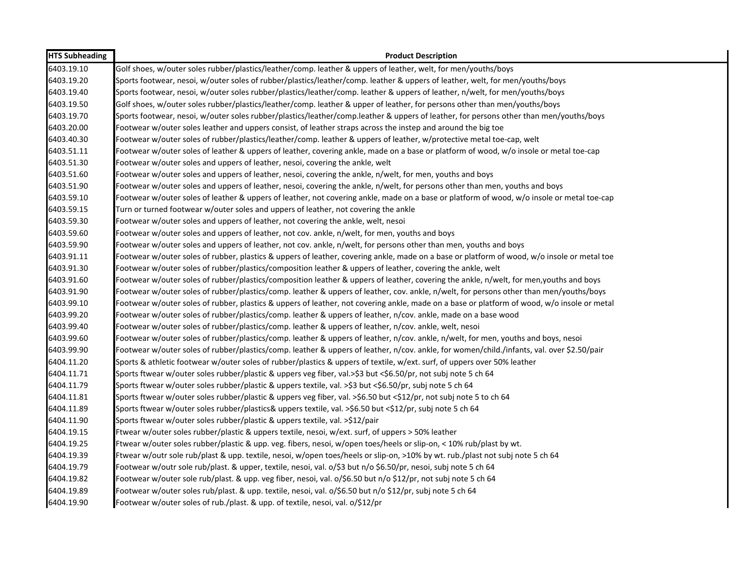| <b>HTS Subheading</b> | <b>Product Description</b>                                                                                                                  |
|-----------------------|---------------------------------------------------------------------------------------------------------------------------------------------|
| 6403.19.10            | Golf shoes, w/outer soles rubber/plastics/leather/comp. leather & uppers of leather, welt, for men/youths/boys                              |
| 6403.19.20            | Sports footwear, nesoi, w/outer soles of rubber/plastics/leather/comp. leather & uppers of leather, welt, for men/youths/boys               |
| 6403.19.40            | Sports footwear, nesoi, w/outer soles rubber/plastics/leather/comp. leather & uppers of leather, n/welt, for men/youths/boys                |
| 6403.19.50            | Golf shoes, w/outer soles rubber/plastics/leather/comp. leather & upper of leather, for persons other than men/youths/boys                  |
| 6403.19.70            | Sports footwear, nesoi, w/outer soles rubber/plastics/leather/comp.leather & uppers of leather, for persons other than men/youths/boys      |
| 6403.20.00            | Footwear w/outer soles leather and uppers consist, of leather straps across the instep and around the big toe                               |
| 6403.40.30            | Footwear w/outer soles of rubber/plastics/leather/comp. leather & uppers of leather, w/protective metal toe-cap, welt                       |
| 6403.51.11            | Footwear w/outer soles of leather & uppers of leather, covering ankle, made on a base or platform of wood, w/o insole or metal toe-cap      |
| 6403.51.30            | Footwear w/outer soles and uppers of leather, nesoi, covering the ankle, welt                                                               |
| 6403.51.60            | Footwear w/outer soles and uppers of leather, nesoi, covering the ankle, n/welt, for men, youths and boys                                   |
| 6403.51.90            | Footwear w/outer soles and uppers of leather, nesoi, covering the ankle, n/welt, for persons other than men, youths and boys                |
| 6403.59.10            | Footwear w/outer soles of leather & uppers of leather, not covering ankle, made on a base or platform of wood, w/o insole or metal toe-cap  |
| 6403.59.15            | Turn or turned footwear w/outer soles and uppers of leather, not covering the ankle                                                         |
| 6403.59.30            | Footwear w/outer soles and uppers of leather, not covering the ankle, welt, nesoi                                                           |
| 6403.59.60            | Footwear w/outer soles and uppers of leather, not cov. ankle, n/welt, for men, youths and boys                                              |
| 6403.59.90            | Footwear w/outer soles and uppers of leather, not cov. ankle, n/welt, for persons other than men, youths and boys                           |
| 6403.91.11            | Footwear w/outer soles of rubber, plastics & uppers of leather, covering ankle, made on a base or platform of wood, w/o insole or metal toe |
| 6403.91.30            | Footwear w/outer soles of rubber/plastics/composition leather & uppers of leather, covering the ankle, welt                                 |
| 6403.91.60            | Footwear w/outer soles of rubber/plastics/composition leather & uppers of leather, covering the ankle, n/welt, for men, youths and boys     |
| 6403.91.90            | Footwear w/outer soles of rubber/plastics/comp. leather & uppers of leather, cov. ankle, n/welt, for persons other than men/youths/boys     |
| 6403.99.10            | Footwear w/outer soles of rubber, plastics & uppers of leather, not covering ankle, made on a base or platform of wood, w/o insole or metal |
| 6403.99.20            | Footwear w/outer soles of rubber/plastics/comp. leather & uppers of leather, n/cov. ankle, made on a base wood                              |
| 6403.99.40            | Footwear w/outer soles of rubber/plastics/comp. leather & uppers of leather, n/cov. ankle, welt, nesoi                                      |
| 6403.99.60            | Footwear w/outer soles of rubber/plastics/comp. leather & uppers of leather, n/cov. ankle, n/welt, for men, youths and boys, nesoi          |
| 6403.99.90            | Footwear w/outer soles of rubber/plastics/comp. leather & uppers of leather, n/cov. ankle, for women/child./infants, val. over \$2.50/pair  |
| 6404.11.20            | Sports & athletic footwear w/outer soles of rubber/plastics & uppers of textile, w/ext. surf, of uppers over 50% leather                    |
| 6404.11.71            | Sports ftwear w/outer soles rubber/plastic & uppers veg fiber, val.>\$3 but <\$6.50/pr, not subj note 5 ch 64                               |
| 6404.11.79            | Sports ftwear w/outer soles rubber/plastic & uppers textile, val. >\$3 but <\$6.50/pr, subj note 5 ch 64                                    |
| 6404.11.81            | Sports ftwear w/outer soles rubber/plastic & uppers veg fiber, val. >\$6.50 but <\$12/pr, not subj note 5 to ch 64                          |
| 6404.11.89            | Sports ftwear w/outer soles rubber/plastics& uppers textile, val. >\$6.50 but <\$12/pr, subj note 5 ch 64                                   |
| 6404.11.90            | Sports ftwear w/outer soles rubber/plastic & uppers textile, val. >\$12/pair                                                                |
| 6404.19.15            | Ftwear w/outer soles rubber/plastic & uppers textile, nesoi, w/ext. surf, of uppers > 50% leather                                           |
| 6404.19.25            | Ftwear w/outer soles rubber/plastic & upp. veg. fibers, nesoi, w/open toes/heels or slip-on, < 10% rub/plast by wt.                         |
| 6404.19.39            | Ftwear w/outr sole rub/plast & upp. textile, nesoi, w/open toes/heels or slip-on, >10% by wt. rub./plast not subj note 5 ch 64              |
| 6404.19.79            | Footwear w/outr sole rub/plast. & upper, textile, nesoi, val. o/\$3 but n/o \$6.50/pr, nesoi, subj note 5 ch 64                             |
| 6404.19.82            | Footwear w/outer sole rub/plast. & upp. veg fiber, nesoi, val. o/\$6.50 but n/o \$12/pr, not subj note 5 ch 64                              |
| 6404.19.89            | Footwear w/outer soles rub/plast. & upp. textile, nesoi, val. o/\$6.50 but n/o \$12/pr, subj note 5 ch 64                                   |
| 6404.19.90            | Footwear w/outer soles of rub./plast. & upp. of textile, nesoi, val. o/\$12/pr                                                              |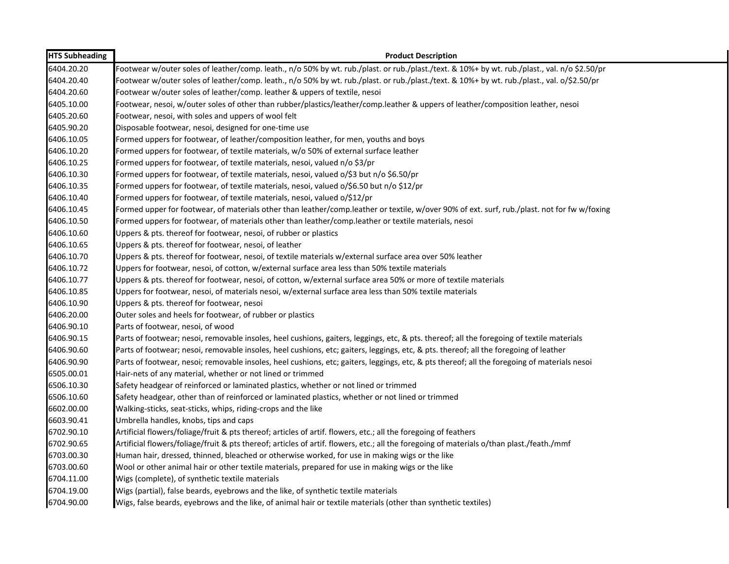| <b>HTS Subheading</b> | <b>Product Description</b>                                                                                                                    |
|-----------------------|-----------------------------------------------------------------------------------------------------------------------------------------------|
| 6404.20.20            | Footwear w/outer soles of leather/comp. leath., n/o 50% by wt. rub./plast. or rub./plast./text. & 10%+ by wt. rub./plast., val. n/o \$2.50/pr |
| 6404.20.40            | Footwear w/outer soles of leather/comp. leath., n/o 50% by wt. rub./plast. or rub./plast./text. & 10%+ by wt. rub./plast., val. o/\$2.50/pr   |
| 6404.20.60            | Footwear w/outer soles of leather/comp. leather & uppers of textile, nesoi                                                                    |
| 6405.10.00            | Footwear, nesoi, w/outer soles of other than rubber/plastics/leather/comp.leather & uppers of leather/composition leather, nesoi              |
| 6405.20.60            | Footwear, nesoi, with soles and uppers of wool felt                                                                                           |
| 6405.90.20            | Disposable footwear, nesoi, designed for one-time use                                                                                         |
| 6406.10.05            | Formed uppers for footwear, of leather/composition leather, for men, youths and boys                                                          |
| 6406.10.20            | Formed uppers for footwear, of textile materials, w/o 50% of external surface leather                                                         |
| 6406.10.25            | Formed uppers for footwear, of textile materials, nesoi, valued n/o \$3/pr                                                                    |
| 6406.10.30            | Formed uppers for footwear, of textile materials, nesoi, valued o/\$3 but n/o \$6.50/pr                                                       |
| 6406.10.35            | Formed uppers for footwear, of textile materials, nesoi, valued o/\$6.50 but n/o \$12/pr                                                      |
| 6406.10.40            | Formed uppers for footwear, of textile materials, nesoi, valued o/\$12/pr                                                                     |
| 6406.10.45            | Formed upper for footwear, of materials other than leather/comp.leather or textile, w/over 90% of ext. surf, rub./plast. not for fw w/foxing  |
| 6406.10.50            | Formed uppers for footwear, of materials other than leather/comp.leather or textile materials, nesoi                                          |
| 6406.10.60            | Uppers & pts. thereof for footwear, nesoi, of rubber or plastics                                                                              |
| 6406.10.65            | Uppers & pts. thereof for footwear, nesoi, of leather                                                                                         |
| 6406.10.70            | Uppers & pts. thereof for footwear, nesoi, of textile materials w/external surface area over 50% leather                                      |
| 6406.10.72            | Uppers for footwear, nesoi, of cotton, w/external surface area less than 50% textile materials                                                |
| 6406.10.77            | Uppers & pts. thereof for footwear, nesoi, of cotton, w/external surface area 50% or more of textile materials                                |
| 6406.10.85            | Uppers for footwear, nesoi, of materials nesoi, w/external surface area less than 50% textile materials                                       |
| 6406.10.90            | Uppers & pts. thereof for footwear, nesoi                                                                                                     |
| 6406.20.00            | Outer soles and heels for footwear, of rubber or plastics                                                                                     |
| 6406.90.10            | Parts of footwear, nesoi, of wood                                                                                                             |
| 6406.90.15            | Parts of footwear; nesoi, removable insoles, heel cushions, gaiters, leggings, etc, & pts. thereof; all the foregoing of textile materials    |
| 6406.90.60            | Parts of footwear; nesoi, removable insoles, heel cushions, etc; gaiters, leggings, etc, & pts. thereof; all the foregoing of leather         |
| 6406.90.90            | Parts of footwear, nesoi; removable insoles, heel cushions, etc; gaiters, leggings, etc, & pts thereof; all the foregoing of materials nesoi  |
| 6505.00.01            | Hair-nets of any material, whether or not lined or trimmed                                                                                    |
| 6506.10.30            | Safety headgear of reinforced or laminated plastics, whether or not lined or trimmed                                                          |
| 6506.10.60            | Safety headgear, other than of reinforced or laminated plastics, whether or not lined or trimmed                                              |
| 6602.00.00            | Walking-sticks, seat-sticks, whips, riding-crops and the like                                                                                 |
| 6603.90.41            | Umbrella handles, knobs, tips and caps                                                                                                        |
| 6702.90.10            | Artificial flowers/foliage/fruit & pts thereof; articles of artif. flowers, etc.; all the foregoing of feathers                               |
| 6702.90.65            | Artificial flowers/foliage/fruit & pts thereof; articles of artif. flowers, etc.; all the foregoing of materials o/than plast./feath./mmf     |
| 6703.00.30            | Human hair, dressed, thinned, bleached or otherwise worked, for use in making wigs or the like                                                |
| 6703.00.60            | Wool or other animal hair or other textile materials, prepared for use in making wigs or the like                                             |
| 6704.11.00            | Wigs (complete), of synthetic textile materials                                                                                               |
| 6704.19.00            | Wigs (partial), false beards, eyebrows and the like, of synthetic textile materials                                                           |
| 6704.90.00            | Wigs, false beards, eyebrows and the like, of animal hair or textile materials (other than synthetic textiles)                                |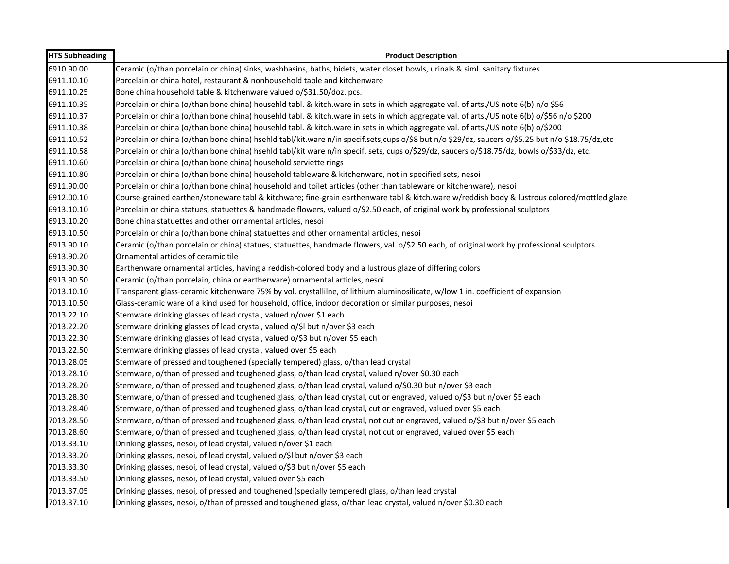| <b>HTS Subheading</b> | <b>Product Description</b>                                                                                                                       |
|-----------------------|--------------------------------------------------------------------------------------------------------------------------------------------------|
| 6910.90.00            | Ceramic (o/than porcelain or china) sinks, washbasins, baths, bidets, water closet bowls, urinals & siml. sanitary fixtures                      |
| 6911.10.10            | Porcelain or china hotel, restaurant & nonhousehold table and kitchenware                                                                        |
| 6911.10.25            | Bone china household table & kitchenware valued o/\$31.50/doz. pcs.                                                                              |
| 6911.10.35            | Porcelain or china (o/than bone china) househld tabl. & kitch.ware in sets in which aggregate val. of arts./US note 6(b) n/o \$56                |
| 6911.10.37            | Porcelain or china (o/than bone china) househld tabl. & kitch.ware in sets in which aggregate val. of arts./US note 6(b) o/\$56 n/o \$200        |
| 6911.10.38            | Porcelain or china (o/than bone china) househld tabl. & kitch.ware in sets in which aggregate val. of arts./US note 6(b) o/\$200                 |
| 6911.10.52            | Porcelain or china (o/than bone china) hsehld tabl/kit.ware n/in specif.sets,cups o/\$8 but n/o \$29/dz, saucers o/\$5.25 but n/o \$18.75/dz,etc |
| 6911.10.58            | Porcelain or china (o/than bone china) hsehld tabl/kit ware n/in specif, sets, cups o/\$29/dz, saucers o/\$18.75/dz, bowls o/\$33/dz, etc.       |
| 6911.10.60            | Porcelain or china (o/than bone china) household serviette rings                                                                                 |
| 6911.10.80            | Porcelain or china (o/than bone china) household tableware & kitchenware, not in specified sets, nesoi                                           |
| 6911.90.00            | Porcelain or china (o/than bone china) household and toilet articles (other than tableware or kitchenware), nesoi                                |
| 6912.00.10            | Course-grained earthen/stoneware tabl & kitchware; fine-grain earthenware tabl & kitch.ware w/reddish body & lustrous colored/mottled glaze      |
| 6913.10.10            | Porcelain or china statues, statuettes & handmade flowers, valued o/\$2.50 each, of original work by professional sculptors                      |
| 6913.10.20            | Bone china statuettes and other ornamental articles, nesoi                                                                                       |
| 6913.10.50            | Porcelain or china (o/than bone china) statuettes and other ornamental articles, nesoi                                                           |
| 6913.90.10            | Ceramic (o/than porcelain or china) statues, statuettes, handmade flowers, val. o/\$2.50 each, of original work by professional sculptors        |
| 6913.90.20            | Ornamental articles of ceramic tile                                                                                                              |
| 6913.90.30            | Earthenware ornamental articles, having a reddish-colored body and a lustrous glaze of differing colors                                          |
| 6913.90.50            | Ceramic (o/than porcelain, china or eartherware) ornamental articles, nesoi                                                                      |
| 7013.10.10            | Transparent glass-ceramic kitchenware 75% by vol. crystallilne, of lithium aluminosilicate, w/low 1 in. coefficient of expansion                 |
| 7013.10.50            | Glass-ceramic ware of a kind used for household, office, indoor decoration or similar purposes, nesoi                                            |
| 7013.22.10            | Stemware drinking glasses of lead crystal, valued n/over \$1 each                                                                                |
| 7013.22.20            | Stemware drinking glasses of lead crystal, valued o/\$I but n/over \$3 each                                                                      |
| 7013.22.30            | Stemware drinking glasses of lead crystal, valued o/\$3 but n/over \$5 each                                                                      |
| 7013.22.50            | Stemware drinking glasses of lead crystal, valued over \$5 each                                                                                  |
| 7013.28.05            | Stemware of pressed and toughened (specially tempered) glass, o/than lead crystal                                                                |
| 7013.28.10            | Stemware, o/than of pressed and toughened glass, o/than lead crystal, valued n/over \$0.30 each                                                  |
| 7013.28.20            | Stemware, o/than of pressed and toughened glass, o/than lead crystal, valued o/\$0.30 but n/over \$3 each                                        |
| 7013.28.30            | Stemware, o/than of pressed and toughened glass, o/than lead crystal, cut or engraved, valued o/\$3 but n/over \$5 each                          |
| 7013.28.40            | Stemware, o/than of pressed and toughened glass, o/than lead crystal, cut or engraved, valued over \$5 each                                      |
| 7013.28.50            | Stemware, o/than of pressed and toughened glass, o/than lead crystal, not cut or engraved, valued o/\$3 but n/over \$5 each                      |
| 7013.28.60            | Stemware, o/than of pressed and toughened glass, o/than lead crystal, not cut or engraved, valued over \$5 each                                  |
| 7013.33.10            | Drinking glasses, nesoi, of lead crystal, valued n/over \$1 each                                                                                 |
| 7013.33.20            | Drinking glasses, nesoi, of lead crystal, valued o/\$I but n/over \$3 each                                                                       |
| 7013.33.30            | Drinking glasses, nesoi, of lead crystal, valued o/\$3 but n/over \$5 each                                                                       |
| 7013.33.50            | Drinking glasses, nesoi, of lead crystal, valued over \$5 each                                                                                   |
| 7013.37.05            | Drinking glasses, nesoi, of pressed and toughened (specially tempered) glass, o/than lead crystal                                                |
| 7013.37.10            | Drinking glasses, nesoi, o/than of pressed and toughened glass, o/than lead crystal, valued n/over \$0.30 each                                   |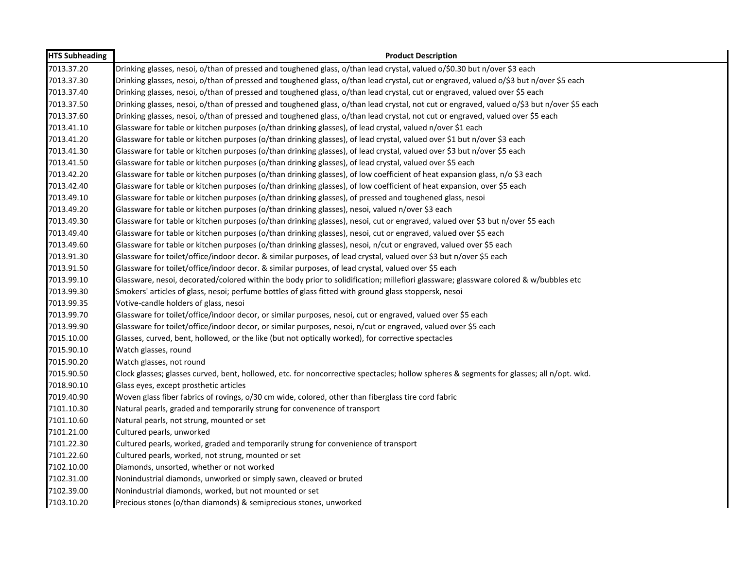| <b>HTS Subheading</b> | <b>Product Description</b>                                                                                                                 |
|-----------------------|--------------------------------------------------------------------------------------------------------------------------------------------|
| 7013.37.20            | Drinking glasses, nesoi, o/than of pressed and toughened glass, o/than lead crystal, valued o/\$0.30 but n/over \$3 each                   |
| 7013.37.30            | Drinking glasses, nesoi, o/than of pressed and toughened glass, o/than lead crystal, cut or engraved, valued o/\$3 but n/over \$5 each     |
| 7013.37.40            | Drinking glasses, nesoi, o/than of pressed and toughened glass, o/than lead crystal, cut or engraved, valued over \$5 each                 |
| 7013.37.50            | Drinking glasses, nesoi, o/than of pressed and toughened glass, o/than lead crystal, not cut or engraved, valued o/\$3 but n/over \$5 each |
| 7013.37.60            | Drinking glasses, nesoi, o/than of pressed and toughened glass, o/than lead crystal, not cut or engraved, valued over \$5 each             |
| 7013.41.10            | Glassware for table or kitchen purposes (o/than drinking glasses), of lead crystal, valued n/over \$1 each                                 |
| 7013.41.20            | Glassware for table or kitchen purposes (o/than drinking glasses), of lead crystal, valued over \$1 but n/over \$3 each                    |
| 7013.41.30            | Glassware for table or kitchen purposes (o/than drinking glasses), of lead crystal, valued over \$3 but n/over \$5 each                    |
| 7013.41.50            | Glassware for table or kitchen purposes (o/than drinking glasses), of lead crystal, valued over \$5 each                                   |
| 7013.42.20            | Glassware for table or kitchen purposes (o/than drinking glasses), of low coefficient of heat expansion glass, n/o \$3 each                |
| 7013.42.40            | Glassware for table or kitchen purposes (o/than drinking glasses), of low coefficient of heat expansion, over \$5 each                     |
| 7013.49.10            | Glassware for table or kitchen purposes (o/than drinking glasses), of pressed and toughened glass, nesoi                                   |
| 7013.49.20            | Glassware for table or kitchen purposes (o/than drinking glasses), nesoi, valued n/over \$3 each                                           |
| 7013.49.30            | Glassware for table or kitchen purposes (o/than drinking glasses), nesoi, cut or engraved, valued over \$3 but n/over \$5 each             |
| 7013.49.40            | Glassware for table or kitchen purposes (o/than drinking glasses), nesoi, cut or engraved, valued over \$5 each                            |
| 7013.49.60            | Glassware for table or kitchen purposes (o/than drinking glasses), nesoi, n/cut or engraved, valued over \$5 each                          |
| 7013.91.30            | Glassware for toilet/office/indoor decor. & similar purposes, of lead crystal, valued over \$3 but n/over \$5 each                         |
| 7013.91.50            | Glassware for toilet/office/indoor decor. & similar purposes, of lead crystal, valued over \$5 each                                        |
| 7013.99.10            | Glassware, nesoi, decorated/colored within the body prior to solidification; millefiori glassware; glassware colored & w/bubbles etc       |
| 7013.99.30            | Smokers' articles of glass, nesoi; perfume bottles of glass fitted with ground glass stoppersk, nesoi                                      |
| 7013.99.35            | Votive-candle holders of glass, nesoi                                                                                                      |
| 7013.99.70            | Glassware for toilet/office/indoor decor, or similar purposes, nesoi, cut or engraved, valued over \$5 each                                |
| 7013.99.90            | Glassware for toilet/office/indoor decor, or similar purposes, nesoi, n/cut or engraved, valued over \$5 each                              |
| 7015.10.00            | Glasses, curved, bent, hollowed, or the like (but not optically worked), for corrective spectacles                                         |
| 7015.90.10            | Watch glasses, round                                                                                                                       |
| 7015.90.20            | Watch glasses, not round                                                                                                                   |
| 7015.90.50            | Clock glasses; glasses curved, bent, hollowed, etc. for noncorrective spectacles; hollow spheres & segments for glasses; all n/opt. wkd.   |
| 7018.90.10            | Glass eyes, except prosthetic articles                                                                                                     |
| 7019.40.90            | Woven glass fiber fabrics of rovings, o/30 cm wide, colored, other than fiberglass tire cord fabric                                        |
| 7101.10.30            | Natural pearls, graded and temporarily strung for convenence of transport                                                                  |
| 7101.10.60            | Natural pearls, not strung, mounted or set                                                                                                 |
| 7101.21.00            | Cultured pearls, unworked                                                                                                                  |
| 7101.22.30            | Cultured pearls, worked, graded and temporarily strung for convenience of transport                                                        |
| 7101.22.60            | Cultured pearls, worked, not strung, mounted or set                                                                                        |
| 7102.10.00            | Diamonds, unsorted, whether or not worked                                                                                                  |
| 7102.31.00            | Nonindustrial diamonds, unworked or simply sawn, cleaved or bruted                                                                         |
| 7102.39.00            | Nonindustrial diamonds, worked, but not mounted or set                                                                                     |
| 7103.10.20            | Precious stones (o/than diamonds) & semiprecious stones, unworked                                                                          |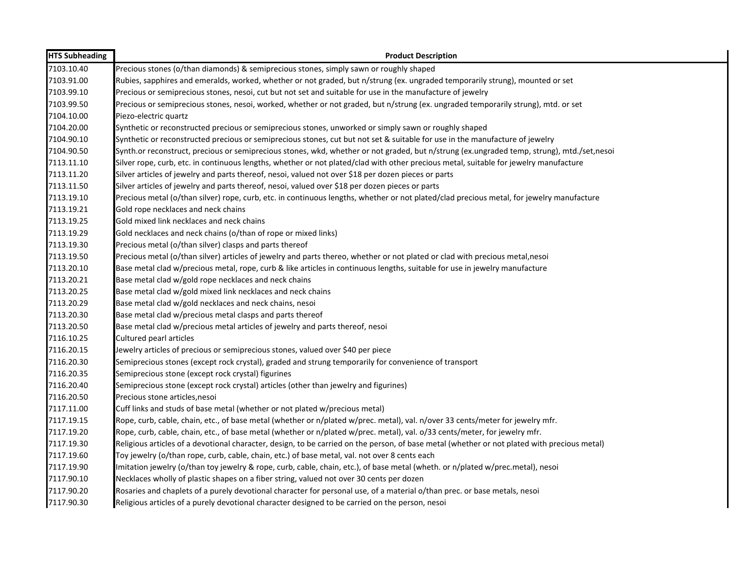| <b>HTS Subheading</b> | <b>Product Description</b>                                                                                                                   |
|-----------------------|----------------------------------------------------------------------------------------------------------------------------------------------|
| 7103.10.40            | Precious stones (o/than diamonds) & semiprecious stones, simply sawn or roughly shaped                                                       |
| 7103.91.00            | Rubies, sapphires and emeralds, worked, whether or not graded, but n/strung (ex. ungraded temporarily strung), mounted or set                |
| 7103.99.10            | Precious or semiprecious stones, nesoi, cut but not set and suitable for use in the manufacture of jewelry                                   |
| 7103.99.50            | Precious or semiprecious stones, nesoi, worked, whether or not graded, but n/strung (ex. ungraded temporarily strung), mtd. or set           |
| 7104.10.00            | Piezo-electric quartz                                                                                                                        |
| 7104.20.00            | Synthetic or reconstructed precious or semiprecious stones, unworked or simply sawn or roughly shaped                                        |
| 7104.90.10            | Synthetic or reconstructed precious or semiprecious stones, cut but not set & suitable for use in the manufacture of jewelry                 |
| 7104.90.50            | Synth.or reconstruct, precious or semiprecious stones, wkd, whether or not graded, but n/strung (ex.ungraded temp, strung), mtd./set,nesoi   |
| 7113.11.10            | Silver rope, curb, etc. in continuous lengths, whether or not plated/clad with other precious metal, suitable for jewelry manufacture        |
| 7113.11.20            | Silver articles of jewelry and parts thereof, nesoi, valued not over \$18 per dozen pieces or parts                                          |
| 7113.11.50            | Silver articles of jewelry and parts thereof, nesoi, valued over \$18 per dozen pieces or parts                                              |
| 7113.19.10            | Precious metal (o/than silver) rope, curb, etc. in continuous lengths, whether or not plated/clad precious metal, for jewelry manufacture    |
| 7113.19.21            | Gold rope necklaces and neck chains                                                                                                          |
| 7113.19.25            | Gold mixed link necklaces and neck chains                                                                                                    |
| 7113.19.29            | Gold necklaces and neck chains (o/than of rope or mixed links)                                                                               |
| 7113.19.30            | Precious metal (o/than silver) clasps and parts thereof                                                                                      |
| 7113.19.50            | Precious metal (o/than silver) articles of jewelry and parts thereo, whether or not plated or clad with precious metal, nesoi                |
| 7113.20.10            | Base metal clad w/precious metal, rope, curb & like articles in continuous lengths, suitable for use in jewelry manufacture                  |
| 7113.20.21            | Base metal clad w/gold rope necklaces and neck chains                                                                                        |
| 7113.20.25            | Base metal clad w/gold mixed link necklaces and neck chains                                                                                  |
| 7113.20.29            | Base metal clad w/gold necklaces and neck chains, nesoi                                                                                      |
| 7113.20.30            | Base metal clad w/precious metal clasps and parts thereof                                                                                    |
| 7113.20.50            | Base metal clad w/precious metal articles of jewelry and parts thereof, nesoi                                                                |
| 7116.10.25            | Cultured pearl articles                                                                                                                      |
| 7116.20.15            | Jewelry articles of precious or semiprecious stones, valued over \$40 per piece                                                              |
| 7116.20.30            | Semiprecious stones (except rock crystal), graded and strung temporarily for convenience of transport                                        |
| 7116.20.35            | Semiprecious stone (except rock crystal) figurines                                                                                           |
| 7116.20.40            | Semiprecious stone (except rock crystal) articles (other than jewelry and figurines)                                                         |
| 7116.20.50            | Precious stone articles, nesoi                                                                                                               |
| 7117.11.00            | Cuff links and studs of base metal (whether or not plated w/precious metal)                                                                  |
| 7117.19.15            | Rope, curb, cable, chain, etc., of base metal (whether or n/plated w/prec. metal), val. n/over 33 cents/meter for jewelry mfr.               |
| 7117.19.20            | Rope, curb, cable, chain, etc., of base metal (whether or n/plated w/prec. metal), val. o/33 cents/meter, for jewelry mfr.                   |
| 7117.19.30            | Religious articles of a devotional character, design, to be carried on the person, of base metal (whether or not plated with precious metal) |
| 7117.19.60            | Toy jewelry (o/than rope, curb, cable, chain, etc.) of base metal, val. not over 8 cents each                                                |
| 7117.19.90            | Imitation jewelry (o/than toy jewelry & rope, curb, cable, chain, etc.), of base metal (wheth. or n/plated w/prec.metal), nesoi              |
| 7117.90.10            | Necklaces wholly of plastic shapes on a fiber string, valued not over 30 cents per dozen                                                     |
| 7117.90.20            | Rosaries and chaplets of a purely devotional character for personal use, of a material o/than prec. or base metals, nesoi                    |
| 7117.90.30            | Religious articles of a purely devotional character designed to be carried on the person, nesoi                                              |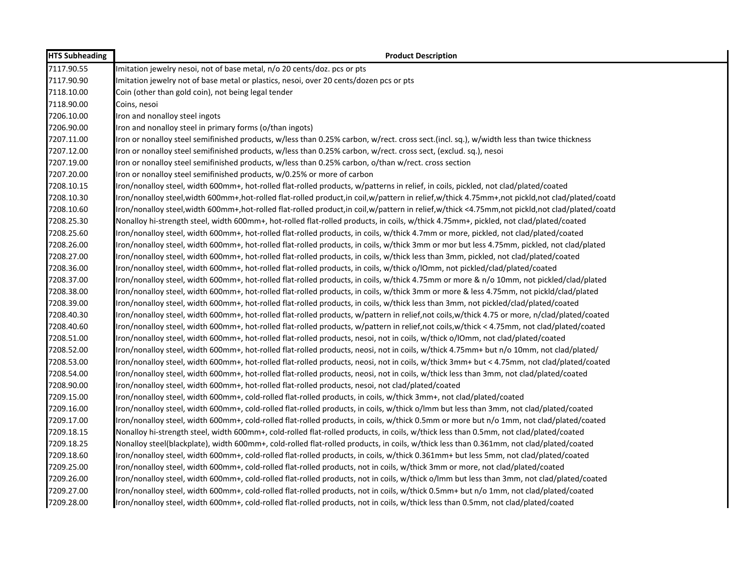| <b>HTS Subheading</b> | <b>Product Description</b>                                                                                                                          |
|-----------------------|-----------------------------------------------------------------------------------------------------------------------------------------------------|
| 7117.90.55            | Imitation jewelry nesoi, not of base metal, n/o 20 cents/doz. pcs or pts                                                                            |
| 7117.90.90            | Imitation jewelry not of base metal or plastics, nesoi, over 20 cents/dozen pcs or pts                                                              |
| 7118.10.00            | Coin (other than gold coin), not being legal tender                                                                                                 |
| 7118.90.00            | Coins, nesoi                                                                                                                                        |
| 7206.10.00            | Iron and nonalloy steel ingots                                                                                                                      |
| 7206.90.00            | Iron and nonalloy steel in primary forms (o/than ingots)                                                                                            |
| 7207.11.00            | Iron or nonalloy steel semifinished products, w/less than 0.25% carbon, w/rect. cross sect.(incl. sq.), w/width less than twice thickness           |
| 7207.12.00            | Iron or nonalloy steel semifinished products, w/less than 0.25% carbon, w/rect. cross sect, (exclud. sq.), nesoi                                    |
| 7207.19.00            | Iron or nonalloy steel semifinished products, w/less than 0.25% carbon, o/than w/rect. cross section                                                |
| 7207.20.00            | Iron or nonalloy steel semifinished products, w/0.25% or more of carbon                                                                             |
| 7208.10.15            | Iron/nonalloy steel, width 600mm+, hot-rolled flat-rolled products, w/patterns in relief, in coils, pickled, not clad/plated/coated                 |
| 7208.10.30            | Iron/nonalloy steel, width 600mm+, hot-rolled flat-rolled product, in coil, w/pattern in relief, w/thick 4.75mm+, not pickld, not clad/plated/coatd |
| 7208.10.60            | Iron/nonalloy steel, width 600mm+, hot-rolled flat-rolled product, in coil, w/pattern in relief, w/thick <4.75mm, not pickld, not clad/plated/coatd |
| 7208.25.30            | Nonalloy hi-strength steel, width 600mm+, hot-rolled flat-rolled products, in coils, w/thick 4.75mm+, pickled, not clad/plated/coated               |
| 7208.25.60            | Iron/nonalloy steel, width 600mm+, hot-rolled flat-rolled products, in coils, w/thick 4.7mm or more, pickled, not clad/plated/coated                |
| 7208.26.00            | Iron/nonalloy steel, width 600mm+, hot-rolled flat-rolled products, in coils, w/thick 3mm or mor but less 4.75mm, pickled, not clad/plated          |
| 7208.27.00            | Iron/nonalloy steel, width 600mm+, hot-rolled flat-rolled products, in coils, w/thick less than 3mm, pickled, not clad/plated/coated                |
| 7208.36.00            | Iron/nonalloy steel, width 600mm+, hot-rolled flat-rolled products, in coils, w/thick o/IOmm, not pickled/clad/plated/coated                        |
| 7208.37.00            | Iron/nonalloy steel, width 600mm+, hot-rolled flat-rolled products, in coils, w/thick 4.75mm or more & n/o 10mm, not pickled/clad/plated            |
| 7208.38.00            | Iron/nonalloy steel, width 600mm+, hot-rolled flat-rolled products, in coils, w/thick 3mm or more & less 4.75mm, not pickld/clad/plated             |
| 7208.39.00            | Iron/nonalloy steel, width 600mm+, hot-rolled flat-rolled products, in coils, w/thick less than 3mm, not pickled/clad/plated/coated                 |
| 7208.40.30            | Iron/nonalloy steel, width 600mm+, hot-rolled flat-rolled products, w/pattern in relief,not coils,w/thick 4.75 or more, n/clad/plated/coated        |
| 7208.40.60            | Iron/nonalloy steel, width 600mm+, hot-rolled flat-rolled products, w/pattern in relief,not coils,w/thick < 4.75mm, not clad/plated/coated          |
| 7208.51.00            | Iron/nonalloy steel, width 600mm+, hot-rolled flat-rolled products, nesoi, not in coils, w/thick o/lOmm, not clad/plated/coated                     |
| 7208.52.00            | Iron/nonalloy steel, width 600mm+, hot-rolled flat-rolled products, neosi, not in coils, w/thick 4.75mm+ but n/o 10mm, not clad/plated/             |
| 7208.53.00            | Iron/nonalloy steel, width 600mm+, hot-rolled flat-rolled products, neosi, not in coils, w/thick 3mm+ but < 4.75mm, not clad/plated/coated          |
| 7208.54.00            | Iron/nonalloy steel, width 600mm+, hot-rolled flat-rolled products, neosi, not in coils, w/thick less than 3mm, not clad/plated/coated              |
| 7208.90.00            | Iron/nonalloy steel, width 600mm+, hot-rolled flat-rolled products, nesoi, not clad/plated/coated                                                   |
| 7209.15.00            | Iron/nonalloy steel, width 600mm+, cold-rolled flat-rolled products, in coils, w/thick 3mm+, not clad/plated/coated                                 |
| 7209.16.00            | Iron/nonalloy steel, width 600mm+, cold-rolled flat-rolled products, in coils, w/thick o/lmm but less than 3mm, not clad/plated/coated              |
| 7209.17.00            | Iron/nonalloy steel, width 600mm+, cold-rolled flat-rolled products, in coils, w/thick 0.5mm or more but n/o 1mm, not clad/plated/coated            |
| 7209.18.15            | Nonalloy hi-strength steel, width 600mm+, cold-rolled flat-rolled products, in coils, w/thick less than 0.5mm, not clad/plated/coated               |
| 7209.18.25            | Nonalloy steel(blackplate), width 600mm+, cold-rolled flat-rolled products, in coils, w/thick less than 0.361mm, not clad/plated/coated             |
| 7209.18.60            | Iron/nonalloy steel, width 600mm+, cold-rolled flat-rolled products, in coils, w/thick 0.361mm+ but less 5mm, not clad/plated/coated                |
| 7209.25.00            | Iron/nonalloy steel, width 600mm+, cold-rolled flat-rolled products, not in coils, w/thick 3mm or more, not clad/plated/coated                      |
| 7209.26.00            | Iron/nonalloy steel, width 600mm+, cold-rolled flat-rolled products, not in coils, w/thick o/lmm but less than 3mm, not clad/plated/coated          |
| 7209.27.00            | Iron/nonalloy steel, width 600mm+, cold-rolled flat-rolled products, not in coils, w/thick 0.5mm+ but n/o 1mm, not clad/plated/coated               |
| 7209.28.00            | Iron/nonalloy steel, width 600mm+, cold-rolled flat-rolled products, not in coils, w/thick less than 0.5mm, not clad/plated/coated                  |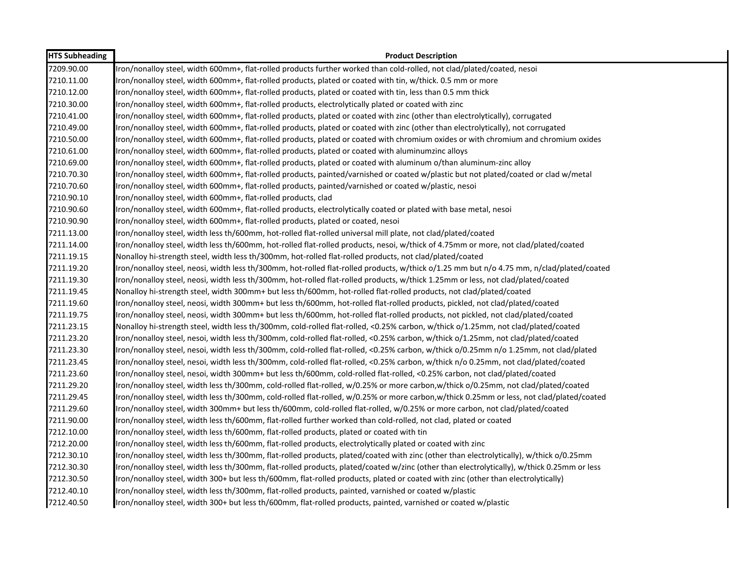| <b>HTS Subheading</b> | <b>Product Description</b>                                                                                                                 |
|-----------------------|--------------------------------------------------------------------------------------------------------------------------------------------|
| 7209.90.00            | Iron/nonalloy steel, width 600mm+, flat-rolled products further worked than cold-rolled, not clad/plated/coated, nesoi                     |
| 7210.11.00            | Iron/nonalloy steel, width 600mm+, flat-rolled products, plated or coated with tin, w/thick. 0.5 mm or more                                |
| 7210.12.00            | Iron/nonalloy steel, width 600mm+, flat-rolled products, plated or coated with tin, less than 0.5 mm thick                                 |
| 7210.30.00            | Iron/nonalloy steel, width 600mm+, flat-rolled products, electrolytically plated or coated with zinc                                       |
| 7210.41.00            | Iron/nonalloy steel, width 600mm+, flat-rolled products, plated or coated with zinc (other than electrolytically), corrugated              |
| 7210.49.00            | Iron/nonalloy steel, width 600mm+, flat-rolled products, plated or coated with zinc (other than electrolytically), not corrugated          |
| 7210.50.00            | Iron/nonalloy steel, width 600mm+, flat-rolled products, plated or coated with chromium oxides or with chromium and chromium oxides        |
| 7210.61.00            | Iron/nonalloy steel, width 600mm+, flat-rolled products, plated or coated with aluminumzinc alloys                                         |
| 7210.69.00            | Iron/nonalloy steel, width 600mm+, flat-rolled products, plated or coated with aluminum o/than aluminum-zinc alloy                         |
| 7210.70.30            | Iron/nonalloy steel, width 600mm+, flat-rolled products, painted/varnished or coated w/plastic but not plated/coated or clad w/metal       |
| 7210.70.60            | Iron/nonalloy steel, width 600mm+, flat-rolled products, painted/varnished or coated w/plastic, nesoi                                      |
| 7210.90.10            | Iron/nonalloy steel, width 600mm+, flat-rolled products, clad                                                                              |
| 7210.90.60            | Iron/nonalloy steel, width 600mm+, flat-rolled products, electrolytically coated or plated with base metal, nesoi                          |
| 7210.90.90            | Iron/nonalloy steel, width 600mm+, flat-rolled products, plated or coated, nesoi                                                           |
| 7211.13.00            | Iron/nonalloy steel, width less th/600mm, hot-rolled flat-rolled universal mill plate, not clad/plated/coated                              |
| 7211.14.00            | Iron/nonalloy steel, width less th/600mm, hot-rolled flat-rolled products, nesoi, w/thick of 4.75mm or more, not clad/plated/coated        |
| 7211.19.15            | Nonalloy hi-strength steel, width less th/300mm, hot-rolled flat-rolled products, not clad/plated/coated                                   |
| 7211.19.20            | Iron/nonalloy steel, neosi, width less th/300mm, hot-rolled flat-rolled products, w/thick o/1.25 mm but n/o 4.75 mm, n/clad/plated/coated  |
| 7211.19.30            | Iron/nonalloy steel, neosi, width less th/300mm, hot-rolled flat-rolled products, w/thick 1.25mm or less, not clad/plated/coated           |
| 7211.19.45            | Nonalloy hi-strength steel, width 300mm+ but less th/600mm, hot-rolled flat-rolled products, not clad/plated/coated                        |
| 7211.19.60            | Iron/nonalloy steel, neosi, width 300mm+ but less th/600mm, hot-rolled flat-rolled products, pickled, not clad/plated/coated               |
| 7211.19.75            | Iron/nonalloy steel, neosi, width 300mm+ but less th/600mm, hot-rolled flat-rolled products, not pickled, not clad/plated/coated           |
| 7211.23.15            | Nonalloy hi-strength steel, width less th/300mm, cold-rolled flat-rolled, <0.25% carbon, w/thick o/1.25mm, not clad/plated/coated          |
| 7211.23.20            | Iron/nonalloy steel, nesoi, width less th/300mm, cold-rolled flat-rolled, <0.25% carbon, w/thick o/1.25mm, not clad/plated/coated          |
| 7211.23.30            | Iron/nonalloy steel, nesoi, width less th/300mm, cold-rolled flat-rolled, <0.25% carbon, w/thick o/0.25mm n/o 1.25mm, not clad/plated      |
| 7211.23.45            | Iron/nonalloy steel, nesoi, width less th/300mm, cold-rolled flat-rolled, <0.25% carbon, w/thick n/o 0.25mm, not clad/plated/coated        |
| 7211.23.60            | Iron/nonalloy steel, nesoi, width 300mm+ but less th/600mm, cold-rolled flat-rolled, <0.25% carbon, not clad/plated/coated                 |
| 7211.29.20            | Iron/nonalloy steel, width less th/300mm, cold-rolled flat-rolled, w/0.25% or more carbon,w/thick o/0.25mm, not clad/plated/coated         |
| 7211.29.45            | Iron/nonalloy steel, width less th/300mm, cold-rolled flat-rolled, w/0.25% or more carbon,w/thick 0.25mm or less, not clad/plated/coated   |
| 7211.29.60            | Iron/nonalloy steel, width 300mm+ but less th/600mm, cold-rolled flat-rolled, w/0.25% or more carbon, not clad/plated/coated               |
| 7211.90.00            | Iron/nonalloy steel, width less th/600mm, flat-rolled further worked than cold-rolled, not clad, plated or coated                          |
| 7212.10.00            | Iron/nonalloy steel, width less th/600mm, flat-rolled products, plated or coated with tin                                                  |
| 7212.20.00            | Iron/nonalloy steel, width less th/600mm, flat-rolled products, electrolytically plated or coated with zinc                                |
| 7212.30.10            | Iron/nonalloy steel, width less th/300mm, flat-rolled products, plated/coated with zinc (other than electrolytically), w/thick o/0.25mm    |
| 7212.30.30            | Iron/nonalloy steel, width less th/300mm, flat-rolled products, plated/coated w/zinc (other than electrolytically), w/thick 0.25mm or less |
| 7212.30.50            | Iron/nonalloy steel, width 300+ but less th/600mm, flat-rolled products, plated or coated with zinc (other than electrolytically)          |
| 7212.40.10            | Iron/nonalloy steel, width less th/300mm, flat-rolled products, painted, varnished or coated w/plastic                                     |
| 7212.40.50            | Iron/nonalloy steel, width 300+ but less th/600mm, flat-rolled products, painted, varnished or coated w/plastic                            |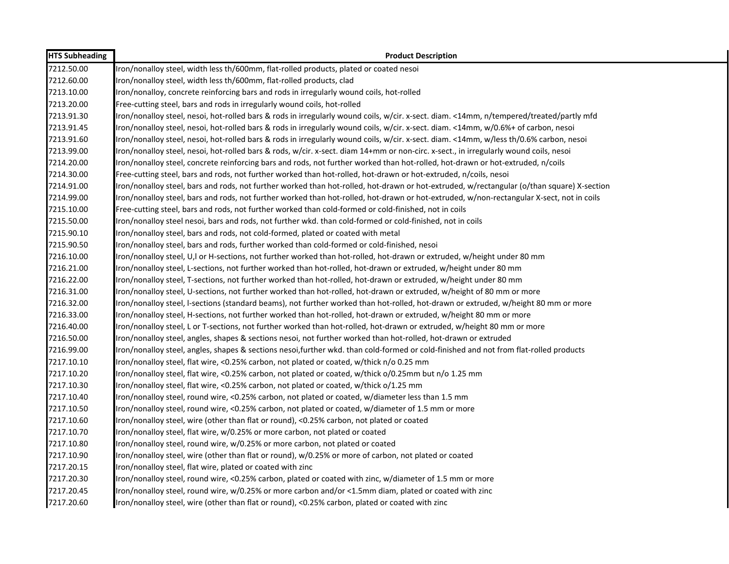| <b>HTS Subheading</b> | <b>Product Description</b>                                                                                                                 |
|-----------------------|--------------------------------------------------------------------------------------------------------------------------------------------|
| 7212.50.00            | Iron/nonalloy steel, width less th/600mm, flat-rolled products, plated or coated nesoi                                                     |
| 7212.60.00            | Iron/nonalloy steel, width less th/600mm, flat-rolled products, clad                                                                       |
| 7213.10.00            | Iron/nonalloy, concrete reinforcing bars and rods in irregularly wound coils, hot-rolled                                                   |
| 7213.20.00            | Free-cutting steel, bars and rods in irregularly wound coils, hot-rolled                                                                   |
| 7213.91.30            | Iron/nonalloy steel, nesoi, hot-rolled bars & rods in irregularly wound coils, w/cir. x-sect. diam. <14mm, n/tempered/treated/partly mfd   |
| 7213.91.45            | Iron/nonalloy steel, nesoi, hot-rolled bars & rods in irregularly wound coils, w/cir. x-sect. diam. <14mm, w/0.6%+ of carbon, nesoi        |
| 7213.91.60            | Iron/nonalloy steel, nesoi, hot-rolled bars & rods in irregularly wound coils, w/cir. x-sect. diam. <14mm, w/less th/0.6% carbon, nesoi    |
| 7213.99.00            | Iron/nonalloy steel, nesoi, hot-rolled bars & rods, w/cir. x-sect. diam 14+mm or non-circ. x-sect., in irregularly wound coils, nesoi      |
| 7214.20.00            | Iron/nonalloy steel, concrete reinforcing bars and rods, not further worked than hot-rolled, hot-drawn or hot-extruded, n/coils            |
| 7214.30.00            | Free-cutting steel, bars and rods, not further worked than hot-rolled, hot-drawn or hot-extruded, n/coils, nesoi                           |
| 7214.91.00            | Iron/nonalloy steel, bars and rods, not further worked than hot-rolled, hot-drawn or hot-extruded, w/rectangular (o/than square) X-section |
| 7214.99.00            | Iron/nonalloy steel, bars and rods, not further worked than hot-rolled, hot-drawn or hot-extruded, w/non-rectangular X-sect, not in coils  |
| 7215.10.00            | Free-cutting steel, bars and rods, not further worked than cold-formed or cold-finished, not in coils                                      |
| 7215.50.00            | Iron/nonalloy steel nesoi, bars and rods, not further wkd. than cold-formed or cold-finished, not in coils                                 |
| 7215.90.10            | Iron/nonalloy steel, bars and rods, not cold-formed, plated or coated with metal                                                           |
| 7215.90.50            | Iron/nonalloy steel, bars and rods, further worked than cold-formed or cold-finished, nesoi                                                |
| 7216.10.00            | Iron/nonalloy steel, U,I or H-sections, not further worked than hot-rolled, hot-drawn or extruded, w/height under 80 mm                    |
| 7216.21.00            | Iron/nonalloy steel, L-sections, not further worked than hot-rolled, hot-drawn or extruded, w/height under 80 mm                           |
| 7216.22.00            | Iron/nonalloy steel, T-sections, not further worked than hot-rolled, hot-drawn or extruded, w/height under 80 mm                           |
| 7216.31.00            | Iron/nonalloy steel, U-sections, not further worked than hot-rolled, hot-drawn or extruded, w/height of 80 mm or more                      |
| 7216.32.00            | Iron/nonalloy steel, I-sections (standard beams), not further worked than hot-rolled, hot-drawn or extruded, w/height 80 mm or more        |
| 7216.33.00            | Iron/nonalloy steel, H-sections, not further worked than hot-rolled, hot-drawn or extruded, w/height 80 mm or more                         |
| 7216.40.00            | Iron/nonalloy steel, L or T-sections, not further worked than hot-rolled, hot-drawn or extruded, w/height 80 mm or more                    |
| 7216.50.00            | Iron/nonalloy steel, angles, shapes & sections nesoi, not further worked than hot-rolled, hot-drawn or extruded                            |
| 7216.99.00            | Iron/nonalloy steel, angles, shapes & sections nesoi, further wkd. than cold-formed or cold-finished and not from flat-rolled products     |
| 7217.10.10            | Iron/nonalloy steel, flat wire, <0.25% carbon, not plated or coated, w/thick n/o 0.25 mm                                                   |
| 7217.10.20            | Iron/nonalloy steel, flat wire, <0.25% carbon, not plated or coated, w/thick o/0.25mm but n/o 1.25 mm                                      |
| 7217.10.30            | Iron/nonalloy steel, flat wire, <0.25% carbon, not plated or coated, w/thick o/1.25 mm                                                     |
| 7217.10.40            | Iron/nonalloy steel, round wire, <0.25% carbon, not plated or coated, w/diameter less than 1.5 mm                                          |
| 7217.10.50            | Iron/nonalloy steel, round wire, <0.25% carbon, not plated or coated, w/diameter of 1.5 mm or more                                         |
| 7217.10.60            | Iron/nonalloy steel, wire (other than flat or round), <0.25% carbon, not plated or coated                                                  |
| 7217.10.70            | Iron/nonalloy steel, flat wire, w/0.25% or more carbon, not plated or coated                                                               |
| 7217.10.80            | Iron/nonalloy steel, round wire, w/0.25% or more carbon, not plated or coated                                                              |
| 7217.10.90            | Iron/nonalloy steel, wire (other than flat or round), w/0.25% or more of carbon, not plated or coated                                      |
| 7217.20.15            | Iron/nonalloy steel, flat wire, plated or coated with zinc                                                                                 |
| 7217.20.30            | Iron/nonalloy steel, round wire, <0.25% carbon, plated or coated with zinc, w/diameter of 1.5 mm or more                                   |
| 7217.20.45            | Iron/nonalloy steel, round wire, w/0.25% or more carbon and/or <1.5mm diam, plated or coated with zinc                                     |
| 7217.20.60            | Iron/nonalloy steel, wire (other than flat or round), <0.25% carbon, plated or coated with zinc                                            |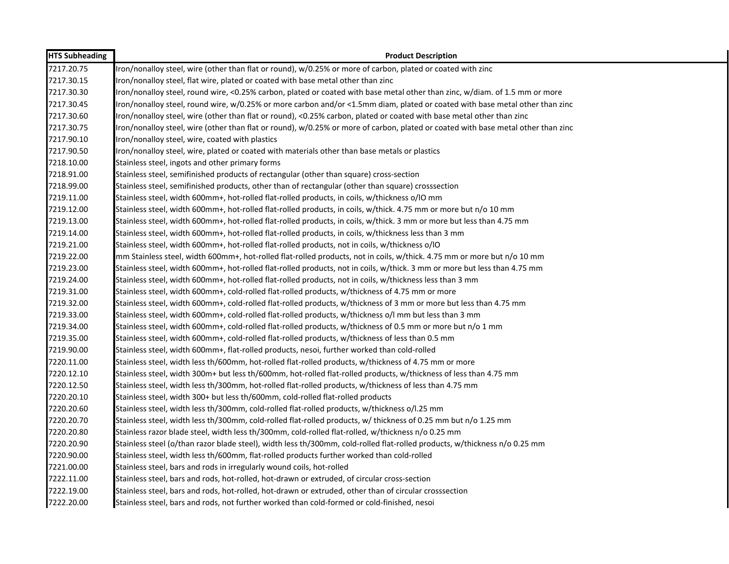| <b>HTS Subheading</b> | <b>Product Description</b>                                                                                                        |
|-----------------------|-----------------------------------------------------------------------------------------------------------------------------------|
| 7217.20.75            | Iron/nonalloy steel, wire (other than flat or round), w/0.25% or more of carbon, plated or coated with zinc                       |
| 7217.30.15            | Iron/nonalloy steel, flat wire, plated or coated with base metal other than zinc                                                  |
| 7217.30.30            | Iron/nonalloy steel, round wire, <0.25% carbon, plated or coated with base metal other than zinc, w/diam. of 1.5 mm or more       |
| 7217.30.45            | Iron/nonalloy steel, round wire, w/0.25% or more carbon and/or <1.5mm diam, plated or coated with base metal other than zinc      |
| 7217.30.60            | Iron/nonalloy steel, wire (other than flat or round), <0.25% carbon, plated or coated with base metal other than zinc             |
| 7217.30.75            | Iron/nonalloy steel, wire (other than flat or round), w/0.25% or more of carbon, plated or coated with base metal other than zinc |
| 7217.90.10            | Iron/nonalloy steel, wire, coated with plastics                                                                                   |
| 7217.90.50            | Iron/nonalloy steel, wire, plated or coated with materials other than base metals or plastics                                     |
| 7218.10.00            | Stainless steel, ingots and other primary forms                                                                                   |
| 7218.91.00            | Stainless steel, semifinished products of rectangular (other than square) cross-section                                           |
| 7218.99.00            | Stainless steel, semifinished products, other than of rectangular (other than square) crosssection                                |
| 7219.11.00            | Stainless steel, width 600mm+, hot-rolled flat-rolled products, in coils, w/thickness o/IO mm                                     |
| 7219.12.00            | Stainless steel, width 600mm+, hot-rolled flat-rolled products, in coils, w/thick. 4.75 mm or more but n/o 10 mm                  |
| 7219.13.00            | Stainless steel, width 600mm+, hot-rolled flat-rolled products, in coils, w/thick. 3 mm or more but less than 4.75 mm             |
| 7219.14.00            | Stainless steel, width 600mm+, hot-rolled flat-rolled products, in coils, w/thickness less than 3 mm                              |
| 7219.21.00            | Stainless steel, width 600mm+, hot-rolled flat-rolled products, not in coils, w/thickness o/IO                                    |
| 7219.22.00            | mm Stainless steel, width 600mm+, hot-rolled flat-rolled products, not in coils, w/thick. 4.75 mm or more but n/o 10 mm           |
| 7219.23.00            | Stainless steel, width 600mm+, hot-rolled flat-rolled products, not in coils, w/thick. 3 mm or more but less than 4.75 mm         |
| 7219.24.00            | Stainless steel, width 600mm+, hot-rolled flat-rolled products, not in coils, w/thickness less than 3 mm                          |
| 7219.31.00            | Stainless steel, width 600mm+, cold-rolled flat-rolled products, w/thickness of 4.75 mm or more                                   |
| 7219.32.00            | Stainless steel, width 600mm+, cold-rolled flat-rolled products, w/thickness of 3 mm or more but less than 4.75 mm                |
| 7219.33.00            | Stainless steel, width 600mm+, cold-rolled flat-rolled products, w/thickness o/I mm but less than 3 mm                            |
| 7219.34.00            | Stainless steel, width 600mm+, cold-rolled flat-rolled products, w/thickness of 0.5 mm or more but n/o 1 mm                       |
| 7219.35.00            | Stainless steel, width 600mm+, cold-rolled flat-rolled products, w/thickness of less than 0.5 mm                                  |
| 7219.90.00            | Stainless steel, width 600mm+, flat-rolled products, nesoi, further worked than cold-rolled                                       |
| 7220.11.00            | Stainless steel, width less th/600mm, hot-rolled flat-rolled products, w/thickness of 4.75 mm or more                             |
| 7220.12.10            | Stainless steel, width 300m+ but less th/600mm, hot-rolled flat-rolled products, w/thickness of less than 4.75 mm                 |
| 7220.12.50            | Stainless steel, width less th/300mm, hot-rolled flat-rolled products, w/thickness of less than 4.75 mm                           |
| 7220.20.10            | Stainless steel, width 300+ but less th/600mm, cold-rolled flat-rolled products                                                   |
| 7220.20.60            | Stainless steel, width less th/300mm, cold-rolled flat-rolled products, w/thickness o/l.25 mm                                     |
| 7220.20.70            | Stainless steel, width less th/300mm, cold-rolled flat-rolled products, w/ thickness of 0.25 mm but n/o 1.25 mm                   |
| 7220.20.80            | Stainless razor blade steel, width less th/300mm, cold-rolled flat-rolled, w/thickness n/o 0.25 mm                                |
| 7220.20.90            | Stainless steel (o/than razor blade steel), width less th/300mm, cold-rolled flat-rolled products, w/thickness n/o 0.25 mm        |
| 7220.90.00            | Stainless steel, width less th/600mm, flat-rolled products further worked than cold-rolled                                        |
| 7221.00.00            | Stainless steel, bars and rods in irregularly wound coils, hot-rolled                                                             |
| 7222.11.00            | Stainless steel, bars and rods, hot-rolled, hot-drawn or extruded, of circular cross-section                                      |
| 7222.19.00            | Stainless steel, bars and rods, hot-rolled, hot-drawn or extruded, other than of circular crosssection                            |
| 7222.20.00            | Stainless steel, bars and rods, not further worked than cold-formed or cold-finished, nesoi                                       |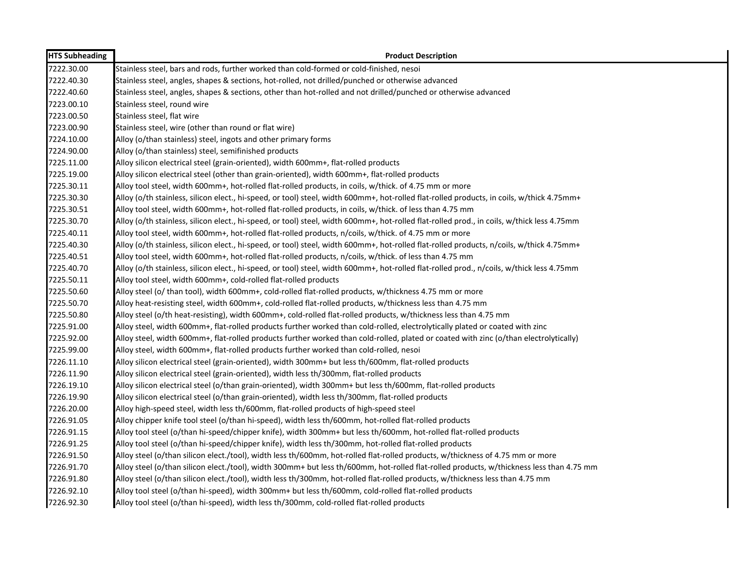| <b>HTS Subheading</b> | <b>Product Description</b>                                                                                                                 |
|-----------------------|--------------------------------------------------------------------------------------------------------------------------------------------|
| 7222.30.00            | Stainless steel, bars and rods, further worked than cold-formed or cold-finished, nesoi                                                    |
| 7222.40.30            | Stainless steel, angles, shapes & sections, hot-rolled, not drilled/punched or otherwise advanced                                          |
| 7222.40.60            | Stainless steel, angles, shapes & sections, other than hot-rolled and not drilled/punched or otherwise advanced                            |
| 7223.00.10            | Stainless steel, round wire                                                                                                                |
| 7223.00.50            | Stainless steel, flat wire                                                                                                                 |
| 7223.00.90            | Stainless steel, wire (other than round or flat wire)                                                                                      |
| 7224.10.00            | Alloy (o/than stainless) steel, ingots and other primary forms                                                                             |
| 7224.90.00            | Alloy (o/than stainless) steel, semifinished products                                                                                      |
| 7225.11.00            | Alloy silicon electrical steel (grain-oriented), width 600mm+, flat-rolled products                                                        |
| 7225.19.00            | Alloy silicon electrical steel (other than grain-oriented), width 600mm+, flat-rolled products                                             |
| 7225.30.11            | Alloy tool steel, width 600mm+, hot-rolled flat-rolled products, in coils, w/thick. of 4.75 mm or more                                     |
| 7225.30.30            | Alloy (o/th stainless, silicon elect., hi-speed, or tool) steel, width 600mm+, hot-rolled flat-rolled products, in coils, w/thick 4.75mm+  |
| 7225.30.51            | Alloy tool steel, width 600mm+, hot-rolled flat-rolled products, in coils, w/thick. of less than 4.75 mm                                   |
| 7225.30.70            | Alloy (o/th stainless, silicon elect., hi-speed, or tool) steel, width 600mm+, hot-rolled flat-rolled prod., in coils, w/thick less 4.75mm |
| 7225.40.11            | Alloy tool steel, width 600mm+, hot-rolled flat-rolled products, n/coils, w/thick. of 4.75 mm or more                                      |
| 7225.40.30            | Alloy (o/th stainless, silicon elect., hi-speed, or tool) steel, width 600mm+, hot-rolled flat-rolled products, n/coils, w/thick 4.75mm+   |
| 7225.40.51            | Alloy tool steel, width 600mm+, hot-rolled flat-rolled products, n/coils, w/thick. of less than 4.75 mm                                    |
| 7225.40.70            | Alloy (o/th stainless, silicon elect., hi-speed, or tool) steel, width 600mm+, hot-rolled flat-rolled prod., n/coils, w/thick less 4.75mm  |
| 7225.50.11            | Alloy tool steel, width 600mm+, cold-rolled flat-rolled products                                                                           |
| 7225.50.60            | Alloy steel (o/ than tool), width 600mm+, cold-rolled flat-rolled products, w/thickness 4.75 mm or more                                    |
| 7225.50.70            | Alloy heat-resisting steel, width 600mm+, cold-rolled flat-rolled products, w/thickness less than 4.75 mm                                  |
| 7225.50.80            | Alloy steel (o/th heat-resisting), width 600mm+, cold-rolled flat-rolled products, w/thickness less than 4.75 mm                           |
| 7225.91.00            | Alloy steel, width 600mm+, flat-rolled products further worked than cold-rolled, electrolytically plated or coated with zinc               |
| 7225.92.00            | Alloy steel, width 600mm+, flat-rolled products further worked than cold-rolled, plated or coated with zinc (o/than electrolytically)      |
| 7225.99.00            | Alloy steel, width 600mm+, flat-rolled products further worked than cold-rolled, nesoi                                                     |
| 7226.11.10            | Alloy silicon electrical steel (grain-oriented), width 300mm+ but less th/600mm, flat-rolled products                                      |
| 7226.11.90            | Alloy silicon electrical steel (grain-oriented), width less th/300mm, flat-rolled products                                                 |
| 7226.19.10            | Alloy silicon electrical steel (o/than grain-oriented), width 300mm+ but less th/600mm, flat-rolled products                               |
| 7226.19.90            | Alloy silicon electrical steel (o/than grain-oriented), width less th/300mm, flat-rolled products                                          |
| 7226.20.00            | Alloy high-speed steel, width less th/600mm, flat-rolled products of high-speed steel                                                      |
| 7226.91.05            | Alloy chipper knife tool steel (o/than hi-speed), width less th/600mm, hot-rolled flat-rolled products                                     |
| 7226.91.15            | Alloy tool steel (o/than hi-speed/chipper knife), width 300mm+ but less th/600mm, hot-rolled flat-rolled products                          |
| 7226.91.25            | Alloy tool steel (o/than hi-speed/chipper knife), width less th/300mm, hot-rolled flat-rolled products                                     |
| 7226.91.50            | Alloy steel (o/than silicon elect./tool), width less th/600mm, hot-rolled flat-rolled products, w/thickness of 4.75 mm or more             |
| 7226.91.70            | Alloy steel (o/than silicon elect./tool), width 300mm+ but less th/600mm, hot-rolled flat-rolled products, w/thickness less than 4.75 mm   |
| 7226.91.80            | Alloy steel (o/than silicon elect./tool), width less th/300mm, hot-rolled flat-rolled products, w/thickness less than 4.75 mm              |
| 7226.92.10            | Alloy tool steel (o/than hi-speed), width 300mm+ but less th/600mm, cold-rolled flat-rolled products                                       |
| 7226.92.30            | Alloy tool steel (o/than hi-speed), width less th/300mm, cold-rolled flat-rolled products                                                  |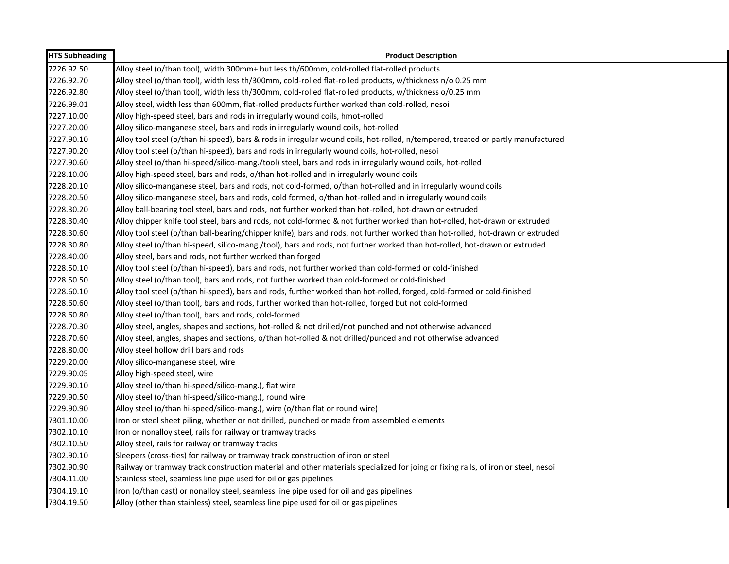| <b>HTS Subheading</b> | <b>Product Description</b>                                                                                                        |
|-----------------------|-----------------------------------------------------------------------------------------------------------------------------------|
| 7226.92.50            | Alloy steel (o/than tool), width 300mm+ but less th/600mm, cold-rolled flat-rolled products                                       |
| 7226.92.70            | Alloy steel (o/than tool), width less th/300mm, cold-rolled flat-rolled products, w/thickness n/o 0.25 mm                         |
| 7226.92.80            | Alloy steel (o/than tool), width less th/300mm, cold-rolled flat-rolled products, w/thickness o/0.25 mm                           |
| 7226.99.01            | Alloy steel, width less than 600mm, flat-rolled products further worked than cold-rolled, nesoi                                   |
| 7227.10.00            | Alloy high-speed steel, bars and rods in irregularly wound coils, hmot-rolled                                                     |
| 7227.20.00            | Alloy silico-manganese steel, bars and rods in irregularly wound coils, hot-rolled                                                |
| 7227.90.10            | Alloy tool steel (o/than hi-speed), bars & rods in irregular wound coils, hot-rolled, n/tempered, treated or partly manufactured  |
| 7227.90.20            | Alloy tool steel (o/than hi-speed), bars and rods in irregularly wound coils, hot-rolled, nesoi                                   |
| 7227.90.60            | Alloy steel (o/than hi-speed/silico-mang./tool) steel, bars and rods in irregularly wound coils, hot-rolled                       |
| 7228.10.00            | Alloy high-speed steel, bars and rods, o/than hot-rolled and in irregularly wound coils                                           |
| 7228.20.10            | Alloy silico-manganese steel, bars and rods, not cold-formed, o/than hot-rolled and in irregularly wound coils                    |
| 7228.20.50            | Alloy silico-manganese steel, bars and rods, cold formed, o/than hot-rolled and in irregularly wound coils                        |
| 7228.30.20            | Alloy ball-bearing tool steel, bars and rods, not further worked than hot-rolled, hot-drawn or extruded                           |
| 7228.30.40            | Alloy chipper knife tool steel, bars and rods, not cold-formed & not further worked than hot-rolled, hot-drawn or extruded        |
| 7228.30.60            | Alloy tool steel (o/than ball-bearing/chipper knife), bars and rods, not further worked than hot-rolled, hot-drawn or extruded    |
| 7228.30.80            | Alloy steel (o/than hi-speed, silico-mang./tool), bars and rods, not further worked than hot-rolled, hot-drawn or extruded        |
| 7228.40.00            | Alloy steel, bars and rods, not further worked than forged                                                                        |
| 7228.50.10            | Alloy tool steel (o/than hi-speed), bars and rods, not further worked than cold-formed or cold-finished                           |
| 7228.50.50            | Alloy steel (o/than tool), bars and rods, not further worked than cold-formed or cold-finished                                    |
| 7228.60.10            | Alloy tool steel (o/than hi-speed), bars and rods, further worked than hot-rolled, forged, cold-formed or cold-finished           |
| 7228.60.60            | Alloy steel (o/than tool), bars and rods, further worked than hot-rolled, forged but not cold-formed                              |
| 7228.60.80            | Alloy steel (o/than tool), bars and rods, cold-formed                                                                             |
| 7228.70.30            | Alloy steel, angles, shapes and sections, hot-rolled & not drilled/not punched and not otherwise advanced                         |
| 7228.70.60            | Alloy steel, angles, shapes and sections, o/than hot-rolled & not drilled/punced and not otherwise advanced                       |
| 7228.80.00            | Alloy steel hollow drill bars and rods                                                                                            |
| 7229.20.00            | Alloy silico-manganese steel, wire                                                                                                |
| 7229.90.05            | Alloy high-speed steel, wire                                                                                                      |
| 7229.90.10            | Alloy steel (o/than hi-speed/silico-mang.), flat wire                                                                             |
| 7229.90.50            | Alloy steel (o/than hi-speed/silico-mang.), round wire                                                                            |
| 7229.90.90            | Alloy steel (o/than hi-speed/silico-mang.), wire (o/than flat or round wire)                                                      |
| 7301.10.00            | Iron or steel sheet piling, whether or not drilled, punched or made from assembled elements                                       |
| 7302.10.10            | Iron or nonalloy steel, rails for railway or tramway tracks                                                                       |
| 7302.10.50            | Alloy steel, rails for railway or tramway tracks                                                                                  |
| 7302.90.10            | Sleepers (cross-ties) for railway or tramway track construction of iron or steel                                                  |
| 7302.90.90            | Railway or tramway track construction material and other materials specialized for joing or fixing rails, of iron or steel, nesoi |
| 7304.11.00            | Stainless steel, seamless line pipe used for oil or gas pipelines                                                                 |
| 7304.19.10            | Iron (o/than cast) or nonalloy steel, seamless line pipe used for oil and gas pipelines                                           |
| 7304.19.50            | Alloy (other than stainless) steel, seamless line pipe used for oil or gas pipelines                                              |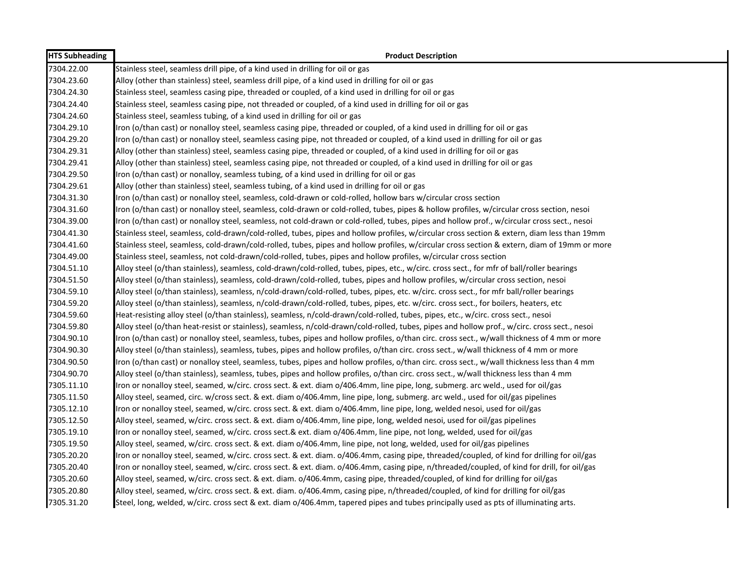| <b>HTS Subheading</b> | <b>Product Description</b>                                                                                                                   |
|-----------------------|----------------------------------------------------------------------------------------------------------------------------------------------|
| 7304.22.00            | Stainless steel, seamless drill pipe, of a kind used in drilling for oil or gas                                                              |
| 7304.23.60            | Alloy (other than stainless) steel, seamless drill pipe, of a kind used in drilling for oil or gas                                           |
| 7304.24.30            | Stainless steel, seamless casing pipe, threaded or coupled, of a kind used in drilling for oil or gas                                        |
| 7304.24.40            | Stainless steel, seamless casing pipe, not threaded or coupled, of a kind used in drilling for oil or gas                                    |
| 7304.24.60            | Stainless steel, seamless tubing, of a kind used in drilling for oil or gas                                                                  |
| 7304.29.10            | Iron (o/than cast) or nonalloy steel, seamless casing pipe, threaded or coupled, of a kind used in drilling for oil or gas                   |
| 7304.29.20            | Iron (o/than cast) or nonalloy steel, seamless casing pipe, not threaded or coupled, of a kind used in drilling for oil or gas               |
| 7304.29.31            | Alloy (other than stainless) steel, seamless casing pipe, threaded or coupled, of a kind used in drilling for oil or gas                     |
| 7304.29.41            | Alloy (other than stainless) steel, seamless casing pipe, not threaded or coupled, of a kind used in drilling for oil or gas                 |
| 7304.29.50            | Iron (o/than cast) or nonalloy, seamless tubing, of a kind used in drilling for oil or gas                                                   |
| 7304.29.61            | Alloy (other than stainless) steel, seamless tubing, of a kind used in drilling for oil or gas                                               |
| 7304.31.30            | Iron (o/than cast) or nonalloy steel, seamless, cold-drawn or cold-rolled, hollow bars w/circular cross section                              |
| 7304.31.60            | Iron (o/than cast) or nonalloy steel, seamless, cold-drawn or cold-rolled, tubes, pipes & hollow profiles, w/circular cross section, nesoi   |
| 7304.39.00            | Iron (o/than cast) or nonalloy steel, seamless, not cold-drawn or cold-rolled, tubes, pipes and hollow prof., w/circular cross sect., nesoi  |
| 7304.41.30            | Stainless steel, seamless, cold-drawn/cold-rolled, tubes, pipes and hollow profiles, w/circular cross section & extern, diam less than 19mm  |
| 7304.41.60            | Stainless steel, seamless, cold-drawn/cold-rolled, tubes, pipes and hollow profiles, w/circular cross section & extern, diam of 19mm or more |
| 7304.49.00            | Stainless steel, seamless, not cold-drawn/cold-rolled, tubes, pipes and hollow profiles, w/circular cross section                            |
| 7304.51.10            | Alloy steel (o/than stainless), seamless, cold-drawn/cold-rolled, tubes, pipes, etc., w/circ. cross sect., for mfr of ball/roller bearings   |
| 7304.51.50            | Alloy steel (o/than stainless), seamless, cold-drawn/cold-rolled, tubes, pipes and hollow profiles, w/circular cross section, nesoi          |
| 7304.59.10            | Alloy steel (o/than stainless), seamless, n/cold-drawn/cold-rolled, tubes, pipes, etc. w/circ. cross sect., for mfr ball/roller bearings     |
| 7304.59.20            | Alloy steel (o/than stainless), seamless, n/cold-drawn/cold-rolled, tubes, pipes, etc. w/circ. cross sect., for boilers, heaters, etc        |
| 7304.59.60            | Heat-resisting alloy steel (o/than stainless), seamless, n/cold-drawn/cold-rolled, tubes, pipes, etc., w/circ. cross sect., nesoi            |
| 7304.59.80            | Alloy steel (o/than heat-resist or stainless), seamless, n/cold-drawn/cold-rolled, tubes, pipes and hollow prof., w/circ. cross sect., nesoi |
| 7304.90.10            | Iron (o/than cast) or nonalloy steel, seamless, tubes, pipes and hollow profiles, o/than circ. cross sect., w/wall thickness of 4 mm or more |
| 7304.90.30            | Alloy steel (o/than stainless), seamless, tubes, pipes and hollow profiles, o/than circ. cross sect., w/wall thickness of 4 mm or more       |
| 7304.90.50            | Iron (o/than cast) or nonalloy steel, seamless, tubes, pipes and hollow profiles, o/than circ. cross sect., w/wall thickness less than 4 mm  |
| 7304.90.70            | Alloy steel (o/than stainless), seamless, tubes, pipes and hollow profiles, o/than circ. cross sect., w/wall thickness less than 4 mm        |
| 7305.11.10            | Iron or nonalloy steel, seamed, w/circ. cross sect. & ext. diam o/406.4mm, line pipe, long, submerg. arc weld., used for oil/gas             |
| 7305.11.50            | Alloy steel, seamed, circ. w/cross sect. & ext. diam o/406.4mm, line pipe, long, submerg. arc weld., used for oil/gas pipelines              |
| 7305.12.10            | Iron or nonalloy steel, seamed, w/circ. cross sect. & ext. diam o/406.4mm, line pipe, long, welded nesoi, used for oil/gas                   |
| 7305.12.50            | Alloy steel, seamed, w/circ. cross sect. & ext. diam o/406.4mm, line pipe, long, welded nesoi, used for oil/gas pipelines                    |
| 7305.19.10            | Iron or nonalloy steel, seamed, w/circ. cross sect.& ext. diam o/406.4mm, line pipe, not long, welded, used for oil/gas                      |
| 7305.19.50            | Alloy steel, seamed, w/circ. cross sect. & ext. diam o/406.4mm, line pipe, not long, welded, used for oil/gas pipelines                      |
| 7305.20.20            | Iron or nonalloy steel, seamed, w/circ. cross sect. & ext. diam. o/406.4mm, casing pipe, threaded/coupled, of kind for drilling for oil/gas  |
| 7305.20.40            | Iron or nonalloy steel, seamed, w/circ. cross sect. & ext. diam. o/406.4mm, casing pipe, n/threaded/coupled, of kind for drill, for oil/gas  |
| 7305.20.60            | Alloy steel, seamed, w/circ. cross sect. & ext. diam. o/406.4mm, casing pipe, threaded/coupled, of kind for drilling for oil/gas             |
| 7305.20.80            | Alloy steel, seamed, w/circ. cross sect. & ext. diam. o/406.4mm, casing pipe, n/threaded/coupled, of kind for drilling for oil/gas           |
| 7305.31.20            | Steel, long, welded, w/circ. cross sect & ext. diam o/406.4mm, tapered pipes and tubes principally used as pts of illuminating arts.         |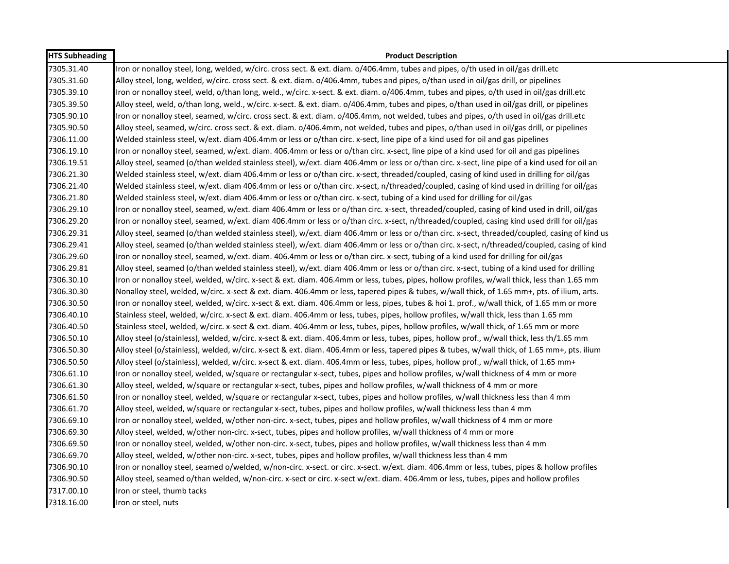| <b>HTS Subheading</b> | <b>Product Description</b>                                                                                                                   |
|-----------------------|----------------------------------------------------------------------------------------------------------------------------------------------|
| 7305.31.40            | Iron or nonalloy steel, long, welded, w/circ. cross sect. & ext. diam. o/406.4mm, tubes and pipes, o/th used in oil/gas drill.etc            |
| 7305.31.60            | Alloy steel, long, welded, w/circ. cross sect. & ext. diam. o/406.4mm, tubes and pipes, o/than used in oil/gas drill, or pipelines           |
| 7305.39.10            | Iron or nonalloy steel, weld, o/than long, weld., w/circ. x-sect. & ext. diam. o/406.4mm, tubes and pipes, o/th used in oil/gas drill.etc    |
| 7305.39.50            | Alloy steel, weld, o/than long, weld., w/circ. x-sect. & ext. diam. o/406.4mm, tubes and pipes, o/than used in oil/gas drill, or pipelines   |
| 7305.90.10            | Iron or nonalloy steel, seamed, w/circ. cross sect. & ext. diam. o/406.4mm, not welded, tubes and pipes, o/th used in oil/gas drill.etc      |
| 7305.90.50            | Alloy steel, seamed, w/circ. cross sect. & ext. diam. o/406.4mm, not welded, tubes and pipes, o/than used in oil/gas drill, or pipelines     |
| 7306.11.00            | Welded stainless steel, w/ext. diam 406.4mm or less or o/than circ. x-sect, line pipe of a kind used for oil and gas pipelines               |
| 7306.19.10            | Iron or nonalloy steel, seamed, w/ext. diam. 406.4mm or less or o/than circ. x-sect, line pipe of a kind used for oil and gas pipelines      |
| 7306.19.51            | Alloy steel, seamed (o/than welded stainless steel), w/ext. diam 406.4mm or less or o/than circ. x-sect, line pipe of a kind used for oil an |
| 7306.21.30            | Welded stainless steel, w/ext. diam 406.4mm or less or o/than circ. x-sect, threaded/coupled, casing of kind used in drilling for oil/gas    |
| 7306.21.40            | Welded stainless steel, w/ext. diam 406.4mm or less or o/than circ. x-sect, n/threaded/coupled, casing of kind used in drilling for oil/gas  |
| 7306.21.80            | Welded stainless steel, w/ext. diam 406.4mm or less or o/than circ. x-sect, tubing of a kind used for drilling for oil/gas                   |
| 7306.29.10            | Iron or nonalloy steel, seamed, w/ext. diam 406.4mm or less or o/than circ. x-sect, threaded/coupled, casing of kind used in drill, oil/gas  |
| 7306.29.20            | Iron or nonalloy steel, seamed, w/ext. diam 406.4mm or less or o/than circ. x-sect, n/threaded/coupled, casing kind used drill for oil/gas   |
| 7306.29.31            | Alloy steel, seamed (o/than welded stainless steel), w/ext. diam 406.4mm or less or o/than circ. x-sect, threaded/coupled, casing of kind us |
| 7306.29.41            | Alloy steel, seamed (o/than welded stainless steel), w/ext. diam 406.4mm or less or o/than circ. x-sect, n/threaded/coupled, casing of kind  |
| 7306.29.60            | Iron or nonalloy steel, seamed, w/ext. diam. 406.4mm or less or o/than circ. x-sect, tubing of a kind used for drilling for oil/gas          |
| 7306.29.81            | Alloy steel, seamed (o/than welded stainless steel), w/ext. diam 406.4mm or less or o/than circ. x-sect, tubing of a kind used for drilling  |
| 7306.30.10            | Iron or nonalloy steel, welded, w/circ. x-sect & ext. diam. 406.4mm or less, tubes, pipes, hollow profiles, w/wall thick, less than 1.65 mm  |
| 7306.30.30            | Nonalloy steel, welded, w/circ. x-sect & ext. diam. 406.4mm or less, tapered pipes & tubes, w/wall thick, of 1.65 mm+, pts. of ilium, arts.  |
| 7306.30.50            | Iron or nonalloy steel, welded, w/circ. x-sect & ext. diam. 406.4mm or less, pipes, tubes & hoi 1. prof., w/wall thick, of 1.65 mm or more   |
| 7306.40.10            | Stainless steel, welded, w/circ. x-sect & ext. diam. 406.4mm or less, tubes, pipes, hollow profiles, w/wall thick, less than 1.65 mm         |
| 7306.40.50            | Stainless steel, welded, w/circ. x-sect & ext. diam. 406.4mm or less, tubes, pipes, hollow profiles, w/wall thick, of 1.65 mm or more        |
| 7306.50.10            | Alloy steel (o/stainless), welded, w/circ. x-sect & ext. diam. 406.4mm or less, tubes, pipes, hollow prof., w/wall thick, less th/1.65 mm    |
| 7306.50.30            | Alloy steel (o/stainless), welded, w/circ. x-sect & ext. diam. 406.4mm or less, tapered pipes & tubes, w/wall thick, of 1.65 mm+, pts. ilium |
| 7306.50.50            | Alloy steel (o/stainless), welded, w/circ. x-sect & ext. diam. 406.4mm or less, tubes, pipes, hollow prof., w/wall thick, of 1.65 mm+        |
| 7306.61.10            | Iron or nonalloy steel, welded, w/square or rectangular x-sect, tubes, pipes and hollow profiles, w/wall thickness of 4 mm or more           |
| 7306.61.30            | Alloy steel, welded, w/square or rectangular x-sect, tubes, pipes and hollow profiles, w/wall thickness of 4 mm or more                      |
| 7306.61.50            | Iron or nonalloy steel, welded, w/square or rectangular x-sect, tubes, pipes and hollow profiles, w/wall thickness less than 4 mm            |
| 7306.61.70            | Alloy steel, welded, w/square or rectangular x-sect, tubes, pipes and hollow profiles, w/wall thickness less than 4 mm                       |
| 7306.69.10            | Iron or nonalloy steel, welded, w/other non-circ. x-sect, tubes, pipes and hollow profiles, w/wall thickness of 4 mm or more                 |
| 7306.69.30            | Alloy steel, welded, w/other non-circ. x-sect, tubes, pipes and hollow profiles, w/wall thickness of 4 mm or more                            |
| 7306.69.50            | Iron or nonalloy steel, welded, w/other non-circ. x-sect, tubes, pipes and hollow profiles, w/wall thickness less than 4 mm                  |
| 7306.69.70            | Alloy steel, welded, w/other non-circ. x-sect, tubes, pipes and hollow profiles, w/wall thickness less than 4 mm                             |
| 7306.90.10            | Iron or nonalloy steel, seamed o/welded, w/non-circ. x-sect. or circ. x-sect. w/ext. diam. 406.4mm or less, tubes, pipes & hollow profiles   |
| 7306.90.50            | Alloy steel, seamed o/than welded, w/non-circ. x-sect or circ. x-sect w/ext. diam. 406.4mm or less, tubes, pipes and hollow profiles         |
| 7317.00.10            | Iron or steel, thumb tacks                                                                                                                   |
| 7318.16.00            | Iron or steel, nuts                                                                                                                          |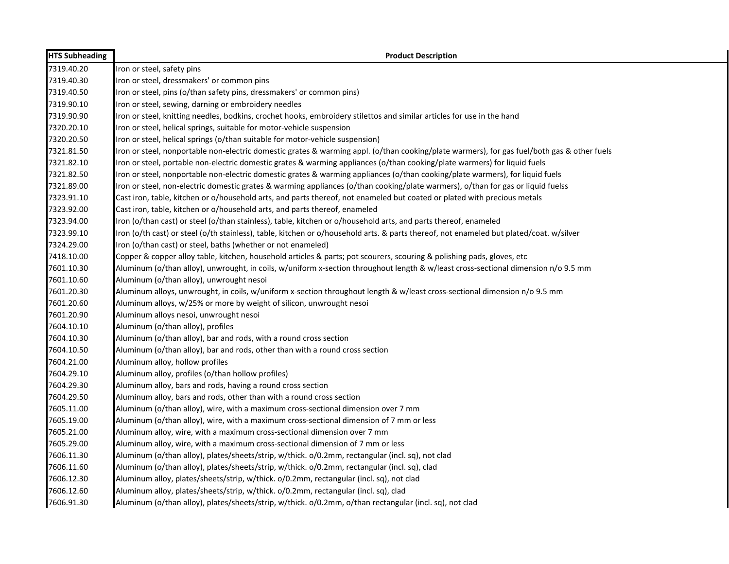| <b>HTS Subheading</b> | <b>Product Description</b>                                                                                                                  |
|-----------------------|---------------------------------------------------------------------------------------------------------------------------------------------|
| 7319.40.20            | Iron or steel, safety pins                                                                                                                  |
| 7319.40.30            | Iron or steel, dressmakers' or common pins                                                                                                  |
| 7319.40.50            | Iron or steel, pins (o/than safety pins, dressmakers' or common pins)                                                                       |
| 7319.90.10            | Iron or steel, sewing, darning or embroidery needles                                                                                        |
| 7319.90.90            | Iron or steel, knitting needles, bodkins, crochet hooks, embroidery stilettos and similar articles for use in the hand                      |
| 7320.20.10            | Iron or steel, helical springs, suitable for motor-vehicle suspension                                                                       |
| 7320.20.50            | Iron or steel, helical springs (o/than suitable for motor-vehicle suspension)                                                               |
| 7321.81.50            | Iron or steel, nonportable non-electric domestic grates & warming appl. (o/than cooking/plate warmers), for gas fuel/both gas & other fuels |
| 7321.82.10            | Iron or steel, portable non-electric domestic grates & warming appliances (o/than cooking/plate warmers) for liquid fuels                   |
| 7321.82.50            | Iron or steel, nonportable non-electric domestic grates & warming appliances (o/than cooking/plate warmers), for liquid fuels               |
| 7321.89.00            | Iron or steel, non-electric domestic grates & warming appliances (o/than cooking/plate warmers), o/than for gas or liquid fuelss            |
| 7323.91.10            | Cast iron, table, kitchen or o/household arts, and parts thereof, not enameled but coated or plated with precious metals                    |
| 7323.92.00            | Cast iron, table, kitchen or o/household arts, and parts thereof, enameled                                                                  |
| 7323.94.00            | Iron (o/than cast) or steel (o/than stainless), table, kitchen or o/household arts, and parts thereof, enameled                             |
| 7323.99.10            | Iron (o/th cast) or steel (o/th stainless), table, kitchen or o/household arts. & parts thereof, not enameled but plated/coat. w/silver     |
| 7324.29.00            | Iron (o/than cast) or steel, baths (whether or not enameled)                                                                                |
| 7418.10.00            | Copper & copper alloy table, kitchen, household articles & parts; pot scourers, scouring & polishing pads, gloves, etc                      |
| 7601.10.30            | Aluminum (o/than alloy), unwrought, in coils, w/uniform x-section throughout length & w/least cross-sectional dimension n/o 9.5 mm          |
| 7601.10.60            | Aluminum (o/than alloy), unwrought nesoi                                                                                                    |
| 7601.20.30            | Aluminum alloys, unwrought, in coils, w/uniform x-section throughout length & w/least cross-sectional dimension n/o 9.5 mm                  |
| 7601.20.60            | Aluminum alloys, w/25% or more by weight of silicon, unwrought nesoi                                                                        |
| 7601.20.90            | Aluminum alloys nesoi, unwrought nesoi                                                                                                      |
| 7604.10.10            | Aluminum (o/than alloy), profiles                                                                                                           |
| 7604.10.30            | Aluminum (o/than alloy), bar and rods, with a round cross section                                                                           |
| 7604.10.50            | Aluminum (o/than alloy), bar and rods, other than with a round cross section                                                                |
| 7604.21.00            | Aluminum alloy, hollow profiles                                                                                                             |
| 7604.29.10            | Aluminum alloy, profiles (o/than hollow profiles)                                                                                           |
| 7604.29.30            | Aluminum alloy, bars and rods, having a round cross section                                                                                 |
| 7604.29.50            | Aluminum alloy, bars and rods, other than with a round cross section                                                                        |
| 7605.11.00            | Aluminum (o/than alloy), wire, with a maximum cross-sectional dimension over 7 mm                                                           |
| 7605.19.00            | Aluminum (o/than alloy), wire, with a maximum cross-sectional dimension of 7 mm or less                                                     |
| 7605.21.00            | Aluminum alloy, wire, with a maximum cross-sectional dimension over 7 mm                                                                    |
| 7605.29.00            | Aluminum alloy, wire, with a maximum cross-sectional dimension of 7 mm or less                                                              |
| 7606.11.30            | Aluminum (o/than alloy), plates/sheets/strip, w/thick. o/0.2mm, rectangular (incl. sq), not clad                                            |
| 7606.11.60            | Aluminum (o/than alloy), plates/sheets/strip, w/thick. o/0.2mm, rectangular (incl. sq), clad                                                |
| 7606.12.30            | Aluminum alloy, plates/sheets/strip, w/thick. o/0.2mm, rectangular (incl. sq), not clad                                                     |
| 7606.12.60            | Aluminum alloy, plates/sheets/strip, w/thick. o/0.2mm, rectangular (incl. sq), clad                                                         |
| 7606.91.30            | Aluminum (o/than alloy), plates/sheets/strip, w/thick. o/0.2mm, o/than rectangular (incl. sq), not clad                                     |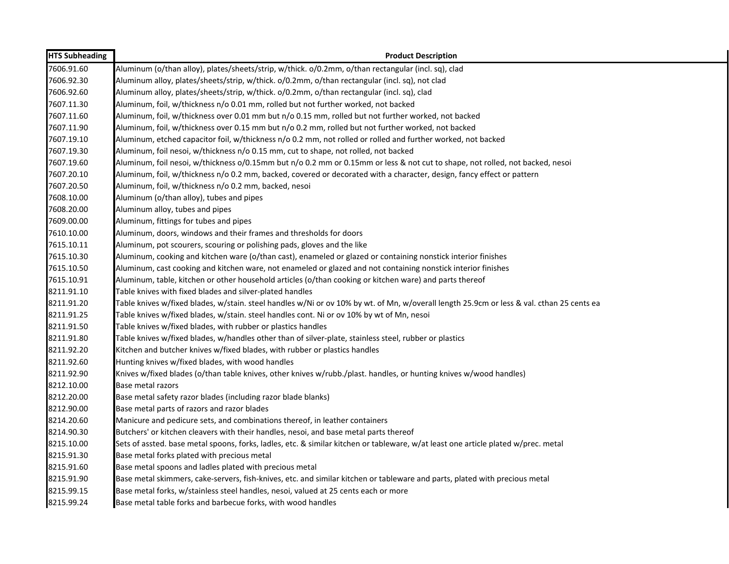| <b>HTS Subheading</b> | <b>Product Description</b>                                                                                                                |
|-----------------------|-------------------------------------------------------------------------------------------------------------------------------------------|
| 7606.91.60            | Aluminum (o/than alloy), plates/sheets/strip, w/thick. o/0.2mm, o/than rectangular (incl. sq), clad                                       |
| 7606.92.30            | Aluminum alloy, plates/sheets/strip, w/thick. o/0.2mm, o/than rectangular (incl. sq), not clad                                            |
| 7606.92.60            | Aluminum alloy, plates/sheets/strip, w/thick. o/0.2mm, o/than rectangular (incl. sq), clad                                                |
| 7607.11.30            | Aluminum, foil, w/thickness n/o 0.01 mm, rolled but not further worked, not backed                                                        |
| 7607.11.60            | Aluminum, foil, w/thickness over 0.01 mm but n/o 0.15 mm, rolled but not further worked, not backed                                       |
| 7607.11.90            | Aluminum, foil, w/thickness over 0.15 mm but n/o 0.2 mm, rolled but not further worked, not backed                                        |
| 7607.19.10            | Aluminum, etched capacitor foil, w/thickness n/o 0.2 mm, not rolled or rolled and further worked, not backed                              |
| 7607.19.30            | Aluminum, foil nesoi, w/thickness n/o 0.15 mm, cut to shape, not rolled, not backed                                                       |
| 7607.19.60            | Aluminum, foil nesoi, w/thickness o/0.15mm but n/o 0.2 mm or 0.15mm or less & not cut to shape, not rolled, not backed, nesoi             |
| 7607.20.10            | Aluminum, foil, w/thickness n/o 0.2 mm, backed, covered or decorated with a character, design, fancy effect or pattern                    |
| 7607.20.50            | Aluminum, foil, w/thickness n/o 0.2 mm, backed, nesoi                                                                                     |
| 7608.10.00            | Aluminum (o/than alloy), tubes and pipes                                                                                                  |
| 7608.20.00            | Aluminum alloy, tubes and pipes                                                                                                           |
| 7609.00.00            | Aluminum, fittings for tubes and pipes                                                                                                    |
| 7610.10.00            | Aluminum, doors, windows and their frames and thresholds for doors                                                                        |
| 7615.10.11            | Aluminum, pot scourers, scouring or polishing pads, gloves and the like                                                                   |
| 7615.10.30            | Aluminum, cooking and kitchen ware (o/than cast), enameled or glazed or containing nonstick interior finishes                             |
| 7615.10.50            | Aluminum, cast cooking and kitchen ware, not enameled or glazed and not containing nonstick interior finishes                             |
| 7615.10.91            | Aluminum, table, kitchen or other household articles (o/than cooking or kitchen ware) and parts thereof                                   |
| 8211.91.10            | Table knives with fixed blades and silver-plated handles                                                                                  |
| 8211.91.20            | Table knives w/fixed blades, w/stain. steel handles w/Ni or ov 10% by wt. of Mn, w/overall length 25.9cm or less & val. cthan 25 cents ea |
| 8211.91.25            | Table knives w/fixed blades, w/stain. steel handles cont. Ni or ov 10% by wt of Mn, nesoi                                                 |
| 8211.91.50            | Table knives w/fixed blades, with rubber or plastics handles                                                                              |
| 8211.91.80            | Table knives w/fixed blades, w/handles other than of silver-plate, stainless steel, rubber or plastics                                    |
| 8211.92.20            | Kitchen and butcher knives w/fixed blades, with rubber or plastics handles                                                                |
| 8211.92.60            | Hunting knives w/fixed blades, with wood handles                                                                                          |
| 8211.92.90            | Knives w/fixed blades (o/than table knives, other knives w/rubb./plast. handles, or hunting knives w/wood handles)                        |
| 8212.10.00            | Base metal razors                                                                                                                         |
| 8212.20.00            | Base metal safety razor blades (including razor blade blanks)                                                                             |
| 8212.90.00            | Base metal parts of razors and razor blades                                                                                               |
| 8214.20.60            | Manicure and pedicure sets, and combinations thereof, in leather containers                                                               |
| 8214.90.30            | Butchers' or kitchen cleavers with their handles, nesoi, and base metal parts thereof                                                     |
| 8215.10.00            | Sets of assted. base metal spoons, forks, ladles, etc. & similar kitchen or tableware, w/at least one article plated w/prec. metal        |
| 8215.91.30            | Base metal forks plated with precious metal                                                                                               |
| 8215.91.60            | Base metal spoons and ladles plated with precious metal                                                                                   |
| 8215.91.90            | Base metal skimmers, cake-servers, fish-knives, etc. and similar kitchen or tableware and parts, plated with precious metal               |
| 8215.99.15            | Base metal forks, w/stainless steel handles, nesoi, valued at 25 cents each or more                                                       |
| 8215.99.24            | Base metal table forks and barbecue forks, with wood handles                                                                              |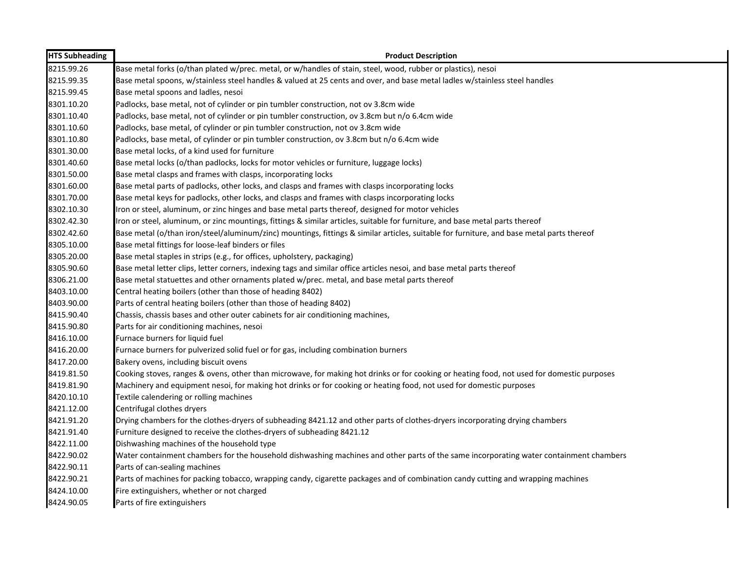| <b>HTS Subheading</b> | <b>Product Description</b>                                                                                                                 |
|-----------------------|--------------------------------------------------------------------------------------------------------------------------------------------|
| 8215.99.26            | Base metal forks (o/than plated w/prec. metal, or w/handles of stain, steel, wood, rubber or plastics), nesoi                              |
| 8215.99.35            | Base metal spoons, w/stainless steel handles & valued at 25 cents and over, and base metal ladles w/stainless steel handles                |
| 8215.99.45            | Base metal spoons and ladles, nesoi                                                                                                        |
| 8301.10.20            | Padlocks, base metal, not of cylinder or pin tumbler construction, not ov 3.8cm wide                                                       |
| 8301.10.40            | Padlocks, base metal, not of cylinder or pin tumbler construction, ov 3.8cm but n/o 6.4cm wide                                             |
| 8301.10.60            | Padlocks, base metal, of cylinder or pin tumbler construction, not ov 3.8cm wide                                                           |
| 8301.10.80            | Padlocks, base metal, of cylinder or pin tumbler construction, ov 3.8cm but n/o 6.4cm wide                                                 |
| 8301.30.00            | Base metal locks, of a kind used for furniture                                                                                             |
| 8301.40.60            | Base metal locks (o/than padlocks, locks for motor vehicles or furniture, luggage locks)                                                   |
| 8301.50.00            | Base metal clasps and frames with clasps, incorporating locks                                                                              |
| 8301.60.00            | Base metal parts of padlocks, other locks, and clasps and frames with clasps incorporating locks                                           |
| 8301.70.00            | Base metal keys for padlocks, other locks, and clasps and frames with clasps incorporating locks                                           |
| 8302.10.30            | Iron or steel, aluminum, or zinc hinges and base metal parts thereof, designed for motor vehicles                                          |
| 8302.42.30            | Iron or steel, aluminum, or zinc mountings, fittings & similar articles, suitable for furniture, and base metal parts thereof              |
| 8302.42.60            | Base metal (o/than iron/steel/aluminum/zinc) mountings, fittings & similar articles, suitable for furniture, and base metal parts thereof  |
| 8305.10.00            | Base metal fittings for loose-leaf binders or files                                                                                        |
| 8305.20.00            | Base metal staples in strips (e.g., for offices, upholstery, packaging)                                                                    |
| 8305.90.60            | Base metal letter clips, letter corners, indexing tags and similar office articles nesoi, and base metal parts thereof                     |
| 8306.21.00            | Base metal statuettes and other ornaments plated w/prec. metal, and base metal parts thereof                                               |
| 8403.10.00            | Central heating boilers (other than those of heading 8402)                                                                                 |
| 8403.90.00            | Parts of central heating boilers (other than those of heading 8402)                                                                        |
| 8415.90.40            | Chassis, chassis bases and other outer cabinets for air conditioning machines,                                                             |
| 8415.90.80            | Parts for air conditioning machines, nesoi                                                                                                 |
| 8416.10.00            | Furnace burners for liquid fuel                                                                                                            |
| 8416.20.00            | Furnace burners for pulverized solid fuel or for gas, including combination burners                                                        |
| 8417.20.00            | Bakery ovens, including biscuit ovens                                                                                                      |
| 8419.81.50            | Cooking stoves, ranges & ovens, other than microwave, for making hot drinks or for cooking or heating food, not used for domestic purposes |
| 8419.81.90            | Machinery and equipment nesoi, for making hot drinks or for cooking or heating food, not used for domestic purposes                        |
| 8420.10.10            | Textile calendering or rolling machines                                                                                                    |
| 8421.12.00            | Centrifugal clothes dryers                                                                                                                 |
| 8421.91.20            | Drying chambers for the clothes-dryers of subheading 8421.12 and other parts of clothes-dryers incorporating drying chambers               |
| 8421.91.40            | Furniture designed to receive the clothes-dryers of subheading 8421.12                                                                     |
| 8422.11.00            | Dishwashing machines of the household type                                                                                                 |
| 8422.90.02            | Water containment chambers for the household dishwashing machines and other parts of the same incorporating water containment chambers     |
| 8422.90.11            | Parts of can-sealing machines                                                                                                              |
| 8422.90.21            | Parts of machines for packing tobacco, wrapping candy, cigarette packages and of combination candy cutting and wrapping machines           |
| 8424.10.00            | Fire extinguishers, whether or not charged                                                                                                 |
| 8424.90.05            | Parts of fire extinguishers                                                                                                                |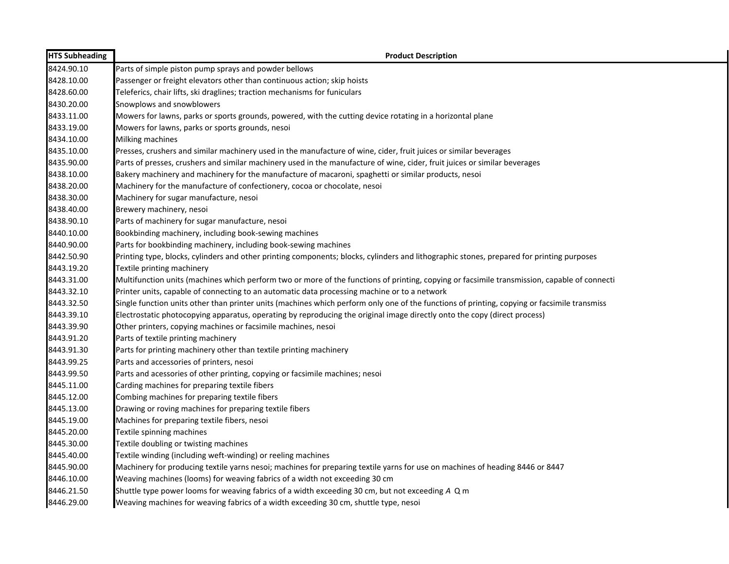| <b>HTS Subheading</b> | <b>Product Description</b>                                                                                                                   |
|-----------------------|----------------------------------------------------------------------------------------------------------------------------------------------|
| 8424.90.10            | Parts of simple piston pump sprays and powder bellows                                                                                        |
| 8428.10.00            | Passenger or freight elevators other than continuous action; skip hoists                                                                     |
| 8428.60.00            | Teleferics, chair lifts, ski draglines; traction mechanisms for funiculars                                                                   |
| 8430.20.00            | Snowplows and snowblowers                                                                                                                    |
| 8433.11.00            | Mowers for lawns, parks or sports grounds, powered, with the cutting device rotating in a horizontal plane                                   |
| 8433.19.00            | Mowers for lawns, parks or sports grounds, nesoi                                                                                             |
| 8434.10.00            | Milking machines                                                                                                                             |
| 8435.10.00            | Presses, crushers and similar machinery used in the manufacture of wine, cider, fruit juices or similar beverages                            |
| 8435.90.00            | Parts of presses, crushers and similar machinery used in the manufacture of wine, cider, fruit juices or similar beverages                   |
| 8438.10.00            | Bakery machinery and machinery for the manufacture of macaroni, spaghetti or similar products, nesoi                                         |
| 8438.20.00            | Machinery for the manufacture of confectionery, cocoa or chocolate, nesoi                                                                    |
| 8438.30.00            | Machinery for sugar manufacture, nesoi                                                                                                       |
| 8438.40.00            | Brewery machinery, nesoi                                                                                                                     |
| 8438.90.10            | Parts of machinery for sugar manufacture, nesoi                                                                                              |
| 8440.10.00            | Bookbinding machinery, including book-sewing machines                                                                                        |
| 8440.90.00            | Parts for bookbinding machinery, including book-sewing machines                                                                              |
| 8442.50.90            | Printing type, blocks, cylinders and other printing components; blocks, cylinders and lithographic stones, prepared for printing purposes    |
| 8443.19.20            | Textile printing machinery                                                                                                                   |
| 8443.31.00            | Multifunction units (machines which perform two or more of the functions of printing, copying or facsimile transmission, capable of connecti |
| 8443.32.10            | Printer units, capable of connecting to an automatic data processing machine or to a network                                                 |
| 8443.32.50            | Single function units other than printer units (machines which perform only one of the functions of printing, copying or facsimile transmiss |
| 8443.39.10            | Electrostatic photocopying apparatus, operating by reproducing the original image directly onto the copy (direct process)                    |
| 8443.39.90            | Other printers, copying machines or facsimile machines, nesoi                                                                                |
| 8443.91.20            | Parts of textile printing machinery                                                                                                          |
| 8443.91.30            | Parts for printing machinery other than textile printing machinery                                                                           |
| 8443.99.25            | Parts and accessories of printers, nesoi                                                                                                     |
| 8443.99.50            | Parts and acessories of other printing, copying or facsimile machines; nesoi                                                                 |
| 8445.11.00            | Carding machines for preparing textile fibers                                                                                                |
| 8445.12.00            | Combing machines for preparing textile fibers                                                                                                |
| 8445.13.00            | Drawing or roving machines for preparing textile fibers                                                                                      |
| 8445.19.00            | Machines for preparing textile fibers, nesoi                                                                                                 |
| 8445.20.00            | Textile spinning machines                                                                                                                    |
| 8445.30.00            | Textile doubling or twisting machines                                                                                                        |
| 8445.40.00            | Textile winding (including weft-winding) or reeling machines                                                                                 |
| 8445.90.00            | Machinery for producing textile yarns nesoi; machines for preparing textile yarns for use on machines of heading 8446 or 8447                |
| 8446.10.00            | Weaving machines (looms) for weaving fabrics of a width not exceeding 30 cm                                                                  |
| 8446.21.50            | Shuttle type power looms for weaving fabrics of a width exceeding 30 cm, but not exceeding A Q m                                             |
| 8446.29.00            | Weaving machines for weaving fabrics of a width exceeding 30 cm, shuttle type, nesoi                                                         |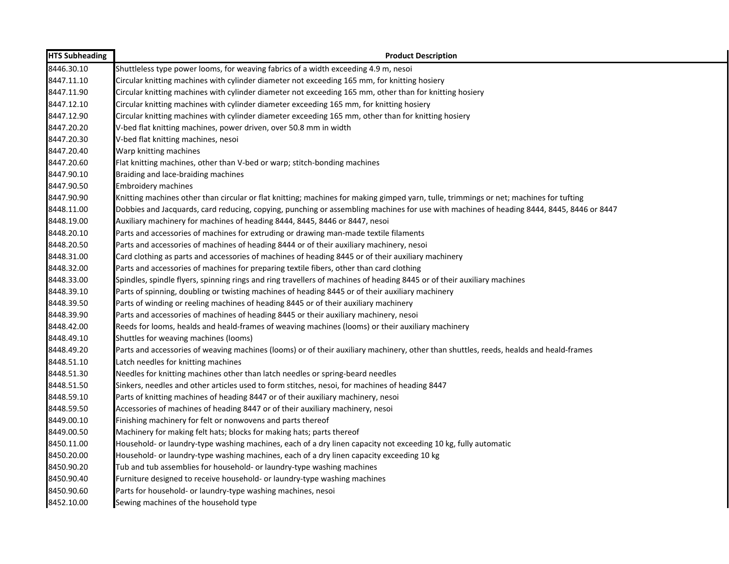| <b>HTS Subheading</b> | <b>Product Description</b>                                                                                                               |
|-----------------------|------------------------------------------------------------------------------------------------------------------------------------------|
| 8446.30.10            | Shuttleless type power looms, for weaving fabrics of a width exceeding 4.9 m, nesoi                                                      |
| 8447.11.10            | Circular knitting machines with cylinder diameter not exceeding 165 mm, for knitting hosiery                                             |
| 8447.11.90            | Circular knitting machines with cylinder diameter not exceeding 165 mm, other than for knitting hosiery                                  |
| 8447.12.10            | Circular knitting machines with cylinder diameter exceeding 165 mm, for knitting hosiery                                                 |
| 8447.12.90            | Circular knitting machines with cylinder diameter exceeding 165 mm, other than for knitting hosiery                                      |
| 8447.20.20            | V-bed flat knitting machines, power driven, over 50.8 mm in width                                                                        |
| 8447.20.30            | V-bed flat knitting machines, nesoi                                                                                                      |
| 8447.20.40            | Warp knitting machines                                                                                                                   |
| 8447.20.60            | Flat knitting machines, other than V-bed or warp; stitch-bonding machines                                                                |
| 8447.90.10            | Braiding and lace-braiding machines                                                                                                      |
| 8447.90.50            | <b>Embroidery machines</b>                                                                                                               |
| 8447.90.90            | Knitting machines other than circular or flat knitting; machines for making gimped yarn, tulle, trimmings or net; machines for tufting   |
| 8448.11.00            | Dobbies and Jacquards, card reducing, copying, punching or assembling machines for use with machines of heading 8444, 8445, 8446 or 8447 |
| 8448.19.00            | Auxiliary machinery for machines of heading 8444, 8445, 8446 or 8447, nesoi                                                              |
| 8448.20.10            | Parts and accessories of machines for extruding or drawing man-made textile filaments                                                    |
| 8448.20.50            | Parts and accessories of machines of heading 8444 or of their auxiliary machinery, nesoi                                                 |
| 8448.31.00            | Card clothing as parts and accessories of machines of heading 8445 or of their auxiliary machinery                                       |
| 8448.32.00            | Parts and accessories of machines for preparing textile fibers, other than card clothing                                                 |
| 8448.33.00            | Spindles, spindle flyers, spinning rings and ring travellers of machines of heading 8445 or of their auxiliary machines                  |
| 8448.39.10            | Parts of spinning, doubling or twisting machines of heading 8445 or of their auxiliary machinery                                         |
| 8448.39.50            | Parts of winding or reeling machines of heading 8445 or of their auxiliary machinery                                                     |
| 8448.39.90            | Parts and accessories of machines of heading 8445 or their auxiliary machinery, nesoi                                                    |
| 8448.42.00            | Reeds for looms, healds and heald-frames of weaving machines (looms) or their auxiliary machinery                                        |
| 8448.49.10            | Shuttles for weaving machines (looms)                                                                                                    |
| 8448.49.20            | Parts and accessories of weaving machines (looms) or of their auxiliary machinery, other than shuttles, reeds, healds and heald-frames   |
| 8448.51.10            | Latch needles for knitting machines                                                                                                      |
| 8448.51.30            | Needles for knitting machines other than latch needles or spring-beard needles                                                           |
| 8448.51.50            | Sinkers, needles and other articles used to form stitches, nesoi, for machines of heading 8447                                           |
| 8448.59.10            | Parts of knitting machines of heading 8447 or of their auxiliary machinery, nesoi                                                        |
| 8448.59.50            | Accessories of machines of heading 8447 or of their auxiliary machinery, nesoi                                                           |
| 8449.00.10            | Finishing machinery for felt or nonwovens and parts thereof                                                                              |
| 8449.00.50            | Machinery for making felt hats; blocks for making hats; parts thereof                                                                    |
| 8450.11.00            | Household- or laundry-type washing machines, each of a dry linen capacity not exceeding 10 kg, fully automatic                           |
| 8450.20.00            | Household- or laundry-type washing machines, each of a dry linen capacity exceeding 10 kg                                                |
| 8450.90.20            | Tub and tub assemblies for household- or laundry-type washing machines                                                                   |
| 8450.90.40            | Furniture designed to receive household- or laundry-type washing machines                                                                |
| 8450.90.60            | Parts for household- or laundry-type washing machines, nesoi                                                                             |
| 8452.10.00            | Sewing machines of the household type                                                                                                    |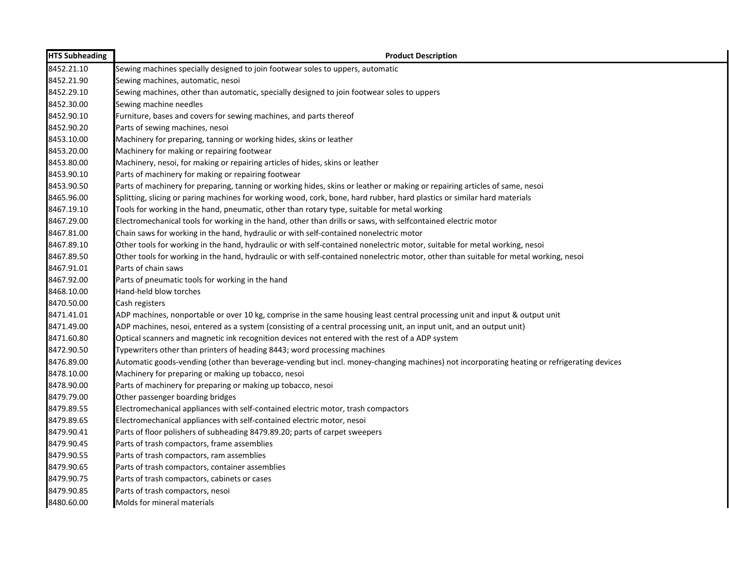| 8452.21.10<br>Sewing machines specially designed to join footwear soles to uppers, automatic<br>8452.21.90<br>Sewing machines, automatic, nesoi<br>8452.29.10<br>Sewing machines, other than automatic, specially designed to join footwear soles to uppers<br>8452.30.00<br>Sewing machine needles<br>8452.90.10<br>Furniture, bases and covers for sewing machines, and parts thereof<br>8452.90.20<br>Parts of sewing machines, nesoi<br>Machinery for preparing, tanning or working hides, skins or leather<br>8453.10.00<br>8453.20.00<br>Machinery for making or repairing footwear<br>8453.80.00<br>Machinery, nesoi, for making or repairing articles of hides, skins or leather<br>8453.90.10<br>Parts of machinery for making or repairing footwear<br>8453.90.50<br>Parts of machinery for preparing, tanning or working hides, skins or leather or making or repairing articles of same, nesoi<br>8465.96.00<br>Splitting, slicing or paring machines for working wood, cork, bone, hard rubber, hard plastics or similar hard materials<br>8467.19.10<br>Tools for working in the hand, pneumatic, other than rotary type, suitable for metal working<br>8467.29.00<br>Electromechanical tools for working in the hand, other than drills or saws, with selfcontained electric motor<br>8467.81.00<br>Chain saws for working in the hand, hydraulic or with self-contained nonelectric motor<br>8467.89.10<br>Other tools for working in the hand, hydraulic or with self-contained nonelectric motor, suitable for metal working, nesoi<br>8467.89.50<br>Other tools for working in the hand, hydraulic or with self-contained nonelectric motor, other than suitable for metal working, nesoi<br>8467.91.01<br>Parts of chain saws<br>8467.92.00<br>Parts of pneumatic tools for working in the hand<br>8468.10.00<br>Hand-held blow torches<br>8470.50.00<br>Cash registers<br>8471.41.01<br>ADP machines, nonportable or over 10 kg, comprise in the same housing least central processing unit and input & output unit<br>8471.49.00<br>ADP machines, nesoi, entered as a system (consisting of a central processing unit, an input unit, and an output unit)<br>8471.60.80<br>Optical scanners and magnetic ink recognition devices not entered with the rest of a ADP system<br>8472.90.50<br>Typewriters other than printers of heading 8443; word processing machines<br>8476.89.00<br>Automatic goods-vending (other than beverage-vending but incl. money-changing machines) not incorporating heating or refrigerating devices<br>8478.10.00<br>Machinery for preparing or making up tobacco, nesoi<br>8478.90.00<br>Parts of machinery for preparing or making up tobacco, nesoi<br>8479.79.00<br>Other passenger boarding bridges<br>8479.89.55<br>Electromechanical appliances with self-contained electric motor, trash compactors<br>8479.89.65<br>Electromechanical appliances with self-contained electric motor, nesoi<br>8479.90.41<br>Parts of floor polishers of subheading 8479.89.20; parts of carpet sweepers<br>8479.90.45<br>Parts of trash compactors, frame assemblies<br>8479.90.55<br>Parts of trash compactors, ram assemblies<br>8479.90.65<br>Parts of trash compactors, container assemblies<br>8479.90.75<br>Parts of trash compactors, cabinets or cases<br>8479.90.85<br>Parts of trash compactors, nesoi<br>8480.60.00<br>Molds for mineral materials | <b>HTS Subheading</b> | <b>Product Description</b> |
|------------------------------------------------------------------------------------------------------------------------------------------------------------------------------------------------------------------------------------------------------------------------------------------------------------------------------------------------------------------------------------------------------------------------------------------------------------------------------------------------------------------------------------------------------------------------------------------------------------------------------------------------------------------------------------------------------------------------------------------------------------------------------------------------------------------------------------------------------------------------------------------------------------------------------------------------------------------------------------------------------------------------------------------------------------------------------------------------------------------------------------------------------------------------------------------------------------------------------------------------------------------------------------------------------------------------------------------------------------------------------------------------------------------------------------------------------------------------------------------------------------------------------------------------------------------------------------------------------------------------------------------------------------------------------------------------------------------------------------------------------------------------------------------------------------------------------------------------------------------------------------------------------------------------------------------------------------------------------------------------------------------------------------------------------------------------------------------------------------------------------------------------------------------------------------------------------------------------------------------------------------------------------------------------------------------------------------------------------------------------------------------------------------------------------------------------------------------------------------------------------------------------------------------------------------------------------------------------------------------------------------------------------------------------------------------------------------------------------------------------------------------------------------------------------------------------------------------------------------------------------------------------------------------------------------------------------------------------------------------------------------------------------------------------------------------------------------------------------------------------------------------------------------------------------------------------------------------------------------------------------------------------------------------------------------------------------------------------------------------------------------------------------------|-----------------------|----------------------------|
|                                                                                                                                                                                                                                                                                                                                                                                                                                                                                                                                                                                                                                                                                                                                                                                                                                                                                                                                                                                                                                                                                                                                                                                                                                                                                                                                                                                                                                                                                                                                                                                                                                                                                                                                                                                                                                                                                                                                                                                                                                                                                                                                                                                                                                                                                                                                                                                                                                                                                                                                                                                                                                                                                                                                                                                                                                                                                                                                                                                                                                                                                                                                                                                                                                                                                                                                                                                                            |                       |                            |
|                                                                                                                                                                                                                                                                                                                                                                                                                                                                                                                                                                                                                                                                                                                                                                                                                                                                                                                                                                                                                                                                                                                                                                                                                                                                                                                                                                                                                                                                                                                                                                                                                                                                                                                                                                                                                                                                                                                                                                                                                                                                                                                                                                                                                                                                                                                                                                                                                                                                                                                                                                                                                                                                                                                                                                                                                                                                                                                                                                                                                                                                                                                                                                                                                                                                                                                                                                                                            |                       |                            |
|                                                                                                                                                                                                                                                                                                                                                                                                                                                                                                                                                                                                                                                                                                                                                                                                                                                                                                                                                                                                                                                                                                                                                                                                                                                                                                                                                                                                                                                                                                                                                                                                                                                                                                                                                                                                                                                                                                                                                                                                                                                                                                                                                                                                                                                                                                                                                                                                                                                                                                                                                                                                                                                                                                                                                                                                                                                                                                                                                                                                                                                                                                                                                                                                                                                                                                                                                                                                            |                       |                            |
|                                                                                                                                                                                                                                                                                                                                                                                                                                                                                                                                                                                                                                                                                                                                                                                                                                                                                                                                                                                                                                                                                                                                                                                                                                                                                                                                                                                                                                                                                                                                                                                                                                                                                                                                                                                                                                                                                                                                                                                                                                                                                                                                                                                                                                                                                                                                                                                                                                                                                                                                                                                                                                                                                                                                                                                                                                                                                                                                                                                                                                                                                                                                                                                                                                                                                                                                                                                                            |                       |                            |
|                                                                                                                                                                                                                                                                                                                                                                                                                                                                                                                                                                                                                                                                                                                                                                                                                                                                                                                                                                                                                                                                                                                                                                                                                                                                                                                                                                                                                                                                                                                                                                                                                                                                                                                                                                                                                                                                                                                                                                                                                                                                                                                                                                                                                                                                                                                                                                                                                                                                                                                                                                                                                                                                                                                                                                                                                                                                                                                                                                                                                                                                                                                                                                                                                                                                                                                                                                                                            |                       |                            |
|                                                                                                                                                                                                                                                                                                                                                                                                                                                                                                                                                                                                                                                                                                                                                                                                                                                                                                                                                                                                                                                                                                                                                                                                                                                                                                                                                                                                                                                                                                                                                                                                                                                                                                                                                                                                                                                                                                                                                                                                                                                                                                                                                                                                                                                                                                                                                                                                                                                                                                                                                                                                                                                                                                                                                                                                                                                                                                                                                                                                                                                                                                                                                                                                                                                                                                                                                                                                            |                       |                            |
|                                                                                                                                                                                                                                                                                                                                                                                                                                                                                                                                                                                                                                                                                                                                                                                                                                                                                                                                                                                                                                                                                                                                                                                                                                                                                                                                                                                                                                                                                                                                                                                                                                                                                                                                                                                                                                                                                                                                                                                                                                                                                                                                                                                                                                                                                                                                                                                                                                                                                                                                                                                                                                                                                                                                                                                                                                                                                                                                                                                                                                                                                                                                                                                                                                                                                                                                                                                                            |                       |                            |
|                                                                                                                                                                                                                                                                                                                                                                                                                                                                                                                                                                                                                                                                                                                                                                                                                                                                                                                                                                                                                                                                                                                                                                                                                                                                                                                                                                                                                                                                                                                                                                                                                                                                                                                                                                                                                                                                                                                                                                                                                                                                                                                                                                                                                                                                                                                                                                                                                                                                                                                                                                                                                                                                                                                                                                                                                                                                                                                                                                                                                                                                                                                                                                                                                                                                                                                                                                                                            |                       |                            |
|                                                                                                                                                                                                                                                                                                                                                                                                                                                                                                                                                                                                                                                                                                                                                                                                                                                                                                                                                                                                                                                                                                                                                                                                                                                                                                                                                                                                                                                                                                                                                                                                                                                                                                                                                                                                                                                                                                                                                                                                                                                                                                                                                                                                                                                                                                                                                                                                                                                                                                                                                                                                                                                                                                                                                                                                                                                                                                                                                                                                                                                                                                                                                                                                                                                                                                                                                                                                            |                       |                            |
|                                                                                                                                                                                                                                                                                                                                                                                                                                                                                                                                                                                                                                                                                                                                                                                                                                                                                                                                                                                                                                                                                                                                                                                                                                                                                                                                                                                                                                                                                                                                                                                                                                                                                                                                                                                                                                                                                                                                                                                                                                                                                                                                                                                                                                                                                                                                                                                                                                                                                                                                                                                                                                                                                                                                                                                                                                                                                                                                                                                                                                                                                                                                                                                                                                                                                                                                                                                                            |                       |                            |
|                                                                                                                                                                                                                                                                                                                                                                                                                                                                                                                                                                                                                                                                                                                                                                                                                                                                                                                                                                                                                                                                                                                                                                                                                                                                                                                                                                                                                                                                                                                                                                                                                                                                                                                                                                                                                                                                                                                                                                                                                                                                                                                                                                                                                                                                                                                                                                                                                                                                                                                                                                                                                                                                                                                                                                                                                                                                                                                                                                                                                                                                                                                                                                                                                                                                                                                                                                                                            |                       |                            |
|                                                                                                                                                                                                                                                                                                                                                                                                                                                                                                                                                                                                                                                                                                                                                                                                                                                                                                                                                                                                                                                                                                                                                                                                                                                                                                                                                                                                                                                                                                                                                                                                                                                                                                                                                                                                                                                                                                                                                                                                                                                                                                                                                                                                                                                                                                                                                                                                                                                                                                                                                                                                                                                                                                                                                                                                                                                                                                                                                                                                                                                                                                                                                                                                                                                                                                                                                                                                            |                       |                            |
|                                                                                                                                                                                                                                                                                                                                                                                                                                                                                                                                                                                                                                                                                                                                                                                                                                                                                                                                                                                                                                                                                                                                                                                                                                                                                                                                                                                                                                                                                                                                                                                                                                                                                                                                                                                                                                                                                                                                                                                                                                                                                                                                                                                                                                                                                                                                                                                                                                                                                                                                                                                                                                                                                                                                                                                                                                                                                                                                                                                                                                                                                                                                                                                                                                                                                                                                                                                                            |                       |                            |
|                                                                                                                                                                                                                                                                                                                                                                                                                                                                                                                                                                                                                                                                                                                                                                                                                                                                                                                                                                                                                                                                                                                                                                                                                                                                                                                                                                                                                                                                                                                                                                                                                                                                                                                                                                                                                                                                                                                                                                                                                                                                                                                                                                                                                                                                                                                                                                                                                                                                                                                                                                                                                                                                                                                                                                                                                                                                                                                                                                                                                                                                                                                                                                                                                                                                                                                                                                                                            |                       |                            |
|                                                                                                                                                                                                                                                                                                                                                                                                                                                                                                                                                                                                                                                                                                                                                                                                                                                                                                                                                                                                                                                                                                                                                                                                                                                                                                                                                                                                                                                                                                                                                                                                                                                                                                                                                                                                                                                                                                                                                                                                                                                                                                                                                                                                                                                                                                                                                                                                                                                                                                                                                                                                                                                                                                                                                                                                                                                                                                                                                                                                                                                                                                                                                                                                                                                                                                                                                                                                            |                       |                            |
|                                                                                                                                                                                                                                                                                                                                                                                                                                                                                                                                                                                                                                                                                                                                                                                                                                                                                                                                                                                                                                                                                                                                                                                                                                                                                                                                                                                                                                                                                                                                                                                                                                                                                                                                                                                                                                                                                                                                                                                                                                                                                                                                                                                                                                                                                                                                                                                                                                                                                                                                                                                                                                                                                                                                                                                                                                                                                                                                                                                                                                                                                                                                                                                                                                                                                                                                                                                                            |                       |                            |
|                                                                                                                                                                                                                                                                                                                                                                                                                                                                                                                                                                                                                                                                                                                                                                                                                                                                                                                                                                                                                                                                                                                                                                                                                                                                                                                                                                                                                                                                                                                                                                                                                                                                                                                                                                                                                                                                                                                                                                                                                                                                                                                                                                                                                                                                                                                                                                                                                                                                                                                                                                                                                                                                                                                                                                                                                                                                                                                                                                                                                                                                                                                                                                                                                                                                                                                                                                                                            |                       |                            |
|                                                                                                                                                                                                                                                                                                                                                                                                                                                                                                                                                                                                                                                                                                                                                                                                                                                                                                                                                                                                                                                                                                                                                                                                                                                                                                                                                                                                                                                                                                                                                                                                                                                                                                                                                                                                                                                                                                                                                                                                                                                                                                                                                                                                                                                                                                                                                                                                                                                                                                                                                                                                                                                                                                                                                                                                                                                                                                                                                                                                                                                                                                                                                                                                                                                                                                                                                                                                            |                       |                            |
|                                                                                                                                                                                                                                                                                                                                                                                                                                                                                                                                                                                                                                                                                                                                                                                                                                                                                                                                                                                                                                                                                                                                                                                                                                                                                                                                                                                                                                                                                                                                                                                                                                                                                                                                                                                                                                                                                                                                                                                                                                                                                                                                                                                                                                                                                                                                                                                                                                                                                                                                                                                                                                                                                                                                                                                                                                                                                                                                                                                                                                                                                                                                                                                                                                                                                                                                                                                                            |                       |                            |
|                                                                                                                                                                                                                                                                                                                                                                                                                                                                                                                                                                                                                                                                                                                                                                                                                                                                                                                                                                                                                                                                                                                                                                                                                                                                                                                                                                                                                                                                                                                                                                                                                                                                                                                                                                                                                                                                                                                                                                                                                                                                                                                                                                                                                                                                                                                                                                                                                                                                                                                                                                                                                                                                                                                                                                                                                                                                                                                                                                                                                                                                                                                                                                                                                                                                                                                                                                                                            |                       |                            |
|                                                                                                                                                                                                                                                                                                                                                                                                                                                                                                                                                                                                                                                                                                                                                                                                                                                                                                                                                                                                                                                                                                                                                                                                                                                                                                                                                                                                                                                                                                                                                                                                                                                                                                                                                                                                                                                                                                                                                                                                                                                                                                                                                                                                                                                                                                                                                                                                                                                                                                                                                                                                                                                                                                                                                                                                                                                                                                                                                                                                                                                                                                                                                                                                                                                                                                                                                                                                            |                       |                            |
|                                                                                                                                                                                                                                                                                                                                                                                                                                                                                                                                                                                                                                                                                                                                                                                                                                                                                                                                                                                                                                                                                                                                                                                                                                                                                                                                                                                                                                                                                                                                                                                                                                                                                                                                                                                                                                                                                                                                                                                                                                                                                                                                                                                                                                                                                                                                                                                                                                                                                                                                                                                                                                                                                                                                                                                                                                                                                                                                                                                                                                                                                                                                                                                                                                                                                                                                                                                                            |                       |                            |
|                                                                                                                                                                                                                                                                                                                                                                                                                                                                                                                                                                                                                                                                                                                                                                                                                                                                                                                                                                                                                                                                                                                                                                                                                                                                                                                                                                                                                                                                                                                                                                                                                                                                                                                                                                                                                                                                                                                                                                                                                                                                                                                                                                                                                                                                                                                                                                                                                                                                                                                                                                                                                                                                                                                                                                                                                                                                                                                                                                                                                                                                                                                                                                                                                                                                                                                                                                                                            |                       |                            |
|                                                                                                                                                                                                                                                                                                                                                                                                                                                                                                                                                                                                                                                                                                                                                                                                                                                                                                                                                                                                                                                                                                                                                                                                                                                                                                                                                                                                                                                                                                                                                                                                                                                                                                                                                                                                                                                                                                                                                                                                                                                                                                                                                                                                                                                                                                                                                                                                                                                                                                                                                                                                                                                                                                                                                                                                                                                                                                                                                                                                                                                                                                                                                                                                                                                                                                                                                                                                            |                       |                            |
|                                                                                                                                                                                                                                                                                                                                                                                                                                                                                                                                                                                                                                                                                                                                                                                                                                                                                                                                                                                                                                                                                                                                                                                                                                                                                                                                                                                                                                                                                                                                                                                                                                                                                                                                                                                                                                                                                                                                                                                                                                                                                                                                                                                                                                                                                                                                                                                                                                                                                                                                                                                                                                                                                                                                                                                                                                                                                                                                                                                                                                                                                                                                                                                                                                                                                                                                                                                                            |                       |                            |
|                                                                                                                                                                                                                                                                                                                                                                                                                                                                                                                                                                                                                                                                                                                                                                                                                                                                                                                                                                                                                                                                                                                                                                                                                                                                                                                                                                                                                                                                                                                                                                                                                                                                                                                                                                                                                                                                                                                                                                                                                                                                                                                                                                                                                                                                                                                                                                                                                                                                                                                                                                                                                                                                                                                                                                                                                                                                                                                                                                                                                                                                                                                                                                                                                                                                                                                                                                                                            |                       |                            |
|                                                                                                                                                                                                                                                                                                                                                                                                                                                                                                                                                                                                                                                                                                                                                                                                                                                                                                                                                                                                                                                                                                                                                                                                                                                                                                                                                                                                                                                                                                                                                                                                                                                                                                                                                                                                                                                                                                                                                                                                                                                                                                                                                                                                                                                                                                                                                                                                                                                                                                                                                                                                                                                                                                                                                                                                                                                                                                                                                                                                                                                                                                                                                                                                                                                                                                                                                                                                            |                       |                            |
|                                                                                                                                                                                                                                                                                                                                                                                                                                                                                                                                                                                                                                                                                                                                                                                                                                                                                                                                                                                                                                                                                                                                                                                                                                                                                                                                                                                                                                                                                                                                                                                                                                                                                                                                                                                                                                                                                                                                                                                                                                                                                                                                                                                                                                                                                                                                                                                                                                                                                                                                                                                                                                                                                                                                                                                                                                                                                                                                                                                                                                                                                                                                                                                                                                                                                                                                                                                                            |                       |                            |
|                                                                                                                                                                                                                                                                                                                                                                                                                                                                                                                                                                                                                                                                                                                                                                                                                                                                                                                                                                                                                                                                                                                                                                                                                                                                                                                                                                                                                                                                                                                                                                                                                                                                                                                                                                                                                                                                                                                                                                                                                                                                                                                                                                                                                                                                                                                                                                                                                                                                                                                                                                                                                                                                                                                                                                                                                                                                                                                                                                                                                                                                                                                                                                                                                                                                                                                                                                                                            |                       |                            |
|                                                                                                                                                                                                                                                                                                                                                                                                                                                                                                                                                                                                                                                                                                                                                                                                                                                                                                                                                                                                                                                                                                                                                                                                                                                                                                                                                                                                                                                                                                                                                                                                                                                                                                                                                                                                                                                                                                                                                                                                                                                                                                                                                                                                                                                                                                                                                                                                                                                                                                                                                                                                                                                                                                                                                                                                                                                                                                                                                                                                                                                                                                                                                                                                                                                                                                                                                                                                            |                       |                            |
|                                                                                                                                                                                                                                                                                                                                                                                                                                                                                                                                                                                                                                                                                                                                                                                                                                                                                                                                                                                                                                                                                                                                                                                                                                                                                                                                                                                                                                                                                                                                                                                                                                                                                                                                                                                                                                                                                                                                                                                                                                                                                                                                                                                                                                                                                                                                                                                                                                                                                                                                                                                                                                                                                                                                                                                                                                                                                                                                                                                                                                                                                                                                                                                                                                                                                                                                                                                                            |                       |                            |
|                                                                                                                                                                                                                                                                                                                                                                                                                                                                                                                                                                                                                                                                                                                                                                                                                                                                                                                                                                                                                                                                                                                                                                                                                                                                                                                                                                                                                                                                                                                                                                                                                                                                                                                                                                                                                                                                                                                                                                                                                                                                                                                                                                                                                                                                                                                                                                                                                                                                                                                                                                                                                                                                                                                                                                                                                                                                                                                                                                                                                                                                                                                                                                                                                                                                                                                                                                                                            |                       |                            |
|                                                                                                                                                                                                                                                                                                                                                                                                                                                                                                                                                                                                                                                                                                                                                                                                                                                                                                                                                                                                                                                                                                                                                                                                                                                                                                                                                                                                                                                                                                                                                                                                                                                                                                                                                                                                                                                                                                                                                                                                                                                                                                                                                                                                                                                                                                                                                                                                                                                                                                                                                                                                                                                                                                                                                                                                                                                                                                                                                                                                                                                                                                                                                                                                                                                                                                                                                                                                            |                       |                            |
|                                                                                                                                                                                                                                                                                                                                                                                                                                                                                                                                                                                                                                                                                                                                                                                                                                                                                                                                                                                                                                                                                                                                                                                                                                                                                                                                                                                                                                                                                                                                                                                                                                                                                                                                                                                                                                                                                                                                                                                                                                                                                                                                                                                                                                                                                                                                                                                                                                                                                                                                                                                                                                                                                                                                                                                                                                                                                                                                                                                                                                                                                                                                                                                                                                                                                                                                                                                                            |                       |                            |
|                                                                                                                                                                                                                                                                                                                                                                                                                                                                                                                                                                                                                                                                                                                                                                                                                                                                                                                                                                                                                                                                                                                                                                                                                                                                                                                                                                                                                                                                                                                                                                                                                                                                                                                                                                                                                                                                                                                                                                                                                                                                                                                                                                                                                                                                                                                                                                                                                                                                                                                                                                                                                                                                                                                                                                                                                                                                                                                                                                                                                                                                                                                                                                                                                                                                                                                                                                                                            |                       |                            |
|                                                                                                                                                                                                                                                                                                                                                                                                                                                                                                                                                                                                                                                                                                                                                                                                                                                                                                                                                                                                                                                                                                                                                                                                                                                                                                                                                                                                                                                                                                                                                                                                                                                                                                                                                                                                                                                                                                                                                                                                                                                                                                                                                                                                                                                                                                                                                                                                                                                                                                                                                                                                                                                                                                                                                                                                                                                                                                                                                                                                                                                                                                                                                                                                                                                                                                                                                                                                            |                       |                            |
|                                                                                                                                                                                                                                                                                                                                                                                                                                                                                                                                                                                                                                                                                                                                                                                                                                                                                                                                                                                                                                                                                                                                                                                                                                                                                                                                                                                                                                                                                                                                                                                                                                                                                                                                                                                                                                                                                                                                                                                                                                                                                                                                                                                                                                                                                                                                                                                                                                                                                                                                                                                                                                                                                                                                                                                                                                                                                                                                                                                                                                                                                                                                                                                                                                                                                                                                                                                                            |                       |                            |
|                                                                                                                                                                                                                                                                                                                                                                                                                                                                                                                                                                                                                                                                                                                                                                                                                                                                                                                                                                                                                                                                                                                                                                                                                                                                                                                                                                                                                                                                                                                                                                                                                                                                                                                                                                                                                                                                                                                                                                                                                                                                                                                                                                                                                                                                                                                                                                                                                                                                                                                                                                                                                                                                                                                                                                                                                                                                                                                                                                                                                                                                                                                                                                                                                                                                                                                                                                                                            |                       |                            |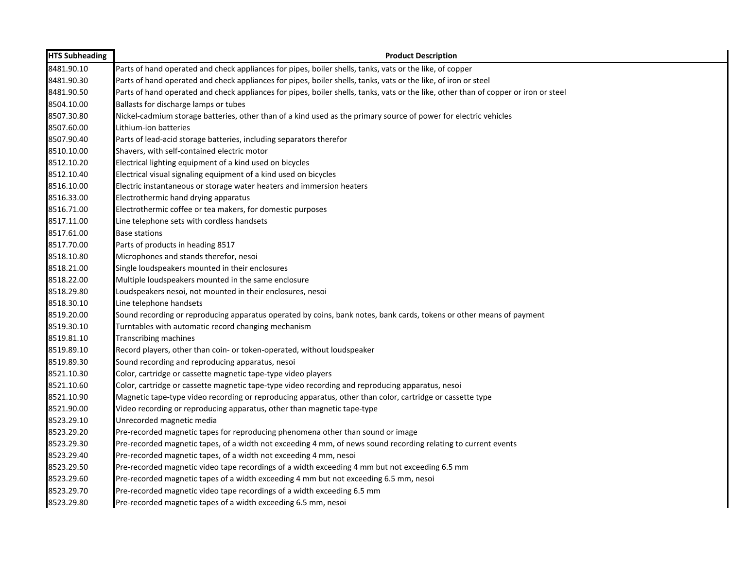| <b>HTS Subheading</b> | <b>Product Description</b>                                                                                                           |
|-----------------------|--------------------------------------------------------------------------------------------------------------------------------------|
| 8481.90.10            | Parts of hand operated and check appliances for pipes, boiler shells, tanks, vats or the like, of copper                             |
| 8481.90.30            | Parts of hand operated and check appliances for pipes, boiler shells, tanks, vats or the like, of iron or steel                      |
| 8481.90.50            | Parts of hand operated and check appliances for pipes, boiler shells, tanks, vats or the like, other than of copper or iron or steel |
| 8504.10.00            | Ballasts for discharge lamps or tubes                                                                                                |
| 8507.30.80            | Nickel-cadmium storage batteries, other than of a kind used as the primary source of power for electric vehicles                     |
| 8507.60.00            | Lithium-ion batteries                                                                                                                |
| 8507.90.40            | Parts of lead-acid storage batteries, including separators therefor                                                                  |
| 8510.10.00            | Shavers, with self-contained electric motor                                                                                          |
| 8512.10.20            | Electrical lighting equipment of a kind used on bicycles                                                                             |
| 8512.10.40            | Electrical visual signaling equipment of a kind used on bicycles                                                                     |
| 8516.10.00            | Electric instantaneous or storage water heaters and immersion heaters                                                                |
| 8516.33.00            | Electrothermic hand drying apparatus                                                                                                 |
| 8516.71.00            | Electrothermic coffee or tea makers, for domestic purposes                                                                           |
| 8517.11.00            | Line telephone sets with cordless handsets                                                                                           |
| 8517.61.00            | Base stations                                                                                                                        |
| 8517.70.00            | Parts of products in heading 8517                                                                                                    |
| 8518.10.80            | Microphones and stands therefor, nesoi                                                                                               |
| 8518.21.00            | Single loudspeakers mounted in their enclosures                                                                                      |
| 8518.22.00            | Multiple loudspeakers mounted in the same enclosure                                                                                  |
| 8518.29.80            | Loudspeakers nesoi, not mounted in their enclosures, nesoi                                                                           |
| 8518.30.10            | Line telephone handsets                                                                                                              |
| 8519.20.00            | Sound recording or reproducing apparatus operated by coins, bank notes, bank cards, tokens or other means of payment                 |
| 8519.30.10            | Turntables with automatic record changing mechanism                                                                                  |
| 8519.81.10            | <b>Transcribing machines</b>                                                                                                         |
| 8519.89.10            | Record players, other than coin- or token-operated, without loudspeaker                                                              |
| 8519.89.30            | Sound recording and reproducing apparatus, nesoi                                                                                     |
| 8521.10.30            | Color, cartridge or cassette magnetic tape-type video players                                                                        |
| 8521.10.60            | Color, cartridge or cassette magnetic tape-type video recording and reproducing apparatus, nesoi                                     |
| 8521.10.90            | Magnetic tape-type video recording or reproducing apparatus, other than color, cartridge or cassette type                            |
| 8521.90.00            | Video recording or reproducing apparatus, other than magnetic tape-type                                                              |
| 8523.29.10            | Unrecorded magnetic media                                                                                                            |
| 8523.29.20            | Pre-recorded magnetic tapes for reproducing phenomena other than sound or image                                                      |
| 8523.29.30            | Pre-recorded magnetic tapes, of a width not exceeding 4 mm, of news sound recording relating to current events                       |
| 8523.29.40            | Pre-recorded magnetic tapes, of a width not exceeding 4 mm, nesoi                                                                    |
| 8523.29.50            | Pre-recorded magnetic video tape recordings of a width exceeding 4 mm but not exceeding 6.5 mm                                       |
| 8523.29.60            | Pre-recorded magnetic tapes of a width exceeding 4 mm but not exceeding 6.5 mm, nesoi                                                |
| 8523.29.70            | Pre-recorded magnetic video tape recordings of a width exceeding 6.5 mm                                                              |
| 8523.29.80            | Pre-recorded magnetic tapes of a width exceeding 6.5 mm, nesoi                                                                       |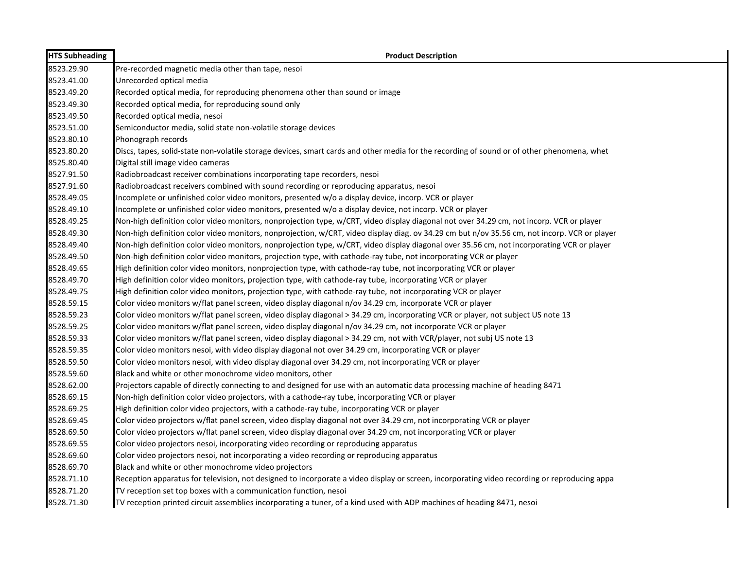| <b>HTS Subheading</b> | <b>Product Description</b>                                                                                                                   |
|-----------------------|----------------------------------------------------------------------------------------------------------------------------------------------|
| 8523.29.90            | Pre-recorded magnetic media other than tape, nesoi                                                                                           |
| 8523.41.00            | Unrecorded optical media                                                                                                                     |
| 8523.49.20            | Recorded optical media, for reproducing phenomena other than sound or image                                                                  |
| 8523.49.30            | Recorded optical media, for reproducing sound only                                                                                           |
| 8523.49.50            | Recorded optical media, nesoi                                                                                                                |
| 8523.51.00            | Semiconductor media, solid state non-volatile storage devices                                                                                |
| 8523.80.10            | Phonograph records                                                                                                                           |
| 8523.80.20            | Discs, tapes, solid-state non-volatile storage devices, smart cards and other media for the recording of sound or of other phenomena, whet   |
| 8525.80.40            | Digital still image video cameras                                                                                                            |
| 8527.91.50            | Radiobroadcast receiver combinations incorporating tape recorders, nesoi                                                                     |
| 8527.91.60            | Radiobroadcast receivers combined with sound recording or reproducing apparatus, nesoi                                                       |
| 8528.49.05            | Incomplete or unfinished color video monitors, presented w/o a display device, incorp. VCR or player                                         |
| 8528.49.10            | Incomplete or unfinished color video monitors, presented w/o a display device, not incorp. VCR or player                                     |
| 8528.49.25            | Non-high definition color video monitors, nonprojection type, w/CRT, video display diagonal not over 34.29 cm, not incorp. VCR or player     |
| 8528.49.30            | Non-high definition color video monitors, nonprojection, w/CRT, video display diag. ov 34.29 cm but n/ov 35.56 cm, not incorp. VCR or player |
| 8528.49.40            | Non-high definition color video monitors, nonprojection type, w/CRT, video display diagonal over 35.56 cm, not incorporating VCR or player   |
| 8528.49.50            | Non-high definition color video monitors, projection type, with cathode-ray tube, not incorporating VCR or player                            |
| 8528.49.65            | High definition color video monitors, nonprojection type, with cathode-ray tube, not incorporating VCR or player                             |
| 8528.49.70            | High definition color video monitors, projection type, with cathode-ray tube, incorporating VCR or player                                    |
| 8528.49.75            | High definition color video monitors, projection type, with cathode-ray tube, not incorporating VCR or player                                |
| 8528.59.15            | Color video monitors w/flat panel screen, video display diagonal n/ov 34.29 cm, incorporate VCR or player                                    |
| 8528.59.23            | Color video monitors w/flat panel screen, video display diagonal > 34.29 cm, incorporating VCR or player, not subject US note 13             |
| 8528.59.25            | Color video monitors w/flat panel screen, video display diagonal n/ov 34.29 cm, not incorporate VCR or player                                |
| 8528.59.33            | Color video monitors w/flat panel screen, video display diagonal > 34.29 cm, not with VCR/player, not subj US note 13                        |
| 8528.59.35            | Color video monitors nesoi, with video display diagonal not over 34.29 cm, incorporating VCR or player                                       |
| 8528.59.50            | Color video monitors nesoi, with video display diagonal over 34.29 cm, not incorporating VCR or player                                       |
| 8528.59.60            | Black and white or other monochrome video monitors, other                                                                                    |
| 8528.62.00            | Projectors capable of directly connecting to and designed for use with an automatic data processing machine of heading 8471                  |
| 8528.69.15            | Non-high definition color video projectors, with a cathode-ray tube, incorporating VCR or player                                             |
| 8528.69.25            | High definition color video projectors, with a cathode-ray tube, incorporating VCR or player                                                 |
| 8528.69.45            | Color video projectors w/flat panel screen, video display diagonal not over 34.29 cm, not incorporating VCR or player                        |
| 8528.69.50            | Color video projectors w/flat panel screen, video display diagonal over 34.29 cm, not incorporating VCR or player                            |
| 8528.69.55            | Color video projectors nesoi, incorporating video recording or reproducing apparatus                                                         |
| 8528.69.60            | Color video projectors nesoi, not incorporating a video recording or reproducing apparatus                                                   |
| 8528.69.70            | Black and white or other monochrome video projectors                                                                                         |
| 8528.71.10            | Reception apparatus for television, not designed to incorporate a video display or screen, incorporating video recording or reproducing appa |
| 8528.71.20            | TV reception set top boxes with a communication function, nesoi                                                                              |
| 8528.71.30            | TV reception printed circuit assemblies incorporating a tuner, of a kind used with ADP machines of heading 8471, nesoi                       |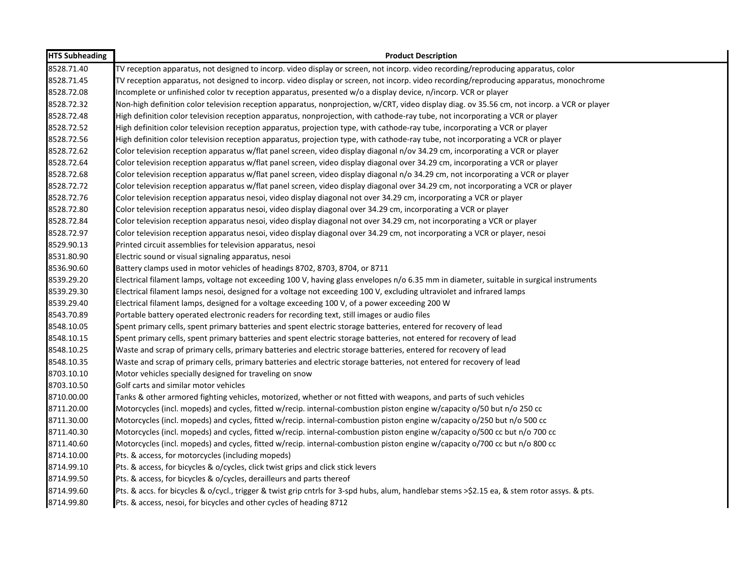| <b>HTS Subheading</b> | <b>Product Description</b>                                                                                                                    |
|-----------------------|-----------------------------------------------------------------------------------------------------------------------------------------------|
| 8528.71.40            | TV reception apparatus, not designed to incorp. video display or screen, not incorp. video recording/reproducing apparatus, color             |
| 8528.71.45            | TV reception apparatus, not designed to incorp. video display or screen, not incorp. video recording/reproducing apparatus, monochrome        |
| 8528.72.08            | Incomplete or unfinished color tv reception apparatus, presented w/o a display device, n/incorp. VCR or player                                |
| 8528.72.32            | Non-high definition color television reception apparatus, nonprojection, w/CRT, video display diag. ov 35.56 cm, not incorp. a VCR or player  |
| 8528.72.48            | High definition color television reception apparatus, nonprojection, with cathode-ray tube, not incorporating a VCR or player                 |
| 8528.72.52            | High definition color television reception apparatus, projection type, with cathode-ray tube, incorporating a VCR or player                   |
| 8528.72.56            | High definition color television reception apparatus, projection type, with cathode-ray tube, not incorporating a VCR or player               |
| 8528.72.62            | Color television reception apparatus w/flat panel screen, video display diagonal n/ov 34.29 cm, incorporating a VCR or player                 |
| 8528.72.64            | Color television reception apparatus w/flat panel screen, video display diagonal over 34.29 cm, incorporating a VCR or player                 |
| 8528.72.68            | Color television reception apparatus w/flat panel screen, video display diagonal n/o 34.29 cm, not incorporating a VCR or player              |
| 8528.72.72            | Color television reception apparatus w/flat panel screen, video display diagonal over 34.29 cm, not incorporating a VCR or player             |
| 8528.72.76            | Color television reception apparatus nesoi, video display diagonal not over 34.29 cm, incorporating a VCR or player                           |
| 8528.72.80            | Color television reception apparatus nesoi, video display diagonal over 34.29 cm, incorporating a VCR or player                               |
| 8528.72.84            | Color television reception apparatus nesoi, video display diagonal not over 34.29 cm, not incorporating a VCR or player                       |
| 8528.72.97            | Color television reception apparatus nesoi, video display diagonal over 34.29 cm, not incorporating a VCR or player, nesoi                    |
| 8529.90.13            | Printed circuit assemblies for television apparatus, nesoi                                                                                    |
| 8531.80.90            | Electric sound or visual signaling apparatus, nesoi                                                                                           |
| 8536.90.60            | Battery clamps used in motor vehicles of headings 8702, 8703, 8704, or 8711                                                                   |
| 8539.29.20            | Electrical filament lamps, voltage not exceeding 100 V, having glass envelopes n/o 6.35 mm in diameter, suitable in surgical instruments      |
| 8539.29.30            | Electrical filament lamps nesoi, designed for a voltage not exceeding 100 V, excluding ultraviolet and infrared lamps                         |
| 8539.29.40            | Electrical filament lamps, designed for a voltage exceeding 100 V, of a power exceeding 200 W                                                 |
| 8543.70.89            | Portable battery operated electronic readers for recording text, still images or audio files                                                  |
| 8548.10.05            | Spent primary cells, spent primary batteries and spent electric storage batteries, entered for recovery of lead                               |
| 8548.10.15            | Spent primary cells, spent primary batteries and spent electric storage batteries, not entered for recovery of lead                           |
| 8548.10.25            | Waste and scrap of primary cells, primary batteries and electric storage batteries, entered for recovery of lead                              |
| 8548.10.35            | Waste and scrap of primary cells, primary batteries and electric storage batteries, not entered for recovery of lead                          |
| 8703.10.10            | Motor vehicles specially designed for traveling on snow                                                                                       |
| 8703.10.50            | Golf carts and similar motor vehicles                                                                                                         |
| 8710.00.00            | Tanks & other armored fighting vehicles, motorized, whether or not fitted with weapons, and parts of such vehicles                            |
| 8711.20.00            | Motorcycles (incl. mopeds) and cycles, fitted w/recip. internal-combustion piston engine w/capacity o/50 but n/o 250 cc                       |
| 8711.30.00            | Motorcycles (incl. mopeds) and cycles, fitted w/recip. internal-combustion piston engine w/capacity o/250 but n/o 500 cc                      |
| 8711.40.30            | Motorcycles (incl. mopeds) and cycles, fitted w/recip. internal-combustion piston engine w/capacity o/500 cc but n/o 700 cc                   |
| 8711.40.60            | Motorcycles (incl. mopeds) and cycles, fitted w/recip. internal-combustion piston engine w/capacity o/700 cc but n/o 800 cc                   |
| 8714.10.00            | Pts. & access, for motorcycles (including mopeds)                                                                                             |
| 8714.99.10            | Pts. & access, for bicycles & o/cycles, click twist grips and click stick levers                                                              |
| 8714.99.50            | Pts. & access, for bicycles & o/cycles, derailleurs and parts thereof                                                                         |
| 8714.99.60            | Pts. & accs. for bicycles & o/cycl., trigger & twist grip cntrls for 3-spd hubs, alum, handlebar stems >\$2.15 ea, & stem rotor assys. & pts. |
| 8714.99.80            | Pts. & access, nesoi, for bicycles and other cycles of heading 8712                                                                           |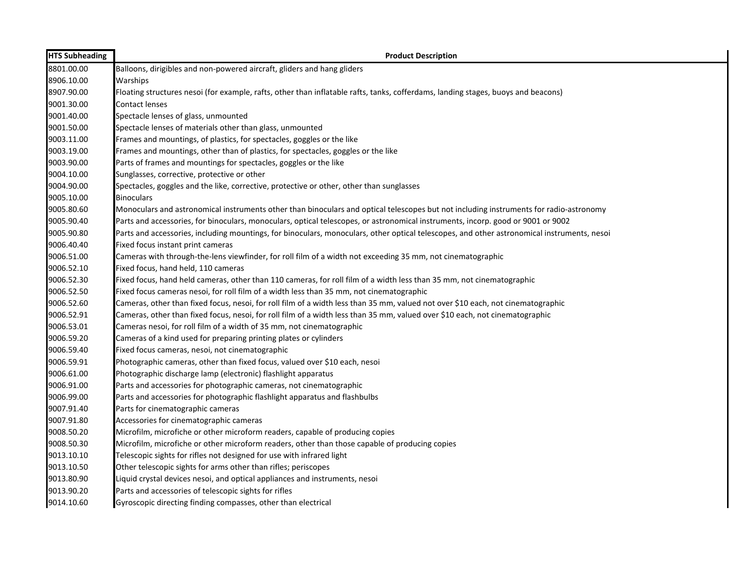| <b>HTS Subheading</b> | <b>Product Description</b>                                                                                                                  |
|-----------------------|---------------------------------------------------------------------------------------------------------------------------------------------|
| 8801.00.00            | Balloons, dirigibles and non-powered aircraft, gliders and hang gliders                                                                     |
| 8906.10.00            | Warships                                                                                                                                    |
| 8907.90.00            | Floating structures nesoi (for example, rafts, other than inflatable rafts, tanks, cofferdams, landing stages, buoys and beacons)           |
| 9001.30.00            | <b>Contact lenses</b>                                                                                                                       |
| 9001.40.00            | Spectacle lenses of glass, unmounted                                                                                                        |
| 9001.50.00            | Spectacle lenses of materials other than glass, unmounted                                                                                   |
| 9003.11.00            | Frames and mountings, of plastics, for spectacles, goggles or the like                                                                      |
| 9003.19.00            | Frames and mountings, other than of plastics, for spectacles, goggles or the like                                                           |
| 9003.90.00            | Parts of frames and mountings for spectacles, goggles or the like                                                                           |
| 9004.10.00            | Sunglasses, corrective, protective or other                                                                                                 |
| 9004.90.00            | Spectacles, goggles and the like, corrective, protective or other, other than sunglasses                                                    |
| 9005.10.00            | <b>Binoculars</b>                                                                                                                           |
| 9005.80.60            | Monoculars and astronomical instruments other than binoculars and optical telescopes but not including instruments for radio-astronomy      |
| 9005.90.40            | Parts and accessories, for binoculars, monoculars, optical telescopes, or astronomical instruments, incorp. good or 9001 or 9002            |
| 9005.90.80            | Parts and accessories, including mountings, for binoculars, monoculars, other optical telescopes, and other astronomical instruments, nesoi |
| 9006.40.40            | Fixed focus instant print cameras                                                                                                           |
| 9006.51.00            | Cameras with through-the-lens viewfinder, for roll film of a width not exceeding 35 mm, not cinematographic                                 |
| 9006.52.10            | Fixed focus, hand held, 110 cameras                                                                                                         |
| 9006.52.30            | Fixed focus, hand held cameras, other than 110 cameras, for roll film of a width less than 35 mm, not cinematographic                       |
| 9006.52.50            | Fixed focus cameras nesoi, for roll film of a width less than 35 mm, not cinematographic                                                    |
| 9006.52.60            | Cameras, other than fixed focus, nesoi, for roll film of a width less than 35 mm, valued not over \$10 each, not cinematographic            |
| 9006.52.91            | Cameras, other than fixed focus, nesoi, for roll film of a width less than 35 mm, valued over \$10 each, not cinematographic                |
| 9006.53.01            | Cameras nesoi, for roll film of a width of 35 mm, not cinematographic                                                                       |
| 9006.59.20            | Cameras of a kind used for preparing printing plates or cylinders                                                                           |
| 9006.59.40            | Fixed focus cameras, nesoi, not cinematographic                                                                                             |
| 9006.59.91            | Photographic cameras, other than fixed focus, valued over \$10 each, nesoi                                                                  |
| 9006.61.00            | Photographic discharge lamp (electronic) flashlight apparatus                                                                               |
| 9006.91.00            | Parts and accessories for photographic cameras, not cinematographic                                                                         |
| 9006.99.00            | Parts and accessories for photographic flashlight apparatus and flashbulbs                                                                  |
| 9007.91.40            | Parts for cinematographic cameras                                                                                                           |
| 9007.91.80            | Accessories for cinematographic cameras                                                                                                     |
| 9008.50.20            | Microfilm, microfiche or other microform readers, capable of producing copies                                                               |
| 9008.50.30            | Microfilm, microfiche or other microform readers, other than those capable of producing copies                                              |
| 9013.10.10            | Telescopic sights for rifles not designed for use with infrared light                                                                       |
| 9013.10.50            | Other telescopic sights for arms other than rifles; periscopes                                                                              |
| 9013.80.90            | Liquid crystal devices nesoi, and optical appliances and instruments, nesoi                                                                 |
| 9013.90.20            | Parts and accessories of telescopic sights for rifles                                                                                       |
| 9014.10.60            | Gyroscopic directing finding compasses, other than electrical                                                                               |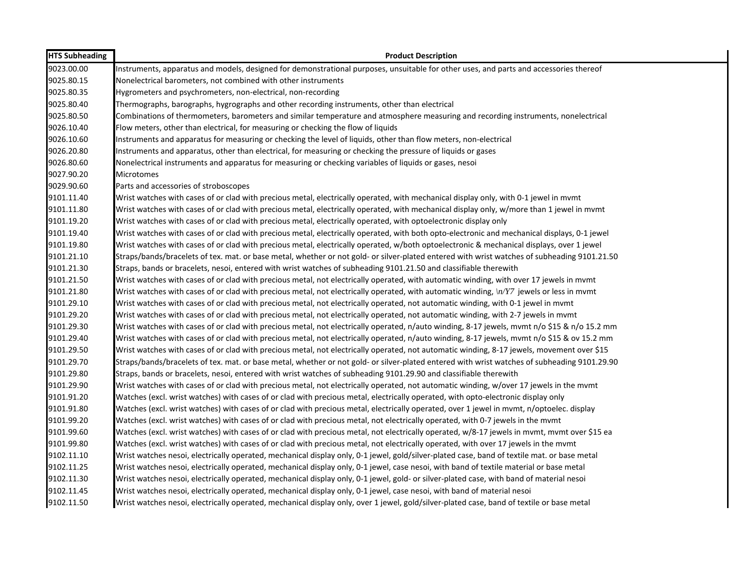| <b>HTS Subheading</b> | <b>Product Description</b>                                                                                                                                |
|-----------------------|-----------------------------------------------------------------------------------------------------------------------------------------------------------|
| 9023.00.00            | Instruments, apparatus and models, designed for demonstrational purposes, unsuitable for other uses, and parts and accessories thereof                    |
| 9025.80.15            | Nonelectrical barometers, not combined with other instruments                                                                                             |
| 9025.80.35            | Hygrometers and psychrometers, non-electrical, non-recording                                                                                              |
| 9025.80.40            | Thermographs, barographs, hygrographs and other recording instruments, other than electrical                                                              |
| 9025.80.50            | Combinations of thermometers, barometers and similar temperature and atmosphere measuring and recording instruments, nonelectrical                        |
| 9026.10.40            | Flow meters, other than electrical, for measuring or checking the flow of liquids                                                                         |
| 9026.10.60            | Instruments and apparatus for measuring or checking the level of liquids, other than flow meters, non-electrical                                          |
| 9026.20.80            | Instruments and apparatus, other than electrical, for measuring or checking the pressure of liquids or gases                                              |
| 9026.80.60            | Nonelectrical instruments and apparatus for measuring or checking variables of liquids or gases, nesoi                                                    |
| 9027.90.20            | Microtomes                                                                                                                                                |
| 9029.90.60            | Parts and accessories of stroboscopes                                                                                                                     |
| 9101.11.40            | Wrist watches with cases of or clad with precious metal, electrically operated, with mechanical display only, with 0-1 jewel in mvmt                      |
| 9101.11.80            | Wrist watches with cases of or clad with precious metal, electrically operated, with mechanical display only, w/more than 1 jewel in mvmt                 |
| 9101.19.20            | Wrist watches with cases of or clad with precious metal, electrically operated, with optoelectronic display only                                          |
| 9101.19.40            | Wrist watches with cases of or clad with precious metal, electrically operated, with both opto-electronic and mechanical displays, 0-1 jewel              |
| 9101.19.80            | Wrist watches with cases of or clad with precious metal, electrically operated, w/both optoelectronic & mechanical displays, over 1 jewel                 |
| 9101.21.10            | Straps/bands/bracelets of tex. mat. or base metal, whether or not gold- or silver-plated entered with wrist watches of subheading 9101.21.50              |
| 9101.21.30            | Straps, bands or bracelets, nesoi, entered with wrist watches of subheading 9101.21.50 and classifiable therewith                                         |
| 9101.21.50            | Wrist watches with cases of or clad with precious metal, not electrically operated, with automatic winding, with over 17 jewels in mvmt                   |
| 9101.21.80            | Wrist watches with cases of or clad with precious metal, not electrically operated, with automatic winding, $\langle n/YZ \rangle$ jewels or less in mvmt |
| 9101.29.10            | Wrist watches with cases of or clad with precious metal, not electrically operated, not automatic winding, with 0-1 jewel in mvmt                         |
| 9101.29.20            | Wrist watches with cases of or clad with precious metal, not electrically operated, not automatic winding, with 2-7 jewels in mvmt                        |
| 9101.29.30            | Wrist watches with cases of or clad with precious metal, not electrically operated, n/auto winding, 8-17 jewels, mvmt n/o \$15 & n/o 15.2 mm              |
| 9101.29.40            | Wrist watches with cases of or clad with precious metal, not electrically operated, n/auto winding, 8-17 jewels, mvmt n/o \$15 & ov 15.2 mm               |
| 9101.29.50            | Wrist watches with cases of or clad with precious metal, not electrically operated, not automatic winding, 8-17 jewels, movement over \$15                |
| 9101.29.70            | Straps/bands/bracelets of tex. mat. or base metal, whether or not gold- or silver-plated entered with wrist watches of subheading 9101.29.90              |
| 9101.29.80            | Straps, bands or bracelets, nesoi, entered with wrist watches of subheading 9101.29.90 and classifiable therewith                                         |
| 9101.29.90            | Wrist watches with cases of or clad with precious metal, not electrically operated, not automatic winding, w/over 17 jewels in the mvmt                   |
| 9101.91.20            | Watches (excl. wrist watches) with cases of or clad with precious metal, electrically operated, with opto-electronic display only                         |
| 9101.91.80            | Watches (excl. wrist watches) with cases of or clad with precious metal, electrically operated, over 1 jewel in mvmt, n/optoelec. display                 |
| 9101.99.20            | Watches (excl. wrist watches) with cases of or clad with precious metal, not electrically operated, with 0-7 jewels in the mvmt                           |
| 9101.99.60            | Watches (excl. wrist watches) with cases of or clad with precious metal, not electrically operated, w/8-17 jewels in mvmt, mvmt over \$15 ea              |
| 9101.99.80            | Watches (excl. wrist watches) with cases of or clad with precious metal, not electrically operated, with over 17 jewels in the mvmt                       |
| 9102.11.10            | Wrist watches nesoi, electrically operated, mechanical display only, 0-1 jewel, gold/silver-plated case, band of textile mat. or base metal               |
| 9102.11.25            | Wrist watches nesoi, electrically operated, mechanical display only, 0-1 jewel, case nesoi, with band of textile material or base metal                   |
| 9102.11.30            | Wrist watches nesoi, electrically operated, mechanical display only, 0-1 jewel, gold- or silver-plated case, with band of material nesoi                  |
| 9102.11.45            | Wrist watches nesoi, electrically operated, mechanical display only, 0-1 jewel, case nesoi, with band of material nesoi                                   |
| 9102.11.50            | Wrist watches nesoi, electrically operated, mechanical display only, over 1 jewel, gold/silver-plated case, band of textile or base metal                 |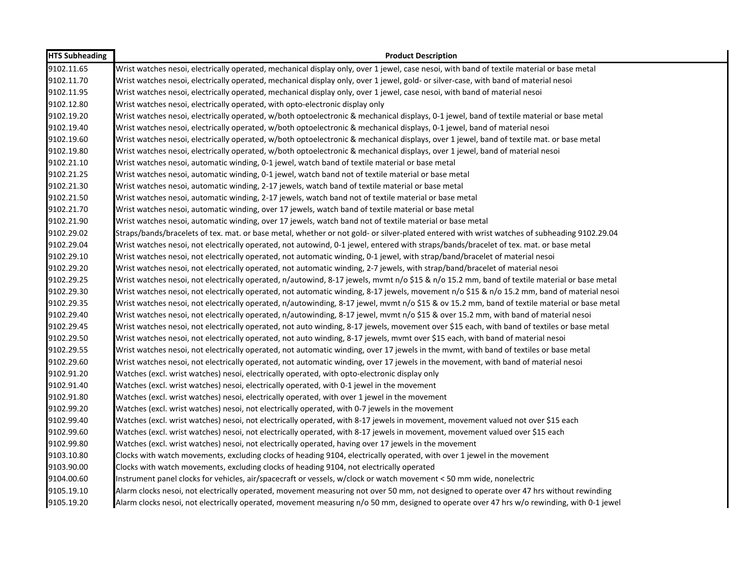| <b>HTS Subheading</b> | <b>Product Description</b>                                                                                                                    |
|-----------------------|-----------------------------------------------------------------------------------------------------------------------------------------------|
| 9102.11.65            | Wrist watches nesoi, electrically operated, mechanical display only, over 1 jewel, case nesoi, with band of textile material or base metal    |
| 9102.11.70            | Wrist watches nesoi, electrically operated, mechanical display only, over 1 jewel, gold- or silver-case, with band of material nesoi          |
| 9102.11.95            | Wrist watches nesoi, electrically operated, mechanical display only, over 1 jewel, case nesoi, with band of material nesoi                    |
| 9102.12.80            | Wrist watches nesoi, electrically operated, with opto-electronic display only                                                                 |
| 9102.19.20            | Wrist watches nesoi, electrically operated, w/both optoelectronic & mechanical displays, 0-1 jewel, band of textile material or base metal    |
| 9102.19.40            | Wrist watches nesoi, electrically operated, w/both optoelectronic & mechanical displays, 0-1 jewel, band of material nesoi                    |
| 9102.19.60            | Wrist watches nesoi, electrically operated, w/both optoelectronic & mechanical displays, over 1 jewel, band of textile mat. or base metal     |
| 9102.19.80            | Wrist watches nesoi, electrically operated, w/both optoelectronic & mechanical displays, over 1 jewel, band of material nesoi                 |
| 9102.21.10            | Wrist watches nesoi, automatic winding, 0-1 jewel, watch band of textile material or base metal                                               |
| 9102.21.25            | Wrist watches nesoi, automatic winding, 0-1 jewel, watch band not of textile material or base metal                                           |
| 9102.21.30            | Wrist watches nesoi, automatic winding, 2-17 jewels, watch band of textile material or base metal                                             |
| 9102.21.50            | Wrist watches nesoi, automatic winding, 2-17 jewels, watch band not of textile material or base metal                                         |
| 9102.21.70            | Wrist watches nesoi, automatic winding, over 17 jewels, watch band of textile material or base metal                                          |
| 9102.21.90            | Wrist watches nesoi, automatic winding, over 17 jewels, watch band not of textile material or base metal                                      |
| 9102.29.02            | Straps/bands/bracelets of tex. mat. or base metal, whether or not gold- or silver-plated entered with wrist watches of subheading 9102.29.04  |
| 9102.29.04            | Wrist watches nesoi, not electrically operated, not autowind, 0-1 jewel, entered with straps/bands/bracelet of tex. mat. or base metal        |
| 9102.29.10            | Wrist watches nesoi, not electrically operated, not automatic winding, 0-1 jewel, with strap/band/bracelet of material nesoi                  |
| 9102.29.20            | Wrist watches nesoi, not electrically operated, not automatic winding, 2-7 jewels, with strap/band/bracelet of material nesoi                 |
| 9102.29.25            | Wrist watches nesoi, not electrically operated, n/autowind, 8-17 jewels, mvmt n/o \$15 & n/o 15.2 mm, band of textile material or base metal  |
| 9102.29.30            | Wrist watches nesoi, not electrically operated, not automatic winding, 8-17 jewels, movement n/o \$15 & n/o 15.2 mm, band of material nesoi   |
| 9102.29.35            | Wrist watches nesoi, not electrically operated, n/autowinding, 8-17 jewel, mvmt n/o \$15 & ov 15.2 mm, band of textile material or base metal |
| 9102.29.40            | Wrist watches nesoi, not electrically operated, n/autowinding, 8-17 jewel, mvmt n/o \$15 & over 15.2 mm, with band of material nesoi          |
| 9102.29.45            | Wrist watches nesoi, not electrically operated, not auto winding, 8-17 jewels, movement over \$15 each, with band of textiles or base metal   |
| 9102.29.50            | Wrist watches nesoi, not electrically operated, not auto winding, 8-17 jewels, mymt over \$15 each, with band of material nesoi               |
| 9102.29.55            | Wrist watches nesoi, not electrically operated, not automatic winding, over 17 jewels in the mvmt, with band of textiles or base metal        |
| 9102.29.60            | Wrist watches nesoi, not electrically operated, not automatic winding, over 17 jewels in the movement, with band of material nesoi            |
| 9102.91.20            | Watches (excl. wrist watches) nesoi, electrically operated, with opto-electronic display only                                                 |
| 9102.91.40            | Watches (excl. wrist watches) nesoi, electrically operated, with 0-1 jewel in the movement                                                    |
| 9102.91.80            | Watches (excl. wrist watches) nesoi, electrically operated, with over 1 jewel in the movement                                                 |
| 9102.99.20            | Watches (excl. wrist watches) nesoi, not electrically operated, with 0-7 jewels in the movement                                               |
| 9102.99.40            | Watches (excl. wrist watches) nesoi, not electrically operated, with 8-17 jewels in movement, movement valued not over \$15 each              |
| 9102.99.60            | Watches (excl. wrist watches) nesoi, not electrically operated, with 8-17 jewels in movement, movement valued over \$15 each                  |
| 9102.99.80            | Watches (excl. wrist watches) nesoi, not electrically operated, having over 17 jewels in the movement                                         |
| 9103.10.80            | Clocks with watch movements, excluding clocks of heading 9104, electrically operated, with over 1 jewel in the movement                       |
| 9103.90.00            | Clocks with watch movements, excluding clocks of heading 9104, not electrically operated                                                      |
| 9104.00.60            | Instrument panel clocks for vehicles, air/spacecraft or vessels, w/clock or watch movement < 50 mm wide, nonelectric                          |
| 9105.19.10            | Alarm clocks nesoi, not electrically operated, movement measuring not over 50 mm, not designed to operate over 47 hrs without rewinding       |
| 9105.19.20            | Alarm clocks nesoi, not electrically operated, movement measuring n/o 50 mm, designed to operate over 47 hrs w/o rewinding, with 0-1 jewel    |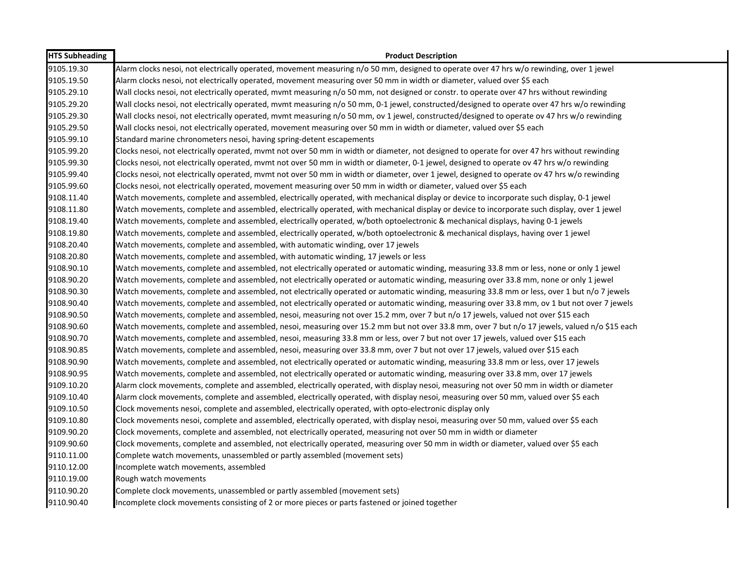| <b>HTS Subheading</b> | <b>Product Description</b>                                                                                                                   |
|-----------------------|----------------------------------------------------------------------------------------------------------------------------------------------|
| 9105.19.30            | Alarm clocks nesoi, not electrically operated, movement measuring n/o 50 mm, designed to operate over 47 hrs w/o rewinding, over 1 jewel     |
| 9105.19.50            | Alarm clocks nesoi, not electrically operated, movement measuring over 50 mm in width or diameter, valued over \$5 each                      |
| 9105.29.10            | Wall clocks nesoi, not electrically operated, mvmt measuring n/o 50 mm, not designed or constr. to operate over 47 hrs without rewinding     |
| 9105.29.20            | Wall clocks nesoi, not electrically operated, mvmt measuring n/o 50 mm, 0-1 jewel, constructed/designed to operate over 47 hrs w/o rewinding |
| 9105.29.30            | Wall clocks nesoi, not electrically operated, mvmt measuring n/o 50 mm, ov 1 jewel, constructed/designed to operate ov 47 hrs w/o rewinding  |
| 9105.29.50            | Wall clocks nesoi, not electrically operated, movement measuring over 50 mm in width or diameter, valued over \$5 each                       |
| 9105.99.10            | Standard marine chronometers nesoi, having spring-detent escapements                                                                         |
| 9105.99.20            | Clocks nesoi, not electrically operated, mvmt not over 50 mm in width or diameter, not designed to operate for over 47 hrs without rewinding |
| 9105.99.30            | Clocks nesoi, not electrically operated, mvmt not over 50 mm in width or diameter, 0-1 jewel, designed to operate ov 47 hrs w/o rewinding    |
| 9105.99.40            | Clocks nesoi, not electrically operated, mvmt not over 50 mm in width or diameter, over 1 jewel, designed to operate ov 47 hrs w/o rewinding |
| 9105.99.60            | Clocks nesoi, not electrically operated, movement measuring over 50 mm in width or diameter, valued over \$5 each                            |
| 9108.11.40            | Watch movements, complete and assembled, electrically operated, with mechanical display or device to incorporate such display, 0-1 jewel     |
| 9108.11.80            | Watch movements, complete and assembled, electrically operated, with mechanical display or device to incorporate such display, over 1 jewel  |
| 9108.19.40            | Watch movements, complete and assembled, electrically operated, w/both optoelectronic & mechanical displays, having 0-1 jewels               |
| 9108.19.80            | Watch movements, complete and assembled, electrically operated, w/both optoelectronic & mechanical displays, having over 1 jewel             |
| 9108.20.40            | Watch movements, complete and assembled, with automatic winding, over 17 jewels                                                              |
| 9108.20.80            | Watch movements, complete and assembled, with automatic winding, 17 jewels or less                                                           |
| 9108.90.10            | Watch movements, complete and assembled, not electrically operated or automatic winding, measuring 33.8 mm or less, none or only 1 jewel     |
| 9108.90.20            | Watch movements, complete and assembled, not electrically operated or automatic winding, measuring over 33.8 mm, none or only 1 jewel        |
| 9108.90.30            | Watch movements, complete and assembled, not electrically operated or automatic winding, measuring 33.8 mm or less, over 1 but n/o 7 jewels  |
| 9108.90.40            | Watch movements, complete and assembled, not electrically operated or automatic winding, measuring over 33.8 mm, ov 1 but not over 7 jewels  |
| 9108.90.50            | Watch movements, complete and assembled, nesoi, measuring not over 15.2 mm, over 7 but n/o 17 jewels, valued not over \$15 each              |
| 9108.90.60            | Watch movements, complete and assembled, nesoi, measuring over 15.2 mm but not over 33.8 mm, over 7 but n/o 17 jewels, valued n/o \$15 each  |
| 9108.90.70            | Watch movements, complete and assembled, nesoi, measuring 33.8 mm or less, over 7 but not over 17 jewels, valued over \$15 each              |
| 9108.90.85            | Watch movements, complete and assembled, nesoi, measuring over 33.8 mm, over 7 but not over 17 jewels, valued over \$15 each                 |
| 9108.90.90            | Watch movements, complete and assembled, not electrically operated or automatic winding, measuring 33.8 mm or less, over 17 jewels           |
| 9108.90.95            | Watch movements, complete and assembled, not electrically operated or automatic winding, measuring over 33.8 mm, over 17 jewels              |
| 9109.10.20            | Alarm clock movements, complete and assembled, electrically operated, with display nesoi, measuring not over 50 mm in width or diameter      |
| 9109.10.40            | Alarm clock movements, complete and assembled, electrically operated, with display nesoi, measuring over 50 mm, valued over \$5 each         |
| 9109.10.50            | Clock movements nesoi, complete and assembled, electrically operated, with opto-electronic display only                                      |
| 9109.10.80            | Clock movements nesoi, complete and assembled, electrically operated, with display nesoi, measuring over 50 mm, valued over \$5 each         |
| 9109.90.20            | Clock movements, complete and assembled, not electrically operated, measuring not over 50 mm in width or diameter                            |
| 9109.90.60            | Clock movements, complete and assembled, not electrically operated, measuring over 50 mm in width or diameter, valued over \$5 each          |
| 9110.11.00            | Complete watch movements, unassembled or partly assembled (movement sets)                                                                    |
| 9110.12.00            | Incomplete watch movements, assembled                                                                                                        |
| 9110.19.00            | Rough watch movements                                                                                                                        |
| 9110.90.20            | Complete clock movements, unassembled or partly assembled (movement sets)                                                                    |
| 9110.90.40            | Incomplete clock movements consisting of 2 or more pieces or parts fastened or joined together                                               |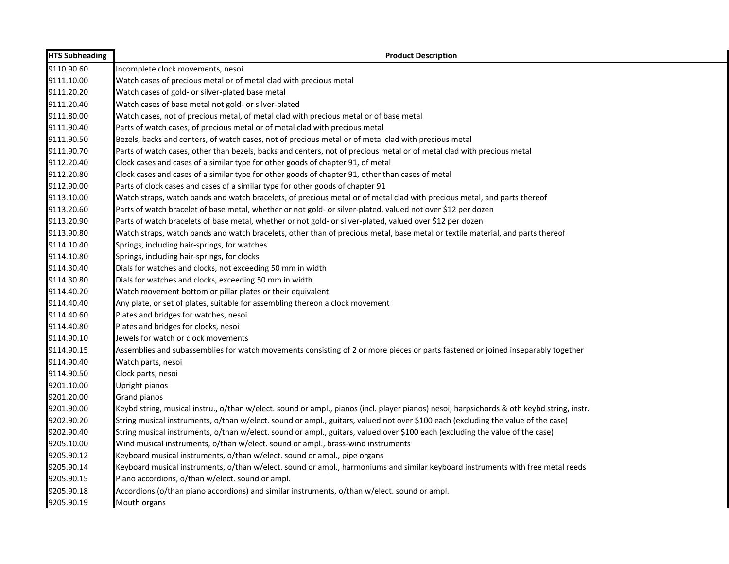| <b>HTS Subheading</b> | <b>Product Description</b>                                                                                                                 |
|-----------------------|--------------------------------------------------------------------------------------------------------------------------------------------|
| 9110.90.60            | Incomplete clock movements, nesoi                                                                                                          |
| 9111.10.00            | Watch cases of precious metal or of metal clad with precious metal                                                                         |
| 9111.20.20            | Watch cases of gold- or silver-plated base metal                                                                                           |
| 9111.20.40            | Watch cases of base metal not gold- or silver-plated                                                                                       |
| 9111.80.00            | Watch cases, not of precious metal, of metal clad with precious metal or of base metal                                                     |
| 9111.90.40            | Parts of watch cases, of precious metal or of metal clad with precious metal                                                               |
| 9111.90.50            | Bezels, backs and centers, of watch cases, not of precious metal or of metal clad with precious metal                                      |
| 9111.90.70            | Parts of watch cases, other than bezels, backs and centers, not of precious metal or of metal clad with precious metal                     |
| 9112.20.40            | Clock cases and cases of a similar type for other goods of chapter 91, of metal                                                            |
| 9112.20.80            | Clock cases and cases of a similar type for other goods of chapter 91, other than cases of metal                                           |
| 9112.90.00            | Parts of clock cases and cases of a similar type for other goods of chapter 91                                                             |
| 9113.10.00            | Watch straps, watch bands and watch bracelets, of precious metal or of metal clad with precious metal, and parts thereof                   |
| 9113.20.60            | Parts of watch bracelet of base metal, whether or not gold- or silver-plated, valued not over \$12 per dozen                               |
| 9113.20.90            | Parts of watch bracelets of base metal, whether or not gold- or silver-plated, valued over \$12 per dozen                                  |
| 9113.90.80            | Watch straps, watch bands and watch bracelets, other than of precious metal, base metal or textile material, and parts thereof             |
| 9114.10.40            | Springs, including hair-springs, for watches                                                                                               |
| 9114.10.80            | Springs, including hair-springs, for clocks                                                                                                |
| 9114.30.40            | Dials for watches and clocks, not exceeding 50 mm in width                                                                                 |
| 9114.30.80            | Dials for watches and clocks, exceeding 50 mm in width                                                                                     |
| 9114.40.20            | Watch movement bottom or pillar plates or their equivalent                                                                                 |
| 9114.40.40            | Any plate, or set of plates, suitable for assembling thereon a clock movement                                                              |
| 9114.40.60            | Plates and bridges for watches, nesoi                                                                                                      |
| 9114.40.80            | Plates and bridges for clocks, nesoi                                                                                                       |
| 9114.90.10            | Jewels for watch or clock movements                                                                                                        |
| 9114.90.15            | Assemblies and subassemblies for watch movements consisting of 2 or more pieces or parts fastened or joined inseparably together           |
| 9114.90.40            | Watch parts, nesoi                                                                                                                         |
| 9114.90.50            | Clock parts, nesoi                                                                                                                         |
| 9201.10.00            | Upright pianos                                                                                                                             |
| 9201.20.00            | <b>Grand pianos</b>                                                                                                                        |
| 9201.90.00            | Keybd string, musical instru., o/than w/elect. sound or ampl., pianos (incl. player pianos) nesoi; harpsichords & oth keybd string, instr. |
| 9202.90.20            | String musical instruments, o/than w/elect. sound or ampl., guitars, valued not over \$100 each (excluding the value of the case)          |
| 9202.90.40            | String musical instruments, o/than w/elect. sound or ampl., guitars, valued over \$100 each (excluding the value of the case)              |
| 9205.10.00            | Wind musical instruments, o/than w/elect. sound or ampl., brass-wind instruments                                                           |
| 9205.90.12            | Keyboard musical instruments, o/than w/elect. sound or ampl., pipe organs                                                                  |
| 9205.90.14            | Keyboard musical instruments, o/than w/elect. sound or ampl., harmoniums and similar keyboard instruments with free metal reeds            |
| 9205.90.15            | Piano accordions, o/than w/elect. sound or ampl.                                                                                           |
| 9205.90.18            | Accordions (o/than piano accordions) and similar instruments, o/than w/elect. sound or ampl.                                               |
| 9205.90.19            | Mouth organs                                                                                                                               |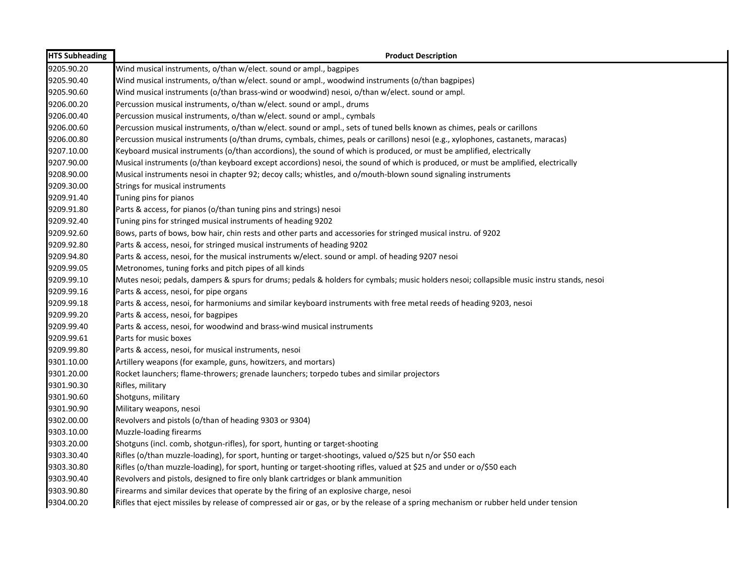| <b>HTS Subheading</b> | <b>Product Description</b>                                                                                                                |
|-----------------------|-------------------------------------------------------------------------------------------------------------------------------------------|
| 9205.90.20            | Wind musical instruments, o/than w/elect. sound or ampl., bagpipes                                                                        |
| 9205.90.40            | Wind musical instruments, o/than w/elect. sound or ampl., woodwind instruments (o/than bagpipes)                                          |
| 9205.90.60            | Wind musical instruments (o/than brass-wind or woodwind) nesoi, o/than w/elect. sound or ampl.                                            |
| 9206.00.20            | Percussion musical instruments, o/than w/elect. sound or ampl., drums                                                                     |
| 9206.00.40            | Percussion musical instruments, o/than w/elect. sound or ampl., cymbals                                                                   |
| 9206.00.60            | Percussion musical instruments, o/than w/elect. sound or ampl., sets of tuned bells known as chimes, peals or carillons                   |
| 9206.00.80            | Percussion musical instruments (o/than drums, cymbals, chimes, peals or carillons) nesoi (e.g., xylophones, castanets, maracas)           |
| 9207.10.00            | Keyboard musical instruments (o/than accordions), the sound of which is produced, or must be amplified, electrically                      |
| 9207.90.00            | Musical instruments (o/than keyboard except accordions) nesoi, the sound of which is produced, or must be amplified, electrically         |
| 9208.90.00            | Musical instruments nesoi in chapter 92; decoy calls; whistles, and o/mouth-blown sound signaling instruments                             |
| 9209.30.00            | Strings for musical instruments                                                                                                           |
| 9209.91.40            | Tuning pins for pianos                                                                                                                    |
| 9209.91.80            | Parts & access, for pianos (o/than tuning pins and strings) nesoi                                                                         |
| 9209.92.40            | Tuning pins for stringed musical instruments of heading 9202                                                                              |
| 9209.92.60            | Bows, parts of bows, bow hair, chin rests and other parts and accessories for stringed musical instru. of 9202                            |
| 9209.92.80            | Parts & access, nesoi, for stringed musical instruments of heading 9202                                                                   |
| 9209.94.80            | Parts & access, nesoi, for the musical instruments w/elect. sound or ampl. of heading 9207 nesoi                                          |
| 9209.99.05            | Metronomes, tuning forks and pitch pipes of all kinds                                                                                     |
| 9209.99.10            | Mutes nesoi; pedals, dampers & spurs for drums; pedals & holders for cymbals; music holders nesoi; collapsible music instru stands, nesoi |
| 9209.99.16            | Parts & access, nesoi, for pipe organs                                                                                                    |
| 9209.99.18            | Parts & access, nesoi, for harmoniums and similar keyboard instruments with free metal reeds of heading 9203, nesoi                       |
| 9209.99.20            | Parts & access, nesoi, for bagpipes                                                                                                       |
| 9209.99.40            | Parts & access, nesoi, for woodwind and brass-wind musical instruments                                                                    |
| 9209.99.61            | Parts for music boxes                                                                                                                     |
| 9209.99.80            | Parts & access, nesoi, for musical instruments, nesoi                                                                                     |
| 9301.10.00            | Artillery weapons (for example, guns, howitzers, and mortars)                                                                             |
| 9301.20.00            | Rocket launchers; flame-throwers; grenade launchers; torpedo tubes and similar projectors                                                 |
| 9301.90.30            | Rifles, military                                                                                                                          |
| 9301.90.60            | Shotguns, military                                                                                                                        |
| 9301.90.90            | Military weapons, nesoi                                                                                                                   |
| 9302.00.00            | Revolvers and pistols (o/than of heading 9303 or 9304)                                                                                    |
| 9303.10.00            | Muzzle-loading firearms                                                                                                                   |
| 9303.20.00            | Shotguns (incl. comb, shotgun-rifles), for sport, hunting or target-shooting                                                              |
| 9303.30.40            | Rifles (o/than muzzle-loading), for sport, hunting or target-shootings, valued o/\$25 but n/or \$50 each                                  |
| 9303.30.80            | Rifles (o/than muzzle-loading), for sport, hunting or target-shooting rifles, valued at \$25 and under or o/\$50 each                     |
| 9303.90.40            | Revolvers and pistols, designed to fire only blank cartridges or blank ammunition                                                         |
| 9303.90.80            | Firearms and similar devices that operate by the firing of an explosive charge, nesoi                                                     |
| 9304.00.20            | Rifles that eject missiles by release of compressed air or gas, or by the release of a spring mechanism or rubber held under tension      |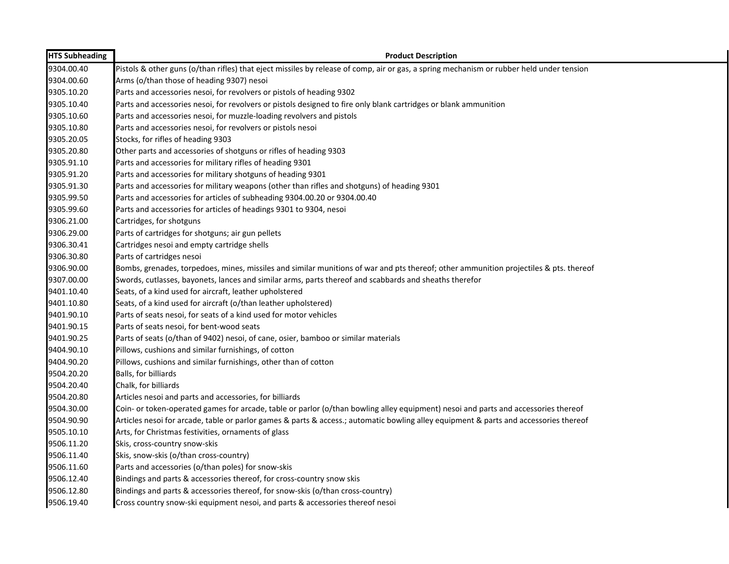| <b>HTS Subheading</b> | <b>Product Description</b>                                                                                                               |
|-----------------------|------------------------------------------------------------------------------------------------------------------------------------------|
| 9304.00.40            | Pistols & other guns (o/than rifles) that eject missiles by release of comp, air or gas, a spring mechanism or rubber held under tension |
| 9304.00.60            | Arms (o/than those of heading 9307) nesoi                                                                                                |
| 9305.10.20            | Parts and accessories nesoi, for revolvers or pistols of heading 9302                                                                    |
| 9305.10.40            | Parts and accessories nesoi, for revolvers or pistols designed to fire only blank cartridges or blank ammunition                         |
| 9305.10.60            | Parts and accessories nesoi, for muzzle-loading revolvers and pistols                                                                    |
| 9305.10.80            | Parts and accessories nesoi, for revolvers or pistols nesoi                                                                              |
| 9305.20.05            | Stocks, for rifles of heading 9303                                                                                                       |
| 9305.20.80            | Other parts and accessories of shotguns or rifles of heading 9303                                                                        |
| 9305.91.10            | Parts and accessories for military rifles of heading 9301                                                                                |
| 9305.91.20            | Parts and accessories for military shotguns of heading 9301                                                                              |
| 9305.91.30            | Parts and accessories for military weapons (other than rifles and shotguns) of heading 9301                                              |
| 9305.99.50            | Parts and accessories for articles of subheading 9304.00.20 or 9304.00.40                                                                |
| 9305.99.60            | Parts and accessories for articles of headings 9301 to 9304, nesoi                                                                       |
| 9306.21.00            | Cartridges, for shotguns                                                                                                                 |
| 9306.29.00            | Parts of cartridges for shotguns; air gun pellets                                                                                        |
| 9306.30.41            | Cartridges nesoi and empty cartridge shells                                                                                              |
| 9306.30.80            | Parts of cartridges nesoi                                                                                                                |
| 9306.90.00            | Bombs, grenades, torpedoes, mines, missiles and similar munitions of war and pts thereof; other ammunition projectiles & pts. thereof    |
| 9307.00.00            | Swords, cutlasses, bayonets, lances and similar arms, parts thereof and scabbards and sheaths therefor                                   |
| 9401.10.40            | Seats, of a kind used for aircraft, leather upholstered                                                                                  |
| 9401.10.80            | Seats, of a kind used for aircraft (o/than leather upholstered)                                                                          |
| 9401.90.10            | Parts of seats nesoi, for seats of a kind used for motor vehicles                                                                        |
| 9401.90.15            | Parts of seats nesoi, for bent-wood seats                                                                                                |
| 9401.90.25            | Parts of seats (o/than of 9402) nesoi, of cane, osier, bamboo or similar materials                                                       |
| 9404.90.10            | Pillows, cushions and similar furnishings, of cotton                                                                                     |
| 9404.90.20            | Pillows, cushions and similar furnishings, other than of cotton                                                                          |
| 9504.20.20            | Balls, for billiards                                                                                                                     |
| 9504.20.40            | Chalk, for billiards                                                                                                                     |
| 9504.20.80            | Articles nesoi and parts and accessories, for billiards                                                                                  |
| 9504.30.00            | Coin- or token-operated games for arcade, table or parlor (o/than bowling alley equipment) nesoi and parts and accessories thereof       |
| 9504.90.90            | Articles nesoi for arcade, table or parlor games & parts & access.; automatic bowling alley equipment & parts and accessories thereof    |
| 9505.10.10            | Arts, for Christmas festivities, ornaments of glass                                                                                      |
| 9506.11.20            | Skis, cross-country snow-skis                                                                                                            |
| 9506.11.40            | Skis, snow-skis (o/than cross-country)                                                                                                   |
| 9506.11.60            | Parts and accessories (o/than poles) for snow-skis                                                                                       |
| 9506.12.40            | Bindings and parts & accessories thereof, for cross-country snow skis                                                                    |
| 9506.12.80            | Bindings and parts & accessories thereof, for snow-skis (o/than cross-country)                                                           |
| 9506.19.40            | Cross country snow-ski equipment nesoi, and parts & accessories thereof nesoi                                                            |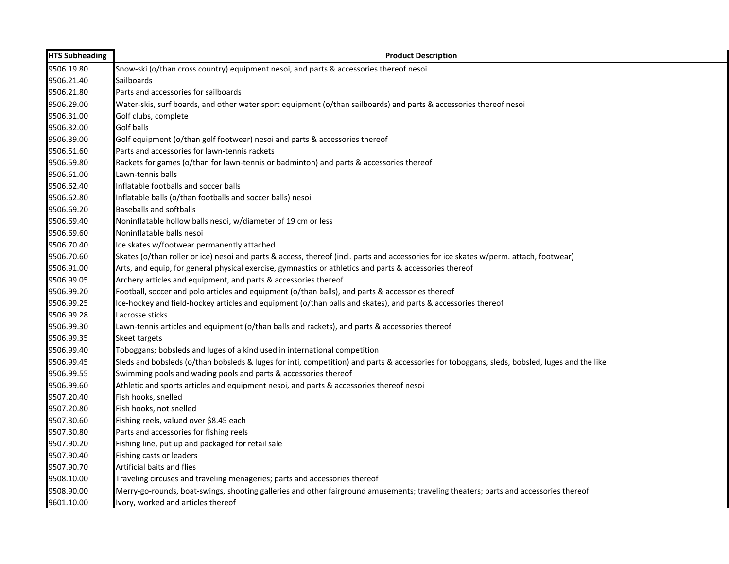| <b>HTS Subheading</b> | <b>Product Description</b>                                                                                                                   |
|-----------------------|----------------------------------------------------------------------------------------------------------------------------------------------|
| 9506.19.80            | Snow-ski (o/than cross country) equipment nesoi, and parts & accessories thereof nesoi                                                       |
| 9506.21.40            | Sailboards                                                                                                                                   |
| 9506.21.80            | Parts and accessories for sailboards                                                                                                         |
| 9506.29.00            | Water-skis, surf boards, and other water sport equipment (o/than sailboards) and parts & accessories thereof nesoi                           |
| 9506.31.00            | Golf clubs, complete                                                                                                                         |
| 9506.32.00            | <b>Golf balls</b>                                                                                                                            |
| 9506.39.00            | Golf equipment (o/than golf footwear) nesoi and parts & accessories thereof                                                                  |
| 9506.51.60            | Parts and accessories for lawn-tennis rackets                                                                                                |
| 9506.59.80            | Rackets for games (o/than for lawn-tennis or badminton) and parts & accessories thereof                                                      |
| 9506.61.00            | Lawn-tennis balls                                                                                                                            |
| 9506.62.40            | Inflatable footballs and soccer balls                                                                                                        |
| 9506.62.80            | Inflatable balls (o/than footballs and soccer balls) nesoi                                                                                   |
| 9506.69.20            | <b>Baseballs and softballs</b>                                                                                                               |
| 9506.69.40            | Noninflatable hollow balls nesoi, w/diameter of 19 cm or less                                                                                |
| 9506.69.60            | Noninflatable balls nesoi                                                                                                                    |
| 9506.70.40            | Ice skates w/footwear permanently attached                                                                                                   |
| 9506.70.60            | Skates (o/than roller or ice) nesoi and parts & access, thereof (incl. parts and accessories for ice skates w/perm. attach, footwear)        |
| 9506.91.00            | Arts, and equip, for general physical exercise, gymnastics or athletics and parts & accessories thereof                                      |
| 9506.99.05            | Archery articles and equipment, and parts & accessories thereof                                                                              |
| 9506.99.20            | Football, soccer and polo articles and equipment (o/than balls), and parts & accessories thereof                                             |
| 9506.99.25            | Ice-hockey and field-hockey articles and equipment (o/than balls and skates), and parts & accessories thereof                                |
| 9506.99.28            | Lacrosse sticks                                                                                                                              |
| 9506.99.30            | Lawn-tennis articles and equipment (o/than balls and rackets), and parts & accessories thereof                                               |
| 9506.99.35            | Skeet targets                                                                                                                                |
| 9506.99.40            | Toboggans; bobsleds and luges of a kind used in international competition                                                                    |
| 9506.99.45            | Sleds and bobsleds (o/than bobsleds & luges for inti, competition) and parts & accessories for toboggans, sleds, bobsled, luges and the like |
| 9506.99.55            | Swimming pools and wading pools and parts & accessories thereof                                                                              |
| 9506.99.60            | Athletic and sports articles and equipment nesoi, and parts & accessories thereof nesoi                                                      |
| 9507.20.40            | Fish hooks, snelled                                                                                                                          |
| 9507.20.80            | Fish hooks, not snelled                                                                                                                      |
| 9507.30.60            | Fishing reels, valued over \$8.45 each                                                                                                       |
| 9507.30.80            | Parts and accessories for fishing reels                                                                                                      |
| 9507.90.20            | Fishing line, put up and packaged for retail sale                                                                                            |
| 9507.90.40            | Fishing casts or leaders                                                                                                                     |
| 9507.90.70            | Artificial baits and flies                                                                                                                   |
| 9508.10.00            | Traveling circuses and traveling menageries; parts and accessories thereof                                                                   |
| 9508.90.00            | Merry-go-rounds, boat-swings, shooting galleries and other fairground amusements; traveling theaters; parts and accessories thereof          |
| 9601.10.00            | Ivory, worked and articles thereof                                                                                                           |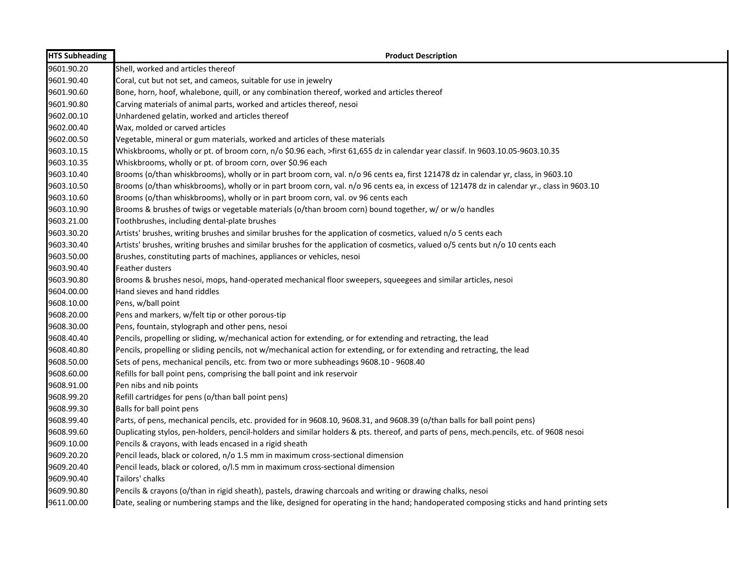| <b>HTS Subheading</b> | <b>Product Description</b>                                                                                                                |
|-----------------------|-------------------------------------------------------------------------------------------------------------------------------------------|
| 9601.90.20            | Shell, worked and articles thereof                                                                                                        |
| 9601.90.40            | Coral, cut but not set, and cameos, suitable for use in jewelry                                                                           |
| 9601.90.60            | Bone, horn, hoof, whalebone, quill, or any combination thereof, worked and articles thereof                                               |
| 9601.90.80            | Carving materials of animal parts, worked and articles thereof, nesoi                                                                     |
| 9602.00.10            | Unhardened gelatin, worked and articles thereof                                                                                           |
| 9602.00.40            | Wax, molded or carved articles                                                                                                            |
| 9602.00.50            | Vegetable, mineral or gum materials, worked and articles of these materials                                                               |
| 9603.10.15            | Whiskbrooms, wholly or pt. of broom corn, n/o \$0.96 each, >first 61,655 dz in calendar year classif. In 9603.10.05-9603.10.35            |
| 9603.10.35            | Whiskbrooms, wholly or pt. of broom corn, over \$0.96 each                                                                                |
| 9603.10.40            | Brooms (o/than whiskbrooms), wholly or in part broom corn, val. n/o 96 cents ea, first 121478 dz in calendar yr, class, in 9603.10        |
| 9603.10.50            | Brooms (o/than whiskbrooms), wholly or in part broom corn, val. n/o 96 cents ea, in excess of 121478 dz in calendar yr., class in 9603.10 |
| 9603.10.60            | Brooms (o/than whiskbrooms), wholly or in part broom corn, val. ov 96 cents each                                                          |
| 9603.10.90            | Brooms & brushes of twigs or vegetable materials (o/than broom corn) bound together, w/ or w/o handles                                    |
| 9603.21.00            | Toothbrushes, including dental-plate brushes                                                                                              |
| 9603.30.20            | Artists' brushes, writing brushes and similar brushes for the application of cosmetics, valued n/o 5 cents each                           |
| 9603.30.40            | Artists' brushes, writing brushes and similar brushes for the application of cosmetics, valued o/5 cents but n/o 10 cents each            |
| 9603.50.00            | Brushes, constituting parts of machines, appliances or vehicles, nesoi                                                                    |
| 9603.90.40            | Feather dusters                                                                                                                           |
| 9603.90.80            | Brooms & brushes nesoi, mops, hand-operated mechanical floor sweepers, squeegees and similar articles, nesoi                              |
| 9604.00.00            | Hand sieves and hand riddles                                                                                                              |
| 9608.10.00            | Pens, w/ball point                                                                                                                        |
| 9608.20.00            | Pens and markers, w/felt tip or other porous-tip                                                                                          |
| 9608.30.00            | Pens, fountain, stylograph and other pens, nesoi                                                                                          |
| 9608.40.40            | Pencils, propelling or sliding, w/mechanical action for extending, or for extending and retracting, the lead                              |
| 9608.40.80            | Pencils, propelling or sliding pencils, not w/mechanical action for extending, or for extending and retracting, the lead                  |
| 9608.50.00            | Sets of pens, mechanical pencils, etc. from two or more subheadings 9608.10 - 9608.40                                                     |
| 9608.60.00            | Refills for ball point pens, comprising the ball point and ink reservoir                                                                  |
| 9608.91.00            | Pen nibs and nib points                                                                                                                   |
| 9608.99.20            | Refill cartridges for pens (o/than ball point pens)                                                                                       |
| 9608.99.30            | Balls for ball point pens                                                                                                                 |
| 9608.99.40            | Parts, of pens, mechanical pencils, etc. provided for in 9608.10, 9608.31, and 9608.39 (o/than balls for ball point pens)                 |
| 9608.99.60            | Duplicating stylos, pen-holders, pencil-holders and similar holders & pts. thereof, and parts of pens, mech.pencils, etc. of 9608 nesoi   |
| 9609.10.00            | Pencils & crayons, with leads encased in a rigid sheath                                                                                   |
| 9609.20.20            | Pencil leads, black or colored, n/o 1.5 mm in maximum cross-sectional dimension                                                           |
| 9609.20.40            | Pencil leads, black or colored, o/l.5 mm in maximum cross-sectional dimension                                                             |
| 9609.90.40            | Tailors' chalks                                                                                                                           |
| 9609.90.80            | Pencils & crayons (o/than in rigid sheath), pastels, drawing charcoals and writing or drawing chalks, nesoi                               |
| 9611.00.00            | Date, sealing or numbering stamps and the like, designed for operating in the hand; handoperated composing sticks and hand printing sets  |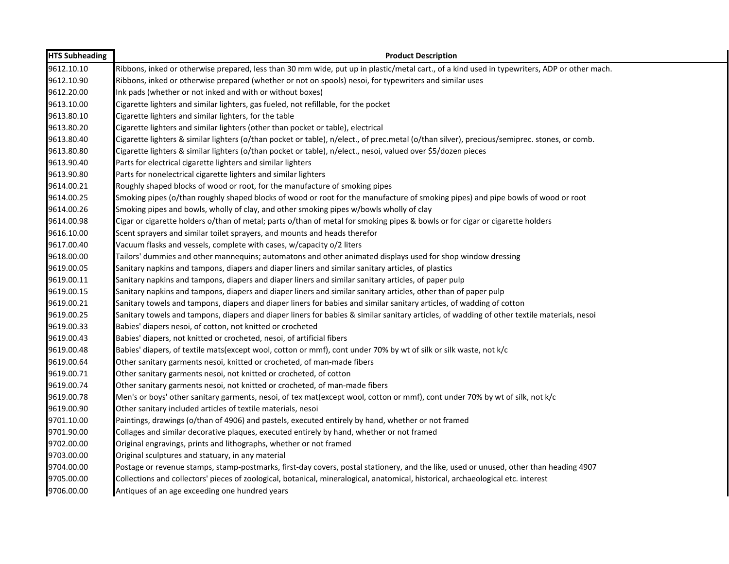| <b>HTS Subheading</b> | <b>Product Description</b>                                                                                                                   |
|-----------------------|----------------------------------------------------------------------------------------------------------------------------------------------|
| 9612.10.10            | Ribbons, inked or otherwise prepared, less than 30 mm wide, put up in plastic/metal cart., of a kind used in typewriters, ADP or other mach. |
| 9612.10.90            | Ribbons, inked or otherwise prepared (whether or not on spools) nesoi, for typewriters and similar uses                                      |
| 9612.20.00            | Ink pads (whether or not inked and with or without boxes)                                                                                    |
| 9613.10.00            | Cigarette lighters and similar lighters, gas fueled, not refillable, for the pocket                                                          |
| 9613.80.10            | Cigarette lighters and similar lighters, for the table                                                                                       |
| 9613.80.20            | Cigarette lighters and similar lighters (other than pocket or table), electrical                                                             |
| 9613.80.40            | Cigarette lighters & similar lighters (o/than pocket or table), n/elect., of prec.metal (o/than silver), precious/semiprec. stones, or comb. |
| 9613.80.80            | Cigarette lighters & similar lighters (o/than pocket or table), n/elect., nesoi, valued over \$5/dozen pieces                                |
| 9613.90.40            | Parts for electrical cigarette lighters and similar lighters                                                                                 |
| 9613.90.80            | Parts for nonelectrical cigarette lighters and similar lighters                                                                              |
| 9614.00.21            | Roughly shaped blocks of wood or root, for the manufacture of smoking pipes                                                                  |
| 9614.00.25            | Smoking pipes (o/than roughly shaped blocks of wood or root for the manufacture of smoking pipes) and pipe bowls of wood or root             |
| 9614.00.26            | Smoking pipes and bowls, wholly of clay, and other smoking pipes w/bowls wholly of clay                                                      |
| 9614.00.98            | Cigar or cigarette holders o/than of metal; parts o/than of metal for smoking pipes & bowls or for cigar or cigarette holders                |
| 9616.10.00            | Scent sprayers and similar toilet sprayers, and mounts and heads therefor                                                                    |
| 9617.00.40            | Vacuum flasks and vessels, complete with cases, w/capacity o/2 liters                                                                        |
| 9618.00.00            | Tailors' dummies and other mannequins; automatons and other animated displays used for shop window dressing                                  |
| 9619.00.05            | Sanitary napkins and tampons, diapers and diaper liners and similar sanitary articles, of plastics                                           |
| 9619.00.11            | Sanitary napkins and tampons, diapers and diaper liners and similar sanitary articles, of paper pulp                                         |
| 9619.00.15            | Sanitary napkins and tampons, diapers and diaper liners and similar sanitary articles, other than of paper pulp                              |
| 9619.00.21            | Sanitary towels and tampons, diapers and diaper liners for babies and similar sanitary articles, of wadding of cotton                        |
| 9619.00.25            | Sanitary towels and tampons, diapers and diaper liners for babies & similar sanitary articles, of wadding of other textile materials, nesoi  |
| 9619.00.33            | Babies' diapers nesoi, of cotton, not knitted or crocheted                                                                                   |
| 9619.00.43            | Babies' diapers, not knitted or crocheted, nesoi, of artificial fibers                                                                       |
| 9619.00.48            | Babies' diapers, of textile mats(except wool, cotton or mmf), cont under 70% by wt of silk or silk waste, not k/c                            |
| 9619.00.64            | Other sanitary garments nesoi, knitted or crocheted, of man-made fibers                                                                      |
| 9619.00.71            | Other sanitary garments nesoi, not knitted or crocheted, of cotton                                                                           |
| 9619.00.74            | Other sanitary garments nesoi, not knitted or crocheted, of man-made fibers                                                                  |
| 9619.00.78            | Men's or boys' other sanitary garments, nesoi, of tex mat(except wool, cotton or mmf), cont under 70% by wt of silk, not k/c                 |
| 9619.00.90            | Other sanitary included articles of textile materials, nesoi                                                                                 |
| 9701.10.00            | Paintings, drawings (o/than of 4906) and pastels, executed entirely by hand, whether or not framed                                           |
| 9701.90.00            | Collages and similar decorative plaques, executed entirely by hand, whether or not framed                                                    |
| 9702.00.00            | Original engravings, prints and lithographs, whether or not framed                                                                           |
| 9703.00.00            | Original sculptures and statuary, in any material                                                                                            |
| 9704.00.00            | Postage or revenue stamps, stamp-postmarks, first-day covers, postal stationery, and the like, used or unused, other than heading 4907       |
| 9705.00.00            | Collections and collectors' pieces of zoological, botanical, mineralogical, anatomical, historical, archaeological etc. interest             |
| 9706.00.00            | Antiques of an age exceeding one hundred years                                                                                               |